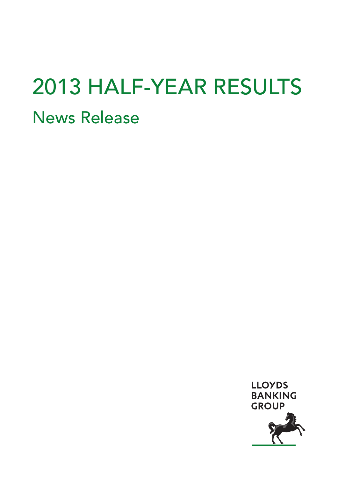# 2013 HALF-YEAR RESULTS News Release

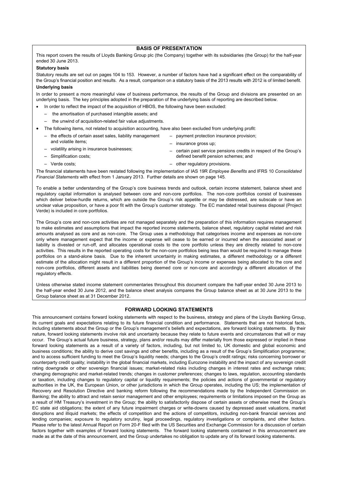# **BASIS OF PRESENTATION**

This report covers the results of Lloyds Banking Group plc (the Company) together with its subsidiaries (the Group) for the half-year ended 30 June 2013.

#### **Statutory basis**

Statutory results are set out on pages 104 to 153. However, a number of factors have had a significant effect on the comparability of the Group's financial position and results. As a result, comparison on a statutory basis of the 2013 results with 2012 is of limited benefit. **Underlying basis** 

In order to present a more meaningful view of business performance, the results of the Group and divisions are presented on an underlying basis. The key principles adopted in the preparation of the underlying basis of reporting are described below.

- In order to reflect the impact of the acquisition of HBOS, the following have been excluded:
	- the amortisation of purchased intangible assets; and
	- the unwind of acquisition-related fair value adjustments.
- The following items, not related to acquisition accounting, have also been excluded from underlying profit:
	- the effects of certain asset sales, liability management – payment protection insurance provision;
	- and volatile items;
- insurance gross up;
- volatility arising in insurance businesses;
- Simplification costs;
- Verde costs;
- certain past service pensions credits in respect of the Group's defined benefit pension schemes; and
- other regulatory provisions.

The financial statements have been restated following the implementation of IAS 19R *Employee Benefits* and IFRS 10 *Consolidated Financial Statements* with effect from 1 January 2013. Further details are shown on page 145.

To enable a better understanding of the Group's core business trends and outlook, certain income statement, balance sheet and regulatory capital information is analysed between core and non-core portfolios. The non-core portfolios consist of businesses which deliver below-hurdle returns, which are outside the Group's risk appetite or may be distressed, are subscale or have an unclear value proposition, or have a poor fit with the Group's customer strategy. The EC mandated retail business disposal (Project Verde) is included in core portfolios.

The Group's core and non-core activities are not managed separately and the preparation of this information requires management to make estimates and assumptions that impact the reported income statements, balance sheet, regulatory capital related and risk amounts analysed as core and as non-core. The Group uses a methodology that categorises income and expenses as non-core only where management expect that the income or expense will cease to be earned or incurred when the associated asset or liability is divested or run-off, and allocates operational costs to the core portfolio unless they are directly related to non-core activities. This results in the reported operating costs for the non-core portfolios being less than would be required to manage these portfolios on a stand-alone basis. Due to the inherent uncertainty in making estimates, a different methodology or a different estimate of the allocation might result in a different proportion of the Group's income or expenses being allocated to the core and non-core portfolios, different assets and liabilities being deemed core or non-core and accordingly a different allocation of the regulatory effects.

Unless otherwise stated income statement commentaries throughout this document compare the half-year ended 30 June 2013 to the half-year ended 30 June 2012, and the balance sheet analysis compares the Group balance sheet as at 30 June 2013 to the Group balance sheet as at 31 December 2012.

## **FORWARD LOOKING STATEMENTS**

This announcement contains forward looking statements with respect to the business, strategy and plans of the Lloyds Banking Group, its current goals and expectations relating to its future financial condition and performance. Statements that are not historical facts, including statements about the Group or the Group's management's beliefs and expectations, are forward looking statements. By their nature, forward looking statements involve risk and uncertainty because they relate to future events and circumstances that will or may occur. The Group's actual future business, strategy, plans and/or results may differ materially from those expressed or implied in these forward looking statements as a result of a variety of factors, including, but not limited to, UK domestic and global economic and business conditions; the ability to derive cost savings and other benefits, including as a result of the Group's Simplification programme; and to access sufficient funding to meet the Group's liquidity needs; changes to the Group's credit ratings; risks concerning borrower or counterparty credit quality; instability in the global financial markets, including Eurozone instability and the impact of any sovereign credit rating downgrade or other sovereign financial issues; market-related risks including changes in interest rates and exchange rates; changing demographic and market-related trends; changes in customer preferences; changes to laws, regulation, accounting standards or taxation, including changes to regulatory capital or liquidity requirements; the policies and actions of governmental or regulatory authorities in the UK, the European Union, or other jurisdictions in which the Group operates, including the US; the implementation of Recovery and Resolution Directive and banking reform following the recommendations made by the Independent Commission on Banking; the ability to attract and retain senior management and other employees; requirements or limitations imposed on the Group as a result of HM Treasury's investment in the Group; the ability to satisfactorily dispose of certain assets or otherwise meet the Group's EC state aid obligations; the extent of any future impairment charges or write-downs caused by depressed asset valuations, market disruptions and illiquid markets; the effects of competition and the actions of competitors, including non-bank financial services and lending companies; exposure to regulatory scrutiny, legal proceedings, regulatory investigations or complaints, and other factors. Please refer to the latest Annual Report on Form 20-F filed with the US Securities and Exchange Commission for a discussion of certain factors together with examples of forward looking statements. The forward looking statements contained in this announcement are made as at the date of this announcement, and the Group undertakes no obligation to update any of its forward looking statements.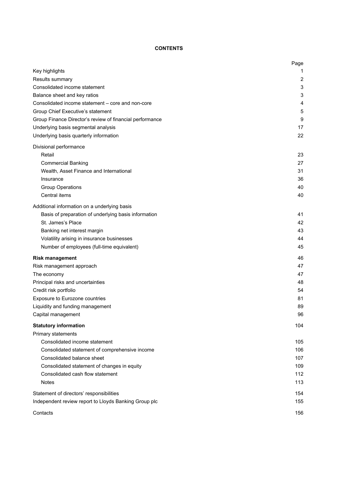# **CONTENTS**

|                                                                           | Page |
|---------------------------------------------------------------------------|------|
| Key highlights                                                            | 1    |
| Results summary                                                           | 2    |
| Consolidated income statement                                             | 3    |
| Balance sheet and key ratios                                              | 3    |
| Consolidated income statement - core and non-core                         | 4    |
| Group Chief Executive's statement                                         | 5    |
| Group Finance Director's review of financial performance                  | 9    |
| Underlying basis segmental analysis                                       | 17   |
| Underlying basis quarterly information                                    | 22   |
| Divisional performance                                                    |      |
| Retail                                                                    | 23   |
| <b>Commercial Banking</b>                                                 | 27   |
| Wealth, Asset Finance and International                                   | 31   |
| Insurance                                                                 | 36   |
| <b>Group Operations</b>                                                   | 40   |
| Central items                                                             | 40   |
|                                                                           |      |
| Additional information on a underlying basis                              | 41   |
| Basis of preparation of underlying basis information<br>St. James's Place | 42   |
| Banking net interest margin                                               | 43   |
| Volatility arising in insurance businesses                                | 44   |
| Number of employees (full-time equivalent)                                | 45   |
|                                                                           |      |
| <b>Risk management</b>                                                    | 46   |
| Risk management approach                                                  | 47   |
| The economy                                                               | 47   |
| Principal risks and uncertainties                                         | 48   |
| Credit risk portfolio                                                     | 54   |
| Exposure to Eurozone countries                                            | 81   |
| Liquidity and funding management                                          | 89   |
| Capital management                                                        | 96   |
| <b>Statutory information</b>                                              | 104  |
| Primary statements                                                        |      |
| Consolidated income statement                                             | 105  |
| Consolidated statement of comprehensive income                            | 106  |
| Consolidated balance sheet                                                | 107  |
| Consolidated statement of changes in equity                               | 109  |
| Consolidated cash flow statement                                          | 112  |
| <b>Notes</b>                                                              | 113  |
| Statement of directors' responsibilities                                  | 154  |
| Independent review report to Lloyds Banking Group plc                     | 155  |
|                                                                           |      |
| Contacts                                                                  | 156  |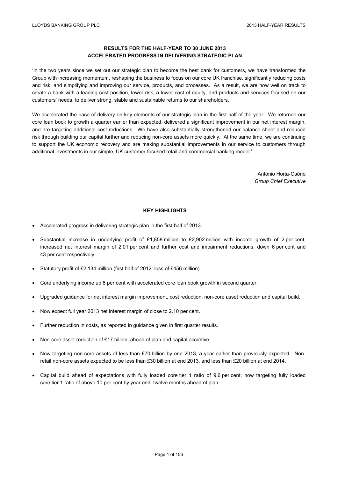# **RESULTS FOR THE HALF-YEAR TO 30 JUNE 2013 ACCELERATED PROGRESS IN DELIVERING STRATEGIC PLAN**

'In the two years since we set out our strategic plan to become the best bank for customers, we have transformed the Group with increasing momentum, reshaping the business to focus on our core UK franchise, significantly reducing costs and risk, and simplifying and improving our service, products, and processes. As a result, we are now well on track to create a bank with a leading cost position, lower risk, a lower cost of equity, and products and services focused on our customers' needs, to deliver strong, stable and sustainable returns to our shareholders.

We accelerated the pace of delivery on key elements of our strategic plan in the first half of the year. We returned our core loan book to growth a quarter earlier than expected, delivered a significant improvement in our net interest margin, and are targeting additional cost reductions. We have also substantially strengthened our balance sheet and reduced risk through building our capital further and reducing non-core assets more quickly. At the same time, we are continuing to support the UK economic recovery and are making substantial improvements in our service to customers through additional investments in our simple, UK customer-focused retail and commercial banking model.'

> António Horta-Osório *Group Chief Executive*

# **KEY HIGHLIGHTS**

- Accelerated progress in delivering strategic plan in the first half of 2013.
- $\bullet$  Substantial increase in underlying profit of £1,858 million to £2,902 million with income growth of 2 per cent, increased net interest margin of 2.01 per cent and further cost and impairment reductions, down 6 per cent and 43 per cent respectively.
- Statutory profit of £2,134 million (first half of 2012: loss of £456 million).
- Core underlying income up 6 per cent with accelerated core loan book growth in second quarter.
- Upgraded guidance for net interest margin improvement, cost reduction, non-core asset reduction and capital build.
- Now expect full year 2013 net interest margin of close to 2.10 per cent.
- Further reduction in costs, as reported in guidance given in first quarter results.
- Non-core asset reduction of £17 billion, ahead of plan and capital accretive.
- Now targeting non-core assets of less than £70 billion by end 2013, a year earlier than previously expected. Nonretail non-core assets expected to be less than £30 billion at end 2013, and less than £20 billion at end 2014.
- Capital build ahead of expectations with fully loaded core tier 1 ratio of 9.6 per cent; now targeting fully loaded core tier 1 ratio of above 10 per cent by year end, twelve months ahead of plan.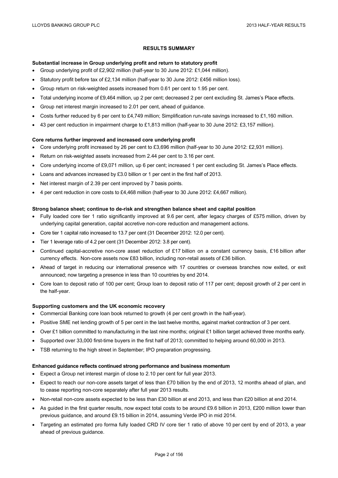# **RESULTS SUMMARY**

#### **Substantial increase in Group underlying profit and return to statutory profit**

- Group underlying profit of £2,902 million (half-year to 30 June 2012: £1,044 million).
- Statutory profit before tax of £2,134 million (half-year to 30 June 2012: £456 million loss).
- Group return on risk-weighted assets increased from 0.61 per cent to 1.95 per cent.
- Total underlying income of £9,464 million, up 2 per cent; decreased 2 per cent excluding St. James's Place effects.
- Group net interest margin increased to 2.01 per cent, ahead of guidance.
- Costs further reduced by 6 per cent to £4,749 million; Simplification run-rate savings increased to £1,160 million.
- 43 per cent reduction in impairment charge to £1,813 million (half-year to 30 June 2012: £3,157 million).

### **Core returns further improved and increased core underlying profit**

- Core underlying profit increased by 26 per cent to £3,696 million (half-year to 30 June 2012: £2,931 million).
- Return on risk-weighted assets increased from 2.44 per cent to 3.16 per cent.
- Core underlying income of £9,071 million, up 6 per cent; increased 1 per cent excluding St. James's Place effects.
- Loans and advances increased by £3.0 billion or 1 per cent in the first half of 2013.
- Net interest margin of 2.39 per cent improved by 7 basis points.
- 4 per cent reduction in core costs to £4,468 million (half-year to 30 June 2012: £4,667 million).

## **Strong balance sheet; continue to de-risk and strengthen balance sheet and capital position**

- Fully loaded core tier 1 ratio significantly improved at 9.6 per cent, after legacy charges of £575 million, driven by underlying capital generation, capital accretive non-core reduction and management actions.
- Core tier 1 capital ratio increased to 13.7 per cent (31 December 2012: 12.0 per cent).
- Tier 1 leverage ratio of 4.2 per cent (31 December 2012: 3.8 per cent).
- Continued capital-accretive non-core asset reduction of £17 billion on a constant currency basis, £16 billion after currency effects. Non-core assets now £83 billion, including non-retail assets of £36 billion.
- Ahead of target in reducing our international presence with 17 countries or overseas branches now exited, or exit announced; now targeting a presence in less than 10 countries by end 2014.
- Core loan to deposit ratio of 100 per cent; Group loan to deposit ratio of 117 per cent; deposit growth of 2 per cent in the half-year.

#### **Supporting customers and the UK economic recovery**

- Commercial Banking core loan book returned to growth (4 per cent growth in the half-year).
- Positive SME net lending growth of 5 per cent in the last twelve months, against market contraction of 3 per cent.
- Over £1 billion committed to manufacturing in the last nine months; original £1 billion target achieved three months early.
- Supported over 33,000 first-time buyers in the first half of 2013; committed to helping around 60,000 in 2013.
- TSB returning to the high street in September; IPO preparation progressing.

#### **Enhanced guidance reflects continued strong performance and business momentum**

- Expect a Group net interest margin of close to 2.10 per cent for full year 2013.
- Expect to reach our non-core assets target of less than £70 billion by the end of 2013, 12 months ahead of plan, and to cease reporting non-core separately after full year 2013 results.
- Non-retail non-core assets expected to be less than £30 billion at end 2013, and less than £20 billion at end 2014.
- As quided in the first quarter results, now expect total costs to be around  $f9.6$  billion in 2013,  $f200$  million lower than previous guidance, and around £9.15 billion in 2014, assuming Verde IPO in mid 2014.
- Targeting an estimated pro forma fully loaded CRD IV core tier 1 ratio of above 10 per cent by end of 2013, a year ahead of previous guidance.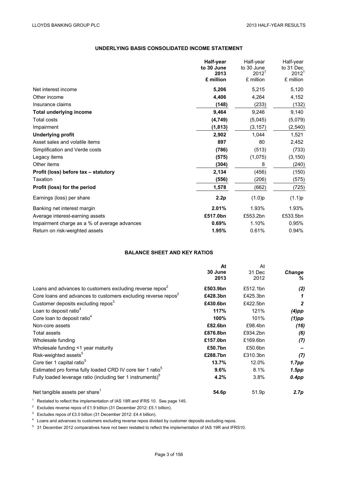# **UNDERLYING BASIS CONSOLIDATED INCOME STATEMENT**

|                                              | Half-year<br>to 30 June<br>2013<br>£ million | Half-year<br>to 30 June<br>2012 <sup>1</sup><br>£ million | Half-year<br>to 31 Dec<br>$2012^1$<br>£ million |
|----------------------------------------------|----------------------------------------------|-----------------------------------------------------------|-------------------------------------------------|
| Net interest income                          | 5,206                                        | 5,215                                                     | 5,120                                           |
| Other income                                 | 4,406                                        | 4,264                                                     | 4,152                                           |
| Insurance claims                             | (148)                                        | (233)                                                     | (132)                                           |
| <b>Total underlying income</b>               | 9,464                                        | 9,246                                                     | 9,140                                           |
| <b>Total costs</b>                           | (4, 749)                                     | (5,045)                                                   | (5,079)                                         |
| Impairment                                   | (1, 813)                                     | (3, 157)                                                  | (2, 540)                                        |
| <b>Underlying profit</b>                     | 2,902                                        | 1,044                                                     | 1,521                                           |
| Asset sales and volatile items               | 897                                          | 80                                                        | 2,452                                           |
| Simplification and Verde costs               | (786)                                        | (513)                                                     | (733)                                           |
| Legacy items                                 | (575)                                        | (1,075)                                                   | (3, 150)                                        |
| Other items                                  | (304)                                        | 8                                                         | (240)                                           |
| Profit (loss) before tax - statutory         | 2,134                                        | (456)                                                     | (150)                                           |
| Taxation                                     | (556)                                        | (206)                                                     | (575)                                           |
| Profit (loss) for the period                 | 1,578                                        | (662)                                                     | (725)                                           |
| Earnings (loss) per share                    | 2.2p                                         | (1.0)p                                                    | (1.1)p                                          |
| Banking net interest margin                  | 2.01%                                        | 1.93%                                                     | 1.93%                                           |
| Average interest-earning assets              | £517.0bn                                     | £553.2bn                                                  | £533.5bn                                        |
| Impairment charge as a % of average advances | 0.69%                                        | 1.10%                                                     | 0.95%                                           |
| Return on risk-weighted assets               | 1.95%                                        | 0.61%                                                     | 0.94%                                           |

# **BALANCE SHEET AND KEY RATIOS**

|                                                                           | At       | At       |                |
|---------------------------------------------------------------------------|----------|----------|----------------|
|                                                                           | 30 June  | 31 Dec   | Change         |
|                                                                           | 2013     | 2012     | ℅              |
| Loans and advances to customers excluding reverse repos <sup>2</sup>      | £503.9bn | £512.1bn | (2)            |
| Core loans and advances to customers excluding reverse repos <sup>2</sup> | £428.3bn | £425.3bn | 1              |
| Customer deposits excluding repos <sup>3</sup>                            | £430.6bn | £422.5bn | $\overline{2}$ |
| Loan to deposit ratio <sup>4</sup>                                        | 117%     | 121%     | $(4)$ pp       |
| Core loan to deposit ratio <sup>4</sup>                                   | 100%     | 101%     | $(1)$ pp       |
| Non-core assets                                                           | £82.6bn  | £98.4bn  | (16)           |
| <b>Total assets</b>                                                       | £876.8bn | £934.2bn | (6)            |
| Wholesale funding                                                         | £157.0bn | £169.6bn | (7)            |
| Wholesale funding <1 year maturity                                        | £50.7bn  | £50.6bn  |                |
| Risk-weighted assets <sup>5</sup>                                         | £288.7bn | £310.3bn | (7)            |
| Core tier 1 capital ratio <sup>5</sup>                                    | 13.7%    | 12.0%    | 1.7pp          |
| Estimated pro forma fully loaded CRD IV core tier 1 ratio <sup>3</sup>    | 9.6%     | 8.1%     | 1.5pp          |
| Fully loaded leverage ratio (including tier 1 instruments) <sup>5</sup>   | 4.2%     | 3.8%     | $0.4$ pp       |
| Net tangible assets per share <sup>1</sup>                                | 54.6p    | 51.9p    | 2.7p           |

<sup>1</sup> Restated to reflect the implementation of IAS 19R and IFRS 10. See page 145.

<sup>2</sup> Excludes reverse repos of £1.9 billion (31 December 2012: £5.1 billion).

<sup>3</sup> Excludes repos of £3.0 billion (31 December 2012: £4.4 billion).

<sup>4</sup> Loans and advances to customers excluding reverse repos divided by customer deposits excluding repos.

<sup>5</sup> 31 December 2012 comparatives have not been restated to reflect the implementation of IAS 19R and IFRS10.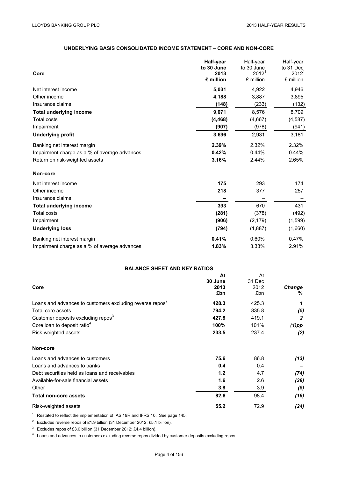# **UNDERLYING BASIS CONSOLIDATED INCOME STATEMENT – CORE AND NON-CORE**

| Core                                         | Half-year<br>to 30 June<br>2013<br>£ million | Half-year<br>to 30 June<br>$2012^1$<br>£ million | Half-year<br>to 31 Dec<br>$2012^1$<br>£ million |
|----------------------------------------------|----------------------------------------------|--------------------------------------------------|-------------------------------------------------|
| Net interest income                          | 5,031                                        | 4,922                                            | 4,946                                           |
| Other income                                 | 4,188                                        | 3,887                                            | 3,895                                           |
| Insurance claims                             | (148)                                        | (233)                                            | (132)                                           |
| <b>Total underlying income</b>               | 9,071                                        | 8,576                                            | 8,709                                           |
| <b>Total costs</b>                           | (4, 468)                                     | (4,667)                                          | (4, 587)                                        |
| Impairment                                   | (907)                                        | (978)                                            | (941)                                           |
| <b>Underlying profit</b>                     | 3,696                                        | 2,931                                            | 3,181                                           |
| Banking net interest margin                  | 2.39%                                        | 2.32%                                            | 2.32%                                           |
| Impairment charge as a % of average advances | 0.42%                                        | 0.44%                                            | 0.44%                                           |
| Return on risk-weighted assets               | 3.16%                                        | 2.44%                                            | 2.65%                                           |
| Non-core                                     |                                              |                                                  |                                                 |
| Net interest income                          | 175                                          | 293                                              | 174                                             |
| Other income                                 | 218                                          | 377                                              | 257                                             |
| Insurance claims                             |                                              |                                                  |                                                 |
| <b>Total underlying income</b>               | 393                                          | 670                                              | 431                                             |
| <b>Total costs</b>                           | (281)                                        | (378)                                            | (492)                                           |
| Impairment                                   | (906)                                        | (2, 179)                                         | (1,599)                                         |
| <b>Underlying loss</b>                       | (794)                                        | (1,887)                                          | (1,660)                                         |
| Banking net interest margin                  | 0.41%                                        | 0.60%                                            | 0.47%                                           |
| Impairment charge as a % of average advances | 1.83%                                        | 3.33%                                            | 2.91%                                           |

# **BALANCE SHEET AND KEY RATIOS**

|                                                                      | At      | At     |                  |
|----------------------------------------------------------------------|---------|--------|------------------|
|                                                                      | 30 June | 31 Dec |                  |
| Core                                                                 | 2013    | 2012   | <b>Change</b>    |
|                                                                      | £bn     | £bn    | %                |
| Loans and advances to customers excluding reverse repos <sup>2</sup> | 428.3   | 425.3  | 1                |
| Total core assets                                                    | 794.2   | 835.8  | (5)              |
| Customer deposits excluding repos <sup>3</sup>                       | 427.8   | 419.1  | $\boldsymbol{2}$ |
| Core loan to deposit ratio <sup>4</sup>                              | 100%    | 101%   | $(1)$ pp         |
| Risk-weighted assets                                                 | 233.5   | 237.4  | (2)              |
| Non-core                                                             |         |        |                  |
| Loans and advances to customers                                      | 75.6    | 86.8   | (13)             |
| Loans and advances to banks                                          | 0.4     | 0.4    |                  |
| Debt securities held as loans and receivables                        | 1.2     | 4.7    | (74)             |
| Available-for-sale financial assets                                  | 1.6     | 2.6    | (38)             |
| Other                                                                | 3.8     | 3.9    | (5)              |
| <b>Total non-core assets</b>                                         | 82.6    | 98.4   | (16)             |
| Risk-weighted assets                                                 | 55.2    | 72.9   | (24)             |

<sup>1</sup> Restated to reflect the implementation of IAS 19R and IFRS 10. See page 145.

<sup>2</sup> Excludes reverse repos of £1.9 billion (31 December 2012: £5.1 billion).

<sup>3</sup> Excludes repos of £3.0 billion (31 December 2012: £4.4 billion).

<sup>4</sup> Loans and advances to customers excluding reverse repos divided by customer deposits excluding repos.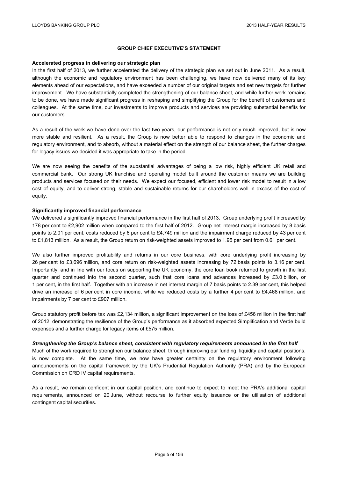# **GROUP CHIEF EXECUTIVE'S STATEMENT**

#### **Accelerated progress in delivering our strategic plan**

In the first half of 2013, we further accelerated the delivery of the strategic plan we set out in June 2011. As a result, although the economic and regulatory environment has been challenging, we have now delivered many of its key elements ahead of our expectations, and have exceeded a number of our original targets and set new targets for further improvement. We have substantially completed the strengthening of our balance sheet, and while further work remains to be done, we have made significant progress in reshaping and simplifying the Group for the benefit of customers and colleagues. At the same time, our investments to improve products and services are providing substantial benefits for our customers.

As a result of the work we have done over the last two years, our performance is not only much improved, but is now more stable and resilient. As a result, the Group is now better able to respond to changes in the economic and regulatory environment, and to absorb, without a material effect on the strength of our balance sheet, the further charges for legacy issues we decided it was appropriate to take in the period.

We are now seeing the benefits of the substantial advantages of being a low risk, highly efficient UK retail and commercial bank. Our strong UK franchise and operating model built around the customer means we are building products and services focused on their needs. We expect our focused, efficient and lower risk model to result in a low cost of equity, and to deliver strong, stable and sustainable returns for our shareholders well in excess of the cost of equity.

#### **Significantly improved financial performance**

We delivered a significantly improved financial performance in the first half of 2013. Group underlying profit increased by 178 per cent to £2,902 million when compared to the first half of 2012. Group net interest margin increased by 8 basis points to 2.01 per cent, costs reduced by 6 per cent to £4,749 million and the impairment charge reduced by 43 per cent to £1,813 million. As a result, the Group return on risk-weighted assets improved to 1.95 per cent from 0.61 per cent.

We also further improved profitability and returns in our core business, with core underlying profit increasing by 26 per cent to £3,696 million, and core return on risk-weighted assets increasing by 72 basis points to 3.16 per cent. Importantly, and in line with our focus on supporting the UK economy, the core loan book returned to growth in the first quarter and continued into the second quarter, such that core loans and advances increased by £3.0 billion, or 1 per cent, in the first half. Together with an increase in net interest margin of 7 basis points to 2.39 per cent, this helped drive an increase of 6 per cent in core income, while we reduced costs by a further 4 per cent to £4,468 million, and impairments by 7 per cent to £907 million.

Group statutory profit before tax was £2,134 million, a significant improvement on the loss of £456 million in the first half of 2012, demonstrating the resilience of the Group's performance as it absorbed expected Simplification and Verde build expenses and a further charge for legacy items of £575 million.

#### *Strengthening the Group's balance sheet, consistent with regulatory requirements announced in the first half*

Much of the work required to strengthen our balance sheet, through improving our funding, liquidity and capital positions, is now complete. At the same time, we now have greater certainty on the regulatory environment following announcements on the capital framework by the UK's Prudential Regulation Authority (PRA) and by the European Commission on CRD IV capital requirements.

As a result, we remain confident in our capital position, and continue to expect to meet the PRA's additional capital requirements, announced on 20 June, without recourse to further equity issuance or the utilisation of additional contingent capital securities.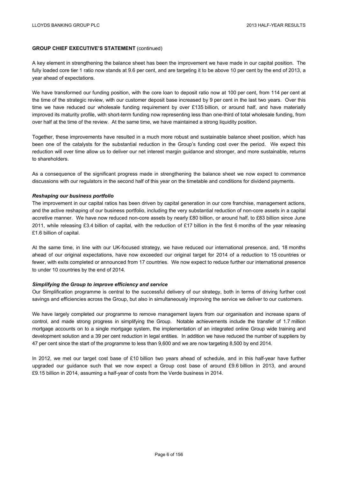# **GROUP CHIEF EXECUTIVE'S STATEMENT** (continued)

A key element in strengthening the balance sheet has been the improvement we have made in our capital position. The fully loaded core tier 1 ratio now stands at 9.6 per cent, and are targeting it to be above 10 per cent by the end of 2013, a year ahead of expectations.

We have transformed our funding position, with the core loan to deposit ratio now at 100 per cent, from 114 per cent at the time of the strategic review, with our customer deposit base increased by 9 per cent in the last two years. Over this time we have reduced our wholesale funding requirement by over £135 billion, or around half, and have materially improved its maturity profile, with short-term funding now representing less than one-third of total wholesale funding, from over half at the time of the review. At the same time, we have maintained a strong liquidity position.

Together, these improvements have resulted in a much more robust and sustainable balance sheet position, which has been one of the catalysts for the substantial reduction in the Group's funding cost over the period. We expect this reduction will over time allow us to deliver our net interest margin guidance and stronger, and more sustainable, returns to shareholders.

As a consequence of the significant progress made in strengthening the balance sheet we now expect to commence discussions with our regulators in the second half of this year on the timetable and conditions for dividend payments.

#### *Reshaping our business portfolio*

The improvement in our capital ratios has been driven by capital generation in our core franchise, management actions, and the active reshaping of our business portfolio, including the very substantial reduction of non-core assets in a capital accretive manner. We have now reduced non-core assets by nearly £80 billion, or around half, to £83 billion since June 2011, while releasing £3.4 billion of capital, with the reduction of £17 billion in the first 6 months of the year releasing £1.6 billion of capital.

At the same time, in line with our UK-focused strategy, we have reduced our international presence, and, 18 months ahead of our original expectations, have now exceeded our original target for 2014 of a reduction to 15 countries or fewer, with exits completed or announced from 17 countries. We now expect to reduce further our international presence to under 10 countries by the end of 2014.

#### *Simplifying the Group to improve efficiency and service*

Our Simplification programme is central to the successful delivery of our strategy, both in terms of driving further cost savings and efficiencies across the Group, but also in simultaneously improving the service we deliver to our customers.

We have largely completed our programme to remove management layers from our organisation and increase spans of control, and made strong progress in simplifying the Group. Notable achievements include the transfer of 1.7 million mortgage accounts on to a single mortgage system, the implementation of an integrated online Group wide training and development solution and a 39 per cent reduction in legal entities. In addition we have reduced the number of suppliers by 47 per cent since the start of the programme to less than 9,600 and we are now targeting 8,500 by end 2014.

In 2012, we met our target cost base of £10 billion two years ahead of schedule, and in this half-year have further upgraded our guidance such that we now expect a Group cost base of around £9.6 billion in 2013, and around £9.15 billion in 2014, assuming a half-year of costs from the Verde business in 2014.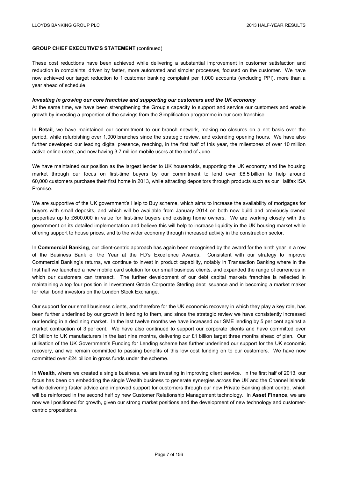# **GROUP CHIEF EXECUTIVE'S STATEMENT** (continued)

These cost reductions have been achieved while delivering a substantial improvement in customer satisfaction and reduction in complaints, driven by faster, more automated and simpler processes, focused on the customer. We have now achieved our target reduction to 1 customer banking complaint per 1,000 accounts (excluding PPI), more than a year ahead of schedule.

#### *Investing in growing our core franchise and supporting our customers and the UK economy*

At the same time, we have been strengthening the Group's capacity to support and service our customers and enable growth by investing a proportion of the savings from the Simplification programme in our core franchise.

In **Retail**, we have maintained our commitment to our branch network, making no closures on a net basis over the period, while refurbishing over 1,000 branches since the strategic review, and extending opening hours. We have also further developed our leading digital presence, reaching, in the first half of this year, the milestones of over 10 million active online users, and now having 3.7 million mobile users at the end of June.

We have maintained our position as the largest lender to UK households, supporting the UK economy and the housing market through our focus on first-time buyers by our commitment to lend over £6.5 billion to help around 60,000 customers purchase their first home in 2013, while attracting depositors through products such as our Halifax ISA Promise.

We are supportive of the UK government's Help to Buy scheme, which aims to increase the availability of mortgages for buyers with small deposits, and which will be available from January 2014 on both new build and previously owned properties up to £600,000 in value for first-time buyers and existing home owners. We are working closely with the government on its detailed implementation and believe this will help to increase liquidity in the UK housing market while offering support to house prices, and to the wider economy through increased activity in the construction sector.

In **Commercial Banking**, our client-centric approach has again been recognised by the award for the ninth year in a row of the Business Bank of the Year at the FD's Excellence Awards. Consistent with our strategy to improve Commercial Banking's returns, we continue to invest in product capability, notably in Transaction Banking where in the first half we launched a new mobile card solution for our small business clients, and expanded the range of currencies in which our customers can transact. The further development of our debt capital markets franchise is reflected in maintaining a top four position in Investment Grade Corporate Sterling debt issuance and in becoming a market maker for retail bond investors on the London Stock Exchange.

Our support for our small business clients, and therefore for the UK economic recovery in which they play a key role, has been further underlined by our growth in lending to them, and since the strategic review we have consistently increased our lending in a declining market. In the last twelve months we have increased our SME lending by 5 per cent against a market contraction of 3 per cent. We have also continued to support our corporate clients and have committed over £1 billion to UK manufacturers in the last nine months, delivering our £1 billion target three months ahead of plan. Our utilisation of the UK Government's Funding for Lending scheme has further underlined our support for the UK economic recovery, and we remain committed to passing benefits of this low cost funding on to our customers. We have now committed over £24 billion in gross funds under the scheme.

In **Wealth**, where we created a single business, we are investing in improving client service. In the first half of 2013, our focus has been on embedding the single Wealth business to generate synergies across the UK and the Channel Islands while delivering faster advice and improved support for customers through our new Private Banking client centre, which will be reinforced in the second half by new Customer Relationship Management technology. In **Asset Finance**, we are now well positioned for growth, given our strong market positions and the development of new technology and customercentric propositions.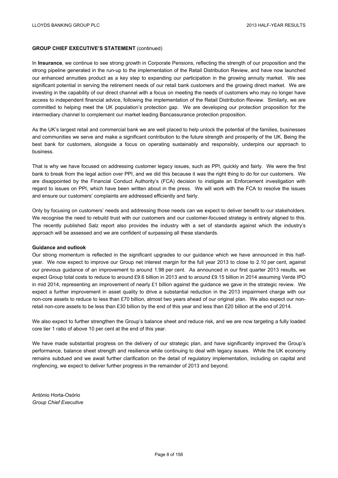# **GROUP CHIEF EXECUTIVE'S STATEMENT** (continued)

In **Insurance**, we continue to see strong growth in Corporate Pensions, reflecting the strength of our proposition and the strong pipeline generated in the run-up to the implementation of the Retail Distribution Review, and have now launched our enhanced annuities product as a key step to expanding our participation in the growing annuity market. We see significant potential in serving the retirement needs of our retail bank customers and the growing direct market. We are investing in the capability of our direct channel with a focus on meeting the needs of customers who may no longer have access to independent financial advice, following the implementation of the Retail Distribution Review. Similarly, we are committed to helping meet the UK population's protection gap. We are developing our protection proposition for the intermediary channel to complement our market leading Bancassurance protection proposition.

As the UK's largest retail and commercial bank we are well placed to help unlock the potential of the families, businesses and communities we serve and make a significant contribution to the future strength and prosperity of the UK. Being the best bank for customers, alongside a focus on operating sustainably and responsibly, underpins our approach to business.

That is why we have focused on addressing customer legacy issues, such as PPI, quickly and fairly. We were the first bank to break from the legal action over PPI, and we did this because it was the right thing to do for our customers. We are disappointed by the Financial Conduct Authority's (FCA) decision to instigate an Enforcement investigation with regard to issues on PPI, which have been written about in the press. We will work with the FCA to resolve the issues and ensure our customers' complaints are addressed efficiently and fairly.

Only by focusing on customers' needs and addressing those needs can we expect to deliver benefit to our stakeholders. We recognise the need to rebuild trust with our customers and our customer-focused strategy is entirely aligned to this. The recently published Salz report also provides the industry with a set of standards against which the industry's approach will be assessed and we are confident of surpassing all these standards.

#### **Guidance and outlook**

Our strong momentum is reflected in the significant upgrades to our guidance which we have announced in this halfyear. We now expect to improve our Group net interest margin for the full year 2013 to close to 2.10 per cent, against our previous guidance of an improvement to around 1.98 per cent. As announced in our first quarter 2013 results, we expect Group total costs to reduce to around £9.6 billion in 2013 and to around £9.15 billion in 2014 assuming Verde IPO in mid 2014, representing an improvement of nearly £1 billion against the guidance we gave in the strategic review. We expect a further improvement in asset quality to drive a substantial reduction in the 2013 impairment charge with our non-core assets to reduce to less than £70 billion, almost two years ahead of our original plan. We also expect our nonretail non-core assets to be less than £30 billion by the end of this year and less than £20 billion at the end of 2014.

We also expect to further strengthen the Group's balance sheet and reduce risk, and we are now targeting a fully loaded core tier 1 ratio of above 10 per cent at the end of this year.

We have made substantial progress on the delivery of our strategic plan, and have significantly improved the Group's performance, balance sheet strength and resilience while continuing to deal with legacy issues. While the UK economy remains subdued and we await further clarification on the detail of regulatory implementation, including on capital and ringfencing, we expect to deliver further progress in the remainder of 2013 and beyond.

António Horta-Osório *Group Chief Executive*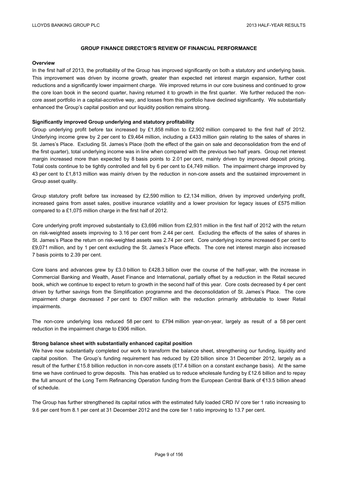#### **Overview**

In the first half of 2013, the profitability of the Group has improved significantly on both a statutory and underlying basis. This improvement was driven by income growth, greater than expected net interest margin expansion, further cost reductions and a significantly lower impairment charge. We improved returns in our core business and continued to grow the core loan book in the second quarter, having returned it to growth in the first quarter. We further reduced the noncore asset portfolio in a capital-accretive way, and losses from this portfolio have declined significantly. We substantially enhanced the Group's capital position and our liquidity position remains strong.

#### **Significantly improved Group underlying and statutory profitability**

Group underlying profit before tax increased by £1,858 million to £2,902 million compared to the first half of 2012. Underlying income grew by 2 per cent to £9,464 million, including a £433 million gain relating to the sales of shares in St. James's Place. Excluding St. James's Place (both the effect of the gain on sale and deconsolidation from the end of the first quarter), total underlying income was in line when compared with the previous two half years. Group net interest margin increased more than expected by 8 basis points to 2.01 per cent, mainly driven by improved deposit pricing. Total costs continue to be tightly controlled and fell by 6 per cent to £4,749 million. The impairment charge improved by 43 per cent to £1,813 million was mainly driven by the reduction in non-core assets and the sustained improvement in Group asset quality.

Group statutory profit before tax increased by £2,590 million to £2,134 million, driven by improved underlying profit, increased gains from asset sales, positive insurance volatility and a lower provision for legacy issues of £575 million compared to a £1,075 million charge in the first half of 2012.

Core underlying profit improved substantially to £3,696 million from £2,931 million in the first half of 2012 with the return on risk-weighted assets improving to 3.16 per cent from 2.44 per cent. Excluding the effects of the sales of shares in St. James's Place the return on risk-weighted assets was 2.74 per cent. Core underlying income increased 6 per cent to £9,071 million, and by 1 per cent excluding the St. James's Place effects. The core net interest margin also increased 7 basis points to 2.39 per cent.

Core loans and advances grew by £3.0 billion to £428.3 billion over the course of the half-year, with the increase in Commercial Banking and Wealth, Asset Finance and International, partially offset by a reduction in the Retail secured book, which we continue to expect to return to growth in the second half of this year. Core costs decreased by 4 per cent driven by further savings from the Simplification programme and the deconsolidation of St. James's Place. The core impairment charge decreased 7 per cent to £907 million with the reduction primarily attributable to lower Retail impairments.

The non-core underlying loss reduced 58 per cent to £794 million year-on-year, largely as result of a 58 per cent reduction in the impairment charge to £906 million.

#### **Strong balance sheet with substantially enhanced capital position**

We have now substantially completed our work to transform the balance sheet, strengthening our funding, liquidity and capital position. The Group's funding requirement has reduced by £20 billion since 31 December 2012, largely as a result of the further £15.8 billion reduction in non-core assets (£17.4 billion on a constant exchange basis). At the same time we have continued to grow deposits. This has enabled us to reduce wholesale funding by £12.6 billion and to repay the full amount of the Long Term Refinancing Operation funding from the European Central Bank of €13.5 billion ahead of schedule.

The Group has further strengthened its capital ratios with the estimated fully loaded CRD IV core tier 1 ratio increasing to 9.6 per cent from 8.1 per cent at 31 December 2012 and the core tier 1 ratio improving to 13.7 per cent.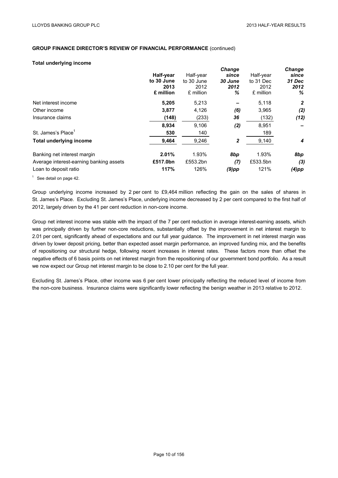#### **Total underlying income**

|                                         |            |            | <b>Change</b> |           | <b>Change</b> |
|-----------------------------------------|------------|------------|---------------|-----------|---------------|
|                                         | Half-year  | Half-year  | since         | Half-year | since         |
|                                         | to 30 June | to 30 June | 30 June       | to 31 Dec | 31 Dec        |
|                                         | 2013       | 2012       | 2012          | 2012      | 2012          |
|                                         | £ million  | £ million  | ℅             | £ million | %             |
| Net interest income                     | 5,205      | 5,213      |               | 5,118     | 2             |
| Other income                            | 3,877      | 4,126      | (6)           | 3,965     | (2)           |
| Insurance claims                        | (148)      | (233)      | 36            | (132)     | (12)          |
|                                         | 8,934      | 9,106      | (2)           | 8,951     |               |
| St. James's Place <sup>1</sup>          | 530        | 140        |               | 189       |               |
| <b>Total underlying income</b>          | 9,464      | 9,246      | 2             | 9,140     | 4             |
| Banking net interest margin             | 2.01%      | 1.93%      | 8bp           | 1.93%     | 8bp           |
| Average interest-earning banking assets | £517.0bn   | £553.2bn   | (7)           | £533.5bn  | (3)           |
| Loan to deposit ratio                   | 117%       | 126%       | $(9)$ pp      | 121%      | $(4)$ pp      |
|                                         |            |            |               |           |               |

 $1$  See detail on page 42.

Group underlying income increased by 2 per cent to £9,464 million reflecting the gain on the sales of shares in St. James's Place. Excluding St. James's Place, underlying income decreased by 2 per cent compared to the first half of 2012, largely driven by the 41 per cent reduction in non-core income.

Group net interest income was stable with the impact of the 7 per cent reduction in average interest-earning assets, which was principally driven by further non-core reductions, substantially offset by the improvement in net interest margin to 2.01 per cent, significantly ahead of expectations and our full year guidance. The improvement in net interest margin was driven by lower deposit pricing, better than expected asset margin performance, an improved funding mix, and the benefits of repositioning our structural hedge, following recent increases in interest rates. These factors more than offset the negative effects of 6 basis points on net interest margin from the repositioning of our government bond portfolio. As a result we now expect our Group net interest margin to be close to 2.10 per cent for the full year.

Excluding St. James's Place, other income was 6 per cent lower principally reflecting the reduced level of income from the non-core business. Insurance claims were significantly lower reflecting the benign weather in 2013 relative to 2012.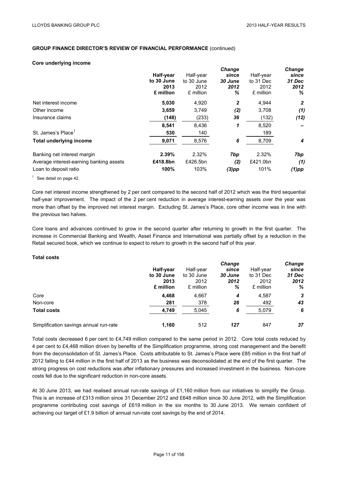#### **Core underlying income**

|                                         |            |            | <b>Change</b> |           | <b>Change</b> |
|-----------------------------------------|------------|------------|---------------|-----------|---------------|
|                                         | Half-year  | Half-year  | since         | Half-year | since         |
|                                         | to 30 June | to 30 June | 30 June       | to 31 Dec | 31 Dec        |
|                                         | 2013       | 2012       | 2012          | 2012      | 2012          |
|                                         | £ million  | £ million  | ℅             | £ million | %             |
| Net interest income                     | 5,030      | 4,920      | 2             | 4,944     | $\mathbf{2}$  |
| Other income                            | 3,659      | 3,749      | (2)           | 3,708     | (1)           |
| Insurance claims                        | (148)      | (233)      | 36            | (132)     | (12)          |
|                                         | 8,541      | 8,436      | 1             | 8,520     |               |
| St. James's Place <sup>1</sup>          | 530        | 140        |               | 189       |               |
| <b>Total underlying income</b>          | 9,071      | 8,576      | 6             | 8,709     | 4             |
| Banking net interest margin             | 2.39%      | 2.32%      | 7bp           | 2.32%     | 7bp           |
| Average interest-earning banking assets | £418.8bn   | £426.5bn   | (2)           | £421.0bn  | (1)           |
| Loan to deposit ratio                   | 100%       | 103%       | $(3)$ pp      | 101%      | $(1)$ pp      |
|                                         |            |            |               |           |               |

 $1$  See detail on page 42.

Core net interest income strengthened by 2 per cent compared to the second half of 2012 which was the third sequential half-year improvement. The impact of the 2 per cent reduction in average interest-earning assets over the year was more than offset by the improved net interest margin. Excluding St. James's Place, core other income was in line with the previous two halves.

Core loans and advances continued to grow in the second quarter after returning to growth in the first quarter. The increase in Commercial Banking and Wealth, Asset Finance and International was partially offset by a reduction in the Retail secured book, which we continue to expect to return to growth in the second half of this year.

# **Total costs**

|                                        |            |            | <b>Change</b> |           | Change |
|----------------------------------------|------------|------------|---------------|-----------|--------|
|                                        | Half-year  | Half-year  | since         | Half-year | since  |
|                                        | to 30 June | to 30 June | 30 June       | to 31 Dec | 31 Dec |
|                                        | 2013       | 2012       | 2012          | 2012      | 2012   |
|                                        | £ million  | £ million  | %             | £ million | %      |
| Core                                   | 4,468      | 4,667      | 4             | 4,587     | 3      |
| Non-core                               | 281        | 378        | 26            | 492       | 43     |
| <b>Total costs</b>                     | 4,749      | 5,045      | 6             | 5,079     | 6      |
| Simplification savings annual run-rate | 1,160      | 512        | 127           | 847       | 37     |

Total costs decreased 6 per cent to £4,749 million compared to the same period in 2012. Core total costs reduced by 4 per cent to £4,468 million driven by benefits of the Simplification programme, strong cost management and the benefit from the deconsolidation of St. James's Place. Costs attributable to St. James's Place were £85 million in the first half of 2012 falling to £44 million in the first half of 2013 as the business was deconsolidated at the end of the first quarter. The strong progress on cost reductions was after inflationary pressures and increased investment in the business. Non-core costs fell due to the significant reduction in non-core assets.

At 30 June 2013, we had realised annual run-rate savings of £1,160 million from our initiatives to simplify the Group. This is an increase of £313 million since 31 December 2012 and £648 million since 30 June 2012, with the Simplification programme contributing cost savings of £619 million in the six months to 30 June 2013. We remain confident of achieving our target of £1.9 billion of annual run-rate cost savings by the end of 2014.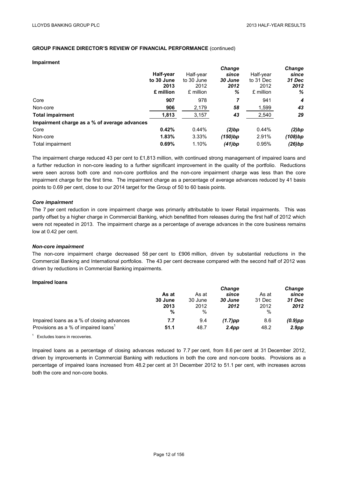#### **Impairment**

|                                              |            |            | <b>Change</b> |           | Change           |
|----------------------------------------------|------------|------------|---------------|-----------|------------------|
|                                              | Half-year  | Half-year  | since         | Half-year | since            |
|                                              | to 30 June | to 30 June | 30 June       | to 31 Dec | 31 Dec           |
|                                              | 2013       | 2012       | 2012          | 2012      | 2012             |
|                                              | £ million  | £ million  | %             | £ million | %                |
| Core                                         | 907        | 978        | 7             | 941       | $\boldsymbol{4}$ |
| Non-core                                     | 906        | 2,179      | 58            | 1,599     | 43               |
| <b>Total impairment</b>                      | 1,813      | 3,157      | 43            | 2,540     | 29               |
| Impairment charge as a % of average advances |            |            |               |           |                  |
| Core                                         | 0.42%      | 0.44%      | (2)bp         | 0.44%     | (2)bp            |
| Non-core                                     | 1.83%      | 3.33%      | (150)bp       | 2.91%     | (108)bp          |
| Total impairment                             | 0.69%      | 1.10%      | (41)bp        | 0.95%     | (26)bp           |

The impairment charge reduced 43 per cent to £1,813 million, with continued strong management of impaired loans and a further reduction in non-core leading to a further significant improvement in the quality of the portfolio. Reductions were seen across both core and non-core portfolios and the non-core impairment charge was less than the core impairment charge for the first time. The impairment charge as a percentage of average advances reduced by 41 basis points to 0.69 per cent, close to our 2014 target for the Group of 50 to 60 basis points.

#### *Core impairment*

The 7 per cent reduction in core impairment charge was primarily attributable to lower Retail impairments. This was partly offset by a higher charge in Commercial Banking, which benefitted from releases during the first half of 2012 which were not repeated in 2013. The impairment charge as a percentage of average advances in the core business remains low at 0.42 per cent.

#### *Non-core impairment*

The non-core impairment charge decreased 58 per cent to £906 million, driven by substantial reductions in the Commercial Banking and International portfolios. The 43 per cent decrease compared with the second half of 2012 was driven by reductions in Commercial Banking impairments.

#### **Impaired loans**

|                                                  |         | <b>Change</b> |                   |               | <b>Change</b>     |
|--------------------------------------------------|---------|---------------|-------------------|---------------|-------------------|
|                                                  | As at   | As at         | since             | As at         | since             |
|                                                  | 30 June | 30 June       | 30 June           | 31 Dec        | 31 Dec            |
|                                                  | 2013    | 2012          | 2012              | 2012          | 2012              |
|                                                  | %       | %             |                   | $\frac{0}{0}$ |                   |
| Impaired loans as a % of closing advances        | 7.7     | 9.4           | $(1.7)$ pp        | 8.6           | $(0.9)$ pp        |
| Provisions as a % of impaired loans <sup>1</sup> | 51.1    | 48.7          | 2.4 <sub>pp</sub> | 48.2          | 2.9 <sub>pp</sub> |
|                                                  |         |               |                   |               |                   |

 $1$  Excludes loans in recoveries.

Impaired loans as a percentage of closing advances reduced to 7.7 per cent, from 8.6 per cent at 31 December 2012, driven by improvements in Commercial Banking with reductions in both the core and non-core books. Provisions as a percentage of impaired loans increased from 48.2 per cent at 31 December 2012 to 51.1 per cent, with increases across both the core and non-core books.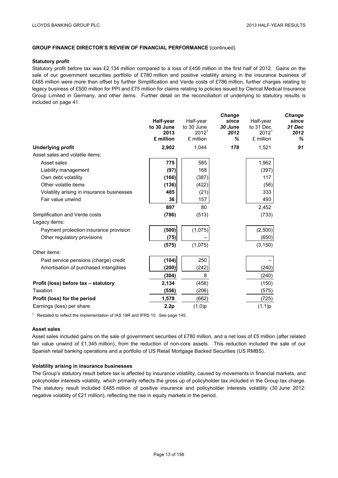#### **Statutory profit**

Statutory profit before tax was £2,134 million compared to a loss of £456 million in the first half of 2012. Gains on the sale of our government securities portfolio of £780 million and positive volatility arising in the insurance business of £485 million were more than offset by further Simplification and Verde costs of £786 million, further charges relating to legacy business of £500 million for PPI and £75 million for claims relating to policies issued by Clerical Medical Insurance Group Limited in Germany, and other items. Further detail on the reconciliation of underlying to statutory results is included on page 41.

|                                              |                                                           |                               |                                                          | <b>Change</b>                |
|----------------------------------------------|-----------------------------------------------------------|-------------------------------|----------------------------------------------------------|------------------------------|
| Half-year<br>to 30 June<br>2013<br>£ million | Half-year<br>to 30 June<br>2012 <sup>1</sup><br>£ million | since<br>30 June<br>2012<br>℅ | Half-year<br>to 31 Dec<br>2012 <sup>1</sup><br>£ million | since<br>31 Dec<br>2012<br>% |
| 2,902                                        | 1,044                                                     | 178                           | 1,521                                                    | 91                           |
|                                              |                                                           |                               |                                                          |                              |
| 775                                          | 585                                                       |                               | 1,962                                                    |                              |
| (97)                                         | 168                                                       |                               | (397)                                                    |                              |
| (166)                                        | (387)                                                     |                               | 117                                                      |                              |
| (136)                                        | (422)                                                     |                               | (56)                                                     |                              |
| 485                                          | (21)                                                      |                               | 333                                                      |                              |
| 36                                           | 157                                                       |                               | 493                                                      |                              |
| 897                                          | 80                                                        |                               | 2,452                                                    |                              |
| (786)                                        | (513)                                                     |                               | (733)                                                    |                              |
|                                              |                                                           |                               |                                                          |                              |
| (500)                                        | (1,075)                                                   |                               | (2,500)                                                  |                              |
| (75)                                         |                                                           |                               | (650)                                                    |                              |
| (575)                                        | (1,075)                                                   |                               | (3, 150)                                                 |                              |
|                                              |                                                           |                               |                                                          |                              |
| (104)                                        | 250                                                       |                               |                                                          |                              |
| (200)                                        | (242)                                                     |                               | (240)                                                    |                              |
| (304)                                        | 8                                                         |                               | (240)                                                    |                              |
| 2,134                                        | (456)                                                     |                               | (150)                                                    |                              |
| (556)                                        | (206)                                                     |                               | (575)                                                    |                              |
| 1,578                                        | (662)                                                     |                               | (725)                                                    |                              |
| 2.2p                                         | (1.0)p                                                    |                               | (1.1)p                                                   |                              |
|                                              |                                                           |                               | <b>Change</b>                                            |                              |

 $1$  Restated to reflect the implementation of IAS 19R and IFRS 10. See page 145.

#### **Asset sales**

Asset sales included gains on the sale of government securities of £780 million, and a net loss of £5 million (after related fair value unwind of £1,345 million), from the reduction of non-core assets. This reduction included the sale of our Spanish retail banking operations and a portfolio of US Retail Mortgage Backed Securities (US RMBS).

#### **Volatility arising in insurance businesses**

The Group's statutory result before tax is affected by insurance volatility, caused by movements in financial markets, and policyholder interests volatility, which primarily reflects the gross up of policyholder tax included in the Group tax charge. The statutory result included £485 million of positive insurance and policyholder interests volatility (30 June 2012: negative volatility of £21 million), reflecting the rise in equity markets in the period.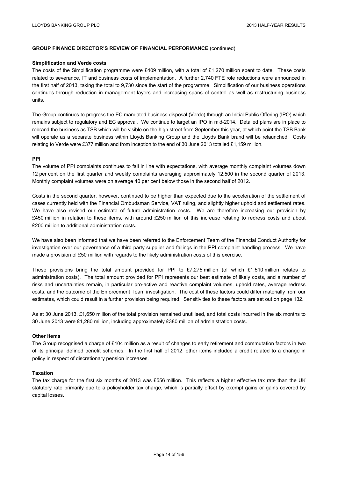#### **Simplification and Verde costs**

The costs of the Simplification programme were £409 million, with a total of £1,270 million spent to date. These costs related to severance, IT and business costs of implementation. A further 2,740 FTE role reductions were announced in the first half of 2013, taking the total to 9,730 since the start of the programme. Simplification of our business operations continues through reduction in management layers and increasing spans of control as well as restructuring business units.

The Group continues to progress the EC mandated business disposal (Verde) through an Initial Public Offering (IPO) which remains subject to regulatory and EC approval. We continue to target an IPO in mid-2014. Detailed plans are in place to rebrand the business as TSB which will be visible on the high street from September this year, at which point the TSB Bank will operate as a separate business within Lloyds Banking Group and the Lloyds Bank brand will be relaunched. Costs relating to Verde were £377 million and from inception to the end of 30 June 2013 totalled £1,159 million.

#### **PPI**

The volume of PPI complaints continues to fall in line with expectations, with average monthly complaint volumes down 12 per cent on the first quarter and weekly complaints averaging approximately 12,500 in the second quarter of 2013. Monthly complaint volumes were on average 40 per cent below those in the second half of 2012.

Costs in the second quarter, however, continued to be higher than expected due to the acceleration of the settlement of cases currently held with the Financial Ombudsman Service, VAT ruling, and slightly higher uphold and settlement rates. We have also revised our estimate of future administration costs. We are therefore increasing our provision by £450 million in relation to these items, with around £250 million of this increase relating to redress costs and about £200 million to additional administration costs.

We have also been informed that we have been referred to the Enforcement Team of the Financial Conduct Authority for investigation over our governance of a third party supplier and failings in the PPI complaint handling process. We have made a provision of £50 million with regards to the likely administration costs of this exercise.

These provisions bring the total amount provided for PPI to £7,275 million (of which £1,510 million relates to administration costs). The total amount provided for PPI represents our best estimate of likely costs, and a number of risks and uncertainties remain, in particular pro-active and reactive complaint volumes, uphold rates, average redress costs, and the outcome of the Enforcement Team investigation. The cost of these factors could differ materially from our estimates, which could result in a further provision being required. Sensitivities to these factors are set out on page 132.

As at 30 June 2013, £1,650 million of the total provision remained unutilised, and total costs incurred in the six months to 30 June 2013 were £1,280 million, including approximately £380 million of administration costs.

#### **Other items**

The Group recognised a charge of £104 million as a result of changes to early retirement and commutation factors in two of its principal defined benefit schemes. In the first half of 2012, other items included a credit related to a change in policy in respect of discretionary pension increases.

#### **Taxation**

The tax charge for the first six months of 2013 was £556 million. This reflects a higher effective tax rate than the UK statutory rate primarily due to a policyholder tax charge, which is partially offset by exempt gains or gains covered by capital losses.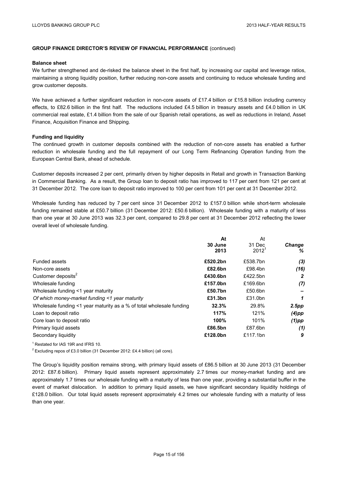#### **Balance sheet**

We further strengthened and de-risked the balance sheet in the first half, by increasing our capital and leverage ratios, maintaining a strong liquidity position, further reducing non-core assets and continuing to reduce wholesale funding and grow customer deposits.

We have achieved a further significant reduction in non-core assets of £17.4 billion or £15.8 billion including currency effects, to £82.6 billion in the first half. The reductions included £4.5 billion in treasury assets and £4.0 billion in UK commercial real estate, £1.4 billion from the sale of our Spanish retail operations, as well as reductions in Ireland, Asset Finance, Acquisition Finance and Shipping.

#### **Funding and liquidity**

The continued growth in customer deposits combined with the reduction of non-core assets has enabled a further reduction in wholesale funding and the full repayment of our Long Term Refinancing Operation funding from the European Central Bank, ahead of schedule.

Customer deposits increased 2 per cent, primarily driven by higher deposits in Retail and growth in Transaction Banking in Commercial Banking. As a result, the Group loan to deposit ratio has improved to 117 per cent from 121 per cent at 31 December 2012. The core loan to deposit ratio improved to 100 per cent from 101 per cent at 31 December 2012.

Wholesale funding has reduced by 7 per cent since 31 December 2012 to £157.0 billion while short-term wholesale funding remained stable at £50.7 billion (31 December 2012: £50.6 billion). Wholesale funding with a maturity of less than one year at 30 June 2013 was 32.3 per cent, compared to 29.8 per cent at 31 December 2012 reflecting the lower overall level of wholesale funding.

|                                                                      | At       | At                |               |
|----------------------------------------------------------------------|----------|-------------------|---------------|
|                                                                      | 30 June  | 31 Dec            | <b>Change</b> |
|                                                                      | 2013     | 2012 <sup>1</sup> | %             |
| <b>Funded assets</b>                                                 | £520.2bn | £538.7bn          | (3)           |
| Non-core assets                                                      | £82.6bn  | £98.4bn           | (16)          |
| Customer deposits <sup>2</sup>                                       | £430.6bn | £422.5bn          | 2             |
| Wholesale funding                                                    | £157.0bn | £169.6bn          | (7)           |
| Wholesale funding <1 year maturity                                   | £50.7bn  | £50.6bn           |               |
| Of which money-market funding <1 year maturity                       | £31.3bn  | £31.0bn           | 1             |
| Wholesale funding <1 year maturity as a % of total wholesale funding | 32.3%    | 29.8%             | 2.5pp         |
| Loan to deposit ratio                                                | 117%     | 121%              | $(4)$ pp      |
| Core loan to deposit ratio                                           | 100%     | 101%              | $(1)$ pp      |
| Primary liquid assets                                                | £86.5bn  | £87.6bn           | (1)           |
| Secondary liquidity                                                  | £128.0bn | £117.1bn          | 9             |
|                                                                      |          |                   |               |

<sup>1</sup> Restated for IAS 19R and IFRS 10.

<sup>2</sup> Excluding repos of £3.0 billion (31 December 2012: £4.4 billion) (all core).

The Group's liquidity position remains strong, with primary liquid assets of £86.5 billion at 30 June 2013 (31 December 2012: £87.6 billion). Primary liquid assets represent approximately 2.7 times our money-market funding and are approximately 1.7 times our wholesale funding with a maturity of less than one year, providing a substantial buffer in the event of market dislocation. In addition to primary liquid assets, we have significant secondary liquidity holdings of £128.0 billion. Our total liquid assets represent approximately 4.2 times our wholesale funding with a maturity of less than one year.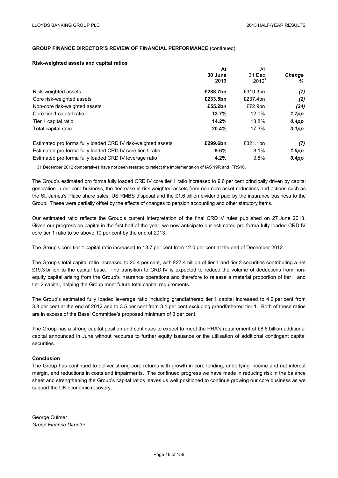#### **Risk-weighted assets and capital ratios**

| At       | At                |                   |
|----------|-------------------|-------------------|
| 30 June  | 31 Dec            | <b>Change</b>     |
| 2013     | 2012 <sup>1</sup> | ℅                 |
| £288.7bn | £310.3bn          | (7)               |
| £233.5bn | £237.4bn          | (2)               |
| £55.2bn  | £72.9bn           | (24)              |
| 13.7%    | 12.0%             | 1.7pp             |
| 14.2%    | 13.8%             | $0.4$ pp          |
| 20.4%    | 17.3%             | 3.1 <sub>pp</sub> |
| £299.6bn | £321.1bn          | (7)               |
| 9.6%     | 8.1%              | 1.5pp             |
| 4.2%     | 3.8%              | $0.4$ pp          |
|          |                   |                   |

<sup>1</sup> 31 December 2012 comparatives have not been restated to reflect the implementation of IAS 19R and IFRS10.

The Group's estimated pro forma fully loaded CRD IV core tier 1 ratio increased to 9.6 per cent principally driven by capital generation in our core business, the decrease in risk-weighted assets from non-core asset reductions and actions such as the St. James's Place share sales, US RMBS disposal and the £1.6 billion dividend paid by the insurance business to the Group. These were partially offset by the effects of changes to pension accounting and other statutory items.

Our estimated ratio reflects the Group's current interpretation of the final CRD IV rules published on 27 June 2013. Given our progress on capital in the first half of the year, we now anticipate our estimated pro forma fully loaded CRD IV core tier 1 ratio to be above 10 per cent by the end of 2013.

The Group's core tier 1 capital ratio increased to 13.7 per cent from 12.0 per cent at the end of December 2012.

The Group's total capital ratio increased to 20.4 per cent, with £27.4 billion of tier 1 and tier 2 securities contributing a net £19.3 billion to the capital base. The transition to CRD IV is expected to reduce the volume of deductions from nonequity capital arising from the Group's insurance operations and therefore to release a material proportion of tier 1 and tier 2 capital, helping the Group meet future total capital requirements.

The Group's estimated fully loaded leverage ratio including grandfathered tier 1 capital increased to 4.2 per cent from 3.8 per cent at the end of 2012 and to 3.5 per cent from 3.1 per cent excluding grandfathered tier 1. Both of these ratios are in excess of the Basel Committee's proposed minimum of 3 per cent.

The Group has a strong capital position and continues to expect to meet the PRA's requirement of £8.6 billion additional capital announced in June without recourse to further equity issuance or the utilisation of additional contingent capital securities.

#### **Conclusion**

The Group has continued to deliver strong core returns with growth in core lending, underlying income and net interest margin, and reductions in costs and impairments. The continued progress we have made in reducing risk in the balance sheet and strengthening the Group's capital ratios leaves us well positioned to continue growing our core business as we support the UK economic recovery.

George Culmer *Group Finance Director*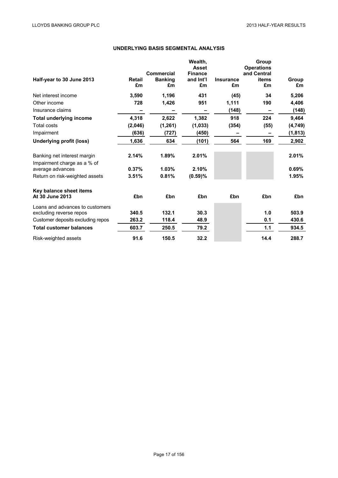# **UNDERLYING BASIS SEGMENTAL ANALYSIS**

| Half-year to 30 June 2013                                  | <b>Retail</b><br>£m | Commercial<br><b>Banking</b><br>£m | Wealth,<br><b>Asset</b><br><b>Finance</b><br>and Int'l<br>£m | <b>Insurance</b><br>£m | Group<br><b>Operations</b><br>and Central<br>items<br>£m | Group<br>£m |
|------------------------------------------------------------|---------------------|------------------------------------|--------------------------------------------------------------|------------------------|----------------------------------------------------------|-------------|
| Net interest income                                        | 3,590               | 1,196                              | 431                                                          | (45)                   | 34                                                       | 5,206       |
| Other income                                               | 728                 | 1,426                              | 951                                                          | 1,111                  | 190                                                      | 4,406       |
| Insurance claims                                           |                     |                                    |                                                              | (148)                  |                                                          | (148)       |
| <b>Total underlying income</b>                             | 4,318               | 2,622                              | 1,382                                                        | 918                    | 224                                                      | 9,464       |
| Total costs                                                | (2,046)             | (1, 261)                           | (1,033)                                                      | (354)                  | (55)                                                     | (4, 749)    |
| Impairment                                                 | (636)               | (727)                              | (450)                                                        |                        |                                                          | (1, 813)    |
| Underlying profit (loss)                                   | 1,636               | 634                                | (101)                                                        | 564                    | 169                                                      | 2,902       |
| Banking net interest margin<br>Impairment charge as a % of | 2.14%               | 1.89%                              | 2.01%                                                        |                        |                                                          | 2.01%       |
| average advances                                           | 0.37%               | 1.03%                              | 2.10%                                                        |                        |                                                          | 0.69%       |
| Return on risk-weighted assets                             | 3.51%               | 0.81%                              | (0.59)%                                                      |                        |                                                          | 1.95%       |
| Key balance sheet items<br>At 30 June 2013                 | £bn                 | £bn                                | £bn                                                          | £bn                    | £bn                                                      | £bn         |
| Loans and advances to customers                            |                     |                                    |                                                              |                        |                                                          |             |
| excluding reverse repos                                    | 340.5               | 132.1                              | 30.3                                                         |                        | 1.0                                                      | 503.9       |
| Customer deposits excluding repos                          | 263.2               | 118.4                              | 48.9                                                         |                        | 0.1                                                      | 430.6       |
| <b>Total customer balances</b>                             | 603.7               | 250.5                              | 79.2                                                         |                        | 1.1                                                      | 934.5       |
| Risk-weighted assets                                       | 91.6                | 150.5                              | 32.2                                                         |                        | 14.4                                                     | 288.7       |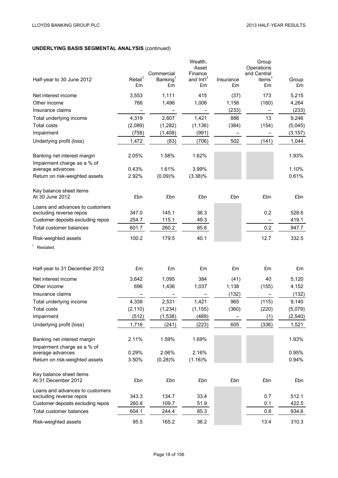# **UNDERLYING BASIS SEGMENTAL ANALYSIS** (continued)

| Half-year to 30 June 2012                                  | Retail <sup>1</sup><br>£m | Commercial<br>Banking <sup>1</sup><br>£m | Wealth,<br>Asset<br>Finance<br>and Int'l'<br>£m | Insurance<br>£m | Group<br>Operations<br>and Central<br>items $1$<br>£m | Group<br>£m |
|------------------------------------------------------------|---------------------------|------------------------------------------|-------------------------------------------------|-----------------|-------------------------------------------------------|-------------|
| Net interest income                                        | 3,553                     | 1,111                                    | 415                                             | (37)            | 173                                                   | 5,215       |
| Other income                                               | 766                       | 1,496                                    | 1,006                                           | 1,156           | (160)                                                 | 4,264       |
| Insurance claims                                           |                           |                                          |                                                 | (233)           |                                                       | (233)       |
| Total underlying income                                    | 4,319                     | 2,607                                    | 1,421                                           | 886             | 13                                                    | 9,246       |
| <b>Total costs</b>                                         | (2,089)                   | (1, 282)                                 | (1, 136)                                        | (384)           | (154)                                                 | (5,045)     |
| Impairment                                                 | (758)                     | (1,408)                                  | (991)                                           |                 |                                                       | (3, 157)    |
| Underlying profit (loss)                                   | 1,472                     | (83)                                     | (706)                                           | 502             | (141)                                                 | 1,044       |
|                                                            |                           |                                          |                                                 |                 |                                                       |             |
| Banking net interest margin<br>Impairment charge as a % of | 2.05%                     | 1.58%                                    | 1.62%                                           |                 |                                                       | 1.93%       |
| average advances                                           | 0.43%                     | 1.61%                                    | 3.99%                                           |                 |                                                       | 1.10%       |
| Return on risk-weighted assets                             | 2.92%                     | (0.09)%                                  | $(3.38)\%$                                      |                 |                                                       | 0.61%       |
|                                                            |                           |                                          |                                                 |                 |                                                       |             |
| Key balance sheet items<br>At 30 June 2012                 | £bn                       | £bn                                      | £bn                                             | £bn             | £bn                                                   | £bn         |
| Loans and advances to customers                            |                           |                                          |                                                 |                 |                                                       |             |
| excluding reverse repos                                    | 347.0                     | 145.1                                    | 36.3                                            |                 | 0.2                                                   | 528.6       |
| Customer deposits excluding repos                          | 254.7                     | 115.1                                    | 49.3                                            |                 |                                                       | 419.1       |
| Total customer balances                                    | 601.7                     | 260.2                                    | 85.6                                            |                 | 0.2                                                   | 947.7       |
| Risk-weighted assets                                       | 100.2                     | 179.5                                    | 40.1                                            |                 | 12.7                                                  | 332.5       |
| Restated.                                                  |                           |                                          |                                                 |                 |                                                       |             |
|                                                            |                           |                                          |                                                 |                 |                                                       |             |
|                                                            |                           |                                          |                                                 |                 |                                                       |             |
| Half-year to 31 December 2012                              | £m                        | £m                                       | £m                                              | £m              | £m                                                    | £m          |
| Net interest income                                        | 3,642                     | 1,095                                    | 384                                             | (41)            | 40                                                    | 5,120       |
| Other income                                               | 696                       | 1,436                                    | 1,037                                           | 1,138           | (155)                                                 | 4,152       |
| Insurance claims                                           |                           |                                          |                                                 | (132)           |                                                       | (132)       |
| Total underlying income                                    | 4,338                     | 2,531                                    | 1,421                                           | 965             | (115)                                                 | 9,140       |
| Total costs                                                | (2, 110)                  | (1, 234)                                 | (1, 155)                                        | (360)           | (220)                                                 | (5,079)     |
| Impairment                                                 | (512)                     | (1,538)                                  | (489)                                           | <u>—</u>        | (1)                                                   | (2, 540)    |
| Underlying profit (loss)                                   | 1,716                     | (241)                                    | (223)                                           | 605             | (336)                                                 | 1,521       |
|                                                            |                           |                                          |                                                 |                 |                                                       |             |
| Banking net interest margin                                | 2.11%                     | 1.59%                                    | 1.69%                                           |                 |                                                       | 1.93%       |
| Impairment charge as a % of                                |                           |                                          |                                                 |                 |                                                       |             |
| average advances                                           | 0.29%                     | 2.06%                                    | 2.16%                                           |                 |                                                       | 0.95%       |
| Return on risk-weighted assets                             | 3.50%                     | (0.28)%                                  | $(1.16)\%$                                      |                 |                                                       | 0.94%       |
|                                                            |                           |                                          |                                                 |                 |                                                       |             |
| Key balance sheet items<br>At 31 December 2012             | £bn                       | £bn                                      | £bn                                             | £bn             | £bn                                                   | £bn         |
|                                                            |                           |                                          |                                                 |                 |                                                       |             |
| Loans and advances to customers<br>excluding reverse repos | 343.3                     | 134.7                                    | 33.4                                            |                 | 0.7                                                   | 512.1       |
| Customer deposits excluding repos                          | 260.8                     | 109.7                                    | 51.9                                            |                 | 0.1                                                   | 422.5       |
| Total customer balances                                    | 604.1                     | 244.4                                    | 85.3                                            |                 | 0.8                                                   | 934.6       |
|                                                            |                           |                                          |                                                 |                 |                                                       |             |
| Risk-weighted assets                                       | 95.5                      | 165.2                                    | 36.2                                            |                 | 13.4                                                  | 310.3       |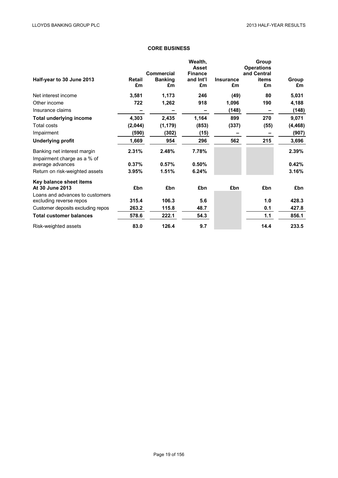# **CORE BUSINESS**

| Half-year to 30 June 2013         | <b>Retail</b><br>£m | Commercial<br><b>Banking</b><br>£m | Wealth,<br><b>Asset</b><br><b>Finance</b><br>and Int'l<br>£m | <b>Insurance</b><br>£m | Group<br><b>Operations</b><br>and Central<br>items<br>£m | Group<br>£m |
|-----------------------------------|---------------------|------------------------------------|--------------------------------------------------------------|------------------------|----------------------------------------------------------|-------------|
| Net interest income               | 3,581               | 1,173                              | 246                                                          | (49)                   | 80                                                       | 5,031       |
| Other income                      | 722                 | 1,262                              | 918                                                          | 1,096                  | 190                                                      | 4,188       |
| Insurance claims                  |                     |                                    |                                                              | (148)                  |                                                          | (148)       |
| <b>Total underlying income</b>    | 4,303               | 2,435                              | 1,164                                                        | 899                    | 270                                                      | 9,071       |
| Total costs                       | (2,044)             | (1, 179)                           | (853)                                                        | (337)                  | (55)                                                     | (4, 468)    |
| Impairment                        | (590)               | (302)                              | (15)                                                         |                        |                                                          | (907)       |
| <b>Underlying profit</b>          | 1,669               | 954                                | 296                                                          | 562                    | 215                                                      | 3,696       |
| Banking net interest margin       | 2.31%               | 2.48%                              | 7.78%                                                        |                        |                                                          | 2.39%       |
| Impairment charge as a % of       |                     |                                    |                                                              |                        |                                                          |             |
| average advances                  | 0.37%               | 0.57%                              | 0.50%                                                        |                        |                                                          | 0.42%       |
| Return on risk-weighted assets    | 3.95%               | 1.51%                              | 6.24%                                                        |                        |                                                          | 3.16%       |
| Key balance sheet items           |                     |                                    |                                                              |                        |                                                          |             |
| At 30 June 2013                   | £bn                 | £bn                                | £bn                                                          | £bn                    | £bn                                                      | £bn         |
| Loans and advances to customers   |                     |                                    |                                                              |                        |                                                          |             |
| excluding reverse repos           | 315.4               | 106.3                              | 5.6                                                          |                        | 1.0                                                      | 428.3       |
| Customer deposits excluding repos | 263.2               | 115.8                              | 48.7                                                         |                        | 0.1                                                      | 427.8       |
| <b>Total customer balances</b>    | 578.6               | 222.1                              | 54.3                                                         |                        | 1.1                                                      | 856.1       |
| Risk-weighted assets              | 83.0                | 126.4                              | 9.7                                                          |                        | 14.4                                                     | 233.5       |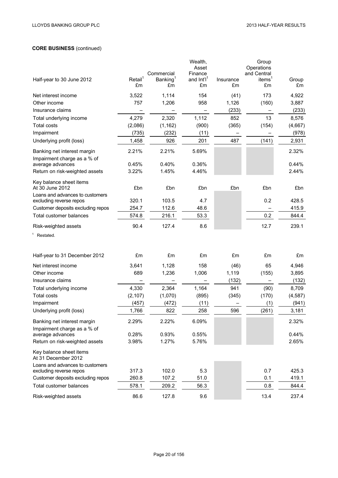# **CORE BUSINESS** (continued)

| Half-year to 30 June 2012                                    | $Retai^1$<br>£m | Commercial<br>Banking <sup>1</sup><br>£m | Wealth,<br>Asset<br>Finance<br>and Int'l <sup>1</sup><br>£m | Insurance<br>£m | Group<br>Operations<br>and Central<br>items <sup>1</sup><br>£m | Group<br>£m    |
|--------------------------------------------------------------|-----------------|------------------------------------------|-------------------------------------------------------------|-----------------|----------------------------------------------------------------|----------------|
| Net interest income                                          | 3,522           | 1,114                                    | 154                                                         | (41)            | 173                                                            | 4,922          |
| Other income                                                 | 757             | 1,206                                    | 958                                                         | 1,126           | (160)                                                          | 3,887          |
| Insurance claims                                             |                 |                                          |                                                             | (233)           |                                                                | (233)          |
| Total underlying income                                      | 4,279           | 2,320                                    | 1,112                                                       | 852             | 13                                                             | 8,576          |
| <b>Total costs</b>                                           | (2,086)         | (1, 162)                                 | (900)                                                       | (365)           | (154)                                                          | (4,667)        |
| Impairment                                                   | (735)           | (232)                                    | (11)                                                        | —               |                                                                | (978)          |
| Underlying profit (loss)                                     | 1,458           | 926                                      | 201                                                         | 487             | (141)                                                          | 2,931          |
| Banking net interest margin                                  | 2.21%           | 2.21%                                    | 5.69%                                                       |                 |                                                                | 2.32%          |
| Impairment charge as a % of                                  |                 |                                          |                                                             |                 |                                                                |                |
| average advances                                             | 0.45%           | 0.40%                                    | 0.36%                                                       |                 |                                                                | 0.44%          |
| Return on risk-weighted assets                               | 3.22%           | 1.45%                                    | 4.46%                                                       |                 |                                                                | 2.44%          |
| Key balance sheet items<br>At 30 June 2012                   | £bn             | £bn                                      | £bn                                                         | £bn             | £bn                                                            | £bn            |
| Loans and advances to customers                              |                 |                                          |                                                             |                 |                                                                |                |
| excluding reverse repos<br>Customer deposits excluding repos | 320.1<br>254.7  | 103.5<br>112.6                           | 4.7<br>48.6                                                 |                 | 0.2                                                            | 428.5<br>415.9 |
| Total customer balances                                      | 574.8           | 216.1                                    | 53.3                                                        |                 | 0.2                                                            | 844.4          |
| Risk-weighted assets                                         | 90.4            | 127.4                                    | 8.6                                                         |                 | 12.7                                                           | 239.1          |
|                                                              |                 |                                          |                                                             |                 |                                                                |                |
| Restated.                                                    |                 |                                          |                                                             |                 |                                                                |                |
| Half-year to 31 December 2012                                | £m              | £m                                       | £m                                                          | £m              | £m                                                             | £m             |
| Net interest income                                          | 3,641           | 1,128                                    | 158                                                         | (46)            | 65                                                             | 4,946          |
| Other income                                                 | 689             | 1,236                                    | 1,006                                                       | 1,119           | (155)                                                          | 3,895          |
| Insurance claims                                             |                 |                                          |                                                             | (132)           |                                                                | (132)          |
| Total underlying income                                      | 4,330           | 2,364                                    | 1,164                                                       | 941             | (90)                                                           | 8,709          |
| Total costs                                                  | (2, 107)        | (1,070)                                  | (895)                                                       | (345)           | (170)                                                          | (4, 587)       |
| Impairment                                                   | (457)           | (472)                                    | (11)                                                        |                 | (1)                                                            | (941)          |
| Underlying profit (loss)                                     | 1,766           | 822                                      | 258                                                         | 596             | (261)                                                          | 3,181          |
| Banking net interest margin                                  | 2.29%           | 2.22%                                    | 6.09%                                                       |                 |                                                                | 2.32%          |
| Impairment charge as a % of                                  |                 |                                          |                                                             |                 |                                                                |                |
| average advances                                             | 0.28%           | 0.93%                                    | 0.55%                                                       |                 |                                                                | 0.44%          |
| Return on risk-weighted assets                               | 3.98%           | 1.27%                                    | 5.76%                                                       |                 |                                                                | 2.65%          |
| Key balance sheet items<br>At 31 December 2012               |                 |                                          |                                                             |                 |                                                                |                |
| Loans and advances to customers                              |                 |                                          |                                                             |                 |                                                                |                |
| excluding reverse repos                                      | 317.3           | 102.0                                    | 5.3                                                         |                 | 0.7                                                            | 425.3          |
| Customer deposits excluding repos                            | 260.8           | 107.2                                    | 51.0                                                        |                 | 0.1                                                            | 419.1          |
| Total customer balances                                      | 578.1           | 209.2                                    | 56.3                                                        |                 | 0.8                                                            | 844.4          |
| Risk-weighted assets                                         | 86.6            | 127.8                                    | 9.6                                                         |                 | 13.4                                                           | 237.4          |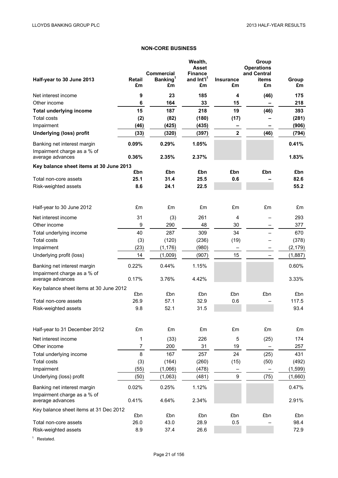# **NON-CORE BUSINESS**

| Half-year to 30 June 2013                                  | <b>Retail</b><br>£m | <b>Commercial</b><br>Banking <sup>1</sup><br>£m | Wealth,<br><b>Asset</b><br><b>Finance</b><br>and Int'l <sup>1</sup><br>£m | <b>Insurance</b><br>£m | Group<br><b>Operations</b><br>and Central<br>items<br>£m | Group<br>£m |
|------------------------------------------------------------|---------------------|-------------------------------------------------|---------------------------------------------------------------------------|------------------------|----------------------------------------------------------|-------------|
| Net interest income                                        | 9                   | 23                                              | 185                                                                       | 4                      | (46)                                                     | 175         |
| Other income                                               | 6                   | 164                                             | 33                                                                        | 15                     |                                                          | 218         |
| <b>Total underlying income</b>                             | 15                  | 187                                             | 218                                                                       | 19                     | (46)                                                     | 393         |
| <b>Total costs</b>                                         | (2)                 | (82)                                            | (180)                                                                     | (17)                   |                                                          | (281)       |
| Impairment                                                 | (46)                | (425)                                           | (435)                                                                     |                        |                                                          | (906)       |
| <b>Underlying (loss) profit</b>                            | (33)                | (320)                                           | (397)                                                                     | $\mathbf{2}$           | (46)                                                     | (794)       |
| Banking net interest margin<br>Impairment charge as a % of | 0.09%               | 0.29%                                           | 1.05%                                                                     |                        |                                                          | 0.41%       |
| average advances                                           | 0.36%               | 2.35%                                           | 2.37%                                                                     |                        |                                                          | 1.83%       |
| Key balance sheet items at 30 June 2013                    | £bn                 | £bn                                             | £bn                                                                       | £bn                    | £bn                                                      | £bn         |
| Total non-core assets                                      | 25.1                | 31.4                                            | 25.5                                                                      | 0.6                    |                                                          | 82.6        |
| Risk-weighted assets                                       | 8.6                 | 24.1                                            | 22.5                                                                      |                        |                                                          | 55.2        |
|                                                            |                     |                                                 |                                                                           |                        |                                                          |             |
| Half-year to 30 June 2012                                  | £m                  | £m                                              | £m                                                                        | £m                     | £m                                                       | £m          |
| Net interest income                                        | 31                  | (3)                                             | 261                                                                       | 4                      |                                                          | 293         |
| Other income                                               | 9                   | 290                                             | 48                                                                        | 30                     |                                                          | 377         |
| Total underlying income                                    | 40                  | 287                                             | 309                                                                       | 34                     |                                                          | 670         |
| <b>Total costs</b>                                         | (3)                 | (120)                                           | (236)                                                                     | (19)                   |                                                          | (378)       |
| Impairment                                                 | (23)                | (1, 176)                                        | (980)                                                                     |                        |                                                          | (2, 179)    |
| Underlying profit (loss)                                   | 14                  | (1,009)                                         | (907)                                                                     | 15                     |                                                          | (1,887)     |
| Banking net interest margin                                | 0.22%               | 0.44%                                           | 1.15%                                                                     |                        |                                                          | 0.60%       |
| Impairment charge as a % of<br>average advances            | 0.17%               | 3.76%                                           | 4.42%                                                                     |                        |                                                          | 3.33%       |
| Key balance sheet items at 30 June 2012                    |                     |                                                 |                                                                           |                        |                                                          |             |
|                                                            | £bn                 | £bn                                             | £bn                                                                       | £bn                    | £bn                                                      | £bn         |
| Total non-core assets                                      | 26.9                | 57.1                                            | 32.9                                                                      | 0.6                    |                                                          | 117.5       |
| Risk-weighted assets                                       | 9.8                 | 52.1                                            | 31.5                                                                      |                        |                                                          | 93.4        |
| Half-year to 31 December 2012                              | £m                  | £m                                              | £m                                                                        | £m                     | £m                                                       | £m          |
| Net interest income                                        | 1                   | (33)                                            | 226                                                                       |                        | (25)                                                     | 174         |
| Other income                                               | $\overline{7}$      | 200                                             | 31                                                                        | 5<br>19                |                                                          | 257         |
| Total underlying income                                    | 8                   | 167                                             | 257                                                                       | 24                     | (25)                                                     | 431         |
| <b>Total costs</b>                                         | (3)                 | (164)                                           | (260)                                                                     | (15)                   | (50)                                                     | (492)       |
| Impairment                                                 | (55)                | (1,066)                                         | (478)                                                                     |                        |                                                          | (1, 599)    |
| Underlying (loss) profit                                   | (50)                | (1,063)                                         | (481)                                                                     | 9                      | (75)                                                     | (1,660)     |
| Banking net interest margin                                | 0.02%               | 0.25%                                           | 1.12%                                                                     |                        |                                                          | 0.47%       |
| Impairment charge as a % of<br>average advances            | 0.41%               | 4.64%                                           | 2.34%                                                                     |                        |                                                          | 2.91%       |
| Key balance sheet items at 31 Dec 2012                     |                     |                                                 |                                                                           |                        |                                                          |             |
|                                                            | £bn                 | £bn                                             | £bn                                                                       | £bn                    | £bn                                                      | £bn         |
| Total non-core assets                                      | 26.0                | 43.0                                            | 28.9                                                                      | 0.5                    |                                                          | 98.4        |
| Risk-weighted assets                                       | 8.9                 | 37.4                                            | 26.6                                                                      |                        |                                                          | 72.9        |

<sup>1</sup> Restated.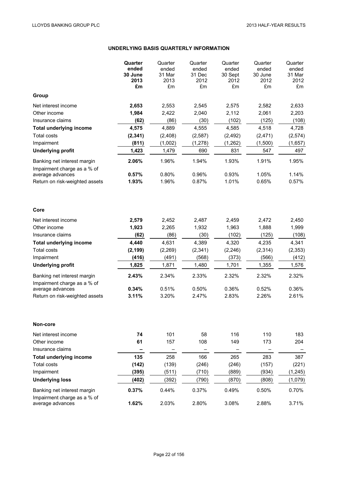# **UNDERLYING BASIS QUARTERLY INFORMATION**

|                                                            | Quarter<br>ended<br>30 June<br>2013<br>£m | Quarter<br>ended<br>31 Mar<br>2013<br>£m | Quarter<br>ended<br>31 Dec<br>2012<br>£m | Quarter<br>ended<br>30 Sept<br>2012<br>£m | Quarter<br>ended<br>30 June<br>2012<br>£m | Quarter<br>ended<br>31 Mar<br>2012<br>£m |
|------------------------------------------------------------|-------------------------------------------|------------------------------------------|------------------------------------------|-------------------------------------------|-------------------------------------------|------------------------------------------|
| Group                                                      |                                           |                                          |                                          |                                           |                                           |                                          |
| Net interest income                                        | 2,653                                     | 2,553                                    | 2,545                                    | 2,575                                     | 2,582                                     | 2,633                                    |
| Other income                                               | 1,984                                     | 2,422                                    | 2,040                                    | 2,112                                     | 2,061                                     | 2,203                                    |
| Insurance claims                                           | (62)                                      | (86)                                     | (30)                                     | (102)                                     | (125)                                     | (108)                                    |
| <b>Total underlying income</b>                             | 4,575                                     | 4,889                                    | 4,555                                    | 4,585                                     | 4,518                                     | 4,728                                    |
| <b>Total costs</b>                                         | (2, 341)                                  | (2, 408)                                 | (2, 587)                                 | (2, 492)                                  | (2, 471)                                  | (2,574)                                  |
| Impairment                                                 | (811)                                     | (1,002)                                  | (1, 278)                                 | (1, 262)                                  | (1,500)                                   | (1,657)                                  |
| <b>Underlying profit</b>                                   | 1,423                                     | 1,479                                    | 690                                      | 831                                       | 547                                       | 497                                      |
| Banking net interest margin<br>Impairment charge as a % of | 2.06%                                     | 1.96%                                    | 1.94%                                    | 1.93%                                     | 1.91%                                     | 1.95%                                    |
| average advances<br>Return on risk-weighted assets         | 0.57%<br>1.93%                            | 0.80%<br>1.96%                           | 0.96%<br>0.87%                           | 0.93%<br>1.01%                            | 1.05%<br>0.65%                            | 1.14%<br>0.57%                           |
|                                                            |                                           |                                          |                                          |                                           |                                           |                                          |
| Core                                                       |                                           |                                          |                                          |                                           |                                           |                                          |
| Net interest income                                        | 2,579                                     | 2,452                                    | 2,487                                    | 2,459                                     | 2,472                                     | 2,450                                    |
| Other income                                               | 1,923                                     | 2,265                                    | 1,932                                    | 1,963                                     | 1,888                                     | 1,999                                    |
| Insurance claims                                           | (62)                                      | (86)                                     | (30)                                     | (102)                                     | (125)                                     | (108)                                    |
| <b>Total underlying income</b><br><b>Total costs</b>       | 4,440                                     | 4,631                                    | 4,389<br>(2, 341)                        | 4,320                                     | 4,235                                     | 4,341                                    |
| Impairment                                                 | (2, 199)<br>(416)                         | (2, 269)<br>(491)                        | (568)                                    | (2, 246)<br>(373)                         | (2, 314)<br>(566)                         | (2, 353)<br>(412)                        |
| <b>Underlying profit</b>                                   | 1,825                                     | 1,871                                    | 1,480                                    | 1,701                                     | 1,355                                     | 1,576                                    |
|                                                            |                                           |                                          |                                          |                                           |                                           |                                          |
| Banking net interest margin<br>Impairment charge as a % of | 2.43%                                     | 2.34%                                    | 2.33%                                    | 2.32%                                     | 2.32%                                     | 2.32%                                    |
| average advances                                           | 0.34%                                     | 0.51%                                    | 0.50%                                    | 0.36%                                     | 0.52%                                     | 0.36%                                    |
| Return on risk-weighted assets                             | 3.11%                                     | 3.20%                                    | 2.47%                                    | 2.83%                                     | 2.26%                                     | 2.61%                                    |
| Non-core                                                   |                                           |                                          |                                          |                                           |                                           |                                          |
| Net interest income                                        | 74                                        | 101                                      | 58                                       | 116                                       | 110                                       | 183                                      |
| Other income                                               | 61                                        | 157                                      | 108                                      | 149                                       | 173                                       | 204                                      |
| Insurance claims                                           |                                           |                                          |                                          |                                           |                                           |                                          |
| <b>Total underlying income</b>                             | 135                                       | 258                                      | 166                                      | 265                                       | 283                                       | 387                                      |
| Total costs                                                | (142)                                     | (139)                                    | (246)                                    | (246)                                     | (157)                                     | (221)                                    |
| Impairment                                                 | (395)                                     | (511)                                    | (710)                                    | (889)                                     | (934)                                     | (1, 245)                                 |
| <b>Underlying loss</b>                                     | (402)                                     | (392)                                    | (790)                                    | (870)                                     | (808)                                     | (1,079)                                  |
| Banking net interest margin<br>Impairment charge as a % of | 0.37%                                     | 0.44%                                    | 0.37%                                    | 0.49%                                     | 0.50%                                     | 0.70%                                    |
| average advances                                           | 1.62%                                     | 2.03%                                    | 2.80%                                    | 3.08%                                     | 2.88%                                     | 3.71%                                    |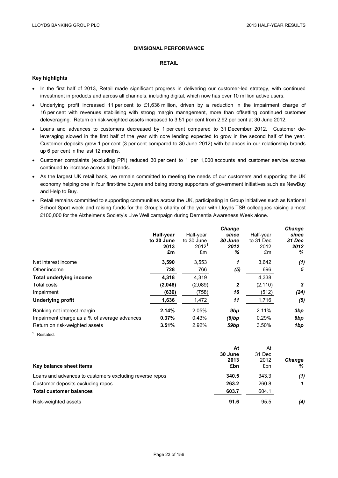# **DIVISIONAL PERFORMANCE**

### **RETAIL**

# **Key highlights**

- In the first half of 2013, Retail made significant progress in delivering our customer-led strategy, with continued investment in products and across all channels, including digital, which now has over 10 million active users.
- Underlying profit increased 11 per cent to £1,636 million, driven by a reduction in the impairment charge of 16 per cent with revenues stabilising with strong margin management, more than offsetting continued customer deleveraging. Return on risk-weighted assets increased to 3.51 per cent from 2.92 per cent at 30 June 2012.
- Loans and advances to customers decreased by 1 per cent compared to 31 December 2012. Customer deleveraging slowed in the first half of the year with core lending expected to grow in the second half of the year. Customer deposits grew 1 per cent (3 per cent compared to 30 June 2012) with balances in our relationship brands up 6 per cent in the last 12 months.
- Customer complaints (excluding PPI) reduced 30 per cent to 1 per 1,000 accounts and customer service scores continued to increase across all brands.
- As the largest UK retail bank, we remain committed to meeting the needs of our customers and supporting the UK economy helping one in four first-time buyers and being strong supporters of government initiatives such as NewBuy and Help to Buy.
- Retail remains committed to supporting communities across the UK, participating in Group initiatives such as National School Sport week and raising funds for the Group's charity of the year with Lloyds TSB colleagues raising almost £100,000 for the Alzheimer's Society's Live Well campaign during Dementia Awareness Week alone.

|                                              |            |            | <b>Change</b>    |           | Change |
|----------------------------------------------|------------|------------|------------------|-----------|--------|
|                                              | Half-year  | Half-year  | since            | Half-year | since  |
|                                              | to 30 June | to 30 June | 30 June          | to 31 Dec | 31 Dec |
|                                              | 2013       | $2012^1$   | 2012             | 2012      | 2012   |
|                                              | £m         | £m         | ℅                | £m        | %      |
| Net interest income                          | 3,590      | 3,553      | 1                | 3.642     | (1)    |
| Other income                                 | 728        | 766        | (5)              | 696       | 5      |
| <b>Total underlying income</b>               | 4,318      | 4.319      |                  | 4,338     |        |
| Total costs                                  | (2,046)    | (2,089)    | 2                | (2, 110)  | 3      |
| Impairment                                   | (636)      | (758)      | 16               | (512)     | (24)   |
| <b>Underlying profit</b>                     | 1,636      | 1,472      | 11               | 1,716     | (5)    |
| Banking net interest margin                  | 2.14%      | 2.05%      | 9 <sub>bp</sub>  | 2.11%     | 3bp    |
| Impairment charge as a % of average advances | 0.37%      | 0.43%      | (6)bp            | 0.29%     | 8bp    |
| Return on risk-weighted assets               | 3.51%      | 2.92%      | 59 <sub>bp</sub> | 3.50%     | 1bp    |

<sup>1</sup> Restated.

|                                                         | At      | At     |               |
|---------------------------------------------------------|---------|--------|---------------|
|                                                         | 30 June | 31 Dec |               |
|                                                         | 2013    | 2012   | <b>Change</b> |
| Key balance sheet items                                 | £bn     | £bn    | ℅             |
| Loans and advances to customers excluding reverse repos | 340.5   | 343.3  | (1)           |
| Customer deposits excluding repos                       | 263.2   | 260.8  |               |
| <b>Total customer balances</b>                          | 603.7   | 604.1  |               |
| Risk-weighted assets                                    | 91.6    | 95.5   | (4)           |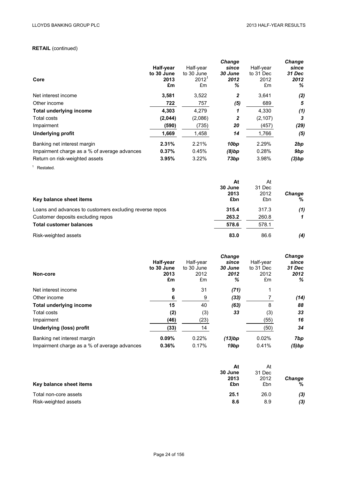# **RETAIL** (continued)

| Core                                         | Half-year<br>to 30 June<br>2013<br>£m | Half-year<br>to 30 June<br>$2012^1$<br>£m | <b>Change</b><br>since<br>30 June<br>2012<br>℅ | Half-year<br>to 31 Dec<br>2012<br>£m | Change<br>since<br>31 Dec<br>2012<br>% |
|----------------------------------------------|---------------------------------------|-------------------------------------------|------------------------------------------------|--------------------------------------|----------------------------------------|
| Net interest income                          | 3.581                                 | 3,522                                     | 2                                              | 3.641                                | (2)                                    |
| Other income                                 | 722                                   | 757                                       | (5)                                            | 689                                  | 5                                      |
| <b>Total underlying income</b>               | 4,303                                 | 4,279                                     | 1                                              | 4,330                                | (1)                                    |
| Total costs                                  | (2,044)                               | (2,086)                                   | 2                                              | (2, 107)                             | 3                                      |
| Impairment                                   | (590)                                 | (735)                                     | 20                                             | (457)                                | (29)                                   |
| <b>Underlying profit</b>                     | 1,669                                 | 1,458                                     | 14                                             | 1,766                                | (5)                                    |
| Banking net interest margin                  | 2.31%                                 | 2.21%                                     | 10 <sub>bp</sub>                               | 2.29%                                | 2bp                                    |
| Impairment charge as a % of average advances | 0.37%                                 | 0.45%                                     | (8)bp                                          | 0.28%                                | 9bp                                    |
| Return on risk-weighted assets               | 3.95%                                 | 3.22%                                     | 73bp                                           | 3.98%                                | (3)bp                                  |

<sup>1</sup> Restated.

| Key balance sheet items                                 | At<br>30 June<br>2013<br>£bn | At<br>31 Dec<br>2012<br>£bn | <b>Change</b><br>% |
|---------------------------------------------------------|------------------------------|-----------------------------|--------------------|
| Loans and advances to customers excluding reverse repos | 315.4                        | 317.3                       | (1)                |
| Customer deposits excluding repos                       | 263.2                        | 260.8                       |                    |
| <b>Total customer balances</b>                          | 578.6                        | 578.1                       |                    |
| Risk-weighted assets                                    | 83.0                         | 86.6                        | (4)                |

| Non-core                                     | Half-year<br>to 30 June<br>2013<br>£m | Half-year<br>to 30 June<br>2012<br>£m | <b>Change</b><br>since<br>30 June<br>2012<br>% | Half-year<br>to 31 Dec<br>2012<br>£m | Change<br>since<br>31 Dec<br>2012<br>% |
|----------------------------------------------|---------------------------------------|---------------------------------------|------------------------------------------------|--------------------------------------|----------------------------------------|
| Net interest income                          | 9                                     | 31                                    | (71)                                           |                                      |                                        |
| Other income                                 | 6                                     | 9                                     | (33)                                           |                                      | (14)                                   |
| <b>Total underlying income</b>               | 15                                    | 40                                    | (63)                                           | 8                                    | 88                                     |
| Total costs                                  | (2)                                   | (3)                                   | 33                                             | (3)                                  | 33                                     |
| Impairment                                   | (46)                                  | (23)                                  |                                                | (55)                                 | 16                                     |
| <b>Underlying (loss) profit</b>              | (33)                                  | 14                                    |                                                | (50)                                 | 34                                     |
| Banking net interest margin                  | 0.09%                                 | 0.22%                                 | (13)bp                                         | 0.02%                                | 7bp                                    |
| Impairment charge as a % of average advances | 0.36%                                 | 0.17%                                 | 19 <sub>bp</sub>                               | 0.41%                                | (5)bp                                  |

|                         | At      | At     |               |
|-------------------------|---------|--------|---------------|
|                         | 30 June | 31 Dec |               |
|                         | 2013    | 2012   | <b>Change</b> |
| Key balance sheet items | £bn     | £bn    | %             |
| Total non-core assets   | 25.1    | 26.0   | (3)           |
| Risk-weighted assets    | 8.6     | 8.9    | (3)           |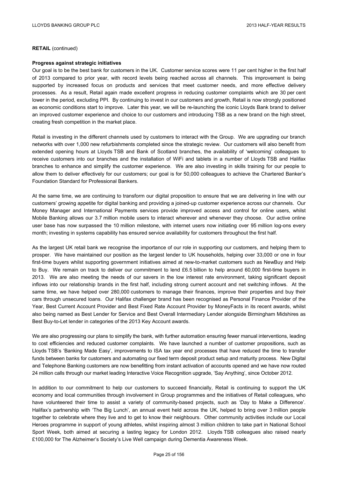**RETAIL** (continued)

#### **Progress against strategic initiatives**

Our goal is to be the best bank for customers in the UK. Customer service scores were 11 per cent higher in the first half of 2013 compared to prior year, with record levels being reached across all channels. This improvement is being supported by increased focus on products and services that meet customer needs, and more effective delivery processes. As a result, Retail again made excellent progress in reducing customer complaints which are 30 per cent lower in the period, excluding PPI. By continuing to invest in our customers and growth, Retail is now strongly positioned as economic conditions start to improve. Later this year, we will be re-launching the iconic Lloyds Bank brand to deliver an improved customer experience and choice to our customers and introducing TSB as a new brand on the high street, creating fresh competition in the market place.

Retail is investing in the different channels used by customers to interact with the Group. We are upgrading our branch networks with over 1,000 new refurbishments completed since the strategic review. Our customers will also benefit from extended opening hours at Lloyds TSB and Bank of Scotland branches, the availability of 'welcoming' colleagues to receive customers into our branches and the installation of WiFi and tablets in a number of Lloyds TSB and Halifax branches to enhance and simplify the customer experience. We are also investing in skills training for our people to allow them to deliver effectively for our customers; our goal is for 50,000 colleagues to achieve the Chartered Banker's Foundation Standard for Professional Bankers.

At the same time, we are continuing to transform our digital proposition to ensure that we are delivering in line with our customers' growing appetite for digital banking and providing a joined-up customer experience across our channels. Our Money Manager and International Payments services provide improved access and control for online users, whilst Mobile Banking allows our 3.7 million mobile users to interact wherever and whenever they choose. Our active online user base has now surpassed the 10 million milestone, with internet users now initiating over 95 million log-ons every month; investing in systems capability has ensured service availability for customers throughout the first half.

As the largest UK retail bank we recognise the importance of our role in supporting our customers, and helping them to prosper. We have maintained our position as the largest lender to UK households, helping over 33,000 or one in four first-time buyers whilst supporting government initiatives aimed at new-to-market customers such as NewBuy and Help to Buy. We remain on track to deliver our commitment to lend £6.5 billion to help around 60,000 first-time buyers in 2013. We are also meeting the needs of our savers in the low interest rate environment, taking significant deposit inflows into our relationship brands in the first half, including strong current account and net switching inflows. At the same time, we have helped over 280,000 customers to manage their finances, improve their properties and buy their cars through unsecured loans. Our Halifax challenger brand has been recognised as Personal Finance Provider of the Year, Best Current Account Provider and Best Fixed Rate Account Provider by MoneyFacts in its recent awards, whilst also being named as Best Lender for Service and Best Overall Intermediary Lender alongside Birmingham Midshires as Best Buy-to-Let lender in categories of the 2013 Key Account awards.

We are also progressing our plans to simplify the bank, with further automation ensuring fewer manual interventions, leading to cost efficiencies and reduced customer complaints. We have launched a number of customer propositions, such as Lloyds TSB's 'Banking Made Easy', improvements to ISA tax year end processes that have reduced the time to transfer funds between banks for customers and automating our fixed term deposit product setup and maturity process. New Digital and Telephone Banking customers are now benefitting from instant activation of accounts opened and we have now routed 24 million calls through our market leading Interactive Voice Recognition upgrade, 'Say Anything', since October 2012.

In addition to our commitment to help our customers to succeed financially, Retail is continuing to support the UK economy and local communities through involvement in Group programmes and the initiatives of Retail colleagues, who have volunteered their time to assist a variety of community-based projects, such as 'Day to Make a Difference'. Halifax's partnership with 'The Big Lunch', an annual event held across the UK, helped to bring over 3 million people together to celebrate where they live and to get to know their neighbours. Other community activities include our Local Heroes programme in support of young athletes, whilst inspiring almost 3 million children to take part in National School Sport Week, both aimed at securing a lasting legacy for London 2012. Lloyds TSB colleagues also raised nearly £100,000 for The Alzheimer's Society's Live Well campaign during Dementia Awareness Week.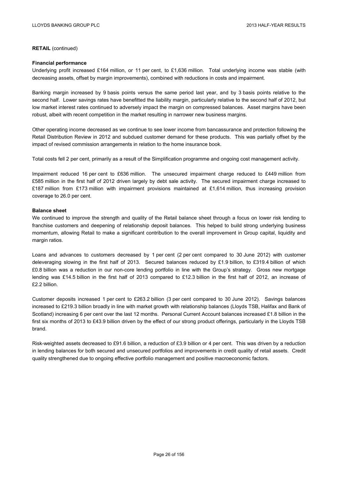**RETAIL** (continued)

#### **Financial performance**

Underlying profit increased £164 million, or 11 per cent, to £1,636 million. Total underlying income was stable (with decreasing assets, offset by margin improvements), combined with reductions in costs and impairment.

Banking margin increased by 9 basis points versus the same period last year, and by 3 basis points relative to the second half. Lower savings rates have benefitted the liability margin, particularly relative to the second half of 2012, but low market interest rates continued to adversely impact the margin on compressed balances. Asset margins have been robust, albeit with recent competition in the market resulting in narrower new business margins.

Other operating income decreased as we continue to see lower income from bancassurance and protection following the Retail Distribution Review in 2012 and subdued customer demand for these products. This was partially offset by the impact of revised commission arrangements in relation to the home insurance book.

Total costs fell 2 per cent, primarily as a result of the Simplification programme and ongoing cost management activity.

Impairment reduced 16 per cent to £636 million. The unsecured impairment charge reduced to £449 million from £585 million in the first half of 2012 driven largely by debt sale activity. The secured impairment charge increased to £187 million from £173 million with impairment provisions maintained at £1,614 million, thus increasing provision coverage to 26.0 per cent.

#### **Balance sheet**

We continued to improve the strength and quality of the Retail balance sheet through a focus on lower risk lending to franchise customers and deepening of relationship deposit balances. This helped to build strong underlying business momentum, allowing Retail to make a significant contribution to the overall improvement in Group capital, liquidity and margin ratios.

Loans and advances to customers decreased by 1 per cent (2 per cent compared to 30 June 2012) with customer deleveraging slowing in the first half of 2013. Secured balances reduced by £1.9 billion, to £319.4 billion of which £0.8 billion was a reduction in our non-core lending portfolio in line with the Group's strategy. Gross new mortgage lending was £14.5 billion in the first half of 2013 compared to £12.3 billion in the first half of 2012, an increase of £2.2 billion.

Customer deposits increased 1 per cent to £263.2 billion (3 per cent compared to 30 June 2012). Savings balances increased to £219.3 billion broadly in line with market growth with relationship balances (Lloyds TSB, Halifax and Bank of Scotland) increasing 6 per cent over the last 12 months. Personal Current Account balances increased £1.8 billion in the first six months of 2013 to £43.9 billion driven by the effect of our strong product offerings, particularly in the Lloyds TSB brand.

Risk-weighted assets decreased to £91.6 billion, a reduction of £3.9 billion or 4 per cent. This was driven by a reduction in lending balances for both secured and unsecured portfolios and improvements in credit quality of retail assets. Credit quality strengthened due to ongoing effective portfolio management and positive macroeconomic factors.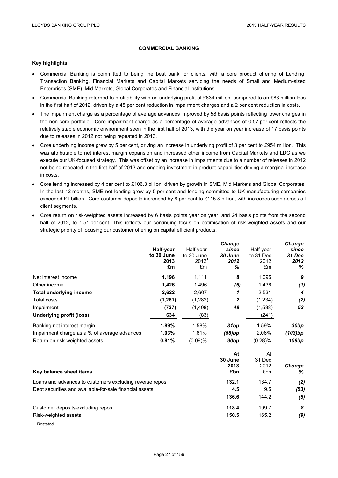# **COMMERCIAL BANKING**

### **Key highlights**

- Commercial Banking is committed to being the best bank for clients, with a core product offering of Lending, Transaction Banking, Financial Markets and Capital Markets servicing the needs of Small and Medium-sized Enterprises (SME), Mid Markets, Global Corporates and Financial Institutions.
- Commercial Banking returned to profitability with an underlying profit of £634 million, compared to an £83 million loss in the first half of 2012, driven by a 48 per cent reduction in impairment charges and a 2 per cent reduction in costs.
- The impairment charge as a percentage of average advances improved by 58 basis points reflecting lower charges in the non-core portfolio. Core impairment charge as a percentage of average advances of 0.57 per cent reflects the relatively stable economic environment seen in the first half of 2013, with the year on year increase of 17 basis points due to releases in 2012 not being repeated in 2013.
- Core underlying income grew by 5 per cent, driving an increase in underlying profit of 3 per cent to £954 million. This was attributable to net interest margin expansion and increased other income from Capital Markets and LDC as we execute our UK-focused strategy. This was offset by an increase in impairments due to a number of releases in 2012 not being repeated in the first half of 2013 and ongoing investment in product capabilities driving a marginal increase in costs.
- Core lending increased by 4 per cent to £106.3 billion, driven by growth in SME, Mid Markets and Global Corporates. In the last 12 months, SME net lending grew by 5 per cent and lending committed to UK manufacturing companies exceeded £1 billion. Core customer deposits increased by 8 per cent to £115.8 billion, with increases seen across all client segments.
- Core return on risk-weighted assets increased by 6 basis points year on year, and 24 basis points from the second half of 2012, to 1.51 per cent. This reflects our continuing focus on optimisation of risk-weighted assets and our strategic priority of focusing our customer offering on capital efficient products.

|                                              |            |            | Change  |               | Change           |
|----------------------------------------------|------------|------------|---------|---------------|------------------|
|                                              | Half-year  | Half-year  | since   | Half-year     | since            |
|                                              | to 30 June | to 30 June | 30 June | to 31 Dec     | 31 Dec           |
|                                              | 2013       | $2012^1$   | 2012    | 2012          | 2012             |
|                                              | £m         | £m         | ℅       | £m            | ℅                |
| Net interest income                          | 1,196      | 1,111      | 8       | 1,095         | 9                |
| Other income                                 | 1,426      | 1,496      | (5)     | 1,436         | (1)              |
| <b>Total underlying income</b>               | 2,622      | 2,607      | 1       | 2,531         | 4                |
| Total costs                                  | (1, 261)   | (1,282)    | 2       | (1,234)       | (2)              |
| Impairment                                   | (727)      | (1,408)    | 48      | (1,538)       | 53               |
| Underlying profit (loss)                     | 634        | (83)       |         | (241)         |                  |
| Banking net interest margin                  | 1.89%      | 1.58%      | 31bp    | 1.59%         | 30 <sub>bp</sub> |
| Impairment charge as a % of average advances | 1.03%      | 1.61%      | (58)bp  | 2.06%         | (103)bp          |
| Return on risk-weighted assets               | 0.81%      | (0.09)%    | 90bp    | $(0.28)\%$    | 109bp            |
|                                              |            |            | At      | At            |                  |
|                                              |            |            | 30 June | 31 Dec        |                  |
|                                              |            |            |         | $\sim$ $\sim$ |                  |

| Key balance sheet items                                 | 2013<br>£bn | 2012<br>£bn | Change<br>% |
|---------------------------------------------------------|-------------|-------------|-------------|
| Loans and advances to customers excluding reverse repos | 132.1       | 134.7       | (2)         |
| Debt securities and available-for-sale financial assets | 4.5         | 9.5         | (53)        |
|                                                         | 136.6       | 144.2       | (5)         |
| Customer deposits excluding repos                       | 118.4       | 109.7       | 8           |
| Risk-weighted assets                                    | 150.5       | 165.2       | (9)         |

<sup>1</sup> Restated.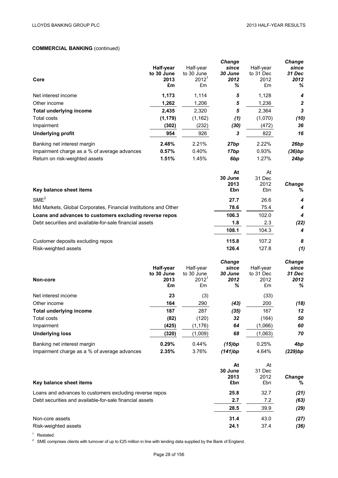# **COMMERCIAL BANKING** (continued)

|                                                                  |            |                         | <b>Change</b>   |            | Change           |
|------------------------------------------------------------------|------------|-------------------------|-----------------|------------|------------------|
|                                                                  | Half-year  | Half-year               | since           | Half-year  | since            |
|                                                                  | to 30 June | to 30 June              | 30 June         | to 31 Dec  | 31 Dec           |
| Core                                                             | 2013       | $2012^1$                | 2012            | 2012       | 2012             |
|                                                                  | £m         | £m                      | ℅               | £m         | ℅                |
| Net interest income                                              | 1,173      | 1,114                   | 5               | 1,128      | 4                |
| Other income                                                     | 1,262      | 1,206                   | 5               | 1,236      | $\boldsymbol{2}$ |
| <b>Total underlying income</b>                                   | 2,435      | 2,320                   | 5               | 2,364      | $\mathbf{3}$     |
| Total costs                                                      | (1, 179)   | (1, 162)                | (1)             | (1,070)    | (10)             |
| Impairment                                                       | (302)      | (232)                   | (30)            | (472)      | 36               |
| <b>Underlying profit</b>                                         | 954        | 926                     | 3               | 822        | 16               |
| Banking net interest margin                                      | 2.48%      | 2.21%                   | 27bp            | 2.22%      | 26bp             |
| Impairment charge as a % of average advances                     | 0.57%      | 0.40%                   | 17bp            | 0.93%      | (36)bp           |
| Return on risk-weighted assets                                   | 1.51%      | 1.45%                   | 6 <sub>bp</sub> | 1.27%      | 24bp             |
|                                                                  |            |                         | At              | At         |                  |
|                                                                  |            |                         | 30 June         | 31 Dec     |                  |
|                                                                  |            |                         | 2013            | 2012       | Change           |
| Key balance sheet items                                          |            |                         | £bn             | £bn        | %                |
| SME <sup>2</sup>                                                 |            |                         | 27.7            | 26.6       | 4                |
| Mid Markets, Global Corporates, Financial Institutions and Other |            |                         | 78.6            | 75.4       | 4                |
| Loans and advances to customers excluding reverse repos          |            |                         | 106.3           | 102.0      | 4                |
| Debt securities and available-for-sale financial assets          |            |                         | 1.8             | 2.3        | (22)             |
|                                                                  |            |                         | 108.1           | 104.3      | 4                |
| Customer deposits excluding repos                                |            |                         | 115.8           | 107.2      | 8                |
| Risk-weighted assets                                             |            |                         | 126.4           | 127.8      | (1)              |
|                                                                  |            |                         | <b>Change</b>   |            | <b>Change</b>    |
|                                                                  | Half-year  | Half-year               | since           | Half-year  | since            |
|                                                                  | to 30 June | to 30 June              | 30 June         | to 31 Dec  | 31 Dec           |
| Non-core                                                         | 2013<br>£m | 2012 <sup>1</sup><br>£m | 2012<br>℅       | 2012<br>£m | 2012<br>℅        |
|                                                                  |            |                         |                 |            |                  |
| Net interest income                                              | 23         | (3)                     |                 | (33)       |                  |
| Other income                                                     | 164        | 290                     | (43)            | 200        | (18)             |
| <b>Total underlying income</b>                                   | 187        | 287                     | (35)            | 167        | 12               |
| Total costs                                                      | (82)       | (120)                   | 32              | (164)      | 50               |
| Impairment                                                       | (425)      | (1, 176)                | 64              | (1,066)    | 60               |
| <b>Underlying loss</b>                                           | (320)      | (1,009)                 | 68              | (1,063)    | 70               |
| Banking net interest margin                                      | 0.29%      | 0.44%                   | (15)bp          | 0.25%      | 4bp              |
| Impairment charge as a % of average advances                     | 2.35%      | 3.76%                   | (141)bp         | 4.64%      | (229)bp          |
|                                                                  |            |                         | At              | At         |                  |

|                                                         | Aι      | Αl     |               |
|---------------------------------------------------------|---------|--------|---------------|
|                                                         | 30 June | 31 Dec |               |
|                                                         | 2013    | 2012   | <b>Change</b> |
| Key balance sheet items                                 | £bn     | £bn    | %             |
| Loans and advances to customers excluding reverse repos | 25.8    | 32.7   | (21)          |
| Debt securities and available-for-sale financial assets | 2.7     | 7.2    | (63)          |
|                                                         | 28.5    | 39.9   | (29)          |
| Non-core assets                                         | 31.4    | 43.0   | (27)          |
| Risk-weighted assets                                    | 24.1    | 37.4   | (36)          |
|                                                         |         |        |               |

<sup>1</sup> Restated.

<sup>2</sup> SME comprises clients with turnover of up to £25 million in line with lending data supplied by the Bank of England.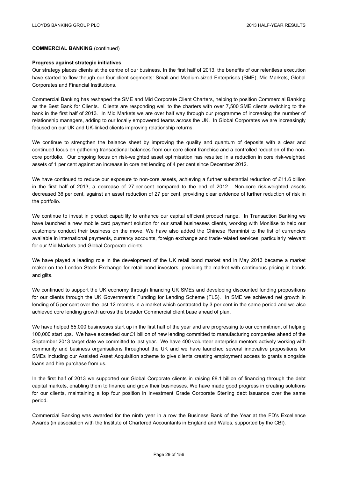## **COMMERCIAL BANKING** (continued)

#### **Progress against strategic initiatives**

Our strategy places clients at the centre of our business. In the first half of 2013, the benefits of our relentless execution have started to flow though our four client segments: Small and Medium-sized Enterprises (SME), Mid Markets, Global Corporates and Financial Institutions.

Commercial Banking has reshaped the SME and Mid Corporate Client Charters, helping to position Commercial Banking as the Best Bank for Clients. Clients are responding well to the charters with over 7,500 SME clients switching to the bank in the first half of 2013. In Mid Markets we are over half way through our programme of increasing the number of relationship managers, adding to our locally empowered teams across the UK. In Global Corporates we are increasingly focused on our UK and UK-linked clients improving relationship returns.

We continue to strengthen the balance sheet by improving the quality and quantum of deposits with a clear and continued focus on gathering transactional balances from our core client franchise and a controlled reduction of the noncore portfolio. Our ongoing focus on risk-weighted asset optimisation has resulted in a reduction in core risk-weighted assets of 1 per cent against an increase in core net lending of 4 per cent since December 2012.

We have continued to reduce our exposure to non-core assets, achieving a further substantial reduction of £11.6 billion in the first half of 2013, a decrease of 27 per cent compared to the end of 2012. Non-core risk-weighted assets decreased 36 per cent, against an asset reduction of 27 per cent, providing clear evidence of further reduction of risk in the portfolio.

We continue to invest in product capability to enhance our capital efficient product range. In Transaction Banking we have launched a new mobile card payment solution for our small businesses clients, working with Monitise to help our customers conduct their business on the move. We have also added the Chinese Renminbi to the list of currencies available in international payments, currency accounts, foreign exchange and trade-related services, particularly relevant for our Mid Markets and Global Corporate clients.

We have played a leading role in the development of the UK retail bond market and in May 2013 became a market maker on the London Stock Exchange for retail bond investors, providing the market with continuous pricing in bonds and gilts.

We continued to support the UK economy through financing UK SMEs and developing discounted funding propositions for our clients through the UK Government's Funding for Lending Scheme (FLS). In SME we achieved net growth in lending of 5 per cent over the last 12 months in a market which contracted by 3 per cent in the same period and we also achieved core lending growth across the broader Commercial client base ahead of plan.

We have helped 65,000 businesses start up in the first half of the year and are progressing to our commitment of helping 100,000 start ups. We have exceeded our £1 billion of new lending committed to manufacturing companies ahead of the September 2013 target date we committed to last year. We have 400 volunteer enterprise mentors actively working with community and business organisations throughout the UK and we have launched several innovative propositions for SMEs including our Assisted Asset Acquisition scheme to give clients creating employment access to grants alongside loans and hire purchase from us.

In the first half of 2013 we supported our Global Corporate clients in raising £8.1 billion of financing through the debt capital markets, enabling them to finance and grow their businesses. We have made good progress in creating solutions for our clients, maintaining a top four position in Investment Grade Corporate Sterling debt issuance over the same period.

Commercial Banking was awarded for the ninth year in a row the Business Bank of the Year at the FD's Excellence Awards (in association with the Institute of Chartered Accountants in England and Wales, supported by the CBI).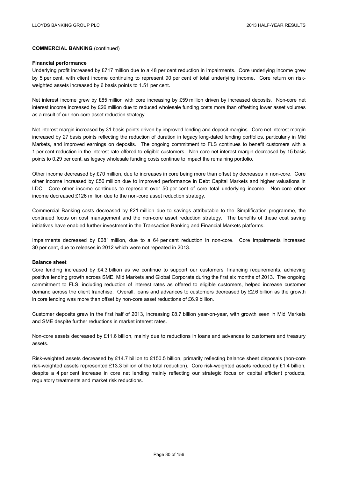## **COMMERCIAL BANKING** (continued)

#### **Financial performance**

Underlying profit increased by £717 million due to a 48 per cent reduction in impairments. Core underlying income grew by 5 per cent, with client income continuing to represent 90 per cent of total underlying income. Core return on riskweighted assets increased by 6 basis points to 1.51 per cent.

Net interest income grew by £85 million with core increasing by £59 million driven by increased deposits. Non-core net interest income increased by £26 million due to reduced wholesale funding costs more than offsetting lower asset volumes as a result of our non-core asset reduction strategy.

Net interest margin increased by 31 basis points driven by improved lending and deposit margins. Core net interest margin increased by 27 basis points reflecting the reduction of duration in legacy long-dated lending portfolios, particularly in Mid Markets, and improved earnings on deposits. The ongoing commitment to FLS continues to benefit customers with a 1 per cent reduction in the interest rate offered to eligible customers. Non-core net interest margin decreased by 15 basis points to 0.29 per cent, as legacy wholesale funding costs continue to impact the remaining portfolio.

Other income decreased by £70 million, due to increases in core being more than offset by decreases in non-core. Core other income increased by £56 million due to improved performance in Debt Capital Markets and higher valuations in LDC. Core other income continues to represent over 50 per cent of core total underlying income. Non-core other income decreased £126 million due to the non-core asset reduction strategy.

Commercial Banking costs decreased by £21 million due to savings attributable to the Simplification programme, the continued focus on cost management and the non-core asset reduction strategy. The benefits of these cost saving initiatives have enabled further investment in the Transaction Banking and Financial Markets platforms.

Impairments decreased by £681 million, due to a 64 per cent reduction in non-core. Core impairments increased 30 per cent, due to releases in 2012 which were not repeated in 2013.

#### **Balance sheet**

Core lending increased by £4.3 billion as we continue to support our customers' financing requirements, achieving positive lending growth across SME, Mid Markets and Global Corporate during the first six months of 2013. The ongoing commitment to FLS, including reduction of interest rates as offered to eligible customers, helped increase customer demand across the client franchise. Overall, loans and advances to customers decreased by £2.6 billion as the growth in core lending was more than offset by non-core asset reductions of £6.9 billion.

Customer deposits grew in the first half of 2013, increasing £8.7 billion year-on-year, with growth seen in Mid Markets and SME despite further reductions in market interest rates.

Non-core assets decreased by £11.6 billion, mainly due to reductions in loans and advances to customers and treasury assets.

Risk-weighted assets decreased by £14.7 billion to £150.5 billion, primarily reflecting balance sheet disposals (non-core risk-weighted assets represented £13.3 billion of the total reduction). Core risk-weighted assets reduced by £1.4 billion, despite a 4 per cent increase in core net lending mainly reflecting our strategic focus on capital efficient products, regulatory treatments and market risk reductions.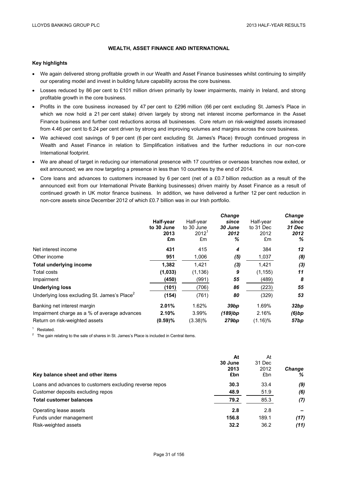# **WEALTH, ASSET FINANCE AND INTERNATIONAL**

#### **Key highlights**

- We again delivered strong profitable growth in our Wealth and Asset Finance businesses whilst continuing to simplify our operating model and invest in building future capability across the core business.
- Losses reduced by 86 per cent to £101 million driven primarily by lower impairments, mainly in Ireland, and strong profitable growth in the core business.
- Profits in the core business increased by 47 per cent to £296 million (66 per cent excluding St. James's Place in which we now hold a 21 per cent stake) driven largely by strong net interest income performance in the Asset Finance business and further cost reductions across all businesses. Core return on risk-weighted assets increased from 4.46 per cent to 6.24 per cent driven by strong and improving volumes and margins across the core business.
- We achieved cost savings of 9 per cent (6 per cent excluding St. James's Place) through continued progress in Wealth and Asset Finance in relation to Simplification initiatives and the further reductions in our non-core International footprint.
- We are ahead of target in reducing our international presence with 17 countries or overseas branches now exited, or exit announced; we are now targeting a presence in less than 10 countries by the end of 2014.
- Core loans and advances to customers increased by 6 per cent (net of a £0.7 billion reduction as a result of the announced exit from our International Private Banking businesses) driven mainly by Asset Finance as a result of continued growth in UK motor finance business. In addition, we have delivered a further 12 per cent reduction in non-core assets since December 2012 of which £0.7 billion was in our Irish portfolio.

|                                                          | Half-year<br>to 30 June<br>2013<br>£m | Half-year<br>to 30 June<br>$2012^1$<br>£m | <b>Change</b><br>since<br>30 June<br>2012<br>℅ | Half-year<br>to 31 Dec<br>2012<br>£m | <b>Change</b><br>since<br>31 Dec<br>2012<br>℅ |
|----------------------------------------------------------|---------------------------------------|-------------------------------------------|------------------------------------------------|--------------------------------------|-----------------------------------------------|
| Net interest income                                      | 431                                   | 415                                       | 4                                              | 384                                  | 12                                            |
| Other income                                             | 951                                   | 1,006                                     | (5)                                            | 1,037                                | (8)                                           |
| <b>Total underlying income</b>                           | 1,382                                 | 1,421                                     | (3)                                            | 1,421                                | (3)                                           |
| Total costs                                              | (1,033)                               | (1, 136)                                  | 9                                              | (1, 155)                             | 11                                            |
| Impairment                                               | (450)                                 | (991)                                     | 55                                             | (489)                                | 8                                             |
| <b>Underlying loss</b>                                   | (101)                                 | (706)                                     | 86                                             | (223)                                | 55                                            |
| Underlying loss excluding St. James's Place <sup>2</sup> | (154)                                 | (761)                                     | 80                                             | (329)                                | 53                                            |
| Banking net interest margin                              | 2.01%                                 | 1.62%                                     | 39bp                                           | 1.69%                                | 32bp                                          |
| Impairment charge as a % of average advances             | 2.10%                                 | 3.99%                                     | (189)bp                                        | 2.16%                                | $(6)$ bp                                      |
| Return on risk-weighted assets                           | (0.59)%                               | $(3.38)\%$                                | 279bp                                          | $(1.16)\%$                           | 57 <sub>bp</sub>                              |

<sup>1</sup> Restated.<br><sup>2</sup> The gain relating to the sale of shares in St. James's Place is included in Central items.

|                                                         | At      | At     |               |
|---------------------------------------------------------|---------|--------|---------------|
|                                                         | 30 June | 31 Dec |               |
|                                                         | 2013    | 2012   | <b>Change</b> |
| Key balance sheet and other items                       | £bn     | £bn    | ℅             |
| Loans and advances to customers excluding reverse repos | 30.3    | 33.4   | (9)           |
| Customer deposits excluding repos                       | 48.9    | 51.9   | (6)           |
| <b>Total customer balances</b>                          | 79.2    | 85.3   | (7)           |
| Operating lease assets                                  | 2.8     | 2.8    |               |
| Funds under management                                  | 156.8   | 189.1  | (17)          |
| Risk-weighted assets                                    | 32.2    | 36.2   | (11)          |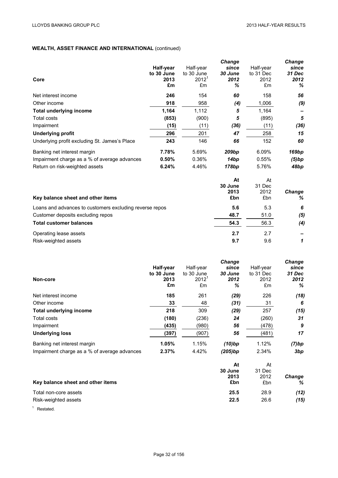# **WEALTH, ASSET FINANCE AND INTERNATIONAL** (continued)

|                                               |            |            | <b>Change</b>     |           | Change |
|-----------------------------------------------|------------|------------|-------------------|-----------|--------|
|                                               | Half-year  | Half-year  | since             | Half-year | since  |
|                                               | to 30 June | to 30 June | 30 June           | to 31 Dec | 31 Dec |
| Core                                          | 2013       | $2012^1$   | 2012              | 2012      | 2012   |
|                                               | £m         | £m         | ℅                 | £m        | %      |
| Net interest income                           | 246        | 154        | 60                | 158       | 56     |
| Other income                                  | 918        | 958        | (4)               | 1,006     | (9)    |
| <b>Total underlying income</b>                | 1,164      | 1,112      | 5                 | 1,164     |        |
| Total costs                                   | (853)      | (900)      | 5                 | (895)     | 5      |
| Impairment                                    | (15)       | (11)       | (36)              | (11)      | (36)   |
| <b>Underlying profit</b>                      | 296        | 201        | 47                | 258       | 15     |
| Underlying profit excluding St. James's Place | 243        | 146        | 66                | 152       | 60     |
| Banking net interest margin                   | 7.78%      | 5.69%      | 209 <sub>bp</sub> | 6.09%     | 169bp  |
| Impairment charge as a % of average advances  | 0.50%      | 0.36%      | 14bp              | 0.55%     | (5)bp  |
| Return on risk-weighted assets                | 6.24%      | 4.46%      | 178bp             | 5.76%     | 48bp   |
|                                               |            |            | At                | At        |        |
|                                               |            |            | 30 June           | 31 Dec    |        |

| Key balance sheet and other items                       | <b>30 June</b><br>2013<br>£bn | 31 Dec<br>2012<br>£bn | Change<br>% |
|---------------------------------------------------------|-------------------------------|-----------------------|-------------|
| Loans and advances to customers excluding reverse repos | 5.6                           | 5.3                   | -6          |
| Customer deposits excluding repos                       | 48.7                          | 51.0                  | (5)         |
| <b>Total customer balances</b>                          | 54.3                          | 56.3                  | (4)         |
| Operating lease assets                                  | 2.7                           | 2.7                   |             |
| Risk-weighted assets                                    | 9.7                           | 9.6                   |             |

| Non-core                                     | Half-year<br>to 30 June<br>2013<br>£m | Half-year<br>to 30 June<br>$2012^1$<br>£m | Change<br>since<br>30 June<br>2012<br>℅ | Half-year<br>to 31 Dec<br>2012<br>£m | Change<br>since<br>31 Dec<br>2012<br>% |
|----------------------------------------------|---------------------------------------|-------------------------------------------|-----------------------------------------|--------------------------------------|----------------------------------------|
| Net interest income                          | 185                                   | 261                                       | (29)                                    | 226                                  | (18)                                   |
| Other income                                 | 33                                    | 48                                        | (31)                                    | 31                                   | 6                                      |
| Total underlying income                      | 218                                   | 309                                       | (29)                                    | 257                                  | (15)                                   |
| Total costs                                  | (180)                                 | (236)                                     | 24                                      | (260)                                | 31                                     |
| Impairment                                   | (435)                                 | (980)                                     | 56                                      | (478)                                | 9                                      |
| <b>Underlying loss</b>                       | (397)                                 | (907)                                     | 56                                      | (481)                                | 17                                     |
| Banking net interest margin                  | 1.05%                                 | 1.15%                                     | $(10)$ bp                               | 1.12%                                | (7)bp                                  |
| Impairment charge as a % of average advances | 2.37%                                 | 4.42%                                     | (205)bp                                 | 2.34%                                | 3bp                                    |

|                                   | At      | At     |               |
|-----------------------------------|---------|--------|---------------|
|                                   | 30 June | 31 Dec |               |
|                                   | 2013    | 2012   | <b>Change</b> |
| Key balance sheet and other items | £bn     | £bn    | %             |
| Total non-core assets             | 25.5    | 28.9   | (12)          |
| Risk-weighted assets              | 22.5    | 26.6   | (15)          |

<sup>1</sup> Restated.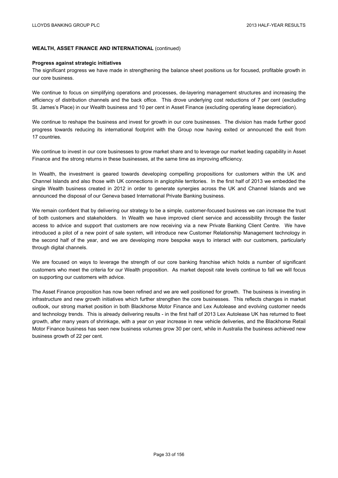# **WEALTH, ASSET FINANCE AND INTERNATIONAL** (continued)

#### **Progress against strategic initiatives**

The significant progress we have made in strengthening the balance sheet positions us for focused, profitable growth in our core business.

We continue to focus on simplifying operations and processes, de-layering management structures and increasing the efficiency of distribution channels and the back office. This drove underlying cost reductions of 7 per cent (excluding St. James's Place) in our Wealth business and 10 per cent in Asset Finance (excluding operating lease depreciation).

We continue to reshape the business and invest for growth in our core businesses. The division has made further good progress towards reducing its international footprint with the Group now having exited or announced the exit from 17 countries.

We continue to invest in our core businesses to grow market share and to leverage our market leading capability in Asset Finance and the strong returns in these businesses, at the same time as improving efficiency.

In Wealth, the investment is geared towards developing compelling propositions for customers within the UK and Channel Islands and also those with UK connections in anglophile territories. In the first half of 2013 we embedded the single Wealth business created in 2012 in order to generate synergies across the UK and Channel Islands and we announced the disposal of our Geneva based International Private Banking business.

We remain confident that by delivering our strategy to be a simple, customer-focused business we can increase the trust of both customers and stakeholders. In Wealth we have improved client service and accessibility through the faster access to advice and support that customers are now receiving via a new Private Banking Client Centre. We have introduced a pilot of a new point of sale system, will introduce new Customer Relationship Management technology in the second half of the year, and we are developing more bespoke ways to interact with our customers, particularly through digital channels.

We are focused on ways to leverage the strength of our core banking franchise which holds a number of significant customers who meet the criteria for our Wealth proposition. As market deposit rate levels continue to fall we will focus on supporting our customers with advice.

The Asset Finance proposition has now been refined and we are well positioned for growth. The business is investing in infrastructure and new growth initiatives which further strengthen the core businesses. This reflects changes in market outlook, our strong market position in both Blackhorse Motor Finance and Lex Autolease and evolving customer needs and technology trends. This is already delivering results - in the first half of 2013 Lex Autolease UK has returned to fleet growth, after many years of shrinkage, with a year on year increase in new vehicle deliveries, and the Blackhorse Retail Motor Finance business has seen new business volumes grow 30 per cent, while in Australia the business achieved new business growth of 22 per cent.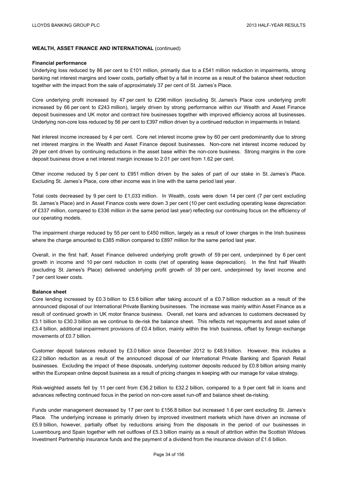## **WEALTH, ASSET FINANCE AND INTERNATIONAL** (continued)

#### **Financial performance**

Underlying loss reduced by 86 per cent to £101 million, primarily due to a £541 million reduction in impairments, strong banking net interest margins and lower costs, partially offset by a fall in income as a result of the balance sheet reduction together with the impact from the sale of approximately 37 per cent of St. James's Place.

Core underlying profit increased by 47 per cent to £296 million (excluding St. James's Place core underlying profit increased by 66 per cent to £243 million), largely driven by strong performance within our Wealth and Asset Finance deposit businesses and UK motor and contract hire businesses together with improved efficiency across all businesses. Underlying non-core loss reduced by 56 per cent to £397 million driven by a continued reduction in impairments in Ireland.

Net interest income increased by 4 per cent. Core net interest income grew by 60 per cent predominantly due to strong net interest margins in the Wealth and Asset Finance deposit businesses. Non-core net interest income reduced by 29 per cent driven by continuing reductions in the asset base within the non-core business. Strong margins in the core deposit business drove a net interest margin increase to 2.01 per cent from 1.62 per cent.

Other income reduced by 5 per cent to £951 million driven by the sales of part of our stake in St. James's Place. Excluding St. James's Place, core other income was in line with the same period last year.

Total costs decreased by 9 per cent to £1,033 million. In Wealth, costs were down 14 per cent (7 per cent excluding St. James's Place) and in Asset Finance costs were down 3 per cent (10 per cent excluding operating lease depreciation of £337 million, compared to £336 million in the same period last year) reflecting our continuing focus on the efficiency of our operating models.

The impairment charge reduced by 55 per cent to £450 million, largely as a result of lower charges in the Irish business where the charge amounted to £385 million compared to £897 million for the same period last year.

Overall, in the first half, Asset Finance delivered underlying profit growth of 59 per cent, underpinned by 6 per cent growth in income and 10 per cent reduction in costs (net of operating lease depreciation). In the first half Wealth (excluding St. James's Place) delivered underlying profit growth of 39 per cent, underpinned by level income and 7 per cent lower costs.

### **Balance sheet**

Core lending increased by £0.3 billion to £5.6 billion after taking account of a £0.7 billion reduction as a result of the announced disposal of our International Private Banking businesses. The increase was mainly within Asset Finance as a result of continued growth in UK motor finance business. Overall, net loans and advances to customers decreased by £3.1 billion to £30.3 billion as we continue to de-risk the balance sheet. This reflects net repayments and asset sales of £3.4 billion, additional impairment provisions of £0.4 billion, mainly within the Irish business, offset by foreign exchange movements of £0.7 billion.

Customer deposit balances reduced by £3.0 billion since December 2012 to £48.9 billion. However, this includes a £2.2 billion reduction as a result of the announced disposal of our International Private Banking and Spanish Retail businesses. Excluding the impact of these disposals, underlying customer deposits reduced by £0.8 billion arising mainly within the European online deposit business as a result of pricing changes in keeping with our manage for value strategy.

Risk-weighted assets fell by 11 per cent from £36.2 billion to £32.2 billion, compared to a 9 per cent fall in loans and advances reflecting continued focus in the period on non-core asset run-off and balance sheet de-risking.

Funds under management decreased by 17 per cent to £156.8 billion but increased 1.6 per cent excluding St. James's Place. The underlying increase is primarily driven by improved investment markets which have driven an increase of £5.9 billion, however, partially offset by reductions arising from the disposals in the period of our businesses in Luxembourg and Spain together with net outflows of £5.3 billion mainly as a result of attrition within the Scottish Widows Investment Partnership insurance funds and the payment of a dividend from the insurance division of £1.6 billion.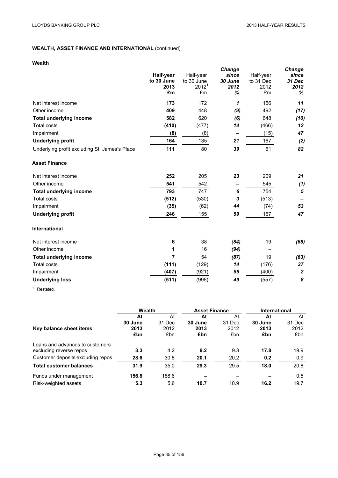# **WEALTH, ASSET FINANCE AND INTERNATIONAL** (continued)

# **Wealth**

|                                               | Half-year<br>to 30 June<br>2013<br>£m | Half-year<br>to 30 June<br>2012 <sup>1</sup><br>£m | <b>Change</b><br>since<br>30 June<br>2012<br>℅ | Half-year<br>to 31 Dec<br>2012<br>£m | <b>Change</b><br>since<br>31 Dec<br>2012<br>℅ |
|-----------------------------------------------|---------------------------------------|----------------------------------------------------|------------------------------------------------|--------------------------------------|-----------------------------------------------|
| Net interest income                           | 173                                   | 172                                                | $\mathbf{1}$                                   | 156                                  | 11                                            |
| Other income                                  | 409                                   | 448                                                | (9)                                            | 492                                  | (17)                                          |
| <b>Total underlying income</b>                | 582                                   | 620                                                | (6)                                            | 648                                  | (10)                                          |
| <b>Total costs</b>                            | (410)                                 | (477)                                              | 14                                             | (466)                                | 12                                            |
| Impairment                                    | (8)                                   | (8)                                                |                                                | (15)                                 | 47                                            |
| <b>Underlying profit</b>                      | 164                                   | 135                                                | 21                                             | 167                                  | (2)                                           |
| Underlying profit excluding St. James's Place | 111                                   | 80                                                 | 39                                             | 61                                   | 82                                            |
| <b>Asset Finance</b>                          |                                       |                                                    |                                                |                                      |                                               |
| Net interest income                           | 252                                   | 205                                                | 23                                             | 209                                  | 21                                            |
| Other income                                  | 541                                   | 542                                                |                                                | 545                                  | (1)                                           |
| <b>Total underlying income</b>                | 793                                   | 747                                                | 6                                              | 754                                  | 5                                             |
| <b>Total costs</b>                            | (512)                                 | (530)                                              | 3                                              | (513)                                |                                               |
| Impairment                                    | (35)                                  | (62)                                               | 44                                             | (74)                                 | 53                                            |
| <b>Underlying profit</b>                      | 246                                   | 155                                                | 59                                             | 167                                  | 47                                            |
| International                                 |                                       |                                                    |                                                |                                      |                                               |
| Net interest income                           | 6                                     | 38                                                 | (84)                                           | 19                                   | (68)                                          |
| Other income                                  | 1                                     | 16                                                 | (94)                                           |                                      |                                               |
| <b>Total underlying income</b>                | $\overline{7}$                        | 54                                                 | (87)                                           | 19                                   | (63)                                          |
| <b>Total costs</b>                            | (111)                                 | (129)                                              | 14                                             | (176)                                | 37                                            |
| Impairment                                    | (407)                                 | (921)                                              | 56                                             | (400)                                | $\boldsymbol{2}$                              |
| <b>Underlying loss</b>                        | (511)                                 | (996)                                              | 49                                             | (557)                                | 8                                             |

<sup>1</sup> Restated.

|                                   | Wealth  |        | <b>Asset Finance</b> |        | International |        |
|-----------------------------------|---------|--------|----------------------|--------|---------------|--------|
|                                   | At      | At     | At                   | At     | At            | At     |
|                                   | 30 June | 31 Dec | 30 June              | 31 Dec | 30 June       | 31 Dec |
| Key balance sheet items           | 2013    | 2012   | 2013                 | 2012   | 2013          | 2012   |
|                                   | £bn     | £bn    | £bn                  | £bn    | £bn           | £bn    |
| Loans and advances to customers   |         |        |                      |        |               |        |
| excluding reverse repos           | 3.3     | 4.2    | 9.2                  | 9.3    | 17.8          | 19.9   |
| Customer deposits excluding repos | 28.6    | 30.8   | 20.1                 | 20.2   | 0.2           | 0.9    |
| <b>Total customer balances</b>    | 31.9    | 35.0   | 29.3                 | 29.5   | 18.0          | 20.8   |
| Funds under management            | 156.8   | 188.6  |                      |        |               | 0.5    |
| Risk-weighted assets              | 5.3     | 5.6    | 10.7                 | 10.9   | 16.2          | 19.7   |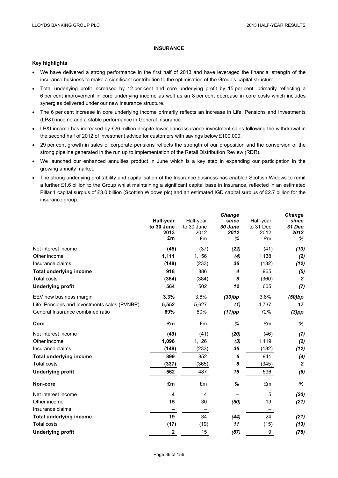# **INSURANCE**

#### **Key highlights**

- We have delivered a strong performance in the first half of 2013 and have leveraged the financial strength of the insurance business to make a significant contribution to the optimisation of the Group's capital structure.
- Total underlying profit increased by 12 per cent and core underlying profit by 15 per cent, primarily reflecting a 6 per cent improvement in core underlying income as well as an 8 per cent decrease in core costs which includes synergies delivered under our new insurance structure.
- The 6 per cent increase in core underlying income primarily reflects an increase in Life, Pensions and Investments (LP&I) income and a stable performance in General Insurance.
- LP&I income has increased by £26 million despite lower bancassurance investment sales following the withdrawal in the second half of 2012 of investment advice for customers with savings below £100,000.
- 29 per cent growth in sales of corporate pensions reflects the strength of our proposition and the conversion of the strong pipeline generated in the run up to implementation of the Retail Distribution Review (RDR).
- We launched our enhanced annuities product in June which is a key step in expanding our participation in the growing annuity market.
- The strong underlying profitability and capitalisation of the Insurance business has enabled Scottish Widows to remit a further £1.6 billion to the Group whilst maintaining a significant capital base in Insurance, reflected in an estimated Pillar 1 capital surplus of £3.0 billion (Scottish Widows plc) and an estimated IGD capital surplus of £2.7 billion for the insurance group.

|                                              | Half-year<br>to 30 June<br>2013<br>£m | Half-year<br>to 30 June<br>2012<br>£m | <b>Change</b><br>since<br>30 June<br>2012<br>℅ | Half-year<br>to 31 Dec<br>2012<br>£m | <b>Change</b><br>since<br>31 Dec<br>2012<br>% |
|----------------------------------------------|---------------------------------------|---------------------------------------|------------------------------------------------|--------------------------------------|-----------------------------------------------|
| Net interest income                          | (45)                                  | (37)                                  | (22)                                           | (41)                                 | (10)                                          |
| Other income                                 | 1,111                                 | 1,156                                 | (4)                                            | 1,138                                | (2)                                           |
| Insurance claims                             | (148)                                 | (233)                                 | 36                                             | (132)                                | (12)                                          |
| <b>Total underlying income</b>               | 918                                   | 886                                   | 4                                              | 965                                  | (5)                                           |
| <b>Total costs</b>                           | (354)                                 | (384)                                 | 8                                              | (360)                                | $\boldsymbol{2}$                              |
| <b>Underlying profit</b>                     | 564                                   | 502                                   | 12                                             | 605                                  | (7)                                           |
| EEV new business margin                      | 3.3%                                  | 3.6%                                  | (30)bp                                         | 3.8%                                 | (50)bp                                        |
| Life, Pensions and Investments sales (PVNBP) | 5,552                                 | 5,627                                 | (1)                                            | 4,737                                | 17                                            |
| General Insurance combined ratio             | 69%                                   | 80%                                   | $(11)$ pp                                      | 72%                                  | $(3)$ pp                                      |
| Core                                         | £m                                    | £m                                    | %                                              | £m                                   | %                                             |
| Net interest income                          | (49)                                  | (41)                                  | (20)                                           | (46)                                 | (7)                                           |
| Other income                                 | 1,096                                 | 1,126                                 | $(3)$                                          | 1,119                                | (2)                                           |
| Insurance claims                             | (148)                                 | (233)                                 | 36                                             | (132)                                | (12)                                          |
| <b>Total underlying income</b>               | 899                                   | 852                                   | 6                                              | 941                                  | (4)                                           |
| <b>Total costs</b>                           | (337)                                 | (365)                                 | 8                                              | (345)                                | $\boldsymbol{2}$                              |
| <b>Underlying profit</b>                     | 562                                   | 487                                   | 15                                             | 596                                  | (6)                                           |
| Non-core                                     | £m                                    | £m                                    | %                                              | £m                                   | %                                             |
| Net interest income                          | 4                                     | 4                                     |                                                | 5                                    | (20)                                          |
| Other income                                 | 15                                    | 30                                    | (50)                                           | 19                                   | (21)                                          |
| Insurance claims                             |                                       |                                       |                                                |                                      |                                               |
| <b>Total underlying income</b>               | 19                                    | 34                                    | (44)                                           | 24                                   | (21)                                          |
| <b>Total costs</b>                           | (17)                                  | (19)                                  | 11                                             | (15)                                 | (13)                                          |
| <b>Underlying profit</b>                     | $\mathbf 2$                           | 15                                    | (87)                                           | 9                                    | (78)                                          |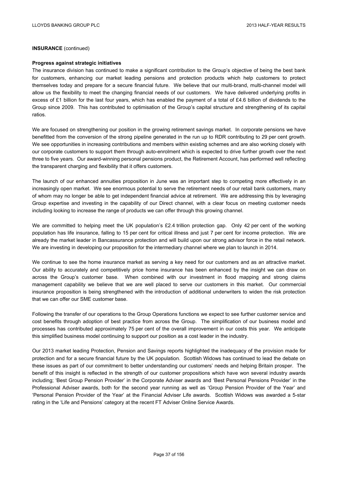## **INSURANCE** (continued)

#### **Progress against strategic initiatives**

The insurance division has continued to make a significant contribution to the Group's objective of being the best bank for customers, enhancing our market leading pensions and protection products which help customers to protect themselves today and prepare for a secure financial future. We believe that our multi-brand, multi-channel model will allow us the flexibility to meet the changing financial needs of our customers. We have delivered underlying profits in excess of £1 billion for the last four years, which has enabled the payment of a total of £4.6 billion of dividends to the Group since 2009. This has contributed to optimisation of the Group's capital structure and strengthening of its capital ratios.

We are focused on strengthening our position in the growing retirement savings market. In corporate pensions we have benefitted from the conversion of the strong pipeline generated in the run up to RDR contributing to 29 per cent growth. We see opportunities in increasing contributions and members within existing schemes and are also working closely with our corporate customers to support them through auto-enrolment which is expected to drive further growth over the next three to five years. Our award-winning personal pensions product, the Retirement Account, has performed well reflecting the transparent charging and flexibility that it offers customers.

The launch of our enhanced annuities proposition in June was an important step to competing more effectively in an increasingly open market. We see enormous potential to serve the retirement needs of our retail bank customers, many of whom may no longer be able to get independent financial advice at retirement. We are addressing this by leveraging Group expertise and investing in the capability of our Direct channel, with a clear focus on meeting customer needs including looking to increase the range of products we can offer through this growing channel.

We are committed to helping meet the UK population's £2.4 trillion protection gap. Only 42 per cent of the working population has life insurance, falling to 15 per cent for critical illness and just 7 per cent for income protection. We are already the market leader in Bancassurance protection and will build upon our strong advisor force in the retail network. We are investing in developing our proposition for the intermediary channel where we plan to launch in 2014.

We continue to see the home insurance market as serving a key need for our customers and as an attractive market. Our ability to accurately and competitively price home insurance has been enhanced by the insight we can draw on across the Group's customer base. When combined with our investment in flood mapping and strong claims management capability we believe that we are well placed to serve our customers in this market. Our commercial insurance proposition is being strengthened with the introduction of additional underwriters to widen the risk protection that we can offer our SME customer base.

Following the transfer of our operations to the Group Operations functions we expect to see further customer service and cost benefits through adoption of best practice from across the Group. The simplification of our business model and processes has contributed approximately 75 per cent of the overall improvement in our costs this year. We anticipate this simplified business model continuing to support our position as a cost leader in the industry.

Our 2013 market leading Protection, Pension and Savings reports highlighted the inadequacy of the provision made for protection and for a secure financial future by the UK population. Scottish Widows has continued to lead the debate on these issues as part of our commitment to better understanding our customers' needs and helping Britain prosper. The benefit of this insight is reflected in the strength of our customer propositions which have won several industry awards including; 'Best Group Pension Provider' in the Corporate Adviser awards and 'Best Personal Pensions Provider' in the Professional Adviser awards, both for the second year running as well as 'Group Pension Provider of the Year' and 'Personal Pension Provider of the Year' at the Financial Adviser Life awards. Scottish Widows was awarded a 5-star rating in the 'Life and Pensions' category at the recent FT Adviser Online Service Awards.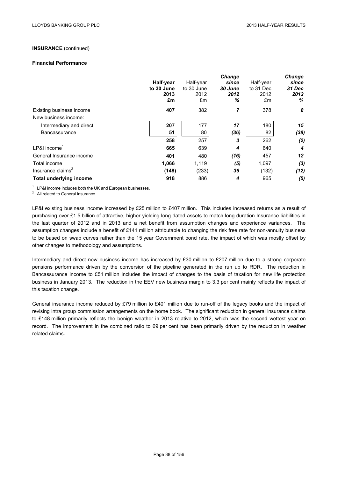# **INSURANCE** (continued)

#### **Financial Performance**

|                                |            |            | Change  |           | Change |
|--------------------------------|------------|------------|---------|-----------|--------|
|                                | Half-year  | Half-year  | since   | Half-year | since  |
|                                | to 30 June | to 30 June | 30 June | to 31 Dec | 31 Dec |
|                                | 2013       | 2012       | 2012    | 2012      | 2012   |
|                                | £m         | £m         | ℅       | £m        | %      |
| Existing business income       | 407        | 382        | 7       | 378       | 8      |
| New business income:           |            |            |         |           |        |
| Intermediary and direct        | 207        | 177        | 17      | 180       | 15     |
| <b>Bancassurance</b>           | 51         | 80         | (36)    | 82        | (38)   |
|                                | 258        | 257        | 3       | 262       | (2)    |
| $LP&I$ income <sup>1</sup>     | 665        | 639        | 4       | 640       | 4      |
| General Insurance income       | 401        | 480        | (16)    | 457       | 12     |
| Total income                   | 1,066      | 1,119      | (5)     | 1,097     | (3)    |
| Insurance claims <sup>2</sup>  | (148)      | (233)      | 36      | (132)     | (12)   |
| <b>Total underlying income</b> | 918        | 886        | 4       | 965       | (5)    |
|                                |            |            |         |           |        |

<sup>1</sup> LP&I income includes both the UK and European businesses.<br><sup>2</sup> All related to General Insurance.

LP&I existing business income increased by £25 million to £407 million. This includes increased returns as a result of purchasing over £1.5 billion of attractive, higher yielding long dated assets to match long duration Insurance liabilities in the last quarter of 2012 and in 2013 and a net benefit from assumption changes and experience variances. The assumption changes include a benefit of £141 million attributable to changing the risk free rate for non-annuity business to be based on swap curves rather than the 15 year Government bond rate, the impact of which was mostly offset by other changes to methodology and assumptions.

Intermediary and direct new business income has increased by £30 million to £207 million due to a strong corporate pensions performance driven by the conversion of the pipeline generated in the run up to RDR. The reduction in Bancassurance income to £51 million includes the impact of changes to the basis of taxation for new life protection business in January 2013. The reduction in the EEV new business margin to 3.3 per cent mainly reflects the impact of this taxation change.

General insurance income reduced by £79 million to £401 million due to run-off of the legacy books and the impact of revising intra group commission arrangements on the home book. The significant reduction in general insurance claims to £148 million primarily reflects the benign weather in 2013 relative to 2012, which was the second wettest year on record. The improvement in the combined ratio to 69 per cent has been primarily driven by the reduction in weather related claims.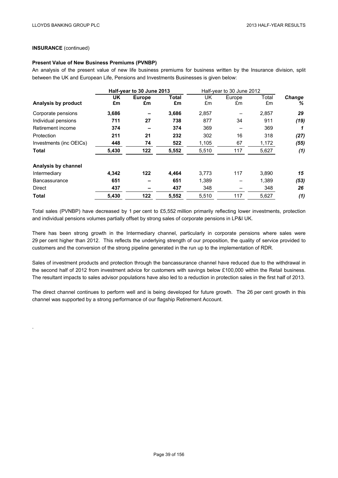## **INSURANCE** (continued)

.

### **Present Value of New Business Premiums (PVNBP)**

An analysis of the present value of new life business premiums for business written by the Insurance division, split between the UK and European Life, Pensions and Investments Businesses is given below:

|                         | Half-year to 30 June 2013 |               |       | Half-year to 30 June 2012 |        |       |               |  |
|-------------------------|---------------------------|---------------|-------|---------------------------|--------|-------|---------------|--|
|                         | UK                        | <b>Europe</b> | Total | UK.                       | Europe | Total | <b>Change</b> |  |
| Analysis by product     | £m                        | £m            | £m    | £m                        | £m     | £m    | %             |  |
| Corporate pensions      | 3,686                     |               | 3,686 | 2,857                     |        | 2,857 | 29            |  |
| Individual pensions     | 711                       | 27            | 738   | 877                       | 34     | 911   | (19)          |  |
| Retirement income       | 374                       |               | 374   | 369                       |        | 369   |               |  |
| Protection              | 211                       | 21            | 232   | 302                       | 16     | 318   | (27)          |  |
| Investments (inc OEICs) | 448                       | 74            | 522   | 1,105                     | 67     | 1,172 | (55)          |  |
| <b>Total</b>            | 5,430                     | 122           | 5,552 | 5,510                     | 117    | 5,627 | (1)           |  |
| Analysis by channel     |                           |               |       |                           |        |       |               |  |
| Intermediary            | 4,342                     | 122           | 4,464 | 3,773                     | 117    | 3,890 | 15            |  |
| <b>Bancassurance</b>    | 651                       |               | 651   | 1,389                     |        | 1,389 | (53)          |  |
| Direct                  | 437                       |               | 437   | 348                       |        | 348   | 26            |  |
| Total                   | 5,430                     | 122           | 5,552 | 5,510                     | 117    | 5,627 | (1)           |  |

Total sales (PVNBP) have decreased by 1 per cent to £5,552 million primarily reflecting lower investments, protection and individual pensions volumes partially offset by strong sales of corporate pensions in LP&I UK.

There has been strong growth in the Intermediary channel, particularly in corporate pensions where sales were 29 per cent higher than 2012. This reflects the underlying strength of our proposition, the quality of service provided to customers and the conversion of the strong pipeline generated in the run up to the implementation of RDR.

Sales of investment products and protection through the bancassurance channel have reduced due to the withdrawal in the second half of 2012 from investment advice for customers with savings below £100,000 within the Retail business. The resultant impacts to sales advisor populations have also led to a reduction in protection sales in the first half of 2013.

The direct channel continues to perform well and is being developed for future growth. The 26 per cent growth in this channel was supported by a strong performance of our flagship Retirement Account.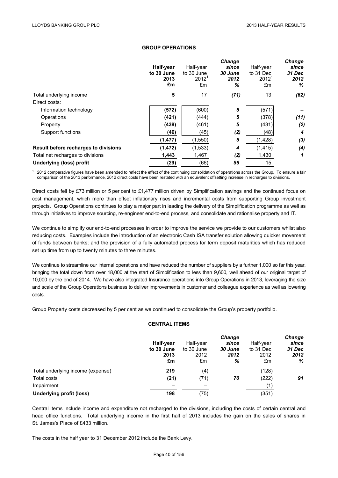### **GROUP OPERATIONS**

|                                      | Half-year<br>to 30 June<br>2013<br>£m | Half-year<br>to 30 June<br>$2012^{\degree}$<br>£m | Change<br>since<br>30 June<br>2012<br>% | Half-year<br>to 31 Dec<br>$2012^{\circ}$<br>£m | Change<br>since<br>31 Dec<br>2012<br>% |
|--------------------------------------|---------------------------------------|---------------------------------------------------|-----------------------------------------|------------------------------------------------|----------------------------------------|
| Total underlying income              | 5                                     | 17                                                | (71)                                    | 13                                             | (62)                                   |
| Direct costs:                        |                                       |                                                   |                                         |                                                |                                        |
| Information technology               | (572)                                 | (600)                                             | 5                                       | (571)                                          |                                        |
| Operations                           | (421)                                 | (444)                                             | 5                                       | (378)                                          | (11)                                   |
| Property                             | (438)                                 | (461)                                             | 5                                       | (431)                                          | (2)                                    |
| Support functions                    | (46)                                  | (45)                                              | (2)                                     | (48)                                           | 4                                      |
|                                      | (1, 477)                              | (1,550)                                           | 5                                       | (1, 428)                                       | (3)                                    |
| Result before recharges to divisions | (1, 472)                              | (1,533)                                           | 4                                       | (1, 415)                                       | (4)                                    |
| Total net recharges to divisions     | 1,443                                 | 1,467                                             | (2)                                     | 1,430                                          | 1                                      |
| <b>Underlying (loss) profit</b>      | (29)                                  | (66)                                              | 56                                      | 15                                             |                                        |

<sup>1</sup> 2012 comparative figures have been amended to reflect the effect of the continuing consolidation of operations across the Group. To ensure a fair comparison of the 2013 performance, 2012 direct costs have been restated with an equivalent offsetting increase in recharges to divisions.

Direct costs fell by £73 million or 5 per cent to £1,477 million driven by Simplification savings and the continued focus on cost management, which more than offset inflationary rises and incremental costs from supporting Group investment projects. Group Operations continues to play a major part in leading the delivery of the Simplification programme as well as through initiatives to improve sourcing, re-engineer end-to-end process, and consolidate and rationalise property and IT.

We continue to simplify our end-to-end processes in order to improve the service we provide to our customers whilst also reducing costs. Examples include the introduction of an electronic Cash ISA transfer solution allowing quicker movement of funds between banks; and the provision of a fully automated process for term deposit maturities which has reduced set up time from up to twenty minutes to three minutes.

We continue to streamline our internal operations and have reduced the number of suppliers by a further 1,000 so far this year, bringing the total down from over 18,000 at the start of Simplification to less than 9,600, well ahead of our original target of 10,000 by the end of 2014. We have also integrated Insurance operations into Group Operations in 2013, leveraging the size and scale of the Group Operations business to deliver improvements in customer and colleague experience as well as lowering costs.

Group Property costs decreased by 5 per cent as we continued to consolidate the Group's property portfolio.

### **CENTRAL ITEMS**

|                                   | Half-year<br>to 30 June<br>2013<br>£m | Half-year<br>to 30 June<br>2012<br>£m | <b>Change</b><br>since<br>30 June<br>2012<br>% | Half-year<br>to 31 Dec<br>2012<br>£m | Change<br>since<br>31 Dec<br>2012<br>% |
|-----------------------------------|---------------------------------------|---------------------------------------|------------------------------------------------|--------------------------------------|----------------------------------------|
| Total underlying income (expense) | 219                                   | (4)                                   |                                                | (128)                                |                                        |
| Total costs                       | (21)                                  | (71)                                  | 70                                             | (222)                                | 91                                     |
| Impairment                        | $\overline{\phantom{0}}$              |                                       |                                                | (1)                                  |                                        |
| <b>Underlying profit (loss)</b>   | 198                                   | (75)                                  |                                                | (351)                                |                                        |

Central items include income and expenditure not recharged to the divisions, including the costs of certain central and head office functions. Total underlying income in the first half of 2013 includes the gain on the sales of shares in St. James's Place of £433 million.

The costs in the half year to 31 December 2012 include the Bank Levy.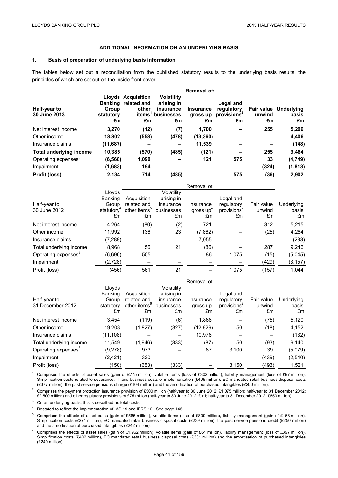### **ADDITIONAL INFORMATION ON AN UNDERLYING BASIS**

### **1. Basis of preparation of underlying basis information**

The tables below set out a reconciliation from the published statutory results to the underlying basis results, the principles of which are set out on the inside front cover:

|        |           | <b>Volatility</b>                                                                            |                                                            |            |                                                                     |                       |
|--------|-----------|----------------------------------------------------------------------------------------------|------------------------------------------------------------|------------|---------------------------------------------------------------------|-----------------------|
|        |           | arising in                                                                                   |                                                            | Legal and  |                                                                     |                       |
| Group  |           | insurance                                                                                    | <b>Insurance</b>                                           | regulatory |                                                                     | Fair value Underlying |
| £m     | £m        | £m                                                                                           | £m                                                         | £m         | £m                                                                  | basis<br>£m           |
| 3,270  |           | (7)                                                                                          | 1,700                                                      |            | 255                                                                 | 5,206                 |
| 18,802 |           | (478)                                                                                        |                                                            |            |                                                                     | 4,406                 |
|        |           |                                                                                              | 11,539                                                     |            |                                                                     | (148)                 |
| 10,385 |           | (485)                                                                                        |                                                            |            | 255                                                                 | 9,464                 |
|        | 1,090     |                                                                                              | 121                                                        | 575        | 33                                                                  | (4, 749)              |
|        | 194       |                                                                                              |                                                            |            | (324)                                                               | (1, 813)              |
| 2,134  | 714       | (485)                                                                                        |                                                            | 575        | (36)                                                                | 2,902                 |
|        | statutory | <b>Lloyds Acquisition</b><br>Banking related and<br>other<br>(11,687)<br>(6, 568)<br>(1,683) | items <sup>1</sup><br>businesses<br>(12)<br>(558)<br>(570) | gross up   | <b>Removal of:</b><br>provisions <sup>2</sup><br>(13, 360)<br>(121) | unwind                |

|                                 |                        |                          |            | Removal of:           |            |            |            |
|---------------------------------|------------------------|--------------------------|------------|-----------------------|------------|------------|------------|
|                                 | Lloyds                 |                          | Volatility |                       |            |            |            |
|                                 | <b>Banking</b>         | Acquisition              | arising in |                       | Legal and  |            |            |
| Half-year to                    | Group                  | related and              | insurance  | Insurance             | regulatory | Fair value | Underlying |
| 30 June 2012                    | statutory <sup>+</sup> | other items <sup>3</sup> | businesses | gross up <sup>+</sup> | provisions | unwind     | basis      |
|                                 | £m                     | £m                       | £m         | £m                    | £m         | £m         | £m         |
| Net interest income             | 4,264                  | (80)                     | (2)        | 721                   |            | 312        | 5,215      |
| Other income                    | 11,992                 | 136                      | 23         | (7, 862)              |            | (25)       | 4,264      |
| Insurance claims                | (7,288)                |                          |            | 7,055                 |            |            | (233)      |
| Total underlying income         | 8,968                  | 56                       | 21         | (86)                  |            | 287        | 9,246      |
| Operating expenses <sup>3</sup> | (6,696)                | 505                      |            | 86                    | 1,075      | (15)       | (5,045)    |
| Impairment                      | (2,728)                |                          |            |                       |            | (429)      | (3, 157)   |
| Profit (loss)                   | (456)                  | 561                      | 21         |                       | 1,075      | (157)      | 1,044      |

|                                 |           |                          |            | Removal of: |                         |            |            |
|---------------------------------|-----------|--------------------------|------------|-------------|-------------------------|------------|------------|
|                                 | Lloyds    |                          | Volatility |             |                         |            |            |
|                                 | Banking   | Acquisition              | arising in |             | Legal and               |            |            |
| Half-year to                    | Group     | related and              | insurance  | Insurance   | regulatory              | Fair value | Underlying |
| 31 December 2012                | statutory | other items <sup>o</sup> | businesses | gross up    | provisions <sup>2</sup> | unwind     | basis      |
|                                 | £m        | £m                       | £m         | £m          | £m                      | £m         | £m         |
| Net interest income             | 3,454     | (119)                    | (6)        | 1,866       |                         | (75)       | 5,120      |
| Other income                    | 19,203    | (1,827)                  | (327)      | (12, 929)   | 50                      | (18)       | 4,152      |
| Insurance claims                | (11, 108) |                          |            | 10,976      |                         |            | (132)      |
| Total underlying income         | 11,549    | (1,946)                  | (333)      | (87)        | 50                      | (93)       | 9,140      |
| Operating expenses <sup>3</sup> | (9,278)   | 973                      |            | 87          | 3,100                   | 39         | (5,079)    |
| Impairment                      | (2, 421)  | 320                      |            |             |                         | (439)      | (2, 540)   |
| Profit (loss)                   | (150)     | (653)                    | (333)      |             | 3,150                   | (493)      | 1,521      |

<sup>1</sup> Comprises the effects of asset sales (gain of £775 million), volatile items (loss of £302 million), liability management (loss of £97 million), Simplification costs related to severance, IT and business costs of implementation (£409 million), EC mandated retail business disposal costs (£377 million), the past service pensions charge (£104 million) and the amortisation of purchased intangibles (£200 million).

<sup>2</sup> Comprises the payment protection insurance provision of £500 million (half-year to 30 June 2012: £1,075 million; half-year to 31 December 2012: £2,500 million) and other regulatory provisions of £75 million (half-year to 30 June 2012: £ nil; half-year to 31 December 2012: £650 million).

<sup>3</sup> On an underlying basis, this is described as total costs.

<sup>4</sup> Restated to reflect the implementation of IAS 19 and IFRS 10. See page 145.

<sup>5</sup> Comprises the effects of asset sales (gain of £585 million), volatile items (loss of £809 million), liability management (gain of £168 million), Simplification costs (£274 million), EC mandated retail business disposal costs (£239 million), the past service pensions credit (£250 million) and the amortisation of purchased intangibles (£242 million).

<sup>6</sup> Comprises the effects of asset sales (gain of £1,962 million), volatile items (gain of £61 million), liability management (loss of £397 million), Simplification costs (£402 million), EC mandated retail business disposal costs (£331 million) and the amortisation of purchased intangibles (£240 million).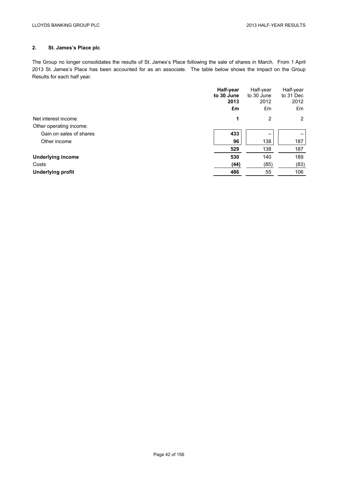# **2. St. James's Place plc**

The Group no longer consolidates the results of St. James's Place following the sale of shares in March. From 1 April 2013 St. James's Place has been accounted for as an associate. The table below shows the impact on the Group Results for each half year.

|                          | Half-year<br>to 30 June<br>2013 | Half-year<br>to 30 June<br>2012 | Half-year<br>to 31 Dec<br>2012 |
|--------------------------|---------------------------------|---------------------------------|--------------------------------|
|                          | £m                              | £m                              | £m                             |
| Net interest income      | 1                               | 2                               | 2                              |
| Other operating income:  |                                 |                                 |                                |
| Gain on sales of shares  | 433                             |                                 | -                              |
| Other income             | 96                              | 138                             | 187                            |
|                          | 529                             | 138                             | 187                            |
| <b>Underlying income</b> | 530                             | 140                             | 189                            |
| Costs                    | (44)                            | (85)                            | (83)                           |
| <b>Underlying profit</b> | 486                             | 55                              | 106                            |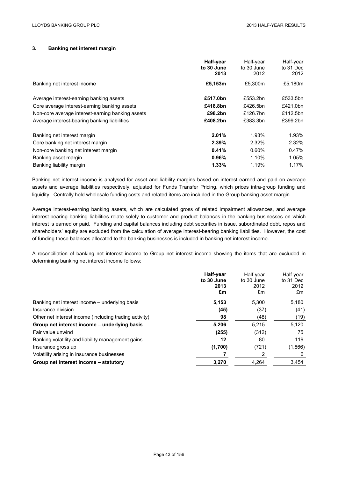### **3. Banking net interest margin**

|                                                  | Half-year<br>to 30 June<br>2013 | Half-year<br>to 30 June<br>2012 | Half-year<br>to 31 Dec<br>2012 |
|--------------------------------------------------|---------------------------------|---------------------------------|--------------------------------|
| Banking net interest income                      | £5,153m                         | £5,300m                         | £5,180m                        |
| Average interest-earning banking assets          | £517.0bn                        | £553.2bn                        | £533.5bn                       |
| Core average interest-earning banking assets     | £418.8bn                        | £426.5bn                        | £421.0bn                       |
| Non-core average interest-earning banking assets | £98.2bn                         | £126.7bn                        | £112.5bn                       |
| Average interest-bearing banking liabilities     | £408.2bn                        | £383.3bn                        | £399.2bn                       |
| Banking net interest margin                      | 2.01%                           | 1.93%                           | 1.93%                          |
| Core banking net interest margin                 | 2.39%                           | 2.32%                           | 2.32%                          |
| Non-core banking net interest margin             | 0.41%                           | 0.60%                           | 0.47%                          |
| Banking asset margin                             | 0.96%                           | 1.10%                           | 1.05%                          |
| Banking liability margin                         | 1.33%                           | 1.19%                           | 1.17%                          |

Banking net interest income is analysed for asset and liability margins based on interest earned and paid on average assets and average liabilities respectively, adjusted for Funds Transfer Pricing, which prices intra-group funding and liquidity. Centrally held wholesale funding costs and related items are included in the Group banking asset margin.

Average interest-earning banking assets, which are calculated gross of related impairment allowances, and average interest-bearing banking liabilities relate solely to customer and product balances in the banking businesses on which interest is earned or paid. Funding and capital balances including debt securities in issue, subordinated debt, repos and shareholders' equity are excluded from the calculation of average interest-bearing banking liabilities. However, the cost of funding these balances allocated to the banking businesses is included in banking net interest income.

A reconciliation of banking net interest income to Group net interest income showing the items that are excluded in determining banking net interest income follows:

|                                                        | Half-year<br>to 30 June<br>2013<br>£m | Half-year<br>to 30 June<br>2012<br>£m | Half-year<br>to 31 Dec<br>2012<br>£m |
|--------------------------------------------------------|---------------------------------------|---------------------------------------|--------------------------------------|
| Banking net interest income – underlying basis         | 5,153                                 | 5,300                                 | 5,180                                |
| Insurance division                                     | (45)                                  | (37)                                  | (41)                                 |
| Other net interest income (including trading activity) | 98                                    | (48)                                  | (19)                                 |
| Group net interest income – underlying basis           | 5,206                                 | 5.215                                 | 5.120                                |
| Fair value unwind                                      | (255)                                 | (312)                                 | 75                                   |
| Banking volatility and liability management gains      | 12                                    | 80                                    | 119                                  |
| Insurance gross up                                     | (1,700)                               | (721)                                 | (1,866)                              |
| Volatility arising in insurance businesses             |                                       | 2                                     | 6                                    |
| Group net interest income - statutory                  | 3,270                                 | 4,264                                 | 3,454                                |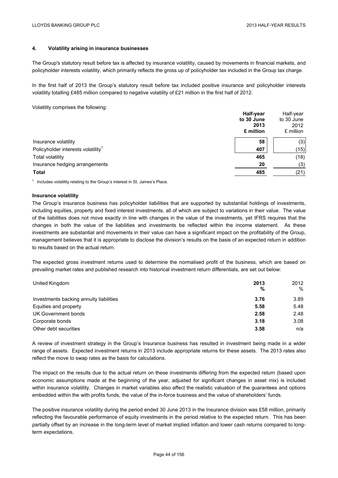# **4. Volatility arising in insurance businesses**

The Group's statutory result before tax is affected by insurance volatility, caused by movements in financial markets, and policyholder interests volatility, which primarily reflects the gross up of policyholder tax included in the Group tax charge.

In the first half of 2013 the Group's statutory result before tax included positive insurance and policyholder interests volatility totalling £485 million compared to negative volatility of £21 million in the first half of 2012.

Volatility comprises the following:

|                                                | Half-year<br>to 30 June | Half-year<br>to 30 June |
|------------------------------------------------|-------------------------|-------------------------|
|                                                | 2013                    | 2012                    |
|                                                | £ million               | £ million               |
| Insurance volatility                           | 58                      | (3)                     |
| Policyholder interests volatility <sup>1</sup> | 407                     | (15)                    |
| <b>Total volatility</b>                        | 465                     | (18)                    |
| Insurance hedging arrangements                 | 20                      | (3)                     |
| <b>Total</b>                                   | 485                     | (21)                    |
|                                                |                         |                         |

 $1$  Includes volatility relating to the Group's interest in St. James's Place.

### **Insurance volatility**

The Group's insurance business has policyholder liabilities that are supported by substantial holdings of investments, including equities, property and fixed interest investments, all of which are subject to variations in their value. The value of the liabilities does not move exactly in line with changes in the value of the investments, yet IFRS requires that the changes in both the value of the liabilities and investments be reflected within the income statement. As these investments are substantial and movements in their value can have a significant impact on the profitability of the Group, management believes that it is appropriate to disclose the division's results on the basis of an expected return in addition to results based on the actual return.

The expected gross investment returns used to determine the normalised profit of the business, which are based on prevailing market rates and published research into historical investment return differentials, are set out below:

| United Kingdom                          | 2013<br>% | 2012<br>% |
|-----------------------------------------|-----------|-----------|
| Investments backing annuity liabilities | 3.76      | 3.89      |
| Equities and property                   | 5.58      | 5.48      |
| UK Government bonds                     | 2.58      | 2.48      |
| Corporate bonds                         | 3.18      | 3.08      |
| Other debt securities                   | 3.58      | n/a       |

A review of investment strategy in the Group's Insurance business has resulted in investment being made in a wider range of assets. Expected investment returns in 2013 include appropriate returns for these assets. The 2013 rates also reflect the move to swap rates as the basis for calculations.

The impact on the results due to the actual return on these investments differing from the expected return (based upon economic assumptions made at the beginning of the year, adjusted for significant changes in asset mix) is included within insurance volatility. Changes in market variables also affect the realistic valuation of the guarantees and options embedded within the with profits funds, the value of the in-force business and the value of shareholders' funds.

The positive insurance volatility during the period ended 30 June 2013 in the Insurance division was £58 million, primarily reflecting the favourable performance of equity investments in the period relative to the expected return. This has been partially offset by an increase in the long-term level of market implied inflation and lower cash returns compared to longterm expectations.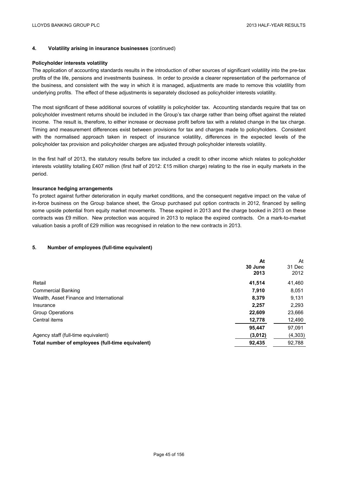### **4. Volatility arising in insurance businesses** (continued)

### **Policyholder interests volatility**

The application of accounting standards results in the introduction of other sources of significant volatility into the pre-tax profits of the life, pensions and investments business. In order to provide a clearer representation of the performance of the business, and consistent with the way in which it is managed, adjustments are made to remove this volatility from underlying profits. The effect of these adjustments is separately disclosed as policyholder interests volatility.

The most significant of these additional sources of volatility is policyholder tax. Accounting standards require that tax on policyholder investment returns should be included in the Group's tax charge rather than being offset against the related income. The result is, therefore, to either increase or decrease profit before tax with a related change in the tax charge. Timing and measurement differences exist between provisions for tax and charges made to policyholders. Consistent with the normalised approach taken in respect of insurance volatility, differences in the expected levels of the policyholder tax provision and policyholder charges are adjusted through policyholder interests volatility.

In the first half of 2013, the statutory results before tax included a credit to other income which relates to policyholder interests volatility totalling £407 million (first half of 2012: £15 million charge) relating to the rise in equity markets in the period.

### **Insurance hedging arrangements**

To protect against further deterioration in equity market conditions, and the consequent negative impact on the value of in-force business on the Group balance sheet, the Group purchased put option contracts in 2012, financed by selling some upside potential from equity market movements. These expired in 2013 and the charge booked in 2013 on these contracts was £9 million. New protection was acquired in 2013 to replace the expired contracts. On a mark-to-market valuation basis a profit of £29 million was recognised in relation to the new contracts in 2013.

### **5. Number of employees (full-time equivalent)**

|                                                  | At<br>30 June<br>2013 | At<br>31 Dec<br>2012 |
|--------------------------------------------------|-----------------------|----------------------|
| Retail                                           | 41,514                | 41,460               |
| <b>Commercial Banking</b>                        | 7.910                 | 8,051                |
| Wealth, Asset Finance and International          | 8,379                 | 9,131                |
| Insurance                                        | 2.257                 | 2,293                |
| <b>Group Operations</b>                          | 22,609                | 23,666               |
| Central items                                    | 12,778                | 12,490               |
|                                                  | 95,447                | 97,091               |
| Agency staff (full-time equivalent)              | (3,012)               | (4,303)              |
| Total number of employees (full-time equivalent) | 92,435                | 92,788               |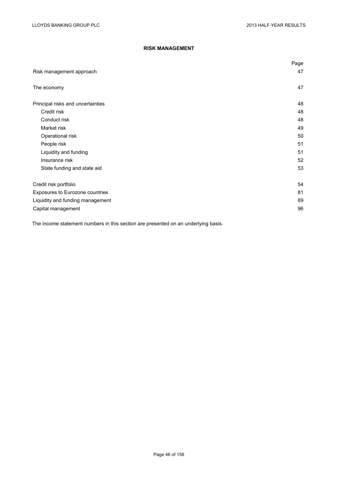# **RISK MANAGEMENT**

|                                   | Page |
|-----------------------------------|------|
| Risk management approach          | 47   |
| The economy                       | 47   |
| Principal risks and uncertainties | 48   |
| Credit risk                       | 48   |
| Conduct risk                      | 48   |
| Market risk                       | 49   |
| Operational risk                  | 50   |
| People risk                       | 51   |
| Liquidity and funding             | 51   |
| Insurance risk                    | 52   |
| State funding and state aid       | 53   |
| Credit risk portfolio             | 54   |
| Exposures to Eurozone countries   | 81   |
| Liquidity and funding management  | 89   |
| Capital management                | 96   |

The income statement numbers in this section are presented on an underlying basis.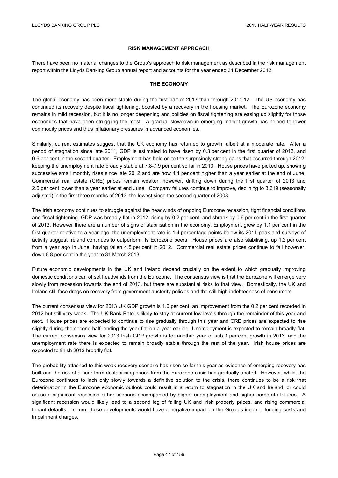### **RISK MANAGEMENT APPROACH**

There have been no material changes to the Group's approach to risk management as described in the risk management report within the Lloyds Banking Group annual report and accounts for the year ended 31 December 2012.

### **THE ECONOMY**

The global economy has been more stable during the first half of 2013 than through 2011-12. The US economy has continued its recovery despite fiscal tightening, boosted by a recovery in the housing market. The Eurozone economy remains in mild recession, but it is no longer deepening and policies on fiscal tightening are easing up slightly for those economies that have been struggling the most. A gradual slowdown in emerging market growth has helped to lower commodity prices and thus inflationary pressures in advanced economies.

Similarly, current estimates suggest that the UK economy has returned to growth, albeit at a moderate rate. After a period of stagnation since late 2011, GDP is estimated to have risen by 0.3 per cent in the first quarter of 2013, and 0.6 per cent in the second quarter. Employment has held on to the surprisingly strong gains that occurred through 2012, keeping the unemployment rate broadly stable at 7.8-7.9 per cent so far in 2013. House prices have picked up, showing successive small monthly rises since late 2012 and are now 4.1 per cent higher than a year earlier at the end of June. Commercial real estate (CRE) prices remain weaker, however, drifting down during the first quarter of 2013 and 2.6 per cent lower than a year earlier at end June. Company failures continue to improve, declining to 3,619 (seasonally adjusted) in the first three months of 2013, the lowest since the second quarter of 2008.

The Irish economy continues to struggle against the headwinds of ongoing Eurozone recession, tight financial conditions and fiscal tightening. GDP was broadly flat in 2012, rising by 0.2 per cent, and shrank by 0.6 per cent in the first quarter of 2013. However there are a number of signs of stabilisation in the economy. Employment grew by 1.1 per cent in the first quarter relative to a year ago, the unemployment rate is 1.4 percentage points below its 2011 peak and surveys of activity suggest Ireland continues to outperform its Eurozone peers. House prices are also stabilising, up 1.2 per cent from a year ago in June, having fallen 4.5 per cent in 2012. Commercial real estate prices continue to fall however, down 5.8 per cent in the year to 31 March 2013.

Future economic developments in the UK and Ireland depend crucially on the extent to which gradually improving domestic conditions can offset headwinds from the Eurozone. The consensus view is that the Eurozone will emerge very slowly from recession towards the end of 2013, but there are substantial risks to that view. Domestically, the UK and Ireland still face drags on recovery from government austerity policies and the still-high indebtedness of consumers.

The current consensus view for 2013 UK GDP growth is 1.0 per cent, an improvement from the 0.2 per cent recorded in 2012 but still very weak. The UK Bank Rate is likely to stay at current low levels through the remainder of this year and next. House prices are expected to continue to rise gradually through this year and CRE prices are expected to rise slightly during the second half, ending the year flat on a year earlier. Unemployment is expected to remain broadly flat. The current consensus view for 2013 Irish GDP growth is for another year of sub 1 per cent growth in 2013, and the unemployment rate there is expected to remain broadly stable through the rest of the year. Irish house prices are expected to finish 2013 broadly flat.

The probability attached to this weak recovery scenario has risen so far this year as evidence of emerging recovery has built and the risk of a near-term destabilising shock from the Eurozone crisis has gradually abated. However, whilst the Eurozone continues to inch only slowly towards a definitive solution to the crisis, there continues to be a risk that deterioration in the Eurozone economic outlook could result in a return to stagnation in the UK and Ireland, or could cause a significant recession either scenario accompanied by higher unemployment and higher corporate failures. A significant recession would likely lead to a second leg of falling UK and Irish property prices, and rising commercial tenant defaults. In turn, these developments would have a negative impact on the Group's income, funding costs and impairment charges.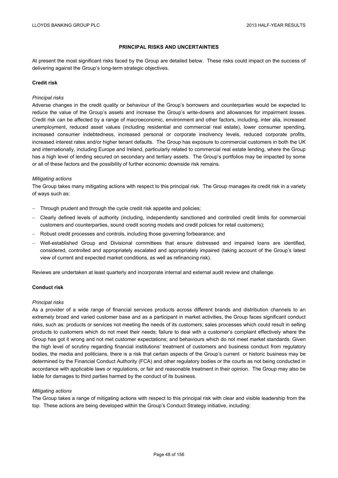# **PRINCIPAL RISKS AND UNCERTAINTIES**

At present the most significant risks faced by the Group are detailed below. These risks could impact on the success of delivering against the Group's long-term strategic objectives.

#### **Credit risk**

#### *Principal risks*

Adverse changes in the credit quality or behaviour of the Group's borrowers and counterparties would be expected to reduce the value of the Group's assets and increase the Group's write-downs and allowances for impairment losses. Credit risk can be affected by a range of macroeconomic, environment and other factors, including, inter alia, increased unemployment, reduced asset values (including residential and commercial real estate), lower consumer spending, increased consumer indebtedness, increased personal or corporate insolvency levels, reduced corporate profits, increased interest rates and/or higher tenant defaults. The Group has exposure to commercial customers in both the UK and internationally, including Europe and Ireland, particularly related to commercial real estate lending, where the Group has a high level of lending secured on secondary and tertiary assets. The Group's portfolios may be impacted by some or all of these factors and the possibility of further economic downside risk remains.

#### *Mitigating actions*

The Group takes many mitigating actions with respect to this principal risk. The Group manages its credit risk in a variety of ways such as:

- Through prudent and through the cycle credit risk appetite and policies;
- Clearly defined levels of authority (including, independently sanctioned and controlled credit limits for commercial customers and counterparties, sound credit scoring models and credit policies for retail customers);
- Robust credit processes and controls, including those governing forbearance; and
- Well-established Group and Divisional committees that ensure distressed and impaired loans are identified, considered, controlled and appropriately escalated and appropriately impaired (taking account of the Group's latest view of current and expected market conditions, as well as refinancing risk).

Reviews are undertaken at least quarterly and incorporate internal and external audit review and challenge.

### **Conduct risk**

#### *Principal risks*

As a provider of a wide range of financial services products across different brands and distribution channels to an extremely broad and varied customer base and as a participant in market activities, the Group faces significant conduct risks, such as: products or services not meeting the needs of its customers; sales processes which could result in selling products to customers which do not meet their needs; failure to deal with a customer's complaint effectively where the Group has got it wrong and not met customer expectations; and behaviours which do not meet market standards. Given the high level of scrutiny regarding financial institutions' treatment of customers and business conduct from regulatory bodies, the media and politicians, there is a risk that certain aspects of the Group's current or historic business may be determined by the Financial Conduct Authority (FCA) and other regulatory bodies or the courts as not being conducted in accordance with applicable laws or regulations, or fair and reasonable treatment in their opinion. The Group may also be liable for damages to third parties harmed by the conduct of its business.

### *Mitigating actions*

The Group takes a range of mitigating actions with respect to this principal risk with clear and visible leadership from the top. These actions are being developed within the Group's Conduct Strategy initiative, including: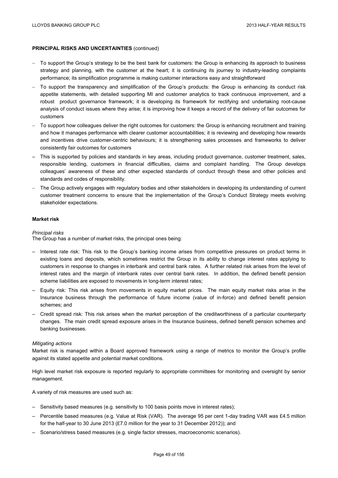- To support the Group's strategy to be the best bank for customers: the Group is enhancing its approach to business strategy and planning, with the customer at the heart; it is continuing its journey to industry-leading complaints performance; its simplification programme is making customer interactions easy and straightforward
- To support the transparency and simplification of the Group's products: the Group is enhancing its conduct risk appetite statements, with detailed supporting MI and customer analytics to track continuous improvement, and a robust product governance framework; it is developing its framework for rectifying and undertaking root-cause analysis of conduct issues where they arise; it is improving how it keeps a record of the delivery of fair outcomes for customers
- To support how colleagues deliver the right outcomes for customers: the Group is enhancing recruitment and training and how it manages performance with clearer customer accountabilities; it is reviewing and developing how rewards and incentives drive customer-centric behaviours; it is strengthening sales processes and frameworks to deliver consistently fair outcomes for customers
- This is supported by policies and standards in key areas, including product governance, customer treatment, sales, responsible lending, customers in financial difficulties, claims and complaint handling. The Group develops colleagues' awareness of these and other expected standards of conduct through these and other policies and standards and codes of responsibility.
- The Group actively engages with regulatory bodies and other stakeholders in developing its understanding of current customer treatment concerns to ensure that the implementation of the Group's Conduct Strategy meets evolving stakeholder expectations.

#### **Market risk**

#### *Principal risks*

The Group has a number of market risks, the principal ones being:

- Interest rate risk: This risk to the Group's banking income arises from competitive pressures on product terms in existing loans and deposits, which sometimes restrict the Group in its ability to change interest rates applying to customers in response to changes in interbank and central bank rates. A further related risk arises from the level of interest rates and the margin of interbank rates over central bank rates. In addition, the defined benefit pension scheme liabilities are exposed to movements in long-term interest rates;
- Equity risk: This risk arises from movements in equity market prices. The main equity market risks arise in the Insurance business through the performance of future income (value of in-force) and defined benefit pension schemes; and
- Credit spread risk: This risk arises when the market perception of the creditworthiness of a particular counterparty changes. The main credit spread exposure arises in the Insurance business, defined benefit pension schemes and banking businesses.

#### *Mitigating actions*

Market risk is managed within a Board approved framework using a range of metrics to monitor the Group's profile against its stated appetite and potential market conditions.

High level market risk exposure is reported regularly to appropriate committees for monitoring and oversight by senior management.

A variety of risk measures are used such as:

- Sensitivity based measures (e.g. sensitivity to 100 basis points move in interest rates);
- Percentile based measures (e.g. Value at Risk (VAR). The average 95 per cent 1-day trading VAR was £4.5 million for the half-year to 30 June 2013 (£7.0 million for the year to 31 December 2012)); and
- Scenario/stress based measures (e.g. single factor stresses, macroeconomic scenarios).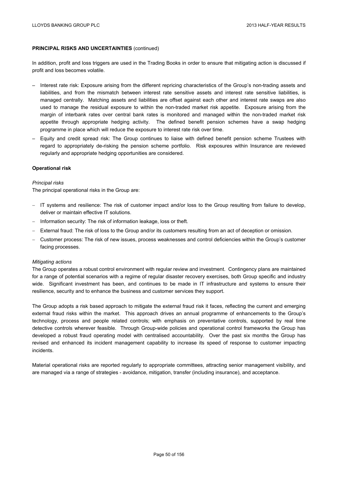In addition, profit and loss triggers are used in the Trading Books in order to ensure that mitigating action is discussed if profit and loss becomes volatile.

- Interest rate risk: Exposure arising from the different repricing characteristics of the Group's non-trading assets and liabilities, and from the mismatch between interest rate sensitive assets and interest rate sensitive liabilities, is managed centrally. Matching assets and liabilities are offset against each other and interest rate swaps are also used to manage the residual exposure to within the non-traded market risk appetite. Exposure arising from the margin of interbank rates over central bank rates is monitored and managed within the non-traded market risk appetite through appropriate hedging activity. The defined benefit pension schemes have a swap hedging programme in place which will reduce the exposure to interest rate risk over time.
- Equity and credit spread risk: The Group continues to liaise with defined benefit pension scheme Trustees with regard to appropriately de-risking the pension scheme portfolio. Risk exposures within Insurance are reviewed regularly and appropriate hedging opportunities are considered.

### **Operational risk**

### *Principal risks*

The principal operational risks in the Group are:

- IT systems and resilience: The risk of customer impact and/or loss to the Group resulting from failure to develop, deliver or maintain effective IT solutions.
- Information security: The risk of information leakage, loss or theft.
- External fraud: The risk of loss to the Group and/or its customers resulting from an act of deception or omission.
- Customer process: The risk of new issues, process weaknesses and control deficiencies within the Group's customer facing processes.

### *Mitigating actions*

The Group operates a robust control environment with regular review and investment. Contingency plans are maintained for a range of potential scenarios with a regime of regular disaster recovery exercises, both Group specific and industry wide. Significant investment has been, and continues to be made in IT infrastructure and systems to ensure their resilience, security and to enhance the business and customer services they support.

The Group adopts a risk based approach to mitigate the external fraud risk it faces, reflecting the current and emerging external fraud risks within the market. This approach drives an annual programme of enhancements to the Group's technology, process and people related controls; with emphasis on preventative controls, supported by real time detective controls wherever feasible. Through Group-wide policies and operational control frameworks the Group has developed a robust fraud operating model with centralised accountability. Over the past six months the Group has revised and enhanced its incident management capability to increase its speed of response to customer impacting incidents.

Material operational risks are reported regularly to appropriate committees, attracting senior management visibility, and are managed via a range of strategies - avoidance, mitigation, transfer (including insurance), and acceptance.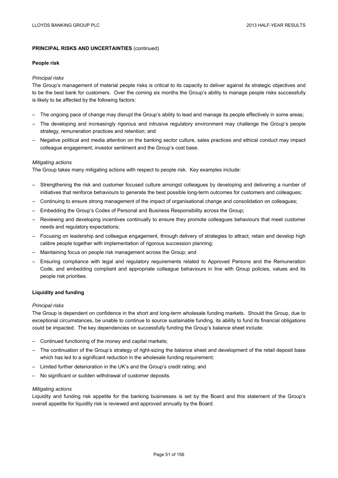#### **People risk**

### *Principal risks*

The Group's management of material people risks is critical to its capacity to deliver against its strategic objectives and to be the best bank for customers. Over the coming six months the Group's ability to manage people risks successfully is likely to be affected by the following factors:

- The ongoing pace of change may disrupt the Group's ability to lead and manage its people effectively in some areas;
- The developing and increasingly rigorous and intrusive regulatory environment may challenge the Group's people strategy, remuneration practices and retention; and
- Negative political and media attention on the banking sector culture, sales practices and ethical conduct may impact colleague engagement, investor sentiment and the Group's cost base.

### *Mitigating actions*

The Group takes many mitigating actions with respect to people risk. Key examples include:

- Strengthening the risk and customer focused culture amongst colleagues by developing and delivering a number of initiatives that reinforce behaviours to generate the best possible long-term outcomes for customers and colleagues;
- Continuing to ensure strong management of the impact of organisational change and consolidation on colleagues;
- Embedding the Group's Codes of Personal and Business Responsibility across the Group;
- Reviewing and developing incentives continually to ensure they promote colleagues behaviours that meet customer needs and regulatory expectations;
- Focusing on leadership and colleague engagement, through delivery of strategies to attract, retain and develop high calibre people together with implementation of rigorous succession planning;
- Maintaining focus on people risk management across the Group; and
- Ensuring compliance with legal and regulatory requirements related to Approved Persons and the Remuneration Code, and embedding compliant and appropriate colleague behaviours in line with Group policies, values and its people risk priorities.

### **Liquidity and funding**

### *Principal risks*

The Group is dependent on confidence in the short and long-term wholesale funding markets. Should the Group, due to exceptional circumstances, be unable to continue to source sustainable funding, its ability to fund its financial obligations could be impacted. The key dependencies on successfully funding the Group's balance sheet include:

- Continued functioning of the money and capital markets;
- The continuation of the Group's strategy of right-sizing the balance sheet and development of the retail deposit base which has led to a significant reduction in the wholesale funding requirement;
- Limited further deterioration in the UK's and the Group's credit rating; and
- No significant or sudden withdrawal of customer deposits.

### *Mitigating actions*

Liquidity and funding risk appetite for the banking businesses is set by the Board and this statement of the Group's overall appetite for liquidity risk is reviewed and approved annually by the Board.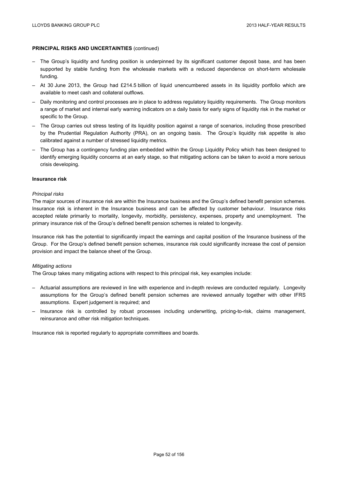- The Group's liquidity and funding position is underpinned by its significant customer deposit base, and has been supported by stable funding from the wholesale markets with a reduced dependence on short-term wholesale funding.
- At 30 June 2013, the Group had £214.5 billion of liquid unencumbered assets in its liquidity portfolio which are available to meet cash and collateral outflows.
- Daily monitoring and control processes are in place to address regulatory liquidity requirements. The Group monitors a range of market and internal early warning indicators on a daily basis for early signs of liquidity risk in the market or specific to the Group.
- The Group carries out stress testing of its liquidity position against a range of scenarios, including those prescribed by the Prudential Regulation Authority (PRA), on an ongoing basis. The Group's liquidity risk appetite is also calibrated against a number of stressed liquidity metrics.
- The Group has a contingency funding plan embedded within the Group Liquidity Policy which has been designed to identify emerging liquidity concerns at an early stage, so that mitigating actions can be taken to avoid a more serious crisis developing.

### **Insurance risk**

#### *Principal risks*

The major sources of insurance risk are within the Insurance business and the Group's defined benefit pension schemes. Insurance risk is inherent in the Insurance business and can be affected by customer behaviour. Insurance risks accepted relate primarily to mortality, longevity, morbidity, persistency, expenses, property and unemployment. The primary insurance risk of the Group's defined benefit pension schemes is related to longevity.

Insurance risk has the potential to significantly impact the earnings and capital position of the Insurance business of the Group. For the Group's defined benefit pension schemes, insurance risk could significantly increase the cost of pension provision and impact the balance sheet of the Group.

#### *Mitigating actions*

The Group takes many mitigating actions with respect to this principal risk, key examples include:

- Actuarial assumptions are reviewed in line with experience and in-depth reviews are conducted regularly. Longevity assumptions for the Group's defined benefit pension schemes are reviewed annually together with other IFRS assumptions. Expert judgement is required; and
- Insurance risk is controlled by robust processes including underwriting, pricing-to-risk, claims management, reinsurance and other risk mitigation techniques.

Insurance risk is reported regularly to appropriate committees and boards.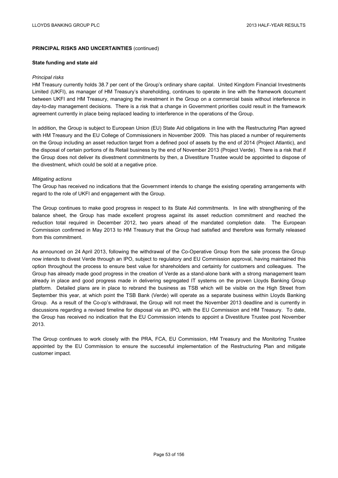#### **State funding and state aid**

#### *Principal risks*

HM Treasury currently holds 38.7 per cent of the Group's ordinary share capital. United Kingdom Financial Investments Limited (UKFI), as manager of HM Treasury's shareholding, continues to operate in line with the framework document between UKFI and HM Treasury, managing the investment in the Group on a commercial basis without interference in day-to-day management decisions. There is a risk that a change in Government priorities could result in the framework agreement currently in place being replaced leading to interference in the operations of the Group.

In addition, the Group is subject to European Union (EU) State Aid obligations in line with the Restructuring Plan agreed with HM Treasury and the EU College of Commissioners in November 2009. This has placed a number of requirements on the Group including an asset reduction target from a defined pool of assets by the end of 2014 (Project Atlantic), and the disposal of certain portions of its Retail business by the end of November 2013 (Project Verde). There is a risk that if the Group does not deliver its divestment commitments by then, a Divestiture Trustee would be appointed to dispose of the divestment, which could be sold at a negative price.

### *Mitigating actions*

The Group has received no indications that the Government intends to change the existing operating arrangements with regard to the role of UKFI and engagement with the Group.

The Group continues to make good progress in respect to its State Aid commitments. In line with strengthening of the balance sheet, the Group has made excellent progress against its asset reduction commitment and reached the reduction total required in December 2012, two years ahead of the mandated completion date. The European Commission confirmed in May 2013 to HM Treasury that the Group had satisfied and therefore was formally released from this commitment.

As announced on 24 April 2013, following the withdrawal of the Co-Operative Group from the sale process the Group now intends to divest Verde through an IPO, subject to regulatory and EU Commission approval, having maintained this option throughout the process to ensure best value for shareholders and certainty for customers and colleagues. The Group has already made good progress in the creation of Verde as a stand-alone bank with a strong management team already in place and good progress made in delivering segregated IT systems on the proven Lloyds Banking Group platform. Detailed plans are in place to rebrand the business as TSB which will be visible on the High Street from September this year, at which point the TSB Bank (Verde) will operate as a separate business within Lloyds Banking Group. As a result of the Co-op's withdrawal, the Group will not meet the November 2013 deadline and is currently in discussions regarding a revised timeline for disposal via an IPO, with the EU Commission and HM Treasury. To date, the Group has received no indication that the EU Commission intends to appoint a Divestiture Trustee post November 2013.

The Group continues to work closely with the PRA, FCA, EU Commission, HM Treasury and the Monitoring Trustee appointed by the EU Commission to ensure the successful implementation of the Restructuring Plan and mitigate customer impact.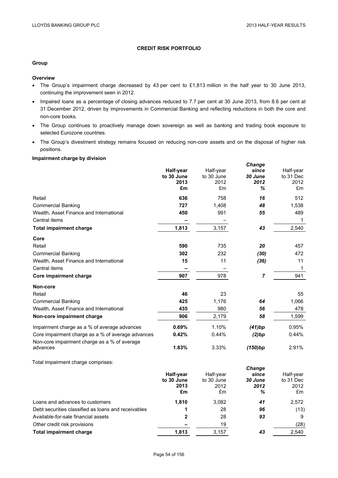# **CREDIT RISK PORTFOLIO**

# **Group**

### **Overview**

- The Group's impairment charge decreased by 43 per cent to £1,813 million in the half year to 30 June 2013, continuing the improvement seen in 2012.
- Impaired loans as a percentage of closing advances reduced to 7.7 per cent at 30 June 2013, from 8.6 per cent at 31 December 2012, driven by improvements in Commercial Banking and reflecting reductions in both the core and non-core books.
- The Group continues to proactively manage down sovereign as well as banking and trading book exposure to selected Eurozone countries.
- The Group's divestment strategy remains focused on reducing non-core assets and on the disposal of higher risk positions.

### **Impairment charge by division**

|                                                                                                   | Half-year<br>to 30 June<br>2013<br>£m | Half-year<br>to 30 June<br>2012<br>£m | Change<br>since<br>30 June<br>2012<br>% | Half-year<br>to 31 Dec<br>2012<br>£m |
|---------------------------------------------------------------------------------------------------|---------------------------------------|---------------------------------------|-----------------------------------------|--------------------------------------|
| Retail                                                                                            | 636                                   | 758                                   | 16                                      | 512                                  |
| <b>Commercial Banking</b>                                                                         | 727                                   | 1,408                                 | 48                                      | 1,538                                |
| Wealth, Asset Finance and International                                                           | 450                                   | 991                                   | 55                                      | 489                                  |
| Central items                                                                                     |                                       |                                       |                                         | 1                                    |
| <b>Total impairment charge</b>                                                                    | 1,813                                 | 3,157                                 | 43                                      | 2,540                                |
| Core                                                                                              |                                       |                                       |                                         |                                      |
| Retail                                                                                            | 590                                   | 735                                   | 20                                      | 457                                  |
| <b>Commercial Banking</b>                                                                         | 302                                   | 232                                   | (30)                                    | 472                                  |
| Wealth, Asset Finance and International                                                           | 15                                    | 11                                    | (36)                                    | 11                                   |
| Central items                                                                                     |                                       |                                       |                                         | 1                                    |
| Core impairment charge                                                                            | 907                                   | 978                                   | 7                                       | 941                                  |
| Non-core                                                                                          |                                       |                                       |                                         |                                      |
| Retail                                                                                            | 46                                    | 23                                    |                                         | 55                                   |
| <b>Commercial Banking</b>                                                                         | 425                                   | 1,176                                 | 64                                      | 1,066                                |
| Wealth, Asset Finance and International                                                           | 435                                   | 980                                   | 56                                      | 478                                  |
| Non-core impairment charge                                                                        | 906                                   | 2,179                                 | 58                                      | 1,599                                |
| Impairment charge as a % of average advances                                                      | 0.69%                                 | 1.10%                                 | (41)bp                                  | 0.95%                                |
| Core impairment charge as a % of average advances<br>Non-core impairment charge as a % of average | 0.42%                                 | 0.44%                                 | (2)bp                                   | 0.44%                                |
| advances                                                                                          | 1.83%                                 | 3.33%                                 | (150)bp                                 | 2.91%                                |
| Total impairment charge comprises:                                                                |                                       |                                       |                                         |                                      |
|                                                                                                   |                                       |                                       | Change                                  |                                      |
|                                                                                                   | Half-year<br>to 30 June               | Half-year<br>to 30 June               | since<br>30 June                        | Half-year<br>to 31 Dec               |
|                                                                                                   | 2013                                  | 2012                                  | 2012                                    | 2012                                 |
|                                                                                                   | £m                                    | £m                                    | ℅                                       | £m                                   |
| Loans and advances to customers                                                                   | 1,810                                 | 3,082                                 | 41                                      | 2,572                                |
| Debt securities classified as loans and receivables                                               | 1                                     | 28                                    | 96                                      | (13)                                 |
| Available-for-sale financial assets                                                               | 2                                     | 28                                    | 93                                      | 9                                    |
| Other credit risk provisions                                                                      |                                       | 19                                    |                                         | (28)                                 |
| Total impairment charge                                                                           | 1.813                                 | 3.157                                 | 43                                      | 2.540                                |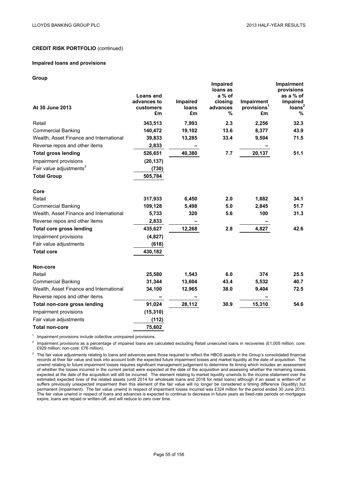#### **Impaired loans and provisions**

#### **Group**

| At 30 June 2013                         | <b>Loans and</b><br>advances to<br>customers<br>£m | Impaired<br>loans<br>£m | <b>Impaired</b><br>loans as<br>$a\%$ of<br>closing<br>advances<br>% | Impairment<br>provisions <sup>1</sup><br>£m | Impairment<br>provisions<br>as a % of<br>impaired<br>Ioans <sup>2</sup><br>% |
|-----------------------------------------|----------------------------------------------------|-------------------------|---------------------------------------------------------------------|---------------------------------------------|------------------------------------------------------------------------------|
| Retail                                  | 343,513                                            | 7,993                   | 2.3                                                                 | 2,256                                       | 32.3                                                                         |
| <b>Commercial Banking</b>               | 140,472                                            | 19,102                  | 13.6                                                                | 8,377                                       | 43.9                                                                         |
| Wealth, Asset Finance and International | 39,833                                             | 13,285                  | 33.4                                                                | 9,504                                       | 71.5                                                                         |
| Reverse repos and other items           | 2,833                                              |                         |                                                                     |                                             |                                                                              |
| <b>Total gross lending</b>              | 526,651                                            | 40,380                  | 7.7                                                                 | 20,137                                      | 51.1                                                                         |
| Impairment provisions                   | (20, 137)                                          |                         |                                                                     |                                             |                                                                              |
| Fair value adjustments <sup>3</sup>     | (730)                                              |                         |                                                                     |                                             |                                                                              |
| <b>Total Group</b>                      | 505,784                                            |                         |                                                                     |                                             |                                                                              |
| Core                                    |                                                    |                         |                                                                     |                                             |                                                                              |
| Retail                                  | 317,933                                            | 6,450                   | 2.0                                                                 | 1,882                                       | 34.1                                                                         |
| <b>Commercial Banking</b>               | 109,128                                            | 5,498                   | 5.0                                                                 | 2,845                                       | 51.7                                                                         |
| Wealth, Asset Finance and International | 5,733                                              | 320                     | 5.6                                                                 | 100                                         | 31.3                                                                         |
| Reverse repos and other items           | 2,833                                              |                         |                                                                     |                                             |                                                                              |
| <b>Total core gross lending</b>         | 435,627                                            | 12,268                  | 2.8                                                                 | 4,827                                       | 42.6                                                                         |
| Impairment provisions                   | (4,827)                                            |                         |                                                                     |                                             |                                                                              |
| Fair value adjustments                  | (618)                                              |                         |                                                                     |                                             |                                                                              |
| <b>Total core</b>                       | 430,182                                            |                         |                                                                     |                                             |                                                                              |
| Non-core                                |                                                    |                         |                                                                     |                                             |                                                                              |
| Retail                                  | 25,580                                             | 1,543                   | 6.0                                                                 | 374                                         | 25.5                                                                         |
| <b>Commercial Banking</b>               | 31,344                                             | 13,604                  | 43.4                                                                | 5,532                                       | 40.7                                                                         |
| Wealth, Asset Finance and International | 34,100                                             | 12,965                  | 38.0                                                                | 9,404                                       | 72.5                                                                         |
| Reverse repos and other items           |                                                    |                         |                                                                     |                                             |                                                                              |
| Total non-core gross lending            | 91,024                                             | 28,112                  | 30.9                                                                | 15,310                                      | 54.6                                                                         |
| Impairment provisions                   | (15, 310)                                          |                         |                                                                     |                                             |                                                                              |
| Fair value adjustments                  | (112)                                              |                         |                                                                     |                                             |                                                                              |
| <b>Total non-core</b>                   | 75,602                                             |                         |                                                                     |                                             |                                                                              |

<sup>1</sup> Impairment provisions include collective unimpaired provisions.

<sup>2</sup> Impairment provisions as a percentage of impaired loans are calculated excluding Retail unsecured loans in recoveries (£1,005 million; core: £929 million; non-core: £76 million).

<sup>3</sup> The fair value adjustments relating to loans and advances were those required to reflect the HBOS assets in the Group's consolidated financial records at their fair value and took into account both the expected future impairment losses and market liquidity at the date of acquisition. The unwind relating to future impairment losses requires significant management judgement to determine its timing which includes an assessment of whether the losses incurred in the current period were expected at the date of the acquisition and assessing whether the remaining losses expected at the date of the acquisition will still be incurred. The element relating to market liquidity unwinds to the income statement over the estimated expected lives of the related assets (until 2014 for wholesale loans and 2018 for retail loans) although if an asset is written-off or suffers previously unexpected impairment then this element of the fair value will no longer be considered a timing difference (liquidity) but permanent (impairment). The fair value unwind in respect of impairment losses incurred was £324 million for the period ended 30 June 2013. The fair value unwind in respect of loans and advances is expected to continue to decrease in future years as fixed-rate periods on mortgages expire, loans are repaid or written-off, and will reduce to zero over time.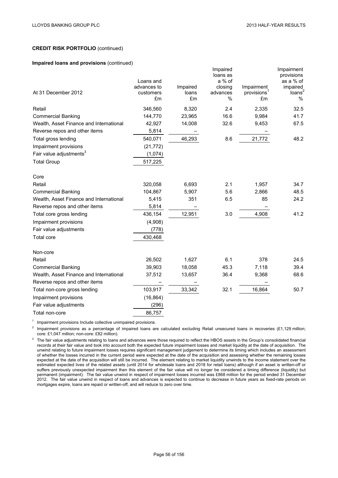#### **Impaired loans and provisions** (continued)

|                                         | Loans and   |          | Impaired<br>loans as<br>a % of |                         | Impairment<br>provisions<br>as a % of |
|-----------------------------------------|-------------|----------|--------------------------------|-------------------------|---------------------------------------|
|                                         | advances to | Impaired | closing                        | Impairment              | impaired                              |
| At 31 December 2012                     | customers   | loans    | advances                       | provisions <sup>1</sup> | loans <sup>2</sup>                    |
|                                         | £m          | £m       | $\%$                           | £m                      | %                                     |
| Retail                                  | 346,560     | 8,320    | 2.4                            | 2,335                   | 32.5                                  |
| <b>Commercial Banking</b>               | 144,770     | 23,965   | 16.6                           | 9,984                   | 41.7                                  |
| Wealth, Asset Finance and International | 42,927      | 14,008   | 32.6                           | 9,453                   | 67.5                                  |
| Reverse repos and other items           | 5,814       |          |                                |                         |                                       |
| Total gross lending                     | 540,071     | 46,293   | 8.6                            | 21,772                  | 48.2                                  |
| Impairment provisions                   | (21, 772)   |          |                                |                         |                                       |
| Fair value adjustments <sup>3</sup>     | (1,074)     |          |                                |                         |                                       |
| <b>Total Group</b>                      | 517,225     |          |                                |                         |                                       |
|                                         |             |          |                                |                         |                                       |
| Core                                    |             |          |                                |                         |                                       |
| Retail                                  | 320,058     | 6,693    | 2.1                            | 1,957                   | 34.7                                  |
| <b>Commercial Banking</b>               | 104,867     | 5,907    | 5.6                            | 2,866                   | 48.5                                  |
| Wealth, Asset Finance and International | 5,415       | 351      | 6.5                            | 85                      | 24.2                                  |
| Reverse repos and other items           | 5,814       |          |                                |                         |                                       |
| Total core gross lending                | 436,154     | 12,951   | 3.0                            | 4,908                   | 41.2                                  |
| Impairment provisions                   | (4,908)     |          |                                |                         |                                       |
| Fair value adjustments                  | (778)       |          |                                |                         |                                       |
| <b>Total core</b>                       | 430,468     |          |                                |                         |                                       |
| Non-core                                |             |          |                                |                         |                                       |
| Retail                                  | 26,502      | 1,627    | 6.1                            | 378                     | 24.5                                  |
| <b>Commercial Banking</b>               | 39,903      | 18,058   | 45.3                           | 7,118                   | 39.4                                  |
| Wealth, Asset Finance and International | 37,512      | 13,657   | 36.4                           | 9,368                   | 68.6                                  |
| Reverse repos and other items           |             |          |                                |                         |                                       |
| Total non-core gross lending            | 103,917     | 33,342   | 32.1                           | 16,864                  | 50.7                                  |
| Impairment provisions                   | (16, 864)   |          |                                |                         |                                       |
| Fair value adjustments                  | (296)       |          |                                |                         |                                       |
| Total non-core                          | 86,757      |          |                                |                         |                                       |

 $1$  Impairment provisions Include collective unimpaired provisions.

 $2$  Impairment provisions as a percentage of impaired loans are calculated excluding Retail unsecured loans in recoveries (£1,129 million; core: £1,047 million; non-core: £82 million).

<sup>3</sup> The fair value adjustments relating to loans and advances were those required to reflect the HBOS assets in the Group's consolidated financial records at their fair value and took into account both the expected future impairment losses and market liquidity at the date of acquisition. The unwind relating to future impairment losses requires significant management judgement to determine its timing which includes an assessment of whether the losses incurred in the current period were expected at the date of the acquisition and assessing whether the remaining losses expected at the date of the acquisition will still be incurred. The element relating to market liquidity unwinds to the income statement over the estimated expected lives of the related assets (until 2014 for wholesale loans and 2018 for retail loans) although if an asset is written-off or suffers previously unexpected impairment then this element of the fair value will no longer be considered a timing difference (liquidity) but permanent (impairment). The fair value unwind in respect of impairment losses incurred was £868 million for the period ended 31 December 2012. The fair value unwind in respect of loans and advances is expected to continue to decrease in future years as fixed-rate periods on mortgages expire, loans are repaid or written-off, and will reduce to zero over time.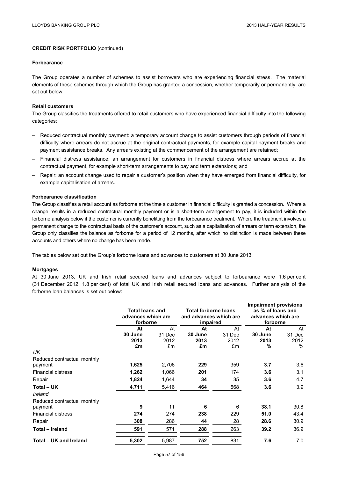#### **Forbearance**

The Group operates a number of schemes to assist borrowers who are experiencing financial stress. The material elements of these schemes through which the Group has granted a concession, whether temporarily or permanently, are set out below.

### **Retail customers**

The Group classifies the treatments offered to retail customers who have experienced financial difficulty into the following categories:

- Reduced contractual monthly payment: a temporary account change to assist customers through periods of financial difficulty where arrears do not accrue at the original contractual payments, for example capital payment breaks and payment assistance breaks. Any arrears existing at the commencement of the arrangement are retained;
- Financial distress assistance: an arrangement for customers in financial distress where arrears accrue at the contractual payment, for example short-term arrangements to pay and term extensions; and
- Repair: an account change used to repair a customer's position when they have emerged from financial difficulty, for example capitalisation of arrears.

### **Forbearance classification**

The Group classifies a retail account as forborne at the time a customer in financial difficulty is granted a concession. Where a change results in a reduced contractual monthly payment or is a short-term arrangement to pay, it is included within the forborne analysis below if the customer is currently benefitting from the forbearance treatment. Where the treatment involves a permanent change to the contractual basis of the customer's account, such as a capitalisation of arrears or term extension, the Group only classifies the balance as forborne for a period of 12 months, after which no distinction is made between these accounts and others where no change has been made.

The tables below set out the Group's forborne loans and advances to customers at 30 June 2013.

#### **Mortgages**

At 30 June 2013, UK and Irish retail secured loans and advances subject to forbearance were 1.6 per cent (31 December 2012: 1.8 per cent) of total UK and Irish retail secured loans and advances. Further analysis of the forborne loan balances is set out below:

|                             | <b>Total loans and</b><br>advances which are<br>forborne |        | <b>Total forborne loans</b><br>and advances which are<br>impaired |        | <b>Impairment provisions</b><br>as % of loans and<br>advances which are<br>forborne |               |
|-----------------------------|----------------------------------------------------------|--------|-------------------------------------------------------------------|--------|-------------------------------------------------------------------------------------|---------------|
|                             | At                                                       | At     | At                                                                | At     | At                                                                                  | At            |
|                             | 30 June                                                  | 31 Dec | 30 June                                                           | 31 Dec | 30 June                                                                             | 31 Dec        |
|                             | 2013                                                     | 2012   | 2013                                                              | 2012   | 2013                                                                                | 2012          |
|                             | £m                                                       | £m     | £m                                                                | £m     | %                                                                                   | $\frac{0}{0}$ |
| UK                          |                                                          |        |                                                                   |        |                                                                                     |               |
| Reduced contractual monthly |                                                          |        |                                                                   |        |                                                                                     |               |
| payment                     | 1,625                                                    | 2,706  | 229                                                               | 359    | 3.7                                                                                 | 3.6           |
| <b>Financial distress</b>   | 1,262                                                    | 1,066  | 201                                                               | 174    | 3.6                                                                                 | 3.1           |
| Repair                      | 1,824                                                    | 1,644  | 34                                                                | 35     | 3.6                                                                                 | 4.7           |
| Total - UK                  | 4,711                                                    | 5,416  | 464                                                               | 568    | 3.6                                                                                 | 3.9           |
| Ireland                     |                                                          |        |                                                                   |        |                                                                                     |               |
| Reduced contractual monthly |                                                          |        |                                                                   |        |                                                                                     |               |
| payment                     | 9                                                        | 11     | 6                                                                 | 6      | 38.1                                                                                | 30.8          |
| <b>Financial distress</b>   | 274                                                      | 274    | 238                                                               | 229    | 51.0                                                                                | 43.4          |
| Repair                      | 308                                                      | 286    | 44                                                                | 28     | 28.6                                                                                | 30.9          |
| Total - Ireland             | 591                                                      | 571    | 288                                                               | 263    | 39.2                                                                                | 36.9          |
| Total - UK and Ireland      | 5,302                                                    | 5,987  | 752                                                               | 831    | 7.6                                                                                 | 7.0           |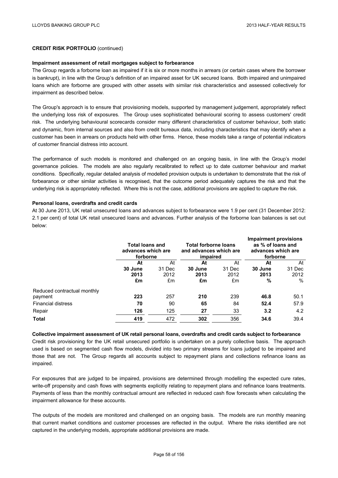#### **Impairment assessment of retail mortgages subject to forbearance**

The Group regards a forborne loan as impaired if it is six or more months in arrears (or certain cases where the borrower is bankrupt), in line with the Group's definition of an impaired asset for UK secured loans. Both impaired and unimpaired loans which are forborne are grouped with other assets with similar risk characteristics and assessed collectively for impairment as described below.

The Group's approach is to ensure that provisioning models, supported by management judgement, appropriately reflect the underlying loss risk of exposures. The Group uses sophisticated behavioural scoring to assess customers' credit risk. The underlying behavioural scorecards consider many different characteristics of customer behaviour, both static and dynamic, from internal sources and also from credit bureaux data, including characteristics that may identify when a customer has been in arrears on products held with other firms. Hence, these models take a range of potential indicators of customer financial distress into account.

The performance of such models is monitored and challenged on an ongoing basis, in line with the Group's model governance policies. The models are also regularly recalibrated to reflect up to date customer behaviour and market conditions. Specifically, regular detailed analysis of modelled provision outputs is undertaken to demonstrate that the risk of forbearance or other similar activities is recognised, that the outcome period adequately captures the risk and that the underlying risk is appropriately reflected. Where this is not the case, additional provisions are applied to capture the risk.

### **Personal loans, overdrafts and credit cards**

At 30 June 2013, UK retail unsecured loans and advances subject to forbearance were 1.9 per cent (31 December 2012: 2.1 per cent) of total UK retail unsecured loans and advances. Further analysis of the forborne loan balances is set out below:

|                             | <b>Total loans and</b><br>advances which are<br>forborne |        | <b>Total forborne loans</b><br>and advances which are<br>impaired |        | <b>Impairment provisions</b><br>as % of loans and<br>advances which are<br>forborne |        |
|-----------------------------|----------------------------------------------------------|--------|-------------------------------------------------------------------|--------|-------------------------------------------------------------------------------------|--------|
|                             | At                                                       | At     | At                                                                | At     | At                                                                                  | At     |
|                             | 30 June                                                  | 31 Dec | 30 June                                                           | 31 Dec | 30 June                                                                             | 31 Dec |
|                             | 2013                                                     | 2012   | 2013                                                              | 2012   | 2013                                                                                | 2012   |
|                             | £m                                                       | £m     | £m                                                                | £m     | %                                                                                   | $\%$   |
| Reduced contractual monthly |                                                          |        |                                                                   |        |                                                                                     |        |
| payment                     | 223                                                      | 257    | 210                                                               | 239    | 46.8                                                                                | 50.1   |
| <b>Financial distress</b>   | 70                                                       | 90     | 65                                                                | 84     | 52.4                                                                                | 57.9   |
| Repair                      | 126                                                      | 125    | 27                                                                | 33     | 3.2                                                                                 | 4.2    |
| Total                       | 419                                                      | 472    | 302                                                               | 356    | 34.6                                                                                | 39.4   |

**Collective impairment assessment of UK retail personal loans, overdrafts and credit cards subject to forbearance** Credit risk provisioning for the UK retail unsecured portfolio is undertaken on a purely collective basis. The approach used is based on segmented cash flow models, divided into two primary streams for loans judged to be impaired and those that are not. The Group regards all accounts subject to repayment plans and collections refinance loans as

impaired.

For exposures that are judged to be impaired, provisions are determined through modelling the expected cure rates, write-off propensity and cash flows with segments explicitly relating to repayment plans and refinance loans treatments. Payments of less than the monthly contractual amount are reflected in reduced cash flow forecasts when calculating the impairment allowance for these accounts.

The outputs of the models are monitored and challenged on an ongoing basis. The models are run monthly meaning that current market conditions and customer processes are reflected in the output. Where the risks identified are not captured in the underlying models, appropriate additional provisions are made.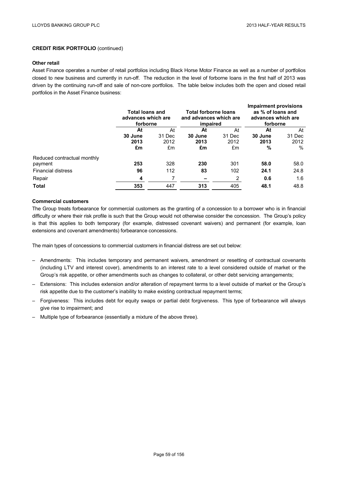#### **Other retail**

Asset Finance operates a number of retail portfolios including Black Horse Motor Finance as well as a number of portfolios closed to new business and currently in run-off. The reduction in the level of forborne loans in the first half of 2013 was driven by the continuing run-off and sale of non-core portfolios. The table below includes both the open and closed retail portfolios in the Asset Finance business:

|                             | <b>Total loans and</b><br>advances which are<br>forborne |        | <b>Total forborne loans</b><br>and advances which are<br>impaired |        | <b>Impairment provisions</b><br>as % of loans and<br>advances which are<br>forborne |        |
|-----------------------------|----------------------------------------------------------|--------|-------------------------------------------------------------------|--------|-------------------------------------------------------------------------------------|--------|
|                             | At                                                       | At     | At                                                                | At     | At                                                                                  | At     |
|                             | 30 June                                                  | 31 Dec | 30 June                                                           | 31 Dec | 30 June                                                                             | 31 Dec |
|                             | 2013                                                     | 2012   | 2013                                                              | 2012   | 2013                                                                                | 2012   |
|                             | £m                                                       | £m     | £m                                                                | £m     | %                                                                                   | %      |
| Reduced contractual monthly |                                                          |        |                                                                   |        |                                                                                     |        |
| payment                     | 253                                                      | 328    | 230                                                               | 301    | 58.0                                                                                | 58.0   |
| <b>Financial distress</b>   | 96                                                       | 112    | 83                                                                | 102    | 24.1                                                                                | 24.8   |
| Repair                      | 4                                                        | 7      |                                                                   | 2      | 0.6                                                                                 | 1.6    |
| <b>Total</b>                | 353                                                      | 447    | 313                                                               | 405    | 48.1                                                                                | 48.8   |

## **Commercial customers**

The Group treats forbearance for commercial customers as the granting of a concession to a borrower who is in financial difficulty or where their risk profile is such that the Group would not otherwise consider the concession. The Group's policy is that this applies to both temporary (for example, distressed covenant waivers) and permanent (for example, loan extensions and covenant amendments) forbearance concessions.

The main types of concessions to commercial customers in financial distress are set out below:

- Amendments: This includes temporary and permanent waivers, amendment or resetting of contractual covenants (including LTV and interest cover), amendments to an interest rate to a level considered outside of market or the Group's risk appetite, or other amendments such as changes to collateral, or other debt servicing arrangements;
- Extensions: This includes extension and/or alteration of repayment terms to a level outside of market or the Group's risk appetite due to the customer's inability to make existing contractual repayment terms;
- Forgiveness: This includes debt for equity swaps or partial debt forgiveness. This type of forbearance will always give rise to impairment; and
- Multiple type of forbearance (essentially a mixture of the above three).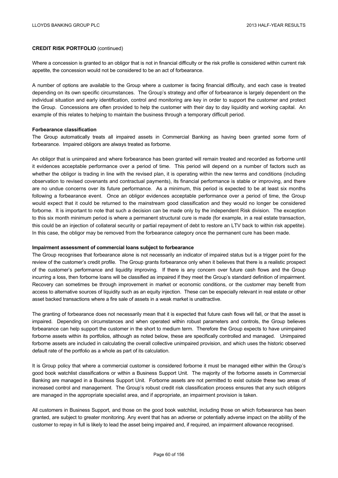Where a concession is granted to an obligor that is not in financial difficulty or the risk profile is considered within current risk appetite, the concession would not be considered to be an act of forbearance.

A number of options are available to the Group where a customer is facing financial difficulty, and each case is treated depending on its own specific circumstances. The Group's strategy and offer of forbearance is largely dependent on the individual situation and early identification, control and monitoring are key in order to support the customer and protect the Group. Concessions are often provided to help the customer with their day to day liquidity and working capital. An example of this relates to helping to maintain the business through a temporary difficult period.

#### **Forbearance classification**

The Group automatically treats all impaired assets in Commercial Banking as having been granted some form of forbearance. Impaired obligors are always treated as forborne.

An obligor that is unimpaired and where forbearance has been granted will remain treated and recorded as forborne until it evidences acceptable performance over a period of time. This period will depend on a number of factors such as whether the obligor is trading in line with the revised plan, it is operating within the new terms and conditions (including observation to revised covenants and contractual payments), its financial performance is stable or improving, and there are no undue concerns over its future performance. As a minimum, this period is expected to be at least six months following a forbearance event. Once an obligor evidences acceptable performance over a period of time, the Group would expect that it could be returned to the mainstream good classification and they would no longer be considered forborne. It is important to note that such a decision can be made only by the independent Risk division. The exception to this six month minimum period is where a permanent structural cure is made (for example, in a real estate transaction, this could be an injection of collateral security or partial repayment of debt to restore an LTV back to within risk appetite). In this case, the obligor may be removed from the forbearance category once the permanent cure has been made.

#### **Impairment assessment of commercial loans subject to forbearance**

The Group recognises that forbearance alone is not necessarily an indicator of impaired status but is a trigger point for the review of the customer's credit profile. The Group grants forbearance only when it believes that there is a realistic prospect of the customer's performance and liquidity improving. If there is any concern over future cash flows and the Group incurring a loss, then forborne loans will be classified as impaired if they meet the Group's standard definition of impairment. Recovery can sometimes be through improvement in market or economic conditions, or the customer may benefit from access to alternative sources of liquidity such as an equity injection. These can be especially relevant in real estate or other asset backed transactions where a fire sale of assets in a weak market is unattractive.

The granting of forbearance does not necessarily mean that it is expected that future cash flows will fall, or that the asset is impaired. Depending on circumstances and when operated within robust parameters and controls, the Group believes forbearance can help support the customer in the short to medium term. Therefore the Group expects to have unimpaired forborne assets within its portfolios, although as noted below, these are specifically controlled and managed. Unimpaired forborne assets are included in calculating the overall collective unimpaired provision, and which uses the historic observed default rate of the portfolio as a whole as part of its calculation.

It is Group policy that where a commercial customer is considered forborne it must be managed either within the Group's good book watchlist classifications or within a Business Support Unit. The majority of the forborne assets in Commercial Banking are managed in a Business Support Unit. Forborne assets are not permitted to exist outside these two areas of increased control and management. The Group's robust credit risk classification process ensures that any such obligors are managed in the appropriate specialist area, and if appropriate, an impairment provision is taken.

All customers in Business Support, and those on the good book watchlist, including those on which forbearance has been granted, are subject to greater monitoring. Any event that has an adverse or potentially adverse impact on the ability of the customer to repay in full is likely to lead the asset being impaired and, if required, an impairment allowance recognised.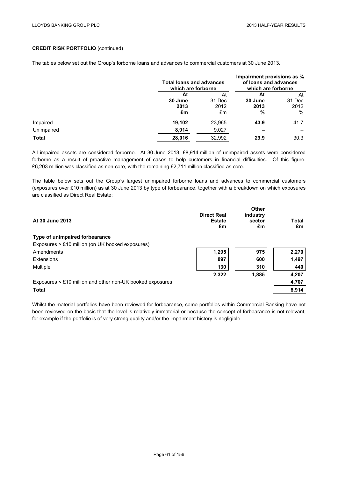The tables below set out the Group's forborne loans and advances to commercial customers at 30 June 2013.

|              |         | <b>Total loans and advances</b><br>which are forborne |         | Impairment provisions as %<br>of loans and advances<br>which are forborne |  |
|--------------|---------|-------------------------------------------------------|---------|---------------------------------------------------------------------------|--|
|              | At      | At                                                    | At      | At                                                                        |  |
|              | 30 June | 31 Dec                                                | 30 June | 31 Dec                                                                    |  |
|              | 2013    | 2012                                                  | 2013    | 2012                                                                      |  |
|              | £m      | £m                                                    | %       | $\%$                                                                      |  |
| Impaired     | 19,102  | 23,965                                                | 43.9    | 41.7                                                                      |  |
| Unimpaired   | 8,914   | 9,027                                                 |         |                                                                           |  |
| <b>Total</b> | 28,016  | 32.992                                                | 29.9    | 30.3                                                                      |  |

All impaired assets are considered forborne. At 30 June 2013, £8,914 million of unimpaired assets were considered forborne as a result of proactive management of cases to help customers in financial difficulties. Of this figure, £6,203 million was classified as non-core, with the remaining £2,711 million classified as core.

The table below sets out the Group's largest unimpaired forborne loans and advances to commercial customers (exposures over £10 million) as at 30 June 2013 by type of forbearance, together with a breakdown on which exposures are classified as Direct Real Estate:

| At 30 June 2013                                           | <b>Direct Real</b><br><b>Estate</b><br>£m | Other<br>industry<br>sector<br>£m | Total<br>£m |
|-----------------------------------------------------------|-------------------------------------------|-----------------------------------|-------------|
| Type of unimpaired forbearance                            |                                           |                                   |             |
| Exposures > £10 million (on UK booked exposures)          |                                           |                                   |             |
| Amendments                                                | 1,295                                     | 975                               | 2,270       |
| Extensions                                                | 897                                       | 600                               | 1,497       |
| Multiple                                                  | 130                                       | 310                               | 440         |
|                                                           | 2,322                                     | 1,885                             | 4,207       |
| Exposures < £10 million and other non-UK booked exposures |                                           |                                   | 4,707       |
| <b>Total</b>                                              |                                           |                                   | 8,914       |

Whilst the material portfolios have been reviewed for forbearance, some portfolios within Commercial Banking have not been reviewed on the basis that the level is relatively immaterial or because the concept of forbearance is not relevant, for example if the portfolio is of very strong quality and/or the impairment history is negligible.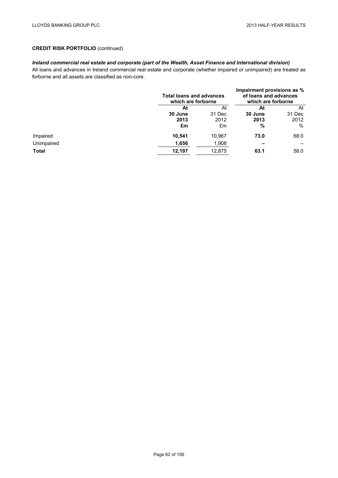# *Ireland commercial real estate and corporate (part of the Wealth, Asset Finance and International division)*

All loans and advances in Ireland commercial real estate and corporate (whether impaired or unimpaired) are treated as forborne and all assets are classified as non-core.

|              |         | <b>Total loans and advances</b><br>which are forborne |         | Impairment provisions as %<br>of loans and advances<br>which are forborne |  |
|--------------|---------|-------------------------------------------------------|---------|---------------------------------------------------------------------------|--|
|              | At      | At                                                    | At      | At                                                                        |  |
|              | 30 June | 31 Dec                                                | 30 June | 31 Dec                                                                    |  |
|              | 2013    | 2012                                                  | 2013    | 2012                                                                      |  |
|              | £m      | £m                                                    | %       | %                                                                         |  |
| Impaired     | 10,541  | 10.967                                                | 73.0    | 68.0                                                                      |  |
| Unimpaired   | 1,656   | 1,908                                                 |         |                                                                           |  |
| <b>Total</b> | 12,197  | 12.875                                                | 63.1    | 58.0                                                                      |  |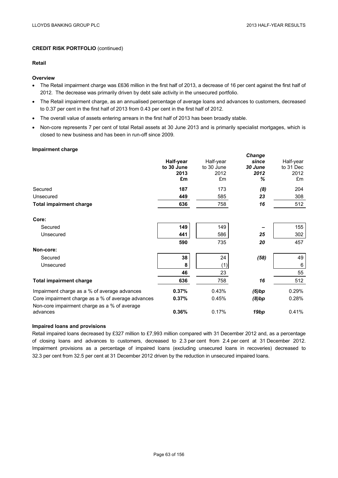### **Retail**

### **Overview**

- The Retail impairment charge was £636 million in the first half of 2013, a decrease of 16 per cent against the first half of 2012. The decrease was primarily driven by debt sale activity in the unsecured portfolio.
- The Retail impairment charge, as an annualised percentage of average loans and advances to customers, decreased to 0.37 per cent in the first half of 2013 from 0.43 per cent in the first half of 2012.
- The overall value of assets entering arrears in the first half of 2013 has been broadly stable.
- Non-core represents 7 per cent of total Retail assets at 30 June 2013 and is primarily specialist mortgages, which is closed to new business and has been in run-off since 2009.

#### **Impairment charge**

|                                                                                                   | Half-year<br>to 30 June<br>2013<br>£m | Half-year<br>to 30 June<br>2012<br>£m | Change<br>since<br>30 June<br>2012<br>℅ | Half-year<br>to 31 Dec<br>2012<br>£m |
|---------------------------------------------------------------------------------------------------|---------------------------------------|---------------------------------------|-----------------------------------------|--------------------------------------|
| Secured                                                                                           | 187                                   | 173                                   | (8)                                     | 204                                  |
| Unsecured                                                                                         | 449                                   | 585                                   | 23                                      | 308                                  |
| <b>Total impairment charge</b>                                                                    | 636                                   | 758                                   | 16                                      | 512                                  |
| Core:                                                                                             |                                       |                                       |                                         |                                      |
| Secured                                                                                           | 149                                   | 149                                   |                                         | 155                                  |
| Unsecured                                                                                         | 441                                   | 586                                   | 25                                      | 302                                  |
|                                                                                                   | 590                                   | 735                                   | 20                                      | 457                                  |
| Non-core:                                                                                         |                                       |                                       |                                         |                                      |
| Secured                                                                                           | 38                                    | 24                                    | (58)                                    | 49                                   |
| Unsecured                                                                                         | 8                                     | (1)                                   |                                         | 6                                    |
|                                                                                                   | 46                                    | 23                                    |                                         | 55                                   |
| <b>Total impairment charge</b>                                                                    | 636                                   | 758                                   | 16                                      | 512                                  |
| Impairment charge as a % of average advances                                                      | 0.37%                                 | 0.43%                                 | (6)bp                                   | 0.29%                                |
| Core impairment charge as a % of average advances<br>Non-core impairment charge as a % of average | 0.37%                                 | 0.45%                                 | (8)bp                                   | 0.28%                                |
| advances                                                                                          | 0.36%                                 | 0.17%                                 | 19bp                                    | 0.41%                                |

#### **Impaired loans and provisions**

Retail impaired loans decreased by £327 million to £7,993 million compared with 31 December 2012 and, as a percentage of closing loans and advances to customers, decreased to 2.3 per cent from 2.4 per cent at 31 December 2012. Impairment provisions as a percentage of impaired loans (excluding unsecured loans in recoveries) decreased to 32.3 per cent from 32.5 per cent at 31 December 2012 driven by the reduction in unsecured impaired loans.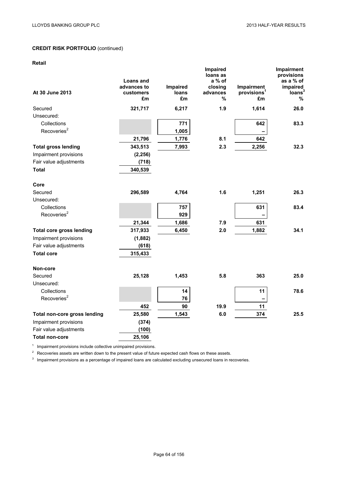### **Retail**

| ινσιαιι                         |                                             |                         | Impaired                                       |                                             | Impairment                                                        |
|---------------------------------|---------------------------------------------|-------------------------|------------------------------------------------|---------------------------------------------|-------------------------------------------------------------------|
| At 30 June 2013                 | Loans and<br>advances to<br>customers<br>£m | Impaired<br>loans<br>£m | loans as<br>a % of<br>closing<br>advances<br>% | Impairment<br>provisions <sup>1</sup><br>£m | provisions<br>as a % of<br>impaired<br>loans <sup>3</sup><br>$\%$ |
| Secured                         | 321,717                                     | 6,217                   | 1.9                                            | 1,614                                       | 26.0                                                              |
| Unsecured:                      |                                             |                         |                                                |                                             |                                                                   |
| Collections                     |                                             | 771                     |                                                | 642                                         | 83.3                                                              |
| Recoveries <sup>2</sup>         |                                             | 1,005                   |                                                |                                             |                                                                   |
|                                 | 21,796                                      | 1,776                   | 8.1                                            | 642                                         |                                                                   |
| <b>Total gross lending</b>      | 343,513                                     | 7,993                   | 2.3                                            | 2,256                                       | 32.3                                                              |
| Impairment provisions           | (2, 256)                                    |                         |                                                |                                             |                                                                   |
| Fair value adjustments          | (718)                                       |                         |                                                |                                             |                                                                   |
| <b>Total</b>                    | 340,539                                     |                         |                                                |                                             |                                                                   |
| Core                            |                                             |                         |                                                |                                             |                                                                   |
| Secured                         | 296,589                                     | 4,764                   | 1.6                                            | 1,251                                       | 26.3                                                              |
| Unsecured:                      |                                             |                         |                                                |                                             |                                                                   |
| Collections                     |                                             | 757                     |                                                | 631                                         | 83.4                                                              |
| Recoveries <sup>2</sup>         |                                             | 929                     |                                                |                                             |                                                                   |
|                                 | 21,344                                      | 1,686                   | 7.9                                            | 631                                         |                                                                   |
| <b>Total core gross lending</b> | 317,933                                     | 6,450                   | 2.0                                            | 1,882                                       | 34.1                                                              |
| Impairment provisions           | (1,882)                                     |                         |                                                |                                             |                                                                   |
| Fair value adjustments          | (618)                                       |                         |                                                |                                             |                                                                   |
| <b>Total core</b>               | 315,433                                     |                         |                                                |                                             |                                                                   |
| Non-core                        |                                             |                         |                                                |                                             |                                                                   |
| Secured                         | 25,128                                      | 1,453                   | 5.8                                            | 363                                         | 25.0                                                              |
| Unsecured:                      |                                             |                         |                                                |                                             |                                                                   |
| Collections                     |                                             | 14                      |                                                | 11                                          | 78.6                                                              |
| Recoveries <sup>2</sup>         |                                             | 76                      |                                                | -                                           |                                                                   |
|                                 | 452                                         | 90                      | 19.9                                           | 11                                          |                                                                   |
| Total non-core gross lending    | 25,580                                      | 1,543                   | 6.0                                            | 374                                         | 25.5                                                              |
| Impairment provisions           | (374)                                       |                         |                                                |                                             |                                                                   |
| Fair value adjustments          | (100)                                       |                         |                                                |                                             |                                                                   |
| <b>Total non-core</b>           | 25,106                                      |                         |                                                |                                             |                                                                   |

<sup>1</sup> Impairment provisions include collective unimpaired provisions.

 $2\text{}$  Recoveries assets are written down to the present value of future expected cash flows on these assets.

 $3$  Impairment provisions as a percentage of impaired loans are calculated excluding unsecured loans in recoveries.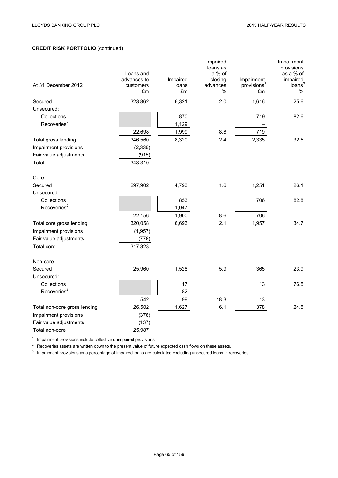|                              | Loans and<br>advances to | Impaired    | Impaired<br>loans as<br>a % of<br>closing | Impairment                    | Impairment<br>provisions<br>as a % of<br>impaired |
|------------------------------|--------------------------|-------------|-------------------------------------------|-------------------------------|---------------------------------------------------|
| At 31 December 2012          | customers<br>£m          | loans<br>£m | advances<br>%                             | provisions <sup>1</sup><br>£m | loans<br>%                                        |
| Secured                      | 323,862                  | 6,321       | 2.0                                       | 1,616                         | 25.6                                              |
| Unsecured:                   |                          |             |                                           |                               |                                                   |
| Collections                  |                          | 870         |                                           | 719                           | 82.6                                              |
| Recoveries <sup>2</sup>      |                          | 1,129       |                                           |                               |                                                   |
|                              | 22,698                   | 1,999       | 8.8                                       | 719                           |                                                   |
| Total gross lending          | 346,560                  | 8,320       | 2.4                                       | 2,335                         | 32.5                                              |
| Impairment provisions        | (2, 335)                 |             |                                           |                               |                                                   |
| Fair value adjustments       | (915)                    |             |                                           |                               |                                                   |
| Total                        | 343,310                  |             |                                           |                               |                                                   |
| Core                         |                          |             |                                           |                               |                                                   |
| Secured                      | 297,902                  | 4,793       | 1.6                                       | 1,251                         | 26.1                                              |
| Unsecured:                   |                          |             |                                           |                               |                                                   |
| Collections                  |                          | 853         |                                           | 706                           | 82.8                                              |
| Recoveries <sup>2</sup>      |                          | 1,047       |                                           |                               |                                                   |
|                              | 22,156                   | 1,900       | 8.6                                       | 706                           |                                                   |
| Total core gross lending     | 320,058                  | 6,693       | 2.1                                       | 1,957                         | 34.7                                              |
| Impairment provisions        | (1, 957)                 |             |                                           |                               |                                                   |
| Fair value adjustments       | (778)                    |             |                                           |                               |                                                   |
| Total core                   | 317,323                  |             |                                           |                               |                                                   |
| Non-core                     |                          |             |                                           |                               |                                                   |
| Secured                      | 25,960                   | 1,528       | 5.9                                       | 365                           | 23.9                                              |
| Unsecured:                   |                          |             |                                           |                               |                                                   |
| Collections                  |                          | 17          |                                           | 13                            | 76.5                                              |
| Recoveries <sup>2</sup>      |                          | 82          |                                           |                               |                                                   |
|                              | 542                      | 99          | 18.3                                      | 13                            |                                                   |
| Total non-core gross lending | 26,502                   | 1,627       | 6.1                                       | 378                           | 24.5                                              |
| Impairment provisions        | (378)                    |             |                                           |                               |                                                   |
| Fair value adjustments       | (137)                    |             |                                           |                               |                                                   |
| Total non-core               | 25,987                   |             |                                           |                               |                                                   |

 $1$  Impairment provisions include collective unimpaired provisions.

<sup>2</sup> Recoveries assets are written down to the present value of future expected cash flows on these assets.

 $3$  Impairment provisions as a percentage of impaired loans are calculated excluding unsecured loans in recoveries.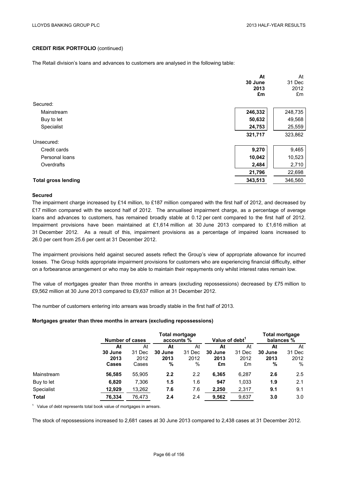The Retail division's loans and advances to customers are analysed in the following table:

|                            | At<br>30 June<br>2013 | At<br>31 Dec<br>2012 |
|----------------------------|-----------------------|----------------------|
|                            | £m                    | £m                   |
| Secured:                   |                       |                      |
| Mainstream                 | 246,332               | 248,735              |
| Buy to let                 | 50,632                | 49,568               |
| Specialist                 | 24,753                | 25,559               |
|                            | 321,717               | 323,862              |
| Unsecured:                 |                       |                      |
| Credit cards               | 9,270                 | 9,465                |
| Personal loans             | 10,042                | 10,523               |
| Overdrafts                 | 2,484                 | 2,710                |
|                            | 21,796                | 22,698               |
| <b>Total gross lending</b> | 343,513               | 346,560              |

### **Secured**

The impairment charge increased by £14 million, to £187 million compared with the first half of 2012, and decreased by £17 million compared with the second half of 2012. The annualised impairment charge, as a percentage of average loans and advances to customers, has remained broadly stable at 0.12 per cent compared to the first half of 2012. Impairment provisions have been maintained at £1,614 million at 30 June 2013 compared to £1,616 million at 31 December 2012. As a result of this, impairment provisions as a percentage of impaired loans increased to 26.0 per cent from 25.6 per cent at 31 December 2012.

The impairment provisions held against secured assets reflect the Group's view of appropriate allowance for incurred losses. The Group holds appropriate impairment provisions for customers who are experiencing financial difficulty, either on a forbearance arrangement or who may be able to maintain their repayments only whilst interest rates remain low.

The value of mortgages greater than three months in arrears (excluding repossessions) decreased by £75 million to £9,562 million at 30 June 2013 compared to £9,637 million at 31 December 2012.

The number of customers entering into arrears was broadly stable in the first half of 2013.

### **Mortgages greater than three months in arrears (excluding repossessions)**

|              | Number of cases |        | <b>Total mortgage</b><br>accounts % |        |         | Value of debt <sup>1</sup> |         | <b>Total mortgage</b><br>balances % |  |
|--------------|-----------------|--------|-------------------------------------|--------|---------|----------------------------|---------|-------------------------------------|--|
|              | At              | At     | At                                  | At     | At      | At                         | At      | At                                  |  |
|              | 30 June         | 31 Dec | 30 June                             | 31 Dec | 30 June | 31 Dec                     | 30 June | 31 Dec                              |  |
|              | 2013            | 2012   | 2013                                | 2012   | 2013    | 2012                       | 2013    | 2012                                |  |
|              | <b>Cases</b>    | Cases  | %                                   | %      | £m      | £m                         | %       | %                                   |  |
| Mainstream   | 56,585          | 55,905 | $2.2\phantom{0}$                    | 2.2    | 6,365   | 6,287                      | 2.6     | 2.5                                 |  |
| Buy to let   | 6,820           | 7,306  | 1.5                                 | 1.6    | 947     | 1,033                      | 1.9     | 2.1                                 |  |
| Specialist   | 12,929          | 13,262 | 7.6                                 | 7.6    | 2,250   | 2,317                      | 9.1     | 9.1                                 |  |
| <b>Total</b> | 76.334          | 76.473 | 2.4                                 | 2.4    | 9,562   | 9,637                      | 3.0     | 3.0                                 |  |

 $1$  Value of debt represents total book value of mortgages in arrears.

The stock of repossessions increased to 2,681 cases at 30 June 2013 compared to 2,438 cases at 31 December 2012.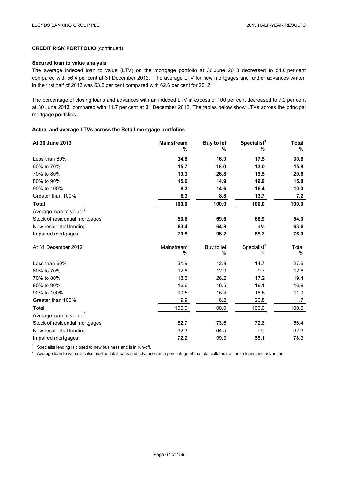### **Secured loan to value analysis**

The average indexed loan to value (LTV) on the mortgage portfolio at 30 June 2013 decreased to 54.0 per cent compared with 56.4 per cent at 31 December 2012. The average LTV for new mortgages and further advances written in the first half of 2013 was 63.6 per cent compared with 62.6 per cent for 2012.

The percentage of closing loans and advances with an indexed LTV in excess of 100 per cent decreased to 7.2 per cent at 30 June 2013, compared with 11.7 per cent at 31 December 2012. The tables below show LTVs across the principal mortgage portfolios.

### **Actual and average LTVs across the Retail mortgage portfolios**

| At 30 June 2013                     | <b>Mainstream</b><br>% | <b>Buy to let</b><br>% | Specialist <sup>1</sup><br>% | <b>Total</b><br>% |
|-------------------------------------|------------------------|------------------------|------------------------------|-------------------|
| Less than 60%                       | 34.8                   | 16.9                   | 17.5                         | 30.6              |
| 60% to 70%                          | 15.7                   | 18.0                   | 13.0                         | 15.8              |
| 70% to 80%                          | 19.3                   | 26.8                   | 19.5                         | 20.6              |
| 80% to 90%                          | 15.6                   | 14.9                   | 19.9                         | 15.8              |
| 90% to 100%                         | 8.3                    | 14.6                   | 16.4                         | 10.0              |
| Greater than 100%                   | 6.3                    | 8.8                    | 13.7                         | 7.2               |
| <b>Total</b>                        | 100.0                  | 100.0                  | 100.0                        | 100.0             |
| Average loan to value: <sup>2</sup> |                        |                        |                              |                   |
| Stock of residential mortgages      | 50.6                   | 69.6                   | 68.9                         | 54.0              |
| New residential lending             | 63.4                   | 64.8                   | n/a                          | 63.6              |
| Impaired mortgages                  | 70.5                   | 96.2                   | 85.2                         | 76.0              |
| At 31 December 2012                 | Mainstream<br>%        | Buy to let<br>%        | Specialist <sup>1</sup><br>% | Total<br>%        |
| Less than 60%                       | 31.9                   | 12.8                   | 14.7                         | 27.6              |
| 60% to 70%                          | 12.8                   | 12.9                   | 9.7                          | 12.6              |
| 70% to 80%                          | 18.3                   | 26.2                   | 17.2                         | 19.4              |
| 80% to 90%                          | 16.6                   | 16.5                   | 19.1                         | 16.8              |
| 90% to 100%                         | 10.5                   | 15.4                   | 18.5                         | 11.9              |
| Greater than 100%                   | 9.9                    | 16.2                   | 20.8                         | 11.7              |
| Total                               | 100.0                  | 100.0                  | 100.0                        | 100.0             |
| Average loan to value: <sup>2</sup> |                        |                        |                              |                   |
| Stock of residential mortgages      | 52.7                   | 73.6                   | 72.6                         | 56.4              |
| New residential lending             | 62.3                   | 64.5                   | n/a                          | 62.6              |
| Impaired mortgages                  | 72.2                   | 99.3                   | 88.1                         | 78.3              |

 $1$  Specialist lending is closed to new business and is in run-off.

<sup>2</sup> Average loan to value is calculated as total loans and advances as a percentage of the total collateral of these loans and advances.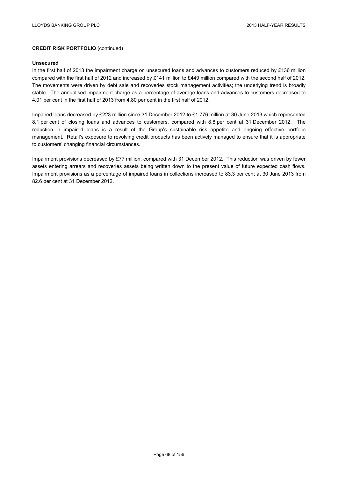#### **Unsecured**

In the first half of 2013 the impairment charge on unsecured loans and advances to customers reduced by £136 million compared with the first half of 2012 and increased by £141 million to £449 million compared with the second half of 2012. The movements were driven by debt sale and recoveries stock management activities; the underlying trend is broadly stable. The annualised impairment charge as a percentage of average loans and advances to customers decreased to 4.01 per cent in the first half of 2013 from 4.80 per cent in the first half of 2012.

Impaired loans decreased by £223 million since 31 December 2012 to £1,776 million at 30 June 2013 which represented 8.1 per cent of closing loans and advances to customers, compared with 8.8 per cent at 31 December 2012. The reduction in impaired loans is a result of the Group's sustainable risk appetite and ongoing effective portfolio management. Retail's exposure to revolving credit products has been actively managed to ensure that it is appropriate to customers' changing financial circumstances.

Impairment provisions decreased by £77 million, compared with 31 December 2012. This reduction was driven by fewer assets entering arrears and recoveries assets being written down to the present value of future expected cash flows. Impairment provisions as a percentage of impaired loans in collections increased to 83.3 per cent at 30 June 2013 from 82.6 per cent at 31 December 2012.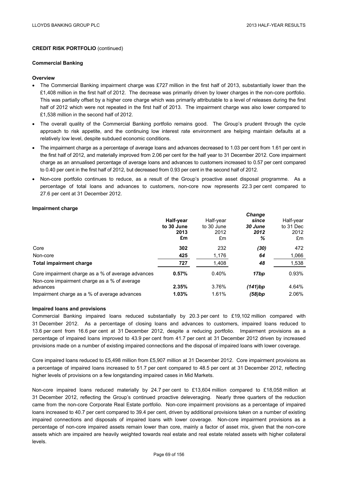#### **Commercial Banking**

### **Overview**

- The Commercial Banking impairment charge was £727 million in the first half of 2013, substantially lower than the £1,408 million in the first half of 2012. The decrease was primarily driven by lower charges in the non-core portfolio. This was partially offset by a higher core charge which was primarily attributable to a level of releases during the first half of 2012 which were not repeated in the first half of 2013. The impairment charge was also lower compared to £1,538 million in the second half of 2012.
- The overall quality of the Commercial Banking portfolio remains good. The Group's prudent through the cycle approach to risk appetite, and the continuing low interest rate environment are helping maintain defaults at a relatively low level, despite subdued economic conditions.
- The impairment charge as a percentage of average loans and advances decreased to 1.03 per cent from 1.61 per cent in the first half of 2012, and materially improved from 2.06 per cent for the half year to 31 December 2012. Core impairment charge as an annualised percentage of average loans and advances to customers increased to 0.57 per cent compared to 0.40 per cent in the first half of 2012, but decreased from 0.93 per cent in the second half of 2012.
- Non-core portfolio continues to reduce, as a result of the Group's proactive asset disposal programme. As a percentage of total loans and advances to customers, non-core now represents 22.3 per cent compared to 27.6 per cent at 31 December 2012.

### **Impairment charge**

|                                                                                                   | Half-year<br>to 30 June<br>2013<br>£m | Half-year<br>to 30 June<br>2012<br>£m | <b>Change</b><br>since<br>30 June<br>2012<br>℅ | Half-year<br>to 31 Dec<br>2012<br>£m |
|---------------------------------------------------------------------------------------------------|---------------------------------------|---------------------------------------|------------------------------------------------|--------------------------------------|
| Core                                                                                              | 302                                   | 232                                   | (30)                                           | 472                                  |
| Non-core                                                                                          | 425                                   | 1,176                                 | 64                                             | 1,066                                |
| <b>Total impairment charge</b>                                                                    | 727                                   | 1,408                                 | 48                                             | 1,538                                |
| Core impairment charge as a % of average advances<br>Non-core impairment charge as a % of average | 0.57%                                 | 0.40%                                 | 17bp                                           | 0.93%                                |
| advances                                                                                          | 2.35%                                 | 3.76%                                 | (141)bp                                        | 4.64%                                |
| Impairment charge as a % of average advances                                                      | 1.03%                                 | 1.61%                                 | (58)bp                                         | 2.06%                                |

### **Impaired loans and provisions**

Commercial Banking impaired loans reduced substantially by 20.3 per cent to £19,102 million compared with 31 December 2012. As a percentage of closing loans and advances to customers, impaired loans reduced to 13.6 per cent from 16.6 per cent at 31 December 2012, despite a reducing portfolio. Impairment provisions as a percentage of impaired loans improved to 43.9 per cent from 41.7 per cent at 31 December 2012 driven by increased provisions made on a number of existing impaired connections and the disposal of impaired loans with lower coverage.

Core impaired loans reduced to £5,498 million from £5,907 million at 31 December 2012. Core impairment provisions as a percentage of impaired loans increased to 51.7 per cent compared to 48.5 per cent at 31 December 2012, reflecting higher levels of provisions on a few longstanding impaired cases in Mid Markets.

Non-core impaired loans reduced materially by 24.7 per cent to £13,604 million compared to £18,058 million at 31 December 2012, reflecting the Group's continued proactive deleveraging. Nearly three quarters of the reduction came from the non-core Corporate Real Estate portfolio. Non-core impairment provisions as a percentage of impaired loans increased to 40.7 per cent compared to 39.4 per cent, driven by additional provisions taken on a number of existing impaired connections and disposals of impaired loans with lower coverage. Non-core impairment provisions as a percentage of non-core impaired assets remain lower than core, mainly a factor of asset mix, given that the non-core assets which are impaired are heavily weighted towards real estate and real estate related assets with higher collateral levels.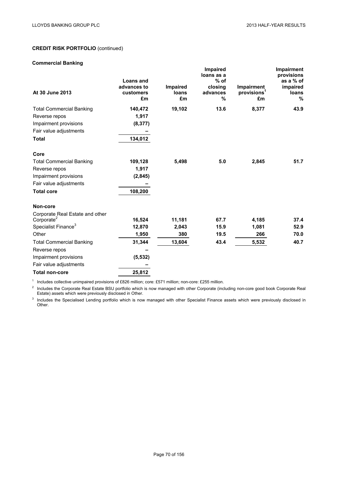## **Commercial Banking**

| At 30 June 2013                 | Loans and<br>advances to<br>customers<br>£m | <b>Impaired</b><br>loans<br>£m | Impaired<br>loans as a<br>$%$ of<br>closing<br>advances<br>% | Impairment<br>provisions <sup>1</sup><br>£m | Impairment<br>provisions<br>as a % of<br>impaired<br>loans<br>% |
|---------------------------------|---------------------------------------------|--------------------------------|--------------------------------------------------------------|---------------------------------------------|-----------------------------------------------------------------|
| <b>Total Commercial Banking</b> | 140,472                                     | 19,102                         | 13.6                                                         | 8,377                                       | 43.9                                                            |
| Reverse repos                   | 1,917                                       |                                |                                                              |                                             |                                                                 |
| Impairment provisions           | (8, 377)                                    |                                |                                                              |                                             |                                                                 |
| Fair value adjustments          |                                             |                                |                                                              |                                             |                                                                 |
| <b>Total</b>                    | 134,012                                     |                                |                                                              |                                             |                                                                 |
| Core                            |                                             |                                |                                                              |                                             |                                                                 |
| <b>Total Commercial Banking</b> | 109,128                                     | 5,498                          | 5.0                                                          | 2,845                                       | 51.7                                                            |
| Reverse repos                   | 1,917                                       |                                |                                                              |                                             |                                                                 |
| Impairment provisions           | (2,845)                                     |                                |                                                              |                                             |                                                                 |
| Fair value adjustments          |                                             |                                |                                                              |                                             |                                                                 |
| <b>Total core</b>               | 108,200                                     |                                |                                                              |                                             |                                                                 |
| Non-core                        |                                             |                                |                                                              |                                             |                                                                 |
| Corporate Real Estate and other |                                             |                                |                                                              |                                             |                                                                 |
| Corporate <sup>2</sup>          | 16,524                                      | 11,181                         | 67.7                                                         | 4,185                                       | 37.4                                                            |
| Specialist Finance <sup>3</sup> | 12,870                                      | 2,043                          | 15.9                                                         | 1,081                                       | 52.9                                                            |
| Other                           | 1,950                                       | 380                            | 19.5                                                         | 266                                         | 70.0                                                            |
| <b>Total Commercial Banking</b> | 31,344                                      | 13,604                         | 43.4                                                         | 5,532                                       | 40.7                                                            |
| Reverse repos                   |                                             |                                |                                                              |                                             |                                                                 |
| Impairment provisions           | (5, 532)                                    |                                |                                                              |                                             |                                                                 |
| Fair value adjustments          |                                             |                                |                                                              |                                             |                                                                 |
| <b>Total non-core</b>           | 25,812                                      |                                |                                                              |                                             |                                                                 |

<sup>1</sup> Includes collective unimpaired provisions of £826 million; core: £571 million; non-core: £255 million.

<sup>2</sup> Includes the Corporate Real Estate BSU portfolio which is now managed with other Corporate (including non-core good book Corporate Real Estate) assets which were previously disclosed in Other.

<sup>3</sup> Includes the Specialised Lending portfolio which is now managed with other Specialist Finance assets which were previously disclosed in Other.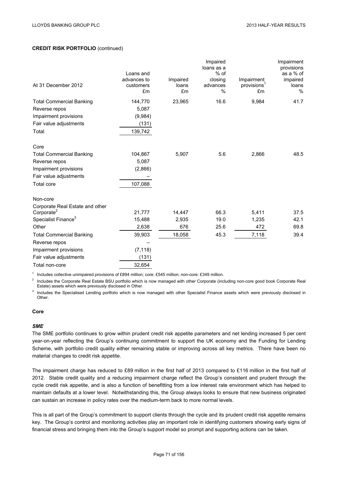|                                 |                          |                   | Impaired<br>loans as a |                                       | Impairment<br>provisions |
|---------------------------------|--------------------------|-------------------|------------------------|---------------------------------------|--------------------------|
|                                 | Loans and                |                   | $%$ of                 |                                       | as a % of                |
| At 31 December 2012             | advances to<br>customers | Impaired<br>loans | closing<br>advances    | Impairment<br>provisions <sup>1</sup> | impaired<br>loans        |
|                                 | £m                       | £m                | %                      | £m                                    | %                        |
| <b>Total Commercial Banking</b> | 144,770                  | 23,965            | 16.6                   | 9,984                                 | 41.7                     |
| Reverse repos                   | 5,087                    |                   |                        |                                       |                          |
| Impairment provisions           | (9,984)                  |                   |                        |                                       |                          |
| Fair value adjustments          | (131)                    |                   |                        |                                       |                          |
| Total                           | 139,742                  |                   |                        |                                       |                          |
| Core                            |                          |                   |                        |                                       |                          |
| <b>Total Commercial Banking</b> | 104,867                  | 5,907             | 5.6                    | 2,866                                 | 48.5                     |
| Reverse repos                   | 5,087                    |                   |                        |                                       |                          |
| Impairment provisions           | (2,866)                  |                   |                        |                                       |                          |
| Fair value adjustments          |                          |                   |                        |                                       |                          |
| <b>Total core</b>               | 107,088                  |                   |                        |                                       |                          |
| Non-core                        |                          |                   |                        |                                       |                          |
| Corporate Real Estate and other |                          |                   |                        |                                       |                          |
| Corporate <sup>2</sup>          | 21,777                   | 14,447            | 66.3                   | 5,411                                 | 37.5                     |
| Specialist Finance <sup>3</sup> | 15,488                   | 2,935             | 19.0                   | 1,235                                 | 42.1                     |
| Other                           | 2,638                    | 676               | 25.6                   | 472                                   | 69.8                     |
| <b>Total Commercial Banking</b> | 39,903                   | 18,058            | 45.3                   | 7,118                                 | 39.4                     |
| Reverse repos                   |                          |                   |                        |                                       |                          |
| Impairment provisions           | (7, 118)                 |                   |                        |                                       |                          |
| Fair value adjustments          | (131)                    |                   |                        |                                       |                          |
| Total non-core                  | 32,654                   |                   |                        |                                       |                          |

<sup>1</sup> Includes collective unimpaired provisions of £894 million; core: £545 million; non-core: £349 million.

<sup>2</sup> Includes the Corporate Real Estate BSU portfolio which is now managed with other Corporate (including non-core good book Corporate Real Estate) assets which were previously disclosed in Other.

<sup>3</sup> Includes the Specialised Lending portfolio which is now managed with other Specialist Finance assets which were previously disclosed in Other.

## **Core**

#### *SME*

The SME portfolio continues to grow within prudent credit risk appetite parameters and net lending increased 5 per cent year-on-year reflecting the Group's continuing commitment to support the UK economy and the Funding for Lending Scheme, with portfolio credit quality either remaining stable or improving across all key metrics. There have been no material changes to credit risk appetite.

The impairment charge has reduced to £89 million in the first half of 2013 compared to £116 million in the first half of 2012. Stable credit quality and a reducing impairment charge reflect the Group's consistent and prudent through the cycle credit risk appetite, and is also a function of benefitting from a low interest rate environment which has helped to maintain defaults at a lower level. Notwithstanding this, the Group always looks to ensure that new business originated can sustain an increase in policy rates over the medium-term back to more normal levels.

This is all part of the Group's commitment to support clients through the cycle and its prudent credit risk appetite remains key. The Group's control and monitoring activities play an important role in identifying customers showing early signs of financial stress and bringing them into the Group's support model so prompt and supporting actions can be taken.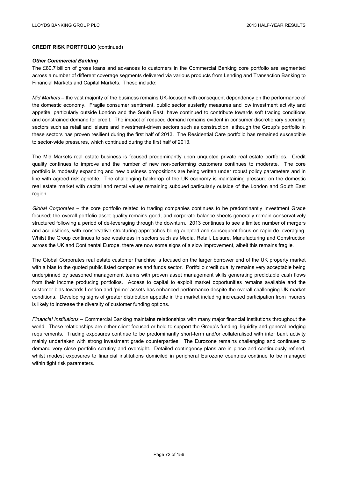#### *Other Commercial Banking*

The £80.7 billion of gross loans and advances to customers in the Commercial Banking core portfolio are segmented across a number of different coverage segments delivered via various products from Lending and Transaction Banking to Financial Markets and Capital Markets. These include:

*Mid Markets* – the vast majority of the business remains UK-focused with consequent dependency on the performance of the domestic economy. Fragile consumer sentiment, public sector austerity measures and low investment activity and appetite, particularly outside London and the South East, have continued to contribute towards soft trading conditions and constrained demand for credit. The impact of reduced demand remains evident in consumer discretionary spending sectors such as retail and leisure and investment-driven sectors such as construction, although the Group's portfolio in these sectors has proven resilient during the first half of 2013. The Residential Care portfolio has remained susceptible to sector-wide pressures, which continued during the first half of 2013.

The Mid Markets real estate business is focused predominantly upon unquoted private real estate portfolios. Credit quality continues to improve and the number of new non-performing customers continues to moderate. The core portfolio is modestly expanding and new business propositions are being written under robust policy parameters and in line with agreed risk appetite. The challenging backdrop of the UK economy is maintaining pressure on the domestic real estate market with capital and rental values remaining subdued particularly outside of the London and South East region.

*Global Corporates* – the core portfolio related to trading companies continues to be predominantly Investment Grade focused; the overall portfolio asset quality remains good; and corporate balance sheets generally remain conservatively structured following a period of de-leveraging through the downturn. 2013 continues to see a limited number of mergers and acquisitions, with conservative structuring approaches being adopted and subsequent focus on rapid de-leveraging. Whilst the Group continues to see weakness in sectors such as Media, Retail, Leisure, Manufacturing and Construction across the UK and Continental Europe, there are now some signs of a slow improvement, albeit this remains fragile.

The Global Corporates real estate customer franchise is focused on the larger borrower end of the UK property market with a bias to the quoted public listed companies and funds sector. Portfolio credit quality remains very acceptable being underpinned by seasoned management teams with proven asset management skills generating predictable cash flows from their income producing portfolios. Access to capital to exploit market opportunities remains available and the customer bias towards London and 'prime' assets has enhanced performance despite the overall challenging UK market conditions. Developing signs of greater distribution appetite in the market including increased participation from insurers is likely to increase the diversity of customer funding options.

*Financial Institutions* – Commercial Banking maintains relationships with many major financial institutions throughout the world. These relationships are either client focused or held to support the Group's funding, liquidity and general hedging requirements. Trading exposures continue to be predominantly short-term and/or collateralised with inter bank activity mainly undertaken with strong investment grade counterparties. The Eurozone remains challenging and continues to demand very close portfolio scrutiny and oversight. Detailed contingency plans are in place and continuously refined, whilst modest exposures to financial institutions domiciled in peripheral Eurozone countries continue to be managed within tight risk parameters.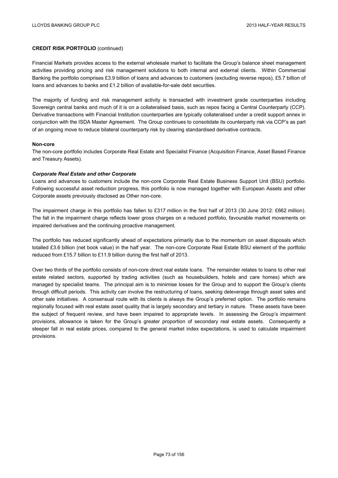Financial Markets provides access to the external wholesale market to facilitate the Group's balance sheet management activities providing pricing and risk management solutions to both internal and external clients. Within Commercial Banking the portfolio comprises £3.9 billion of loans and advances to customers (excluding reverse repos), £5.7 billion of loans and advances to banks and £1.2 billion of available-for-sale debt securities.

The majority of funding and risk management activity is transacted with investment grade counterparties including Sovereign central banks and much of it is on a collateralised basis, such as repos facing a Central Counterparty (CCP). Derivative transactions with Financial Institution counterparties are typically collateralised under a credit support annex in conjunction with the ISDA Master Agreement. The Group continues to consolidate its counterparty risk via CCP's as part of an ongoing move to reduce bilateral counterparty risk by clearing standardised derivative contracts.

### **Non-core**

The non-core portfolio includes Corporate Real Estate and Specialist Finance (Acquisition Finance, Asset Based Finance and Treasury Assets).

### *Corporate Real Estate and other Corporate*

Loans and advances to customers include the non-core Corporate Real Estate Business Support Unit (BSU) portfolio. Following successful asset reduction progress, this portfolio is now managed together with European Assets and other Corporate assets previously disclosed as Other non-core.

The impairment charge in this portfolio has fallen to £317 million in the first half of 2013 (30 June 2012: £662 million). The fall in the impairment charge reflects lower gross charges on a reduced portfolio, favourable market movements on impaired derivatives and the continuing proactive management.

The portfolio has reduced significantly ahead of expectations primarily due to the momentum on asset disposals which totalled £3.6 billion (net book value) in the half year. The non-core Corporate Real Estate BSU element of the portfolio reduced from £15.7 billion to £11.9 billion during the first half of 2013.

Over two thirds of the portfolio consists of non-core direct real estate loans. The remainder relates to loans to other real estate related sectors, supported by trading activities (such as housebuilders, hotels and care homes) which are managed by specialist teams. The principal aim is to minimise losses for the Group and to support the Group's clients through difficult periods. This activity can involve the restructuring of loans, seeking deleverage through asset sales and other sale initiatives. A consensual route with its clients is always the Group's preferred option. The portfolio remains regionally focused with real estate asset quality that is largely secondary and tertiary in nature. These assets have been the subject of frequent review, and have been impaired to appropriate levels. In assessing the Group's impairment provisions, allowance is taken for the Group's greater proportion of secondary real estate assets. Consequently a steeper fall in real estate prices, compared to the general market index expectations, is used to calculate impairment provisions.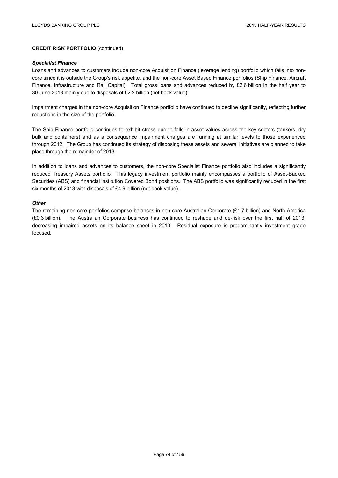#### *Specialist Finance*

Loans and advances to customers include non-core Acquisition Finance (leverage lending) portfolio which falls into noncore since it is outside the Group's risk appetite, and the non-core Asset Based Finance portfolios (Ship Finance, Aircraft Finance, Infrastructure and Rail Capital). Total gross loans and advances reduced by £2.6 billion in the half year to 30 June 2013 mainly due to disposals of £2.2 billion (net book value).

Impairment charges in the non-core Acquisition Finance portfolio have continued to decline significantly, reflecting further reductions in the size of the portfolio.

The Ship Finance portfolio continues to exhibit stress due to falls in asset values across the key sectors (tankers, dry bulk and containers) and as a consequence impairment charges are running at similar levels to those experienced through 2012. The Group has continued its strategy of disposing these assets and several initiatives are planned to take place through the remainder of 2013.

In addition to loans and advances to customers, the non-core Specialist Finance portfolio also includes a significantly reduced Treasury Assets portfolio. This legacy investment portfolio mainly encompasses a portfolio of Asset-Backed Securities (ABS) and financial institution Covered Bond positions. The ABS portfolio was significantly reduced in the first six months of 2013 with disposals of £4.9 billion (net book value).

### *Other*

The remaining non-core portfolios comprise balances in non-core Australian Corporate (£1.7 billion) and North America (£0.3 billion). The Australian Corporate business has continued to reshape and de-risk over the first half of 2013, decreasing impaired assets on its balance sheet in 2013. Residual exposure is predominantly investment grade focused.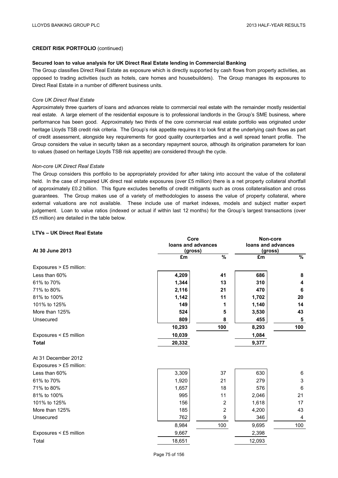### **Secured loan to value analysis for UK Direct Real Estate lending in Commercial Banking**

The Group classifies Direct Real Estate as exposure which is directly supported by cash flows from property activities, as opposed to trading activities (such as hotels, care homes and housebuilders). The Group manages its exposures to Direct Real Estate in a number of different business units.

### *Core UK Direct Real Estate*

Approximately three quarters of loans and advances relate to commercial real estate with the remainder mostly residential real estate. A large element of the residential exposure is to professional landlords in the Group's SME business, where performance has been good. Approximately two thirds of the core commercial real estate portfolio was originated under heritage Lloyds TSB credit risk criteria. The Group's risk appetite requires it to look first at the underlying cash flows as part of credit assessment, alongside key requirements for good quality counterparties and a well spread tenant profile. The Group considers the value in security taken as a secondary repayment source, although its origination parameters for loan to values (based on heritage Lloyds TSB risk appetite) are considered through the cycle.

### *Non-core UK Direct Real Estate*

The Group considers this portfolio to be appropriately provided for after taking into account the value of the collateral held. In the case of impaired UK direct real estate exposures (over £5 million) there is a net property collateral shortfall of approximately £0.2 billion. This figure excludes benefits of credit mitigants such as cross collateralisation and cross guarantees. The Group makes use of a variety of methodologies to assess the value of property collateral, where external valuations are not available. These include use of market indexes, models and subject matter expert judgement. Loan to value ratios (indexed or actual if within last 12 months) for the Group's largest transactions (over £5 million) are detailed in the table below.

## **LTVs – UK Direct Real Estate**

|                         | Core               | Non-core       |                    |                |
|-------------------------|--------------------|----------------|--------------------|----------------|
|                         | loans and advances |                | loans and advances |                |
| At 30 June 2013         | (gross)<br>£m      | $\frac{9}{6}$  | (gross)<br>£m      | $\frac{9}{6}$  |
|                         |                    |                |                    |                |
| Exposures > £5 million: |                    |                |                    |                |
| Less than 60%           | 4,209              | 41             | 686                | 8              |
| 61% to 70%              | 1,344              | 13             | 310                | 4              |
| 71% to 80%              | 2,116              | 21             | 470                | 6              |
| 81% to 100%             | 1,142              | 11             | 1,702              | 20             |
| 101% to 125%            | 149                | 1              | 1,140              | 14             |
| More than 125%          | 524                | 5              | 3,530              | 43             |
| Unsecured               | 809                | 8              | 455                | 5              |
|                         | 10,293             | 100            | 8,293              | 100            |
| Exposures < £5 million  | 10,039             |                | 1,084              |                |
| <b>Total</b>            | 20,332             |                | 9,377              |                |
| At 31 December 2012     |                    |                |                    |                |
| Exposures > £5 million: |                    |                |                    |                |
| Less than 60%           | 3,309              | 37             | 630                | 6              |
| 61% to 70%              | 1,920              | 21             | 279                | 3              |
| 71% to 80%              | 1,657              | 18             | 576                | $6\phantom{1}$ |
| 81% to 100%             | 995                | 11             | 2,046              | 21             |
| 101% to 125%            | 156                | $\overline{2}$ | 1,618              | 17             |
| More than 125%          | 185                | 2              | 4,200              | 43             |
| Unsecured               | 762                | 9              | 346                | 4              |
|                         | 8,984              | 100            | 9,695              | 100            |
| Exposures < £5 million  | 9,667              |                | 2,398              |                |
| Total                   | 18,651             |                | 12,093             |                |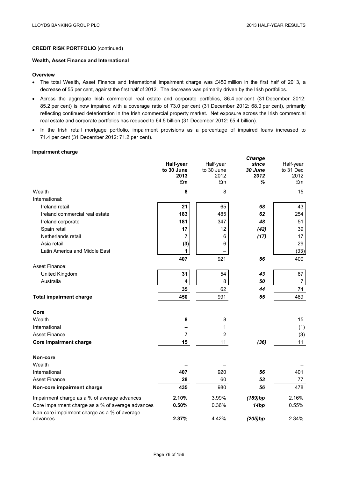### **Wealth, Asset Finance and International**

#### **Overview**

- The total Wealth, Asset Finance and International impairment charge was £450 million in the first half of 2013, a decrease of 55 per cent, against the first half of 2012. The decrease was primarily driven by the Irish portfolios.
- Across the aggregate Irish commercial real estate and corporate portfolios, 86.4 per cent (31 December 2012: 85.2 per cent) is now impaired with a coverage ratio of 73.0 per cent (31 December 2012: 68.0 per cent), primarily reflecting continued deterioration in the Irish commercial property market. Net exposure across the Irish commercial real estate and corporate portfolios has reduced to £4.5 billion (31 December 2012: £5.4 billion).
- In the Irish retail mortgage portfolio, impairment provisions as a percentage of impaired loans increased to 71.4 per cent (31 December 2012: 71.2 per cent).

## **Impairment charge**

|                                                          | Half-year<br>to 30 June<br>2013<br>£m | Half-year<br>to 30 June<br>2012<br>£m | Change<br>since<br>30 June<br>2012<br>% | Half-year<br>to 31 Dec<br>2012<br>£m |
|----------------------------------------------------------|---------------------------------------|---------------------------------------|-----------------------------------------|--------------------------------------|
| Wealth                                                   | 8                                     | 8                                     |                                         | 15                                   |
| International:                                           |                                       |                                       |                                         |                                      |
| Ireland retail                                           | 21                                    | 65                                    | 68                                      | 43                                   |
| Ireland commercial real estate                           | 183                                   | 485                                   | 62                                      | 254                                  |
| Ireland corporate                                        | 181                                   | 347                                   | 48                                      | 51                                   |
| Spain retail                                             | 17                                    | 12                                    | (42)                                    | 39                                   |
| Netherlands retail                                       | 7                                     | 6                                     | (17)                                    | 17                                   |
| Asia retail                                              | (3)                                   | 6                                     |                                         | 29                                   |
| Latin America and Middle East                            | $\mathbf 1$                           |                                       |                                         | (33)                                 |
|                                                          | 407                                   | 921                                   | 56                                      | 400                                  |
| Asset Finance:                                           |                                       |                                       |                                         |                                      |
| United Kingdom                                           | 31                                    | 54                                    | 43                                      | 67                                   |
| Australia                                                | 4                                     | 8                                     | 50                                      | $\overline{7}$                       |
|                                                          | 35                                    | 62                                    | 44                                      | 74                                   |
| <b>Total impairment charge</b>                           | 450                                   | 991                                   | 55                                      | 489                                  |
| Core                                                     |                                       |                                       |                                         |                                      |
| Wealth                                                   | 8                                     | 8                                     |                                         | 15                                   |
| International                                            |                                       | 1                                     |                                         | (1)                                  |
| <b>Asset Finance</b>                                     | 7                                     | $\overline{\mathbf{c}}$               |                                         | (3)                                  |
| Core impairment charge                                   | 15                                    | 11                                    | (36)                                    | 11                                   |
| Non-core                                                 |                                       |                                       |                                         |                                      |
| Wealth                                                   |                                       |                                       |                                         |                                      |
| International                                            | 407                                   | 920                                   | 56                                      | 401                                  |
| <b>Asset Finance</b>                                     | 28                                    | 60                                    | 53                                      | 77                                   |
| Non-core impairment charge                               | 435                                   | 980                                   | 56                                      | 478                                  |
| Impairment charge as a % of average advances             | 2.10%                                 | 3.99%                                 | (189)bp                                 | 2.16%                                |
| Core impairment charge as a % of average advances        | 0.50%                                 | 0.36%                                 | 14bp                                    | 0.55%                                |
| Non-core impairment charge as a % of average<br>advances | 2.37%                                 | 4.42%                                 | (205)bp                                 | 2.34%                                |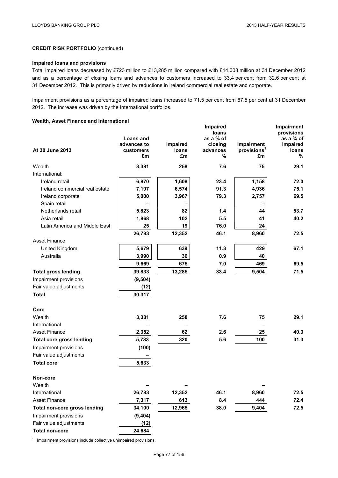# **Impaired loans and provisions**

Total impaired loans decreased by £723 million to £13,285 million compared with £14,008 million at 31 December 2012 and as a percentage of closing loans and advances to customers increased to 33.4 per cent from 32.6 per cent at 31 December 2012. This is primarily driven by reductions in Ireland commercial real estate and corporate.

Impairment provisions as a percentage of impaired loans increased to 71.5 per cent from 67.5 per cent at 31 December 2012. The increase was driven by the International portfolios.

## **Wealth, Asset Finance and International**

|                                 | <b>Loans and</b><br>advances to | Impaired    | Impaired<br>loans<br>as a % of<br>closing | Impairment                    | Impairment<br>provisions<br>as a % of<br>impaired |
|---------------------------------|---------------------------------|-------------|-------------------------------------------|-------------------------------|---------------------------------------------------|
| At 30 June 2013                 | customers<br>£m                 | loans<br>£m | advances<br>%                             | provisions <sup>1</sup><br>£m | loans<br>%                                        |
| Wealth                          | 3,381                           | 258         | 7.6                                       | 75                            | 29.1                                              |
| International:                  |                                 |             |                                           |                               |                                                   |
| Ireland retail                  | 6,870                           | 1,608       | 23.4                                      | 1,158                         | 72.0                                              |
| Ireland commercial real estate  | 7,197                           | 6,574       | 91.3                                      | 4,936                         | 75.1                                              |
| Ireland corporate               | 5,000                           | 3,967       | 79.3                                      | 2,757                         | 69.5                                              |
| Spain retail                    |                                 |             |                                           |                               |                                                   |
| Netherlands retail              | 5,823                           | 82          | 1.4                                       | 44                            | 53.7                                              |
| Asia retail                     | 1,868                           | 102         | 5.5                                       | 41                            | 40.2                                              |
| Latin America and Middle East   | 25                              | 19          | 76.0                                      | 24                            |                                                   |
|                                 | 26,783                          | 12,352      | 46.1                                      | 8,960                         | 72.5                                              |
| Asset Finance:                  |                                 |             |                                           |                               |                                                   |
| United Kingdom                  | 5,679                           | 639         | 11.3                                      | 429                           | 67.1                                              |
| Australia                       | 3,990                           | 36          | 0.9                                       | 40                            |                                                   |
|                                 | 9,669                           | 675         | 7.0                                       | 469                           | 69.5                                              |
| <b>Total gross lending</b>      | 39,833                          | 13,285      | 33.4                                      | 9,504                         | 71.5                                              |
| Impairment provisions           | (9, 504)                        |             |                                           |                               |                                                   |
| Fair value adjustments          | (12)                            |             |                                           |                               |                                                   |
| <b>Total</b>                    | 30,317                          |             |                                           |                               |                                                   |
| Core                            |                                 |             |                                           |                               |                                                   |
| Wealth                          | 3,381                           | 258         | 7.6                                       | 75                            | 29.1                                              |
| International                   |                                 |             |                                           |                               |                                                   |
| <b>Asset Finance</b>            | 2,352                           | 62          | 2.6                                       | 25                            | 40.3                                              |
| <b>Total core gross lending</b> | 5,733                           | 320         | 5.6                                       | 100                           | 31.3                                              |
| Impairment provisions           | (100)                           |             |                                           |                               |                                                   |
| Fair value adjustments          |                                 |             |                                           |                               |                                                   |
| <b>Total core</b>               | 5,633                           |             |                                           |                               |                                                   |
| Non-core                        |                                 |             |                                           |                               |                                                   |
| Wealth                          |                                 |             |                                           |                               |                                                   |
| International                   | 26,783                          | 12,352      | 46.1                                      | 8,960                         | 72.5                                              |
| <b>Asset Finance</b>            | 7,317                           | 613         | 8.4                                       | 444                           | 72.4                                              |
| Total non-core gross lending    | 34,100                          | 12,965      | 38.0                                      | 9,404                         | 72.5                                              |
| Impairment provisions           | (9,404)                         |             |                                           |                               |                                                   |
| Fair value adjustments          | (12)                            |             |                                           |                               |                                                   |
| <b>Total non-core</b>           | 24,684                          |             |                                           |                               |                                                   |

<sup>1</sup> Impairment provisions include collective unimpaired provisions.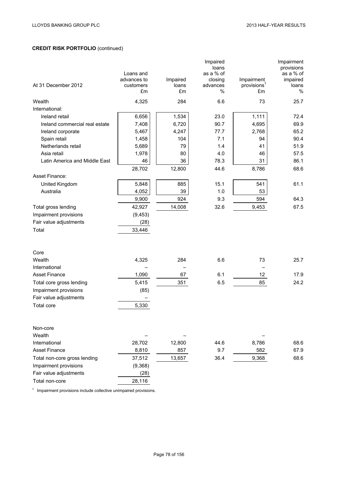| At 31 December 2012            | Loans and<br>advances to<br>customers<br>£m | Impaired<br>loans<br>£m | Impaired<br>loans<br>as a % of<br>closing<br>advances<br>$\%$ | Impairment<br>provisions <sup>1</sup><br>£m | Impairment<br>provisions<br>as a % of<br>impaired<br>loans<br>$\%$ |
|--------------------------------|---------------------------------------------|-------------------------|---------------------------------------------------------------|---------------------------------------------|--------------------------------------------------------------------|
| Wealth                         | 4,325                                       | 284                     | 6.6                                                           | 73                                          | 25.7                                                               |
| International:                 |                                             |                         |                                                               |                                             |                                                                    |
| Ireland retail                 | 6,656                                       | 1,534                   | 23.0                                                          | 1,111                                       | 72.4                                                               |
| Ireland commercial real estate | 7,408                                       | 6,720                   | 90.7                                                          | 4,695                                       | 69.9                                                               |
| Ireland corporate              | 5,467                                       | 4,247                   | 77.7                                                          | 2,768                                       | 65.2                                                               |
| Spain retail                   | 1,458                                       | 104                     | 7.1                                                           | 94                                          | 90.4                                                               |
| Netherlands retail             | 5,689                                       | 79                      | 1.4                                                           | 41                                          | 51.9                                                               |
| Asia retail                    | 1,978                                       | 80                      | 4.0                                                           | 46                                          | 57.5                                                               |
| Latin America and Middle East  | 46                                          | 36                      | 78.3                                                          | 31                                          | 86.1                                                               |
|                                | 28,702                                      | 12,800                  | 44.6                                                          | 8,786                                       | 68.6                                                               |
| Asset Finance:                 |                                             |                         |                                                               |                                             |                                                                    |
| United Kingdom                 | 5,848                                       | 885                     | 15.1                                                          | 541                                         | 61.1                                                               |
| Australia                      | 4,052                                       | 39                      | 1.0                                                           | 53                                          |                                                                    |
|                                | 9,900                                       | 924                     | 9.3                                                           | 594                                         | 64.3                                                               |
| Total gross lending            | 42,927                                      | 14,008                  | 32.6                                                          | 9,453                                       | 67.5                                                               |
| Impairment provisions          | (9, 453)                                    |                         |                                                               |                                             |                                                                    |
| Fair value adjustments         | (28)                                        |                         |                                                               |                                             |                                                                    |
| Total                          | 33,446                                      |                         |                                                               |                                             |                                                                    |
| Core                           |                                             |                         |                                                               |                                             |                                                                    |
| Wealth                         | 4,325                                       | 284                     | 6.6                                                           | 73                                          | 25.7                                                               |
| International                  |                                             |                         |                                                               |                                             |                                                                    |
| <b>Asset Finance</b>           | 1,090                                       | 67                      | 6.1                                                           | 12                                          | 17.9                                                               |
| Total core gross lending       | 5,415                                       | 351                     | 6.5                                                           | 85                                          | 24.2                                                               |
| Impairment provisions          | (85)                                        |                         |                                                               |                                             |                                                                    |
| Fair value adjustments         |                                             |                         |                                                               |                                             |                                                                    |
| <b>Total core</b>              | 5,330                                       |                         |                                                               |                                             |                                                                    |
|                                |                                             |                         |                                                               |                                             |                                                                    |
| Non-core                       |                                             |                         |                                                               |                                             |                                                                    |
| Wealth                         |                                             |                         |                                                               |                                             |                                                                    |
| International                  | 28,702                                      | 12,800                  | 44.6                                                          | 8,786                                       | 68.6                                                               |
| <b>Asset Finance</b>           | 8,810                                       | 857                     | 9.7                                                           | 582                                         | 67.9                                                               |
| Total non-core gross lending   | 37,512                                      | 13,657                  | 36.4                                                          | 9,368                                       | 68.6                                                               |
| Impairment provisions          | (9,368)                                     |                         |                                                               |                                             |                                                                    |
| Fair value adjustments         | (28)                                        |                         |                                                               |                                             |                                                                    |
| Total non-core                 | 28,116                                      |                         |                                                               |                                             |                                                                    |

<sup>1</sup> Impairment provisions include collective unimpaired provisions.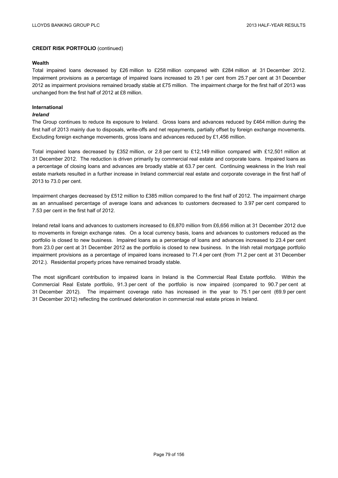### **Wealth**

Total impaired loans decreased by £26 million to £258 million compared with £284 million at 31 December 2012. Impairment provisions as a percentage of impaired loans increased to 29.1 per cent from 25.7 per cent at 31 December 2012 as impairment provisions remained broadly stable at £75 million. The impairment charge for the first half of 2013 was unchanged from the first half of 2012 at £8 million.

## **International**

## *Ireland*

The Group continues to reduce its exposure to Ireland. Gross loans and advances reduced by £464 million during the first half of 2013 mainly due to disposals, write-offs and net repayments, partially offset by foreign exchange movements. Excluding foreign exchange movements, gross loans and advances reduced by £1,456 million.

Total impaired loans decreased by £352 million, or 2.8 per cent to £12,149 million compared with £12,501 million at 31 December 2012. The reduction is driven primarily by commercial real estate and corporate loans. Impaired loans as a percentage of closing loans and advances are broadly stable at 63.7 per cent. Continuing weakness in the Irish real estate markets resulted in a further increase in Ireland commercial real estate and corporate coverage in the first half of 2013 to 73.0 per cent.

Impairment charges decreased by £512 million to £385 million compared to the first half of 2012. The impairment charge as an annualised percentage of average loans and advances to customers decreased to 3.97 per cent compared to 7.53 per cent in the first half of 2012.

Ireland retail loans and advances to customers increased to £6,870 million from £6,656 million at 31 December 2012 due to movements in foreign exchange rates. On a local currency basis, loans and advances to customers reduced as the portfolio is closed to new business. Impaired loans as a percentage of loans and advances increased to 23.4 per cent from 23.0 per cent at 31 December 2012 as the portfolio is closed to new business. In the Irish retail mortgage portfolio impairment provisions as a percentage of impaired loans increased to 71.4 per cent (from 71.2 per cent at 31 December 2012.). Residential property prices have remained broadly stable.

The most significant contribution to impaired loans in Ireland is the Commercial Real Estate portfolio. Within the Commercial Real Estate portfolio, 91.3 per cent of the portfolio is now impaired (compared to 90.7 per cent at 31 December 2012). The impairment coverage ratio has increased in the year to 75.1 per cent (69.9 per cent 31 December 2012) reflecting the continued deterioration in commercial real estate prices in Ireland.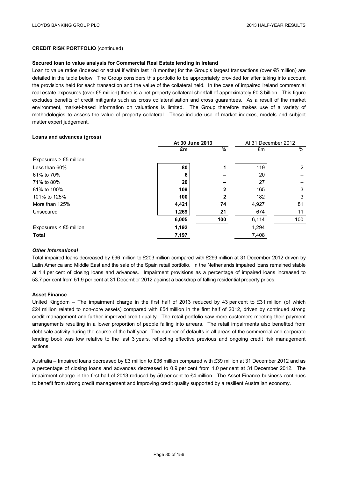#### **Secured loan to value analysis for Commercial Real Estate lending in Ireland**

Loan to value ratios (indexed or actual if within last 18 months) for the Group's largest transactions (over €5 million) are detailed in the table below. The Group considers this portfolio to be appropriately provided for after taking into account the provisions held for each transaction and the value of the collateral held. In the case of impaired Ireland commercial real estate exposures (over €5 million) there is a net property collateral shortfall of approximately £0.3 billion. This figure excludes benefits of credit mitigants such as cross collateralisation and cross guarantees. As a result of the market environment, market-based information on valuations is limited. The Group therefore makes use of a variety of methodologies to assess the value of property collateral. These include use of market indexes, models and subject matter expert judgement.

#### **Loans and advances (gross)**

|                                   | At 30 June 2013 |                          |       | At 31 December 2012 |  |
|-----------------------------------|-----------------|--------------------------|-------|---------------------|--|
|                                   | £m              | $\%$                     | £m    | $\%$                |  |
| Exposures $> \epsilon$ 5 million: |                 |                          |       |                     |  |
| Less than 60%                     | 80              | 1                        | 119   | $\overline{2}$      |  |
| 61% to 70%                        | 6               | $\overline{\phantom{0}}$ | 20    |                     |  |
| 71% to 80%                        | 20              |                          | 27    |                     |  |
| 81% to 100%                       | 109             | $\mathbf{2}$             | 165   | 3                   |  |
| 101% to 125%                      | 100             | $\mathbf{2}$             | 182   | 3                   |  |
| More than 125%                    | 4,421           | 74                       | 4,927 | 81                  |  |
| Unsecured                         | 1,269           | 21                       | 674   | 11                  |  |
|                                   | 6,005           | 100                      | 6,114 | 100                 |  |
| Exposures $\leq$ $\leq$ 5 million | 1,192           |                          | 1,294 |                     |  |
| Total                             | 7,197           |                          | 7,408 |                     |  |
|                                   |                 |                          |       |                     |  |

### *Other International*

Total impaired loans decreased by £96 million to £203 million compared with £299 million at 31 December 2012 driven by Latin America and Middle East and the sale of the Spain retail portfolio. In the Netherlands impaired loans remained stable at 1.4 per cent of closing loans and advances. Impairment provisions as a percentage of impaired loans increased to 53.7 per cent from 51.9 per cent at 31 December 2012 against a backdrop of falling residential property prices.

### **Asset Finance**

United Kingdom – The impairment charge in the first half of 2013 reduced by 43 per cent to £31 million (of which £24 million related to non-core assets) compared with £54 million in the first half of 2012, driven by continued strong credit management and further improved credit quality. The retail portfolio saw more customers meeting their payment arrangements resulting in a lower proportion of people falling into arrears. The retail impairments also benefited from debt sale activity during the course of the half year. The number of defaults in all areas of the commercial and corporate lending book was low relative to the last 3 years, reflecting effective previous and ongoing credit risk management actions.

Australia – Impaired loans decreased by £3 million to £36 million compared with £39 million at 31 December 2012 and as a percentage of closing loans and advances decreased to 0.9 per cent from 1.0 per cent at 31 December 2012. The impairment charge in the first half of 2013 reduced by 50 per cent to £4 million. The Asset Finance business continues to benefit from strong credit management and improving credit quality supported by a resilient Australian economy.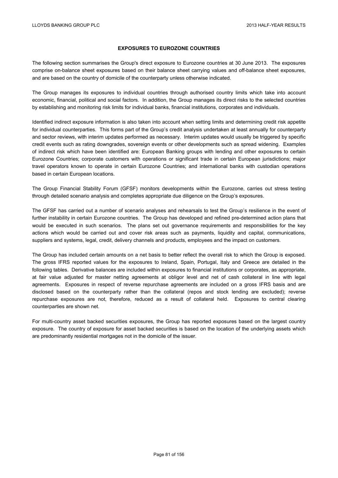# **EXPOSURES TO EUROZONE COUNTRIES**

The following section summarises the Group's direct exposure to Eurozone countries at 30 June 2013. The exposures comprise on-balance sheet exposures based on their balance sheet carrying values and off-balance sheet exposures, and are based on the country of domicile of the counterparty unless otherwise indicated.

The Group manages its exposures to individual countries through authorised country limits which take into account economic, financial, political and social factors. In addition, the Group manages its direct risks to the selected countries by establishing and monitoring risk limits for individual banks, financial institutions, corporates and individuals.

Identified indirect exposure information is also taken into account when setting limits and determining credit risk appetite for individual counterparties. This forms part of the Group's credit analysis undertaken at least annually for counterparty and sector reviews, with interim updates performed as necessary. Interim updates would usually be triggered by specific credit events such as rating downgrades, sovereign events or other developments such as spread widening. Examples of indirect risk which have been identified are: European Banking groups with lending and other exposures to certain Eurozone Countries; corporate customers with operations or significant trade in certain European jurisdictions; major travel operators known to operate in certain Eurozone Countries; and international banks with custodian operations based in certain European locations.

The Group Financial Stability Forum (GFSF) monitors developments within the Eurozone, carries out stress testing through detailed scenario analysis and completes appropriate due diligence on the Group's exposures.

The GFSF has carried out a number of scenario analyses and rehearsals to test the Group's resilience in the event of further instability in certain Eurozone countries. The Group has developed and refined pre-determined action plans that would be executed in such scenarios. The plans set out governance requirements and responsibilities for the key actions which would be carried out and cover risk areas such as payments, liquidity and capital, communications, suppliers and systems, legal, credit, delivery channels and products, employees and the impact on customers.

The Group has included certain amounts on a net basis to better reflect the overall risk to which the Group is exposed. The gross IFRS reported values for the exposures to Ireland, Spain, Portugal, Italy and Greece are detailed in the following tables. Derivative balances are included within exposures to financial institutions or corporates, as appropriate, at fair value adjusted for master netting agreements at obligor level and net of cash collateral in line with legal agreements. Exposures in respect of reverse repurchase agreements are included on a gross IFRS basis and are disclosed based on the counterparty rather than the collateral (repos and stock lending are excluded); reverse repurchase exposures are not, therefore, reduced as a result of collateral held. Exposures to central clearing counterparties are shown net.

For multi-country asset backed securities exposures, the Group has reported exposures based on the largest country exposure. The country of exposure for asset backed securities is based on the location of the underlying assets which are predominantly residential mortgages not in the domicile of the issuer.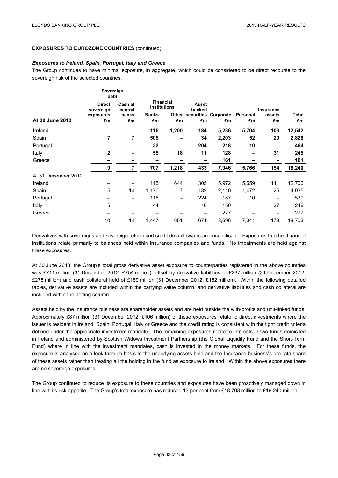### *Exposures to Ireland, Spain, Portugal, Italy and Greece*

The Group continues to have minimal exposure, in aggregate, which could be considered to be direct recourse to the sovereign risk of the selected countries.

|                     | Sovereign<br>debt          |                          |                  |              |                 |                            |          |                  |        |
|---------------------|----------------------------|--------------------------|------------------|--------------|-----------------|----------------------------|----------|------------------|--------|
|                     | <b>Direct</b><br>sovereign | Cash at<br>central       | <b>Financial</b> | institutions | Asset<br>backed |                            |          | <b>Insurance</b> |        |
|                     | exposures                  | banks                    | <b>Banks</b>     |              |                 | Other securities Corporate | Personal | assets           | Total  |
| At 30 June 2013     | £m                         | £m                       | £m               | £m           | £m              | £m                         | £m       | £m               | £m     |
| Ireland             |                            |                          | 115              | 1,200        | 184             | 5,236                      | 5,704    | 103              | 12,542 |
| Spain               | 7                          | 7                        | 505              |              | 34              | 2,203                      | 52       | 20               | 2,828  |
| Portugal            |                            |                          | 32               |              | 204             | 218                        | 10       |                  | 464    |
| Italy               | $\overline{2}$             |                          | 55               | 18           | 11              | 128                        | -        | 31               | 245    |
| Greece              |                            | $\overline{\phantom{0}}$ | -                |              |                 | 161                        |          |                  | 161    |
|                     | 9                          | 7                        | 707              | 1,218        | 433             | 7,946                      | 5,766    | 154              | 16,240 |
| At 31 December 2012 |                            |                          |                  |              |                 |                            |          |                  |        |
| Ireland             |                            |                          | 115              | 644          | 305             | 5,972                      | 5,559    | 111              | 12,706 |
| Spain               | 5                          | 14                       | 1,170            | 7            | 132             | 2,110                      | 1,472    | 25               | 4,935  |
| Portugal            |                            |                          | 118              |              | 224             | 187                        | 10       |                  | 539    |
| Italy               | 5                          |                          | 44               |              | 10              | 150                        |          | 37               | 246    |
| Greece              |                            |                          |                  |              |                 | 277                        |          |                  | 277    |
|                     | 10                         | 14                       | 1,447            | 651          | 671             | 8,696                      | 7,041    | 173              | 18,703 |

Derivatives with sovereigns and sovereign referenced credit default swaps are insignificant. Exposures to other financial institutions relate primarily to balances held within insurance companies and funds. No impairments are held against these exposures.

At 30 June 2013, the Group's total gross derivative asset exposure to counterparties registered in the above countries was £711 million (31 December 2012: £754 million), offset by derivative liabilities of £267 million (31 December 2012: £278 million) and cash collateral held of £189 million (31 December 2012: £152 million). Within the following detailed tables, derivative assets are included within the carrying value column, and derivative liabilities and cash collateral are included within the netting column.

Assets held by the Insurance business are shareholder assets and are held outside the with-profits and unit-linked funds. Approximately £87 million (31 December 2012: £106 million) of these exposures relate to direct investments where the issuer is resident in Ireland, Spain, Portugal, Italy or Greece and the credit rating is consistent with the tight credit criteria defined under the appropriate investment mandate. The remaining exposures relate to interests in two funds domiciled in Ireland and administered by Scottish Widows Investment Partnership (the Global Liquidity Fund and the Short-Term Fund) where in line with the investment mandates, cash is invested in the money markets. For these funds, the exposure is analysed on a look through basis to the underlying assets held and the Insurance business's pro rata share of these assets rather than treating all the holding in the fund as exposure to Ireland. Within the above exposures there are no sovereign exposures.

The Group continued to reduce its exposure to these countries and exposures have been proactively managed down in line with its risk appetite. The Group's total exposure has reduced 13 per cent from £18,703 million to £16,240 million.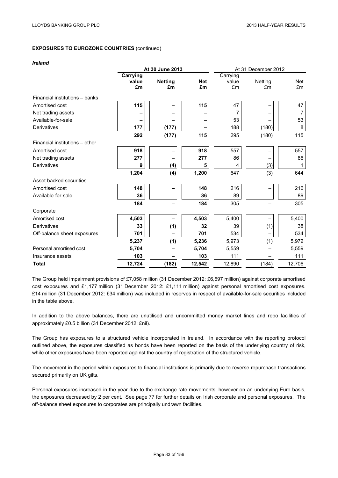#### *Ireland*

|                                | At 30 June 2013 |                |            | At 31 December 2012 |         |        |
|--------------------------------|-----------------|----------------|------------|---------------------|---------|--------|
|                                | Carrying        |                |            | Carrying            |         |        |
|                                | value           | <b>Netting</b> | <b>Net</b> | value               | Netting | Net    |
|                                | £m              | £m             | £m         | £m                  | £m      | £m     |
| Financial institutions - banks |                 |                |            |                     |         |        |
| Amortised cost                 | 115             |                | 115        | 47                  |         | 47     |
| Net trading assets             |                 |                |            |                     |         |        |
| Available-for-sale             |                 |                |            | 53                  |         | 53     |
| Derivatives                    | 177             | (177)          |            | 188                 | (180)   | 8      |
|                                | 292             | (177)          | 115        | 295                 | (180)   | 115    |
| Financial institutions - other |                 |                |            |                     |         |        |
| Amortised cost                 | 918             |                | 918        | 557                 |         | 557    |
| Net trading assets             | 277             |                | 277        | 86                  |         | 86     |
| Derivatives                    | 9               | (4)            | 5          | 4                   | (3)     | 1      |
|                                | 1,204           | (4)            | 1,200      | 647                 | (3)     | 644    |
| Asset backed securities        |                 |                |            |                     |         |        |
| Amortised cost                 | 148             |                | 148        | 216                 |         | 216    |
| Available-for-sale             | 36              |                | 36         | 89                  | —       | 89     |
|                                | 184             |                | 184        | 305                 |         | 305    |
| Corporate                      |                 |                |            |                     |         |        |
| Amortised cost                 | 4,503           |                | 4,503      | 5,400               |         | 5,400  |
| Derivatives                    | 33              | (1)            | 32         | 39                  | (1)     | 38     |
| Off-balance sheet exposures    | 701             |                | 701        | 534                 |         | 534    |
|                                | 5,237           | (1)            | 5,236      | 5,973               | (1)     | 5,972  |
| Personal amortised cost        | 5,704           |                | 5,704      | 5,559               |         | 5,559  |
| Insurance assets               | 103             |                | 103        | 111                 |         | 111    |
| <b>Total</b>                   | 12,724          | (182)          | 12,542     | 12,890              | (184)   | 12,706 |

The Group held impairment provisions of £7,058 million (31 December 2012: £6,597 million) against corporate amortised cost exposures and £1,177 million (31 December 2012: £1,111 million) against personal amortised cost exposures. £14 million (31 December 2012: £34 million) was included in reserves in respect of available-for-sale securities included in the table above.

In addition to the above balances, there are unutilised and uncommitted money market lines and repo facilities of approximately £0.5 billion (31 December 2012: £nil).

The Group has exposures to a structured vehicle incorporated in Ireland. In accordance with the reporting protocol outlined above, the exposures classified as bonds have been reported on the basis of the underlying country of risk, while other exposures have been reported against the country of registration of the structured vehicle.

The movement in the period within exposures to financial institutions is primarily due to reverse repurchase transactions secured primarily on UK gilts.

Personal exposures increased in the year due to the exchange rate movements, however on an underlying Euro basis, the exposures decreased by 2 per cent. See page 77 for further details on Irish corporate and personal exposures. The off-balance sheet exposures to corporates are principally undrawn facilities.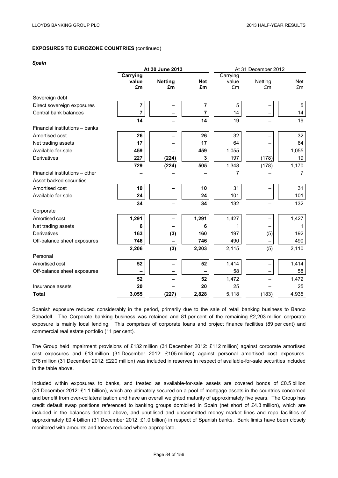#### *Spain*

|                                | At 30 June 2013<br>At 31 December 2012 |                |            |          |         |            |
|--------------------------------|----------------------------------------|----------------|------------|----------|---------|------------|
|                                | Carrying                               |                |            | Carrying |         |            |
|                                | value                                  | <b>Netting</b> | <b>Net</b> | value    | Netting | <b>Net</b> |
|                                | £m                                     | £m             | £m         | £m       | £m      | £m         |
| Sovereign debt                 |                                        |                |            |          |         |            |
| Direct sovereign exposures     | 7                                      |                | 7          | 5        |         | 5          |
| Central bank balances          | 7                                      |                | 7          | 14       |         | 14         |
|                                | 14                                     |                | 14         | 19       |         | 19         |
| Financial institutions - banks |                                        |                |            |          |         |            |
| Amortised cost                 | 26                                     |                | 26         | 32       |         | 32         |
| Net trading assets             | 17                                     |                | 17         | 64       |         | 64         |
| Available-for-sale             | 459                                    |                | 459        | 1,055    |         | 1,055      |
| Derivatives                    | 227                                    | (224)          | 3          | 197      | (178)   | 19         |
|                                | 729                                    | (224)          | 505        | 1,348    | (178)   | 1,170      |
| Financial institutions - other |                                        |                |            | 7        |         | 7          |
| Asset backed securities        |                                        |                |            |          |         |            |
| Amortised cost                 | 10                                     |                | 10         | 31       |         | 31         |
| Available-for-sale             | 24                                     |                | 24         | 101      |         | 101        |
|                                | 34                                     |                | 34         | 132      |         | 132        |
| Corporate                      |                                        |                |            |          |         |            |
| Amortised cost                 | 1,291                                  |                | 1,291      | 1,427    |         | 1,427      |
| Net trading assets             | 6                                      |                | 6          | 1        |         | 1          |
| Derivatives                    | 163                                    | (3)            | 160        | 197      | (5)     | 192        |
| Off-balance sheet exposures    | 746                                    |                | 746        | 490      |         | 490        |
|                                | 2,206                                  | (3)            | 2,203      | 2,115    | (5)     | 2,110      |
| Personal                       |                                        |                |            |          |         |            |
| Amortised cost                 | 52                                     |                | 52         | 1,414    |         | 1,414      |
| Off-balance sheet exposures    |                                        |                |            | 58       |         | 58         |
|                                | 52                                     |                | 52         | 1,472    |         | 1,472      |
| Insurance assets               | 20                                     |                | 20         | 25       |         | 25         |
| <b>Total</b>                   | 3,055                                  | (227)          | 2,828      | 5,118    | (183)   | 4,935      |

Spanish exposure reduced considerably in the period, primarily due to the sale of retail banking business to Banco Sabadell. The Corporate banking business was retained and 81 per cent of the remaining £2,203 million corporate exposure is mainly local lending. This comprises of corporate loans and project finance facilities (89 per cent) and commercial real estate portfolio (11 per cent).

The Group held impairment provisions of £132 million (31 December 2012: £112 million) against corporate amortised cost exposures and £13 million (31 December 2012: £105 million) against personal amortised cost exposures. £78 million (31 December 2012: £220 million) was included in reserves in respect of available-for-sale securities included in the table above.

Included within exposures to banks, and treated as available-for-sale assets are covered bonds of £0.5 billion (31 December 2012: £1.1 billion), which are ultimately secured on a pool of mortgage assets in the countries concerned and benefit from over-collateralisation and have an overall weighted maturity of approximately five years. The Group has credit default swap positions referenced to banking groups domiciled in Spain (net short of £4.3 million), which are included in the balances detailed above, and unutilised and uncommitted money market lines and repo facilities of approximately £0.4 billion (31 December 2012: £1.0 billion) in respect of Spanish banks. Bank limits have been closely monitored with amounts and tenors reduced where appropriate.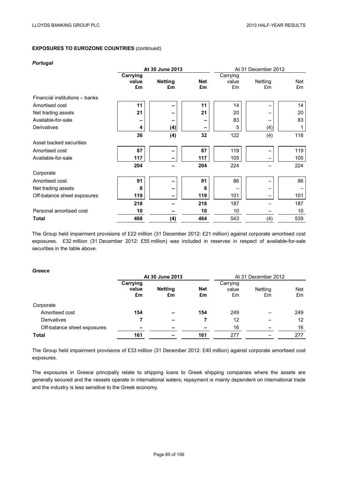### *Portugal*

|                                | At 30 June 2013         |                      |                  | At 31 December 2012     |               |           |
|--------------------------------|-------------------------|----------------------|------------------|-------------------------|---------------|-----------|
|                                | Carrying<br>value<br>£m | <b>Netting</b><br>£m | <b>Net</b><br>£m | Carrying<br>value<br>£m | Netting<br>£m | Net<br>£m |
| Financial institutions - banks |                         |                      |                  |                         |               |           |
| Amortised cost                 | 11                      | -                    | 11               | 14                      |               | 14        |
| Net trading assets             | 21                      |                      | 21               | 20                      |               | 20        |
| Available-for-sale             |                         |                      |                  | 83                      |               | 83        |
| Derivatives                    | 4                       | (4)                  |                  | 5                       | (4)           |           |
|                                | 36                      | (4)                  | 32               | 122                     | (4)           | 118       |
| Asset backed securities        |                         |                      |                  |                         |               |           |
| Amortised cost                 | 87                      |                      | 87               | 119                     |               | 119       |
| Available-for-sale             | 117                     |                      | 117              | 105                     |               | 105       |
|                                | 204                     |                      | 204              | 224                     |               | 224       |
| Corporate                      |                         |                      |                  |                         |               |           |
| Amortised cost                 | 91                      |                      | 91               | 86                      |               | 86        |
| Net trading assets             | 8                       | -                    | 8                |                         |               |           |
| Off-balance sheet exposures    | 119                     |                      | 119              | 101                     | -             | 101       |
|                                | 218                     |                      | 218              | 187                     |               | 187       |
| Personal amortised cost        | 10                      |                      | 10               | 10                      |               | 10        |
| Total                          | 468                     | (4)                  | 464              | 543                     | (4)           | 539       |

The Group held impairment provisions of £22 million (31 December 2012: £21 million) against corporate amortised cost exposures. £32 million (31 December 2012: £55 million) was included in reserves in respect of available-for-sale securities in the table above.

# *Greece*

|                             | At 30 June 2013 |                          |            | At 31 December 2012 |                |            |
|-----------------------------|-----------------|--------------------------|------------|---------------------|----------------|------------|
|                             | Carrying        |                          |            | Carrying            |                |            |
|                             | value           | <b>Netting</b>           | <b>Net</b> | value               | <b>Netting</b> | <b>Net</b> |
|                             | £m              | £m                       | £m         | £m                  | £m             | £m         |
| Corporate                   |                 |                          |            |                     |                |            |
| Amortised cost              | 154             |                          | 154        | 249                 |                | 249        |
| Derivatives                 |                 | $\overline{\phantom{0}}$ |            | 12                  |                | 12         |
| Off-balance sheet exposures |                 |                          |            | 16                  |                | 16         |
| <b>Total</b>                | 161             |                          | 161        | 277                 |                | 277        |

The Group held impairment provisions of £33 million (31 December 2012: £40 million) against corporate amortised cost exposures.

The exposures in Greece principally relate to shipping loans to Greek shipping companies where the assets are generally secured and the vessels operate in international waters; repayment is mainly dependent on international trade and the industry is less sensitive to the Greek economy.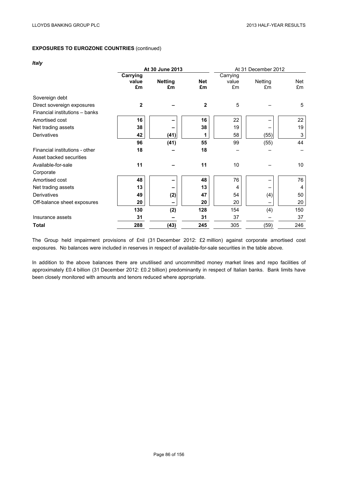## *Italy*

|                                | At 30 June 2013 |                |              | At 31 December 2012 |         |     |  |
|--------------------------------|-----------------|----------------|--------------|---------------------|---------|-----|--|
|                                | Carrying        |                |              | Carrying            |         |     |  |
|                                | value           | <b>Netting</b> | <b>Net</b>   | value               | Netting | Net |  |
|                                | £m              | £m             | £m           | £m                  | £m      | £m  |  |
| Sovereign debt                 |                 |                |              |                     |         |     |  |
| Direct sovereign exposures     | $\mathbf{2}$    |                | $\mathbf{2}$ | 5                   |         | 5   |  |
| Financial institutions - banks |                 |                |              |                     |         |     |  |
| Amortised cost                 | 16              |                | 16           | 22                  |         | 22  |  |
| Net trading assets             | 38              |                | 38           | 19                  |         | 19  |  |
| Derivatives                    | 42              | (41)           | 1            | 58                  | (55)    | 3   |  |
|                                | 96              | (41)           | 55           | 99                  | (55)    | 44  |  |
| Financial institutions - other | 18              |                | 18           |                     |         |     |  |
| Asset backed securities        |                 |                |              |                     |         |     |  |
| Available-for-sale             | 11              |                | 11           | 10                  |         | 10  |  |
| Corporate                      |                 |                |              |                     |         |     |  |
| Amortised cost                 | 48              |                | 48           | 76                  |         | 76  |  |
| Net trading assets             | 13              |                | 13           | 4                   |         | 4   |  |
| Derivatives                    | 49              | (2)            | 47           | 54                  | (4)     | 50  |  |
| Off-balance sheet exposures    | 20              |                | 20           | 20                  |         | 20  |  |
|                                | 130             | (2)            | 128          | 154                 | (4)     | 150 |  |
| Insurance assets               | 31              |                | 31           | 37                  |         | 37  |  |
| Total                          | 288             | (43)           | 245          | 305                 | (59)    | 246 |  |

The Group held impairment provisions of £nil (31 December 2012: £2 million) against corporate amortised cost exposures. No balances were included in reserves in respect of available-for-sale securities in the table above.

In addition to the above balances there are unutilised and uncommitted money market lines and repo facilities of approximately £0.4 billion (31 December 2012: £0.2 billion) predominantly in respect of Italian banks. Bank limits have been closely monitored with amounts and tenors reduced where appropriate.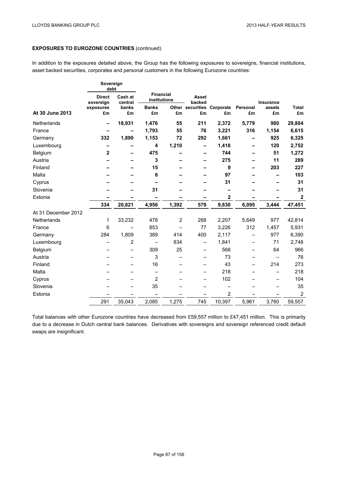In addition to the exposures detailed above, the Group has the following exposures to sovereigns, financial institutions, asset backed securities, corporates and personal customers in the following Eurozone countries:

|                     | Sovereign<br>debt                                |        |                                  |                |                          |                            |          |           |                         |
|---------------------|--------------------------------------------------|--------|----------------------------------|----------------|--------------------------|----------------------------|----------|-----------|-------------------------|
|                     | Cash at<br><b>Direct</b><br>sovereign<br>central |        | <b>Financial</b><br>institutions |                | Asset<br>backed          |                            |          | Insurance |                         |
|                     | exposures                                        | banks  | <b>Banks</b>                     |                |                          | Other securities Corporate | Personal | assets    | <b>Total</b>            |
| At 30 June 2013     | £m                                               | £m     | £m                               | £m             | £m                       | £m                         | £m       | £m        | £m                      |
| Netherlands         |                                                  | 18,931 | 1,476                            | 55             | 211                      | 2,372                      | 5,779    | 980       | 29,804                  |
| France              |                                                  |        | 1,793                            | 55             | 76                       | 3,221                      | 316      | 1,154     | 6,615                   |
| Germany             | 332                                              | 1,890  | 1,153                            | 72             | 292                      | 1,661                      | -        | 925       | 6,325                   |
| Luxembourg          |                                                  |        | 4                                | 1,210          |                          | 1,418                      |          | 120       | 2,752                   |
| Belgium             | $\mathbf 2$                                      |        | 475                              |                |                          | 744                        |          | 51        | 1,272                   |
| Austria             |                                                  |        | 3                                |                |                          | 275                        |          | 11        | 289                     |
| Finland             |                                                  |        | 15                               |                |                          | 9                          |          | 203       | 227                     |
| Malta               |                                                  |        | 6                                |                |                          | 97                         |          |           | 103                     |
| Cyprus              |                                                  |        |                                  |                |                          | 31                         |          |           | 31                      |
| Slovenia            |                                                  |        | 31                               |                |                          |                            |          |           | 31                      |
| Estonia             |                                                  |        |                                  |                |                          | $\mathbf 2$                |          |           | $\overline{\mathbf{2}}$ |
|                     | 334                                              | 20,821 | 4,956                            | 1,392          | 579                      | 9,830                      | 6,095    | 3,444     | 47,451                  |
| At 31 December 2012 |                                                  |        |                                  |                |                          |                            |          |           |                         |
| Netherlands         | 1                                                | 33,232 | 478                              | $\overline{2}$ | 268                      | 2,207                      | 5,649    | 977       | 42,814                  |
| France              | 6                                                |        | 853                              |                | 77                       | 3,226                      | 312      | 1,457     | 5,931                   |
| Germany             | 284                                              | 1,809  | 389                              | 414            | 400                      | 2,117                      |          | 977       | 6,390                   |
| Luxembourg          |                                                  | 2      |                                  | 834            | $\overline{\phantom{0}}$ | 1,841                      | —        | 71        | 2,748                   |
| Belgium             |                                                  |        | 309                              | 25             | -                        | 568                        |          | 64        | 966                     |
| Austria             |                                                  |        | 3                                |                |                          | 73                         |          |           | 76                      |
| Finland             |                                                  |        | 16                               |                |                          | 43                         |          | 214       | 273                     |
| Malta               |                                                  |        | —                                |                |                          | 218                        |          |           | 218                     |
| Cyprus              |                                                  |        | $\overline{2}$                   |                |                          | 102                        |          |           | 104                     |
| Slovenia            |                                                  |        | 35                               |                |                          |                            |          |           | 35                      |
| Estonia             |                                                  |        |                                  |                |                          | $\overline{2}$             |          |           | $\overline{2}$          |
|                     | 291                                              | 35,043 | 2,085                            | 1,275          | 745                      | 10,397                     | 5,961    | 3,760     | 59,557                  |

Total balances with other Eurozone countries have decreased from £59,557 million to £47,451 million. This is primarily due to a decrease in Dutch central bank balances. Derivatives with sovereigns and sovereign referenced credit default swaps are insignificant.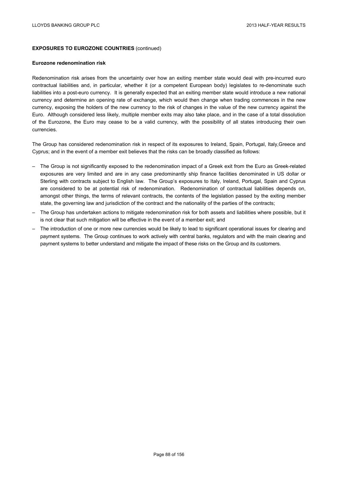#### **Eurozone redenomination risk**

Redenomination risk arises from the uncertainty over how an exiting member state would deal with pre-incurred euro contractual liabilities and, in particular, whether it (or a competent European body) legislates to re-denominate such liabilities into a post-euro currency. It is generally expected that an exiting member state would introduce a new national currency and determine an opening rate of exchange, which would then change when trading commences in the new currency, exposing the holders of the new currency to the risk of changes in the value of the new currency against the Euro. Although considered less likely, multiple member exits may also take place, and in the case of a total dissolution of the Eurozone, the Euro may cease to be a valid currency, with the possibility of all states introducing their own currencies.

The Group has considered redenomination risk in respect of its exposures to Ireland, Spain, Portugal, Italy,Greece and Cyprus; and in the event of a member exit believes that the risks can be broadly classified as follows:

- The Group is not significantly exposed to the redenomination impact of a Greek exit from the Euro as Greek-related exposures are very limited and are in any case predominantly ship finance facilities denominated in US dollar or Sterling with contracts subject to English law. The Group's exposures to Italy, Ireland, Portugal, Spain and Cyprus are considered to be at potential risk of redenomination. Redenomination of contractual liabilities depends on, amongst other things, the terms of relevant contracts, the contents of the legislation passed by the exiting member state, the governing law and jurisdiction of the contract and the nationality of the parties of the contracts;
- The Group has undertaken actions to mitigate redenomination risk for both assets and liabilities where possible, but it is not clear that such mitigation will be effective in the event of a member exit; and
- The introduction of one or more new currencies would be likely to lead to significant operational issues for clearing and payment systems. The Group continues to work actively with central banks, regulators and with the main clearing and payment systems to better understand and mitigate the impact of these risks on the Group and its customers.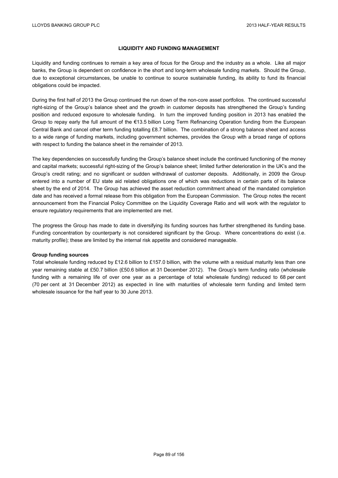# **LIQUIDITY AND FUNDING MANAGEMENT**

Liquidity and funding continues to remain a key area of focus for the Group and the industry as a whole. Like all major banks, the Group is dependent on confidence in the short and long-term wholesale funding markets. Should the Group, due to exceptional circumstances, be unable to continue to source sustainable funding, its ability to fund its financial obligations could be impacted.

During the first half of 2013 the Group continued the run down of the non-core asset portfolios. The continued successful right-sizing of the Group's balance sheet and the growth in customer deposits has strengthened the Group's funding position and reduced exposure to wholesale funding. In turn the improved funding position in 2013 has enabled the Group to repay early the full amount of the €13.5 billion Long Term Refinancing Operation funding from the European Central Bank and cancel other term funding totalling £8.7 billion. The combination of a strong balance sheet and access to a wide range of funding markets, including government schemes, provides the Group with a broad range of options with respect to funding the balance sheet in the remainder of 2013.

The key dependencies on successfully funding the Group's balance sheet include the continued functioning of the money and capital markets; successful right-sizing of the Group's balance sheet; limited further deterioration in the UK's and the Group's credit rating; and no significant or sudden withdrawal of customer deposits. Additionally, in 2009 the Group entered into a number of EU state aid related obligations one of which was reductions in certain parts of its balance sheet by the end of 2014. The Group has achieved the asset reduction commitment ahead of the mandated completion date and has received a formal release from this obligation from the European Commission. The Group notes the recent announcement from the Financial Policy Committee on the Liquidity Coverage Ratio and will work with the regulator to ensure regulatory requirements that are implemented are met.

The progress the Group has made to date in diversifying its funding sources has further strengthened its funding base. Funding concentration by counterparty is not considered significant by the Group. Where concentrations do exist (i.e. maturity profile); these are limited by the internal risk appetite and considered manageable.

### **Group funding sources**

Total wholesale funding reduced by £12.6 billion to £157.0 billion, with the volume with a residual maturity less than one year remaining stable at £50.7 billion (£50.6 billion at 31 December 2012). The Group's term funding ratio (wholesale funding with a remaining life of over one year as a percentage of total wholesale funding) reduced to 68 per cent (70 per cent at 31 December 2012) as expected in line with maturities of wholesale term funding and limited term wholesale issuance for the half year to 30 June 2013.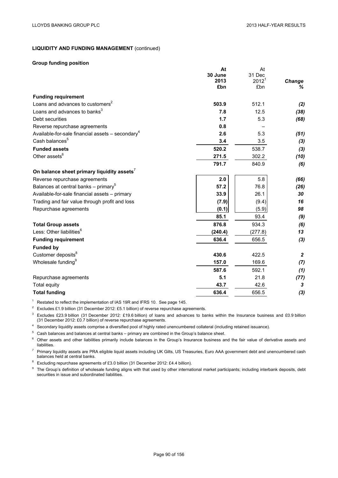At

**At**

# **LIQUIDITY AND FUNDING MANAGEMENT** (continued)

## **Group funding position**

|                                                                | Aτ      | Αι                |                |
|----------------------------------------------------------------|---------|-------------------|----------------|
|                                                                | 30 June | 31 Dec            |                |
|                                                                | 2013    | 2012 <sup>1</sup> | Change         |
|                                                                | £bn     | £bn               | ℅              |
| <b>Funding requirement</b>                                     |         |                   |                |
| Loans and advances to customers <sup>2</sup>                   | 503.9   | 512.1             | (2)            |
| Loans and advances to banks <sup>3</sup>                       | 7.8     | 12.5              | (38)           |
| Debt securities                                                | 1.7     | 5.3               | (68)           |
| Reverse repurchase agreements                                  | 0.8     |                   |                |
| Available-for-sale financial assets $-$ secondary <sup>4</sup> | 2.6     | 5.3               | (51)           |
| Cash balances <sup>5</sup>                                     | 3.4     | 3.5               | (3)            |
| <b>Funded assets</b>                                           | 520.2   | 538.7             | $(3)$          |
| Other assets <sup>6</sup>                                      | 271.5   | 302.2             | (10)           |
|                                                                | 791.7   | 840.9             | (6)            |
| On balance sheet primary liquidity assets <sup>7</sup>         |         |                   |                |
| Reverse repurchase agreements                                  | 2.0     | 5.8               | (66)           |
| Balances at central banks - primary <sup>5</sup>               | 57.2    | 76.8              | (26)           |
| Available-for-sale financial assets - primary                  | 33.9    | 26.1              | 30             |
| Trading and fair value through profit and loss                 | (7.9)   | (9.4)             | 16             |
| Repurchase agreements                                          | (0.1)   | (5.9)             | 98             |
|                                                                | 85.1    | 93.4              | (9)            |
| <b>Total Group assets</b>                                      | 876.8   | 934.3             | (6)            |
| Less: Other liabilities <sup>6</sup>                           | (240.4) | (277.8)           | 13             |
| <b>Funding requirement</b>                                     | 636.4   | 656.5             | (3)            |
| <b>Funded by</b>                                               |         |                   |                |
| Customer deposits <sup>8</sup>                                 | 430.6   | 422.5             | $\overline{2}$ |
| Wholesale funding <sup>9</sup>                                 | 157.0   | 169.6             | (7)            |
|                                                                | 587.6   | 592.1             | (1)            |
| Repurchase agreements                                          | 5.1     | 21.8              | (77)           |
| <b>Total equity</b>                                            | 43.7    | 42.6              | 3              |
| <b>Total funding</b>                                           | 636.4   | 656.5             | $(3)$          |

<sup>1</sup> Restated to reflect the implementation of IAS 19R and IFRS 10. See page 145.

<sup>2</sup> Excludes £1.9 billion (31 December 2012: £5.1 billion) of reverse repurchase agreements.

<sup>3</sup> Excludes £23.9 billion (31 December 2012: £19.6 billion) of loans and advances to banks within the Insurance business and £0.9 billion (31 December 2012: £0.7 billion) of reverse repurchase agreements.

<sup>4</sup> Secondary liquidity assets comprise a diversified pool of highly rated unencumbered collateral (including retained issuance).

 $5$  Cash balances and balances at central banks – primary are combined in the Group's balance sheet.

<sup>6</sup> Other assets and other liabilities primarily include balances in the Group's Insurance business and the fair value of derivative assets and liabilities.

<sup>7</sup> Primary liquidity assets are PRA eligible liquid assets including UK Gilts, US Treasuries, Euro AAA government debt and unencumbered cash balances held at central banks.

<sup>8</sup> Excluding repurchase agreements of £3.0 billion (31 December 2012: £4.4 billion).

<sup>9</sup> The Group's definition of wholesale funding aligns with that used by other international market participants; including interbank deposits, debt securities in issue and subordinated liabilities.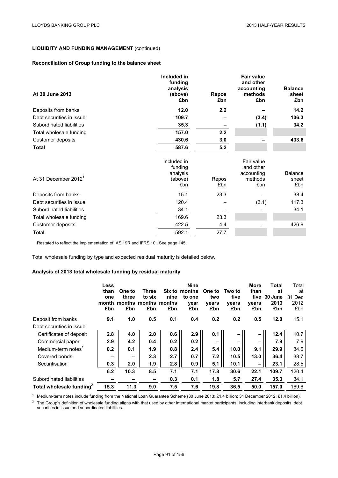# **Reconciliation of Group funding to the balance sheet**

| At 30 June 2013                  | Included in<br>funding<br>analysis<br>(above)<br>£bn | <b>Repos</b><br>£bn | <b>Fair value</b><br>and other<br>accounting<br>methods<br>£bn | <b>Balance</b><br>sheet<br>£bn |
|----------------------------------|------------------------------------------------------|---------------------|----------------------------------------------------------------|--------------------------------|
| Deposits from banks              | 12.0                                                 | 2.2                 |                                                                | 14.2                           |
| Debt securities in issue         | 109.7                                                |                     | (3.4)                                                          | 106.3                          |
| Subordinated liabilities         | 35.3                                                 |                     | (1.1)                                                          | 34.2                           |
| Total wholesale funding          | 157.0                                                | 2.2                 |                                                                |                                |
| Customer deposits                | 430.6                                                | 3.0                 |                                                                | 433.6                          |
| Total                            | 587.6                                                | 5.2                 |                                                                |                                |
| At 31 December 2012 <sup>1</sup> | Included in<br>funding<br>analysis<br>(above)<br>£bn | Repos<br>£bn        | Fair value<br>and other<br>accounting<br>methods<br>£bn        | <b>Balance</b><br>sheet<br>£bn |
| Deposits from banks              | 15.1                                                 | 23.3                |                                                                | 38.4                           |
| Debt securities in issue         | 120.4                                                |                     | (3.1)                                                          | 117.3                          |
| Subordinated liabilities         | 34.1                                                 |                     |                                                                | 34.1                           |
| Total wholesale funding          | 169.6                                                | 23.3                |                                                                |                                |
| Customer deposits                | 422.5                                                | 4.4                 |                                                                | 426.9                          |
| Total                            | 592.1                                                | 27.7                |                                                                |                                |

 $1$  Restated to reflect the implementation of IAS 19R and IFRS 10. See page 145.

Total wholesale funding by type and expected residual maturity is detailed below.

# **Analysis of 2013 total wholesale funding by residual maturity**

|                                      | Less<br>than<br>one<br>month<br>£bn | One to<br>three<br>months months months<br>£bn | Three<br>to six<br>£bn   | Six to<br>nine<br>£bn | <b>Nine</b><br>months<br>to one<br>vear<br>£bn | One to<br>two<br>vears<br>£bn | Two to<br>five<br>vears<br>£bn | More<br>than<br>five<br>years<br>£bn | <b>Total</b><br>at<br>30 June<br>2013<br>£bn | Total<br>at<br>31 Dec<br>2012<br>£bn |
|--------------------------------------|-------------------------------------|------------------------------------------------|--------------------------|-----------------------|------------------------------------------------|-------------------------------|--------------------------------|--------------------------------------|----------------------------------------------|--------------------------------------|
| Deposit from banks                   | 9.1                                 | 1.0                                            | 0.5                      | 0.1                   | 0.4                                            | 0.2                           | 0.2                            | 0.5                                  | 12.0                                         | 15.1                                 |
| Debt securities in issue:            |                                     |                                                |                          |                       |                                                |                               |                                |                                      |                                              |                                      |
| Certificates of deposit              | 2.8                                 | 4.0                                            | 2.0                      | 0.6                   | 2.9                                            | 0.1                           |                                | -                                    | 12.4                                         | 10.7                                 |
| Commercial paper                     | 2.9                                 | 4.2                                            | 0.4                      | 0.2                   | 0.2                                            | $\overline{\phantom{a}}$      | -                              | -                                    | 7.9                                          | 7.9                                  |
| Medium-term notes <sup>1</sup>       | 0.2                                 | 0.1                                            | 1.9                      | 0.8                   | 2.4                                            | 5.4                           | 10.0                           | 9.1                                  | 29.9                                         | 34.6                                 |
| Covered bonds                        | $\qquad \qquad$                     | -                                              | 2.3                      | 2.7                   | 0.7                                            | 7.2                           | 10.5                           | 13.0                                 | 36.4                                         | 38.7                                 |
| Securitisation                       | 0.3                                 | 2.0                                            | 1.9                      | 2.8                   | 0.9                                            | 5.1                           | 10.1                           | $\overline{\phantom{0}}$             | 23.1                                         | 28.5                                 |
|                                      | 6.2                                 | 10.3                                           | 8.5                      | 7.1                   | 7.1                                            | 17.8                          | 30.6                           | 22.1                                 | 109.7                                        | 120.4                                |
| Subordinated liabilities             |                                     |                                                | $\overline{\phantom{0}}$ | 0.3                   | 0.1                                            | 1.8                           | 5.7                            | 27.4                                 | 35.3                                         | 34.1                                 |
| Total wholesale funding <sup>2</sup> | 15.3                                | 11.3                                           | 9.0                      | 7.5                   | 7.6                                            | 19.8                          | 36.5                           | 50.0                                 | 157.0                                        | 169.6                                |

<sup>1</sup> Medium-term notes include funding from the National Loan Guarantee Scheme (30 June 2013: £1.4 billion; 31 December 2012: £1.4 billion). <sup>2</sup> The Group's definition of wholesale funding aligns with that used by other international market participants; including interbank deposits, debt securities in issue and subordinated liabilities.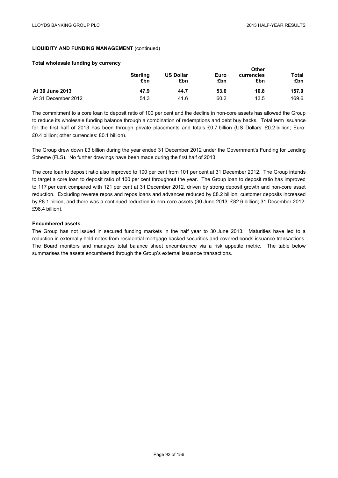**Other** 

# **LIQUIDITY AND FUNDING MANAGEMENT** (continued)

### **Total wholesale funding by currency**

|                     | <b>Sterling</b><br>£bn | <b>US Dollar</b><br>£bn | Euro<br>£bn | Otner<br>currencies<br>£bn | <b>Total</b><br>£bn |
|---------------------|------------------------|-------------------------|-------------|----------------------------|---------------------|
| At 30 June 2013     | 47.9                   | 44.7                    | 53.6        | 10.8                       | 157.0               |
| At 31 December 2012 | 54.3                   | 41.6                    | 60.2        | 13.5                       | 169.6               |

The commitment to a core loan to deposit ratio of 100 per cent and the decline in non-core assets has allowed the Group to reduce its wholesale funding balance through a combination of redemptions and debt buy backs. Total term issuance for the first half of 2013 has been through private placements and totals £0.7 billion (US Dollars: £0.2 billion; Euro: £0.4 billion; other currencies: £0.1 billion).

The Group drew down £3 billion during the year ended 31 December 2012 under the Government's Funding for Lending Scheme (FLS). No further drawings have been made during the first half of 2013.

The core loan to deposit ratio also improved to 100 per cent from 101 per cent at 31 December 2012. The Group intends to target a core loan to deposit ratio of 100 per cent throughout the year. The Group loan to deposit ratio has improved to 117 per cent compared with 121 per cent at 31 December 2012, driven by strong deposit growth and non-core asset reduction. Excluding reverse repos and repos loans and advances reduced by £8.2 billion; customer deposits increased by £8.1 billion, and there was a continued reduction in non-core assets (30 June 2013: £82.6 billion; 31 December 2012: £98.4 billion).

## **Encumbered assets**

The Group has not issued in secured funding markets in the half year to 30 June 2013. Maturities have led to a reduction in externally held notes from residential mortgage backed securities and covered bonds issuance transactions. The Board monitors and manages total balance sheet encumbrance via a risk appetite metric. The table below summarises the assets encumbered through the Group's external issuance transactions.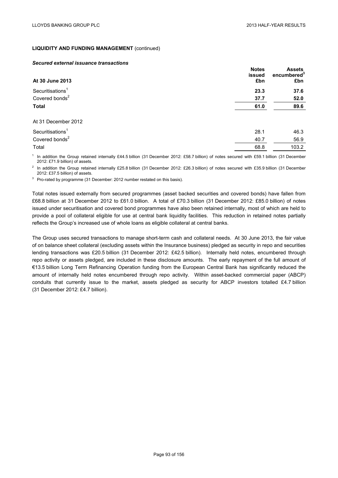#### *Secured external issuance transactions*

| At 30 June 2013              | <b>Notes</b><br>issued<br>£bn | <b>Assets</b><br>encumbered <sup>3</sup><br>£bn |
|------------------------------|-------------------------------|-------------------------------------------------|
| Securitisations $1$          | 23.3                          | 37.6                                            |
| Covered bonds <sup>2</sup>   | 37.7                          | 52.0                                            |
| <b>Total</b>                 | 61.0                          | 89.6                                            |
| At 31 December 2012          |                               |                                                 |
| Securitisations <sup>1</sup> | 28.1                          | 46.3                                            |
| Covered bonds <sup>2</sup>   | 40.7                          | 56.9                                            |
| Total                        | 68.8                          | 103.2                                           |

<sup>1</sup> In addition the Group retained internally £44.5 billion (31 December 2012: £58.7 billion) of notes secured with £59.1 billion (31 December 2012: £71.9 billion) of assets.

<sup>2</sup> In addition the Group retained internally £25.8 billion (31 December 2012: £26.3 billion) of notes secured with £35.9 billion (31 December 2012: £37.5 billion) of assets.

<sup>3</sup> Pro-rated by programme (31 December: 2012 number restated on this basis).

Total notes issued externally from secured programmes (asset backed securities and covered bonds) have fallen from £68.8 billion at 31 December 2012 to £61.0 billion. A total of £70.3 billion (31 December 2012: £85.0 billion) of notes issued under securitisation and covered bond programmes have also been retained internally, most of which are held to provide a pool of collateral eligible for use at central bank liquidity facilities. This reduction in retained notes partially reflects the Group's increased use of whole loans as eligible collateral at central banks.

The Group uses secured transactions to manage short-term cash and collateral needs. At 30 June 2013, the fair value of on balance sheet collateral (excluding assets within the Insurance business) pledged as security in repo and securities lending transactions was £20.5 billion (31 December 2012: £42.5 billion). Internally held notes, encumbered through repo activity or assets pledged, are included in these disclosure amounts. The early repayment of the full amount of €13.5 billion Long Term Refinancing Operation funding from the European Central Bank has significantly reduced the amount of internally held notes encumbered through repo activity. Within asset-backed commercial paper (ABCP) conduits that currently issue to the market, assets pledged as security for ABCP investors totalled £4.7 billion (31 December 2012: £4.7 billion).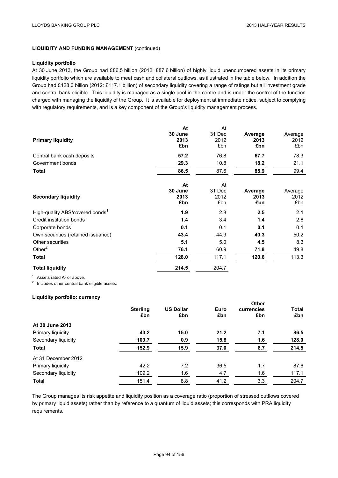### **Liquidity portfolio**

At 30 June 2013, the Group had £86.5 billion (2012: £87.6 billion) of highly liquid unencumbered assets in its primary liquidity portfolio which are available to meet cash and collateral outflows, as illustrated in the table below. In addition the Group had £128.0 billion (2012: £117.1 billion) of secondary liquidity covering a range of ratings but all investment grade and central bank eligible. This liquidity is managed as a single pool in the centre and is under the control of the function charged with managing the liquidity of the Group. It is available for deployment at immediate notice, subject to complying with regulatory requirements, and is a key component of the Group's liquidity management process.

|                                             | At              | At          |                 |             |
|---------------------------------------------|-----------------|-------------|-----------------|-------------|
|                                             | 30 June<br>2013 | 31 Dec      | Average<br>2013 | Average     |
| <b>Primary liquidity</b>                    | £bn             | 2012<br>£bn | £bn             | 2012<br>£bn |
|                                             |                 |             |                 |             |
| Central bank cash deposits                  | 57.2            | 76.8        | 67.7            | 78.3        |
| Government bonds                            | 29.3            | 10.8        | 18.2            | 21.1        |
| <b>Total</b>                                | 86.5            | 87.6        | 85.9            | 99.4        |
|                                             |                 |             |                 |             |
|                                             | At              | At          |                 |             |
|                                             | 30 June         | 31 Dec      | Average         | Average     |
| <b>Secondary liquidity</b>                  | 2013            | 2012        | 2013            | 2012        |
|                                             | £bn             | £bn         | £bn             | £bn         |
| High-quality ABS/covered bonds <sup>1</sup> | 1.9             | 2.8         | 2.5             | 2.1         |
| Credit institution bonds <sup>1</sup>       | 1.4             | 3.4         | 1.4             | 2.8         |
| Corporate bonds <sup>1</sup>                | 0.1             | 0.1         | 0.1             | 0.1         |
| Own securities (retained issuance)          | 43.4            | 44.9        | 40.3            | 50.2        |
| Other securities                            | 5.1             | 5.0         | 4.5             | 8.3         |
| Other $2$                                   | 76.1            | 60.9        | 71.8            | 49.8        |
| <b>Total</b>                                | 128.0           | 117.1       | 120.6           | 113.3       |
| <b>Total liquidity</b>                      | 214.5           | 204.7       |                 |             |

<sup>1</sup> Assets rated A- or above.<br><sup>2</sup> Includes other central bank eligible assets.

# **Liquidity portfolio: currency**

|                     |                        |                         |             | Other             |                     |
|---------------------|------------------------|-------------------------|-------------|-------------------|---------------------|
|                     | <b>Sterling</b><br>£bn | <b>US Dollar</b><br>£bn | Euro<br>£bn | currencies<br>£bn | <b>Total</b><br>£bn |
| At 30 June 2013     |                        |                         |             |                   |                     |
| Primary liquidity   | 43.2                   | 15.0                    | 21.2        | 7.1               | 86.5                |
| Secondary liquidity | 109.7                  | 0.9                     | 15.8        | 1.6               | 128.0               |
| Total               | 152.9                  | 15.9                    | 37.0        | 8.7               | 214.5               |
| At 31 December 2012 |                        |                         |             |                   |                     |
| Primary liquidity   | 42.2                   | 7.2                     | 36.5        | 1.7               | 87.6                |
| Secondary liquidity | 109.2                  | 1.6                     | 4.7         | 1.6               | 117.1               |
| Total               | 151.4                  | 8.8                     | 41.2        | 3.3               | 204.7               |

The Group manages its risk appetite and liquidity position as a coverage ratio (proportion of stressed outflows covered by primary liquid assets) rather than by reference to a quantum of liquid assets; this corresponds with PRA liquidity requirements.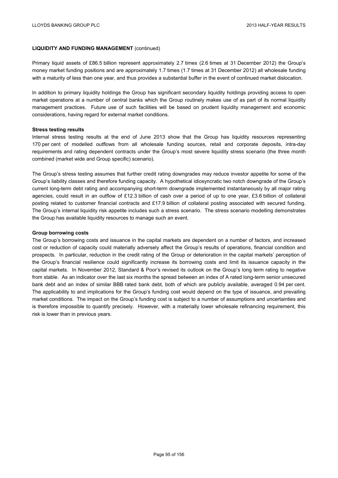Primary liquid assets of £86.5 billion represent approximately 2.7 times (2.6 times at 31 December 2012) the Group's money market funding positions and are approximately 1.7 times (1.7 times at 31 December 2012) all wholesale funding with a maturity of less than one year, and thus provides a substantial buffer in the event of continued market dislocation.

In addition to primary liquidity holdings the Group has significant secondary liquidity holdings providing access to open market operations at a number of central banks which the Group routinely makes use of as part of its normal liquidity management practices. Future use of such facilities will be based on prudent liquidity management and economic considerations, having regard for external market conditions.

### **Stress testing results**

Internal stress testing results at the end of June 2013 show that the Group has liquidity resources representing 170 per cent of modelled outflows from all wholesale funding sources, retail and corporate deposits, intra-day requirements and rating dependent contracts under the Group's most severe liquidity stress scenario (the three month combined (market wide and Group specific) scenario).

The Group's stress testing assumes that further credit rating downgrades may reduce investor appetite for some of the Group's liability classes and therefore funding capacity*.* A hypothetical idiosyncratic two notch downgrade of the Group's current long-term debt rating and accompanying short-term downgrade implemented instantaneously by all major rating agencies, could result in an outflow of £12.3 billion of cash over a period of up to one year, £3.6 billion of collateral posting related to customer financial contracts and £17.9 billion of collateral posting associated with secured funding. The Group's internal liquidity risk appetite includes such a stress scenario. The stress scenario modelling demonstrates the Group has available liquidity resources to manage such an event.

### **Group borrowing costs**

The Group's borrowing costs and issuance in the capital markets are dependent on a number of factors, and increased cost or reduction of capacity could materially adversely affect the Group's results of operations, financial condition and prospects. In particular, reduction in the credit rating of the Group or deterioration in the capital markets' perception of the Group's financial resilience could significantly increase its borrowing costs and limit its issuance capacity in the capital markets. In November 2012, Standard & Poor's revised its outlook on the Group's long term rating to negative from stable. As an indicator over the last six months the spread between an index of A rated long-term senior unsecured bank debt and an index of similar BBB rated bank debt, both of which are publicly available, averaged 0.94 per cent. The applicability to and implications for the Group's funding cost would depend on the type of issuance, and prevailing market conditions. The impact on the Group's funding cost is subject to a number of assumptions and uncertainties and is therefore impossible to quantify precisely. However, with a materially lower wholesale refinancing requirement, this risk is lower than in previous years.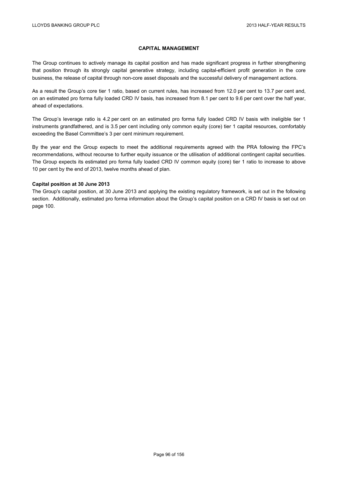## **CAPITAL MANAGEMENT**

The Group continues to actively manage its capital position and has made significant progress in further strengthening that position through its strongly capital generative strategy, including capital-efficient profit generation in the core business, the release of capital through non-core asset disposals and the successful delivery of management actions.

As a result the Group's core tier 1 ratio, based on current rules, has increased from 12.0 per cent to 13.7 per cent and, on an estimated pro forma fully loaded CRD IV basis, has increased from 8.1 per cent to 9.6 per cent over the half year, ahead of expectations.

The Group's leverage ratio is 4.2 per cent on an estimated pro forma fully loaded CRD IV basis with ineligible tier 1 instruments grandfathered, and is 3.5 per cent including only common equity (core) tier 1 capital resources, comfortably exceeding the Basel Committee's 3 per cent minimum requirement.

By the year end the Group expects to meet the additional requirements agreed with the PRA following the FPC's recommendations, without recourse to further equity issuance or the utilisation of additional contingent capital securities. The Group expects its estimated pro forma fully loaded CRD IV common equity (core) tier 1 ratio to increase to above 10 per cent by the end of 2013, twelve months ahead of plan.

## **Capital position at 30 June 2013**

The Group's capital position, at 30 June 2013 and applying the existing regulatory framework, is set out in the following section. Additionally, estimated pro forma information about the Group's capital position on a CRD IV basis is set out on page 100.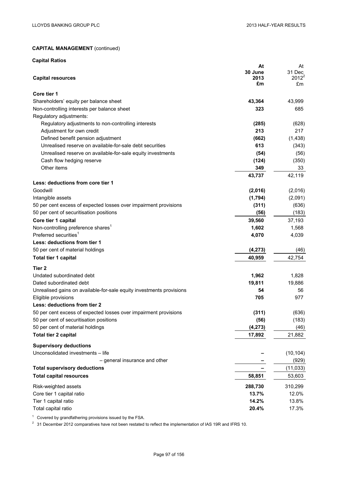| <b>Capital Ratios</b>                                                                           |                 |                    |
|-------------------------------------------------------------------------------------------------|-----------------|--------------------|
|                                                                                                 | At              | At                 |
|                                                                                                 | 30 June<br>2013 | 31 Dec<br>$2012^2$ |
| <b>Capital resources</b>                                                                        | £m              | £m                 |
| Core tier 1                                                                                     |                 |                    |
| Shareholders' equity per balance sheet                                                          | 43,364          | 43,999             |
| Non-controlling interests per balance sheet                                                     | 323             | 685                |
| Regulatory adjustments:                                                                         |                 |                    |
| Regulatory adjustments to non-controlling interests                                             | (285)           | (628)              |
| Adjustment for own credit                                                                       | 213             | 217                |
| Defined benefit pension adjustment                                                              | (662)           | (1,438)            |
| Unrealised reserve on available-for-sale debt securities                                        | 613             | (343)              |
| Unrealised reserve on available-for-sale equity investments                                     | (54)            | (56)               |
| Cash flow hedging reserve                                                                       | (124)           | (350)              |
| Other items                                                                                     | 349             | 33                 |
|                                                                                                 | 43,737          | 42,119             |
| Less: deductions from core tier 1                                                               |                 |                    |
| Goodwill                                                                                        | (2,016)         | (2,016)            |
| Intangible assets                                                                               | (1,794)         | (2,091)            |
| 50 per cent excess of expected losses over impairment provisions                                | (311)           | (636)              |
| 50 per cent of securitisation positions                                                         | (56)            | (183)              |
| Core tier 1 capital                                                                             | 39,560          | 37,193             |
| Non-controlling preference shares <sup>1</sup>                                                  | 1,602           | 1,568              |
| Preferred securities <sup>1</sup>                                                               | 4,070           | 4,039              |
| Less: deductions from tier 1                                                                    |                 |                    |
| 50 per cent of material holdings                                                                | (4, 273)        | (46)               |
| Total tier 1 capital                                                                            | 40,959          | 42,754             |
| Tier 2                                                                                          |                 |                    |
|                                                                                                 |                 |                    |
| Undated subordinated debt                                                                       | 1,962           | 1,828              |
| Dated subordinated debt<br>Unrealised gains on available-for-sale equity investments provisions | 19,811<br>54    | 19,886<br>56       |
| Eligible provisions                                                                             | 705             | 977                |
| Less: deductions from tier 2                                                                    |                 |                    |
| 50 per cent excess of expected losses over impairment provisions                                | (311)           | (636)              |
| 50 per cent of securitisation positions                                                         | (56)            | (183)              |
| 50 per cent of material holdings                                                                | (4, 273)        | (46)               |
| <b>Total tier 2 capital</b>                                                                     | 17,892          | 21,882             |
|                                                                                                 |                 |                    |
| <b>Supervisory deductions</b>                                                                   |                 |                    |
| Unconsolidated investments - life                                                               |                 | (10, 104)          |
| - general insurance and other                                                                   |                 | (929)              |
| <b>Total supervisory deductions</b>                                                             |                 | (11, 033)          |
| <b>Total capital resources</b>                                                                  | 58,851          | 53,603             |
| Risk-weighted assets                                                                            | 288,730         | 310,299            |
| Core tier 1 capital ratio                                                                       | 13.7%           | 12.0%              |
| Tier 1 capital ratio                                                                            | 14.2%           | 13.8%              |
| Total capital ratio                                                                             | 20.4%           | 17.3%              |

 $1$  Covered by grandfathering provisions issued by the FSA.

 $^2$  31 December 2012 comparatives have not been restated to reflect the implementation of IAS 19R and IFRS 10.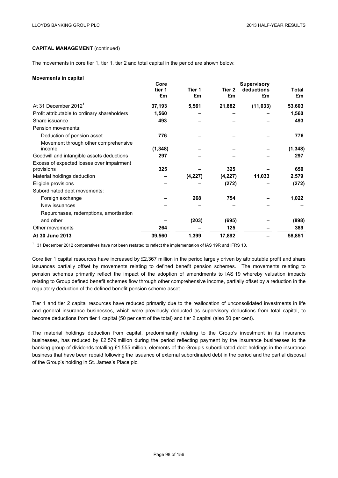The movements in core tier 1, tier 1, tier 2 and total capital in the period are shown below:

#### **Movements in capital**

|                                              | Core     |         |         | <b>Supervisory</b> |              |
|----------------------------------------------|----------|---------|---------|--------------------|--------------|
|                                              | tier 1   | Tier 1  | Tier 2  | deductions         | <b>Total</b> |
|                                              | £m       | £m      | £m      | £m                 | £m           |
| At 31 December 2012 <sup>1</sup>             | 37,193   | 5,561   | 21,882  | (11, 033)          | 53,603       |
| Profit attributable to ordinary shareholders | 1,560    |         |         |                    | 1,560        |
| Share issuance                               | 493      |         |         |                    | 493          |
| Pension movements:                           |          |         |         |                    |              |
| Deduction of pension asset                   | 776      |         |         |                    | 776          |
| Movement through other comprehensive         |          |         |         |                    |              |
| income                                       | (1, 348) |         |         |                    | (1, 348)     |
| Goodwill and intangible assets deductions    | 297      |         |         |                    | 297          |
| Excess of expected losses over impairment    |          |         |         |                    |              |
| provisions                                   | 325      |         | 325     |                    | 650          |
| Material holdings deduction                  |          | (4,227) | (4,227) | 11,033             | 2,579        |
| Eligible provisions                          |          |         | (272)   |                    | (272)        |
| Subordinated debt movements:                 |          |         |         |                    |              |
| Foreign exchange                             |          | 268     | 754     |                    | 1,022        |
| New issuances                                |          |         |         |                    |              |
| Repurchases, redemptions, amortisation       |          |         |         |                    |              |
| and other                                    |          | (203)   | (695)   |                    | (898)        |
| Other movements                              | 264      |         | 125     |                    | 389          |
| At 30 June 2013                              | 39,560   | 1,399   | 17,892  |                    | 58,851       |
|                                              |          |         |         |                    |              |

<sup>1</sup> 31 December 2012 comparatives have not been restated to reflect the implementation of IAS 19R and IFRS 10.

Core tier 1 capital resources have increased by £2,367 million in the period largely driven by attributable profit and share issuances partially offset by movements relating to defined benefit pension schemes. The movements relating to pension schemes primarily reflect the impact of the adoption of amendments to IAS 19 whereby valuation impacts relating to Group defined benefit schemes flow through other comprehensive income, partially offset by a reduction in the regulatory deduction of the defined benefit pension scheme asset.

Tier 1 and tier 2 capital resources have reduced primarily due to the reallocation of unconsolidated investments in life and general insurance businesses, which were previously deducted as supervisory deductions from total capital, to become deductions from tier 1 capital (50 per cent of the total) and tier 2 capital (also 50 per cent).

The material holdings deduction from capital, predominantly relating to the Group's investment in its insurance businesses, has reduced by £2,579 million during the period reflecting payment by the insurance businesses to the banking group of dividends totalling £1,555 million, elements of the Group's subordinated debt holdings in the insurance business that have been repaid following the issuance of external subordinated debt in the period and the partial disposal of the Group's holding in St. James's Place plc.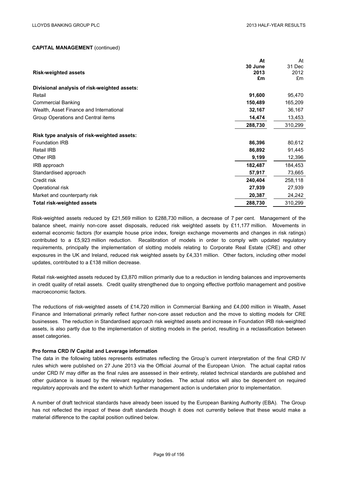|                                              | At      | At      |
|----------------------------------------------|---------|---------|
|                                              | 30 June | 31 Dec  |
| <b>Risk-weighted assets</b>                  | 2013    | 2012    |
|                                              | £m      | £m      |
| Divisional analysis of risk-weighted assets: |         |         |
| Retail                                       | 91,600  | 95,470  |
| <b>Commercial Banking</b>                    | 150,489 | 165,209 |
| Wealth, Asset Finance and International      | 32,167  | 36,167  |
| Group Operations and Central items           | 14,474  | 13,453  |
|                                              | 288,730 | 310,299 |
| Risk type analysis of risk-weighted assets:  |         |         |
| <b>Foundation IRB</b>                        | 86,396  | 80,612  |
| Retail IRB                                   | 86,892  | 91,445  |
| Other IRB                                    | 9,199   | 12,396  |
| IRB approach                                 | 182,487 | 184,453 |
| Standardised approach                        | 57,917  | 73,665  |
| Credit risk                                  | 240,404 | 258,118 |
| Operational risk                             | 27,939  | 27,939  |
| Market and counterparty risk                 | 20,387  | 24,242  |
| Total risk-weighted assets                   | 288,730 | 310,299 |

Risk-weighted assets reduced by £21,569 million to £288,730 million, a decrease of 7 per cent. Management of the balance sheet, mainly non-core asset disposals, reduced risk weighted assets by £11,177 million. Movements in external economic factors (for example house price index, foreign exchange movements and changes in risk ratings) contributed to a £5,923 million reduction. Recalibration of models in order to comply with updated regulatory requirements, principally the implementation of slotting models relating to Corporate Real Estate (CRE) and other exposures in the UK and Ireland, reduced risk weighted assets by £4,331 million. Other factors, including other model updates, contributed to a £138 million decrease.

Retail risk-weighted assets reduced by £3,870 million primarily due to a reduction in lending balances and improvements in credit quality of retail assets. Credit quality strengthened due to ongoing effective portfolio management and positive macroeconomic factors.

The reductions of risk-weighted assets of £14,720 million in Commercial Banking and £4,000 million in Wealth, Asset Finance and International primarily reflect further non-core asset reduction and the move to slotting models for CRE businesses. The reduction in Standardised approach risk weighted assets and increase in Foundation IRB risk-weighted assets, is also partly due to the implementation of slotting models in the period, resulting in a reclassification between asset categories.

## **Pro forma CRD IV Capital and Leverage information**

The data in the following tables represents estimates reflecting the Group's current interpretation of the final CRD IV rules which were published on 27 June 2013 via the Official Journal of the European Union. The actual capital ratios under CRD IV may differ as the final rules are assessed in their entirety, related technical standards are published and other guidance is issued by the relevant regulatory bodies. The actual ratios will also be dependent on required regulatory approvals and the extent to which further management action is undertaken prior to implementation.

A number of draft technical standards have already been issued by the European Banking Authority (EBA). The Group has not reflected the impact of these draft standards though it does not currently believe that these would make a material difference to the capital position outlined below.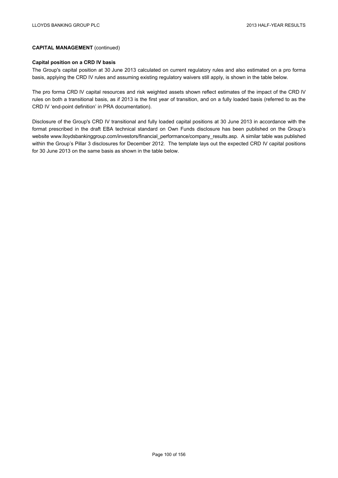# **Capital position on a CRD IV basis**

The Group's capital position at 30 June 2013 calculated on current regulatory rules and also estimated on a pro forma basis, applying the CRD IV rules and assuming existing regulatory waivers still apply, is shown in the table below.

The pro forma CRD IV capital resources and risk weighted assets shown reflect estimates of the impact of the CRD IV rules on both a transitional basis, as if 2013 is the first year of transition, and on a fully loaded basis (referred to as the CRD IV 'end-point definition' in PRA documentation).

Disclosure of the Group's CRD IV transitional and fully loaded capital positions at 30 June 2013 in accordance with the format prescribed in the draft EBA technical standard on Own Funds disclosure has been published on the Group's website www.lloydsbankinggroup.com/investors/financial\_performance/company\_results.asp. A similar table was published within the Group's Pillar 3 disclosures for December 2012. The template lays out the expected CRD IV capital positions for 30 June 2013 on the same basis as shown in the table below.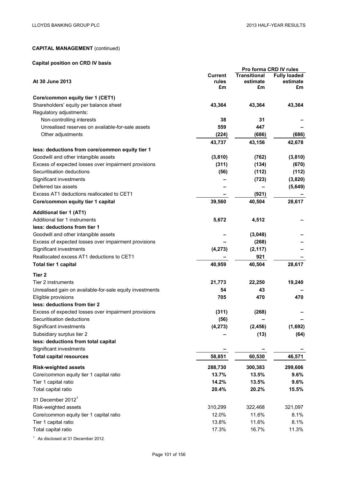# **Capital position on CRD IV basis**

|                                                          | Pro forma CRD IV rules |                     |                     |
|----------------------------------------------------------|------------------------|---------------------|---------------------|
|                                                          | <b>Current</b>         | <b>Transitional</b> | <b>Fully loaded</b> |
| At 30 June 2013                                          | rules<br>£m            | estimate<br>£m      | estimate<br>£m      |
|                                                          |                        |                     |                     |
| Core/common equity tier 1 (CET1)                         |                        |                     |                     |
| Shareholders' equity per balance sheet                   | 43,364                 | 43,364              | 43,364              |
| Regulatory adjustments:                                  |                        |                     |                     |
| Non-controlling interests                                | 38                     | 31                  |                     |
| Unrealised reserves on available-for-sale assets         | 559                    | 447                 |                     |
| Other adjustments                                        | (224)                  | (686)               | (686)               |
|                                                          | 43,737                 | 43,156              | 42,678              |
| less: deductions from core/common equity tier 1          |                        |                     |                     |
| Goodwill and other intangible assets                     | (3,810)                | (762)               | (3, 810)            |
| Excess of expected losses over impairment provisions     | (311)                  | (134)               | (670)               |
| Securitisation deductions                                | (56)                   | (112)               | (112)               |
| Significant investments                                  |                        | (723)               | (3,820)             |
| Deferred tax assets                                      |                        |                     | (5,649)             |
| Excess AT1 deductions reallocated to CET1                |                        | (921)               |                     |
| Core/common equity tier 1 capital                        | 39,560                 | 40,504              | 28,617              |
| <b>Additional tier 1 (AT1)</b>                           |                        |                     |                     |
|                                                          | 5,672                  |                     |                     |
| Additional tier 1 instruments                            |                        | 4,512               |                     |
| less: deductions from tier 1                             |                        |                     |                     |
| Goodwill and other intangible assets                     |                        | (3,048)             |                     |
| Excess of expected losses over impairment provisions     |                        | (268)               |                     |
| Significant investments                                  | (4, 273)               | (2, 117)            |                     |
| Reallocated excess AT1 deductions to CET1                |                        | 921                 |                     |
| <b>Total tier 1 capital</b>                              | 40,959                 | 40,504              | 28,617              |
| Tier <sub>2</sub>                                        |                        |                     |                     |
| Tier 2 instruments                                       | 21,773                 | 22,250              | 19,240              |
| Unrealised gain on available-for-sale equity investments | 54                     | 43                  |                     |
| Eligible provisions                                      | 705                    | 470                 | 470                 |
| less: deductions from tier 2                             |                        |                     |                     |
| Excess of expected losses over impairment provisions     | (311)                  | (268)               |                     |
| Securitisation deductions                                | (56)                   |                     |                     |
| Significant investments                                  | (4, 273)               | (2, 456)            | (1,692)             |
| Subsidiary surplus tier 2                                |                        | (13)                | (64)                |
| less: deductions from total capital                      |                        |                     |                     |
| Significant investments                                  |                        |                     |                     |
| <b>Total capital resources</b>                           | 58,851                 | 60,530              | 46,571              |
|                                                          |                        |                     |                     |
| <b>Risk-weighted assets</b>                              | 288,730                | 300,383             | 299,606             |
| Core/common equity tier 1 capital ratio                  | 13.7%                  | 13.5%               | 9.6%                |
| Tier 1 capital ratio                                     | 14.2%                  | 13.5%               | 9.6%                |
| Total capital ratio                                      | 20.4%                  | 20.2%               | 15.5%               |
| 31 December 2012 <sup>1</sup>                            |                        |                     |                     |
| Risk-weighted assets                                     | 310,299                | 322,468             | 321,097             |
| Core/common equity tier 1 capital ratio                  | 12.0%                  | 11.6%               | 8.1%                |
| Tier 1 capital ratio                                     | 13.8%                  | 11.6%               | 8.1%                |
| Total capital ratio                                      | 17.3%                  | 16.7%               | 11.3%               |
|                                                          |                        |                     |                     |

<sup>1</sup> As disclosed at 31 December 2012.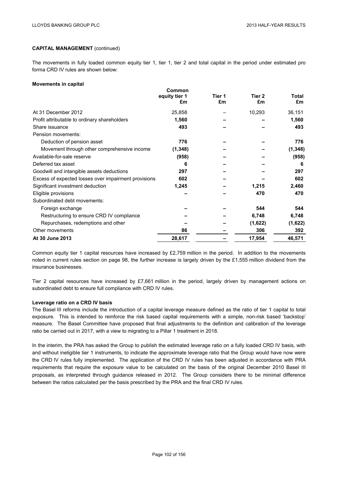The movements in fully loaded common equity tier 1, tier 1, tier 2 and total capital in the period under estimated pro forma CRD IV rules are shown below:

**Common** 

### **Movements in capital**

|                                                      | Common<br>equity tier 1<br>£m | Tier 1<br>£m | Tier 2<br>£m | <b>Total</b><br>£m |
|------------------------------------------------------|-------------------------------|--------------|--------------|--------------------|
| At 31 December 2012                                  | 25,858                        |              | 10,293       | 36,151             |
| Profit attributable to ordinary shareholders         | 1,560                         |              |              | 1,560              |
| Share issuance                                       | 493                           |              |              | 493                |
| Pension movements:                                   |                               |              |              |                    |
| Deduction of pension asset                           | 776                           |              |              | 776                |
| Movement through other comprehensive income          | (1, 348)                      |              |              | (1, 348)           |
| Available-for-sale reserve                           | (958)                         |              |              | (958)              |
| Deferred tax asset                                   | 6                             |              |              | 6                  |
| Goodwill and intangible assets deductions            | 297                           |              |              | 297                |
| Excess of expected losses over impairment provisions | 602                           |              |              | 602                |
| Significant investment deduction                     | 1,245                         |              | 1,215        | 2,460              |
| Eligible provisions                                  |                               |              | 470          | 470                |
| Subordinated debt movements:                         |                               |              |              |                    |
| Foreign exchange                                     |                               |              | 544          | 544                |
| Restructuring to ensure CRD IV compliance            |                               |              | 6,748        | 6,748              |
| Repurchases, redemptions and other                   |                               |              | (1,622)      | (1,622)            |
| Other movements                                      | 86                            |              | 306          | 392                |
| At 30 June 2013                                      | 28,617                        |              | 17,954       | 46,571             |

Common equity tier 1 capital resources have increased by £2,759 million in the period. In addition to the movements noted in current rules section on page 98, the further increase is largely driven by the £1,555 million dividend from the insurance businesses.

Tier 2 capital resources have increased by £7,661 million in the period, largely driven by management actions on subordinated debt to ensure full compliance with CRD IV rules.

### **Leverage ratio on a CRD IV basis**

The Basel III reforms include the introduction of a capital leverage measure defined as the ratio of tier 1 capital to total exposure. This is intended to reinforce the risk based capital requirements with a simple, non-risk based 'backstop' measure. The Basel Committee have proposed that final adjustments to the definition and calibration of the leverage ratio be carried out in 2017, with a view to migrating to a Pillar 1 treatment in 2018.

In the interim, the PRA has asked the Group to publish the estimated leverage ratio on a fully loaded CRD IV basis, with and without ineligible tier 1 instruments, to indicate the approximate leverage ratio that the Group would have now were the CRD IV rules fully implemented. The application of the CRD IV rules has been adjusted in accordance with PRA requirements that require the exposure value to be calculated on the basis of the original December 2010 Basel III proposals, as interpreted through guidance released in 2012. The Group considers there to be minimal difference between the ratios calculated per the basis prescribed by the PRA and the final CRD IV rules.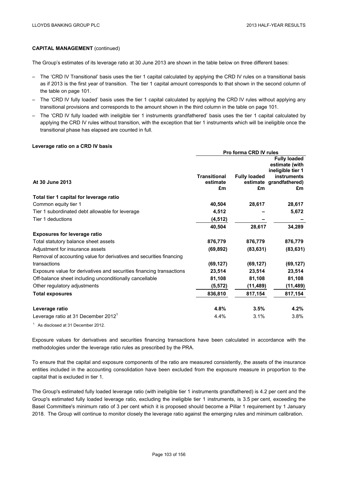The Group's estimates of its leverage ratio at 30 June 2013 are shown in the table below on three different bases:

- The 'CRD IV Transitional' basis uses the tier 1 capital calculated by applying the CRD IV rules on a transitional basis as if 2013 is the first year of transition. The tier 1 capital amount corresponds to that shown in the second column of the table on page 101.
- The 'CRD IV fully loaded' basis uses the tier 1 capital calculated by applying the CRD IV rules without applying any transitional provisions and corresponds to the amount shown in the third column in the table on page 101.
- The 'CRD IV fully loaded with ineligible tier 1 instruments grandfathered' basis uses the tier 1 capital calculated by applying the CRD IV rules without transition, with the exception that tier 1 instruments which will be ineligible once the transitional phase has elapsed are counted in full.

#### **Leverage ratio on a CRD IV basis**

|                                                                      | <b>Pro forma CRD IV rules</b> |                     |                                         |  |
|----------------------------------------------------------------------|-------------------------------|---------------------|-----------------------------------------|--|
|                                                                      |                               |                     | <b>Fully loaded</b>                     |  |
|                                                                      |                               |                     | estimate (with                          |  |
|                                                                      | <b>Transitional</b>           | <b>Fully loaded</b> | ineligible tier 1<br><b>instruments</b> |  |
| At 30 June 2013                                                      | estimate                      |                     | estimate grandfathered)                 |  |
|                                                                      | £m                            | £m                  | £m                                      |  |
| Total tier 1 capital for leverage ratio                              |                               |                     |                                         |  |
| Common equity tier 1                                                 | 40,504                        | 28,617              | 28,617                                  |  |
| Tier 1 subordinated debt allowable for leverage                      | 4,512                         |                     | 5,672                                   |  |
| Tier 1 deductions                                                    | (4, 512)                      |                     |                                         |  |
|                                                                      | 40,504                        | 28,617              | 34,289                                  |  |
| <b>Exposures for leverage ratio</b>                                  |                               |                     |                                         |  |
| Total statutory balance sheet assets                                 | 876,779                       | 876,779             | 876,779                                 |  |
| Adjustment for insurance assets                                      | (69, 892)                     | (83, 631)           | (83, 631)                               |  |
| Removal of accounting value for derivatives and securities financing |                               |                     |                                         |  |
| transactions                                                         | (69, 127)                     | (69, 127)           | (69, 127)                               |  |
| Exposure value for derivatives and securities financing transactions | 23,514                        | 23,514              | 23,514                                  |  |
| Off-balance sheet including unconditionally cancellable              | 81,108                        | 81,108              | 81,108                                  |  |
| Other regulatory adjustments                                         | (5, 572)                      | (11, 489)           | (11, 489)                               |  |
| <b>Total exposures</b>                                               | 836,810                       | 817,154             | 817,154                                 |  |
| Leverage ratio                                                       | 4.8%                          | 3.5%                | 4.2%                                    |  |
| Leverage ratio at 31 December 2012 <sup>1</sup>                      | 4.4%                          | 3.1%                | 3.8%                                    |  |
|                                                                      |                               |                     |                                         |  |

<sup>1</sup> As disclosed at 31 December 2012.

Exposure values for derivatives and securities financing transactions have been calculated in accordance with the methodologies under the leverage ratio rules as prescribed by the PRA.

To ensure that the capital and exposure components of the ratio are measured consistently, the assets of the insurance entities included in the accounting consolidation have been excluded from the exposure measure in proportion to the capital that is excluded in tier 1.

The Group's estimated fully loaded leverage ratio (with ineligible tier 1 instruments grandfathered) is 4.2 per cent and the Group's estimated fully loaded leverage ratio, excluding the ineligible tier 1 instruments, is 3.5 per cent, exceeding the Basel Committee's minimum ratio of 3 per cent which it is proposed should become a Pillar 1 requirement by 1 January 2018. The Group will continue to monitor closely the leverage ratio against the emerging rules and minimum calibration.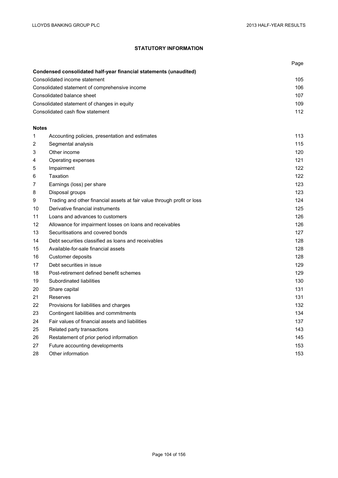# **STATUTORY INFORMATION**

|                                                |                                                                         | Page |
|------------------------------------------------|-------------------------------------------------------------------------|------|
|                                                | Condensed consolidated half-year financial statements (unaudited)       |      |
| Consolidated income statement                  |                                                                         | 105  |
| Consolidated statement of comprehensive income |                                                                         | 106  |
| Consolidated balance sheet                     |                                                                         | 107  |
|                                                | Consolidated statement of changes in equity                             | 109  |
|                                                | Consolidated cash flow statement                                        | 112  |
| <b>Notes</b>                                   |                                                                         |      |
| 1                                              | Accounting policies, presentation and estimates                         | 113  |
| 2                                              | Segmental analysis                                                      | 115  |
| 3                                              | Other income                                                            | 120  |
| 4                                              | Operating expenses                                                      | 121  |
| 5                                              | Impairment                                                              | 122  |
| 6                                              | Taxation                                                                | 122  |
| 7                                              | Earnings (loss) per share                                               | 123  |
| 8                                              | Disposal groups                                                         | 123  |
| 9                                              | Trading and other financial assets at fair value through profit or loss | 124  |
| 10                                             | Derivative financial instruments                                        | 125  |
| 11                                             | Loans and advances to customers                                         | 126  |
| 12                                             | Allowance for impairment losses on loans and receivables                | 126  |
| 13                                             | Securitisations and covered bonds                                       | 127  |
| 14                                             | Debt securities classified as loans and receivables                     | 128  |
| 15                                             | Available-for-sale financial assets                                     | 128  |
| 16                                             | Customer deposits                                                       | 128  |
| 17                                             | Debt securities in issue                                                | 129  |
| 18                                             | Post-retirement defined benefit schemes                                 | 129  |
| 19                                             | Subordinated liabilities                                                | 130  |
| 20                                             | Share capital                                                           | 131  |
| 21                                             | Reserves                                                                | 131  |
| 22                                             | Provisions for liabilities and charges                                  | 132  |
| 23                                             | Contingent liabilities and commitments                                  | 134  |
| 24                                             | Fair values of financial assets and liabilities                         | 137  |
| 25                                             | Related party transactions                                              | 143  |
| 26                                             | Restatement of prior period information                                 | 145  |
| 27                                             | Future accounting developments                                          | 153  |
| 28                                             | Other information                                                       | 153  |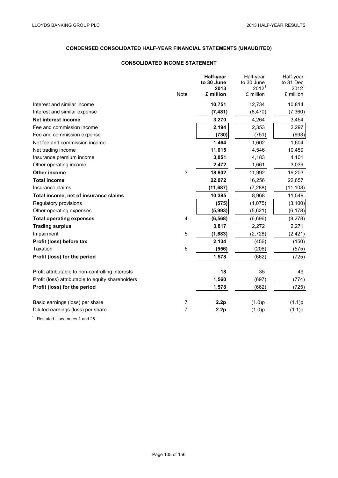# **CONDENSED CONSOLIDATED HALF-YEAR FINANCIAL STATEMENTS (UNAUDITED)**

# **CONSOLIDATED INCOME STATEMENT**

|                                                   |                | Half-year          | Half-year                       | Half-year                      |
|---------------------------------------------------|----------------|--------------------|---------------------------------|--------------------------------|
|                                                   |                | to 30 June<br>2013 | to 30 June<br>2012 <sup>1</sup> | to 31 Dec<br>2012 <sup>1</sup> |
|                                                   | <b>Note</b>    | £ million          | £ million                       | £ million                      |
| Interest and similar income                       |                | 10,751             | 12,734                          | 10,814                         |
| Interest and similar expense                      |                | (7, 481)           | (8,470)                         | (7, 360)                       |
| Net interest income                               |                | 3,270              | 4,264                           | 3,454                          |
| Fee and commission income                         |                | 2,194              | 2,353                           | 2,297                          |
| Fee and commission expense                        |                | (730)              | (751)                           | (693)                          |
| Net fee and commission income                     |                | 1,464              | 1,602                           | 1,604                          |
| Net trading income                                |                | 11,015             | 4,546                           | 10,459                         |
| Insurance premium income                          |                | 3,851              | 4,183                           | 4,101                          |
| Other operating income                            |                | 2,472              | 1,661                           | 3,039                          |
| Other income                                      | 3              | 18,802             | 11,992                          | 19,203                         |
| <b>Total income</b>                               |                | 22,072             | 16,256                          | 22,657                         |
| Insurance claims                                  |                | (11, 687)          | (7, 288)                        | (11, 108)                      |
| Total income, net of insurance claims             |                | 10,385             | 8,968                           | 11,549                         |
| Regulatory provisions                             |                | (575)              | (1,075)                         | (3, 100)                       |
| Other operating expenses                          |                | (5,993)            | (5,621)                         | (6, 178)                       |
| <b>Total operating expenses</b>                   | 4              | (6, 568)           | (6,696)                         | (9,278)                        |
| <b>Trading surplus</b>                            |                | 3,817              | 2,272                           | 2,271                          |
| Impairment                                        | 5              | (1,683)            | (2,728)                         | (2, 421)                       |
| Profit (loss) before tax                          |                | 2,134              | (456)                           | (150)                          |
| Taxation                                          | 6              | (556)              | (206)                           | (575)                          |
| Profit (loss) for the period                      |                | 1,578              | (662)                           | (725)                          |
| Profit attributable to non-controlling interests  |                | 18                 | 35                              | 49                             |
| Profit (loss) attributable to equity shareholders |                | 1,560              | (697)                           | (774)                          |
| Profit (loss) for the period                      |                | 1,578              | (662)                           | (725)                          |
| Basic earnings (loss) per share                   | 7              | 2.2p               | (1.0)p                          | (1.1)p                         |
| Diluted earnings (loss) per share                 | $\overline{7}$ | 2.2p               | (1.0)p                          | (1.1)p                         |

 $1$  Restated – see notes 1 and 26.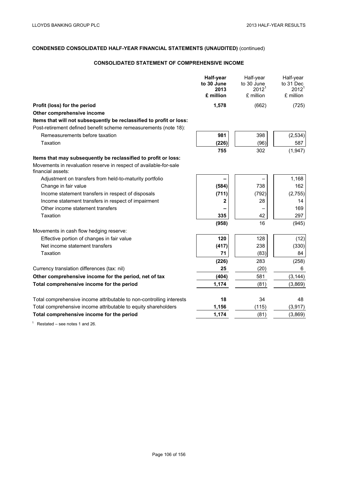# **CONSOLIDATED STATEMENT OF COMPREHENSIVE INCOME**

|                                                                                        | Half-year<br>to 30 June<br>2013<br>£ million | Half-year<br>to 30 June<br>$2012^1$<br>£ million | Half-year<br>to 31 Dec<br>$2012^1$<br>£ million |
|----------------------------------------------------------------------------------------|----------------------------------------------|--------------------------------------------------|-------------------------------------------------|
| Profit (loss) for the period                                                           | 1,578                                        | (662)                                            | (725)                                           |
| Other comprehensive income                                                             |                                              |                                                  |                                                 |
| Items that will not subsequently be reclassified to profit or loss:                    |                                              |                                                  |                                                 |
| Post-retirement defined benefit scheme remeasurements (note 18):                       |                                              |                                                  |                                                 |
| Remeasurements before taxation                                                         | 981                                          | 398                                              | (2,534)                                         |
| Taxation                                                                               | (226)                                        | (96)                                             | 587                                             |
|                                                                                        | 755                                          | 302                                              | (1,947)                                         |
| Items that may subsequently be reclassified to profit or loss:                         |                                              |                                                  |                                                 |
| Movements in revaluation reserve in respect of available-for-sale<br>financial assets: |                                              |                                                  |                                                 |
| Adjustment on transfers from held-to-maturity portfolio                                |                                              |                                                  | 1,168                                           |
| Change in fair value                                                                   | (584)                                        | 738                                              | 162                                             |
| Income statement transfers in respect of disposals                                     | (711)                                        | (792)                                            | (2,755)                                         |
| Income statement transfers in respect of impairment                                    | 2                                            | 28                                               | 14                                              |
| Other income statement transfers                                                       |                                              |                                                  | 169                                             |
| Taxation                                                                               | 335                                          | 42                                               | 297                                             |
|                                                                                        | (958)                                        | 16                                               | (945)                                           |
| Movements in cash flow hedging reserve:                                                |                                              |                                                  |                                                 |
| Effective portion of changes in fair value                                             | 120                                          | 128                                              | (12)                                            |
| Net income statement transfers                                                         | (417)                                        | 238                                              | (330)                                           |
| Taxation                                                                               | 71                                           | (83)                                             | 84                                              |
|                                                                                        | (226)                                        | 283                                              | (258)                                           |
| Currency translation differences (tax: nil)                                            | 25                                           | (20)                                             | 6                                               |
| Other comprehensive income for the period, net of tax                                  | (404)                                        | 581                                              | (3, 144)                                        |
| Total comprehensive income for the period                                              | 1,174                                        | (81)                                             | (3,869)                                         |
| Total comprehensive income attributable to non-controlling interests                   | 18                                           | 34                                               | 48                                              |
| Total comprehensive income attributable to equity shareholders                         | 1,156                                        | (115)                                            | (3, 917)                                        |
| Total comprehensive income for the period                                              | 1,174                                        | (81)                                             | (3,869)                                         |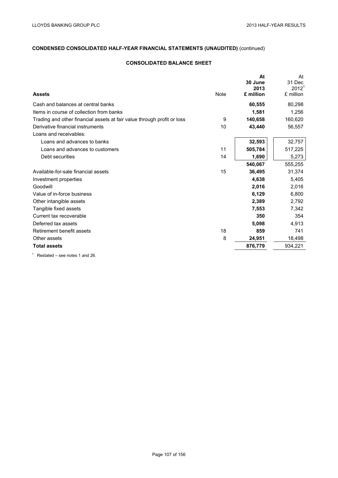# **CONSOLIDATED BALANCE SHEET**

| <b>Assets</b>                                                           | Note | At<br>30 June<br>2013<br>£ million | At<br>31 Dec<br>2012 <sup>1</sup><br>£ million |
|-------------------------------------------------------------------------|------|------------------------------------|------------------------------------------------|
|                                                                         |      |                                    |                                                |
| Cash and balances at central banks                                      |      | 60,555                             | 80,298                                         |
| Items in course of collection from banks                                |      | 1,581                              | 1,256                                          |
| Trading and other financial assets at fair value through profit or loss | 9    | 140,658                            | 160,620                                        |
| Derivative financial instruments                                        | 10   | 43,440                             | 56,557                                         |
| Loans and receivables:                                                  |      |                                    |                                                |
| Loans and advances to banks                                             |      | 32,593                             | 32,757                                         |
| Loans and advances to customers                                         | 11   | 505,784                            | 517,225                                        |
| Debt securities                                                         | 14   | 1,690                              | 5,273                                          |
|                                                                         |      | 540,067                            | 555,255                                        |
| Available-for-sale financial assets                                     | 15   | 36,495                             | 31,374                                         |
| Investment properties                                                   |      | 4,638                              | 5,405                                          |
| Goodwill                                                                |      | 2,016                              | 2,016                                          |
| Value of in-force business                                              |      | 6,129                              | 6,800                                          |
| Other intangible assets                                                 |      | 2,389                              | 2,792                                          |
| Tangible fixed assets                                                   |      | 7,553                              | 7,342                                          |
| Current tax recoverable                                                 |      | 350                                | 354                                            |
| Deferred tax assets                                                     |      | 5,098                              | 4,913                                          |
| Retirement benefit assets                                               | 18   | 859                                | 741                                            |
| Other assets                                                            | 8    | 24,951                             | 18,498                                         |
| <b>Total assets</b>                                                     |      | 876,779                            | 934,221                                        |
| $1$ Destated assuming $\lambda$ and $\Omega$                            |      |                                    |                                                |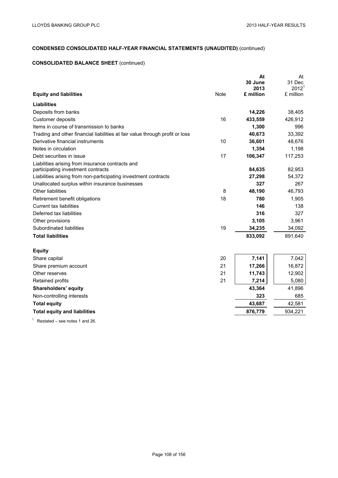# **CONSOLIDATED BALANCE SHEET** (continued)

|                                                                              |             | At        | At                |
|------------------------------------------------------------------------------|-------------|-----------|-------------------|
|                                                                              |             | 30 June   | 31 Dec            |
|                                                                              |             | 2013      | 2012 <sup>1</sup> |
| <b>Equity and liabilities</b>                                                | <b>Note</b> | £ million | £ million         |
| <b>Liabilities</b>                                                           |             |           |                   |
| Deposits from banks                                                          |             | 14,226    | 38,405            |
| Customer deposits                                                            | 16          | 433,559   | 426,912           |
| Items in course of transmission to banks                                     |             | 1,300     | 996               |
| Trading and other financial liabilities at fair value through profit or loss |             | 40,673    | 33,392            |
| Derivative financial instruments                                             | 10          | 36,601    | 48,676            |
| Notes in circulation                                                         |             | 1,354     | 1,198             |
| Debt securities in issue                                                     | 17          | 106,347   | 117,253           |
| Liabilities arising from insurance contracts and                             |             |           |                   |
| participating investment contracts                                           |             | 84,635    | 82,953            |
| Liabilities arising from non-participating investment contracts              |             | 27,298    | 54,372            |
| Unallocated surplus within insurance businesses                              |             | 327       | 267               |
| Other liabilities                                                            | 8           | 48,190    | 46,793            |
| Retirement benefit obligations                                               | 18          | 780       | 1,905             |
| <b>Current tax liabilities</b>                                               |             | 146       | 138               |
| Deferred tax liabilities                                                     |             | 316       | 327               |
| Other provisions                                                             |             | 3,105     | 3,961             |
| Subordinated liabilities                                                     | 19          | 34,235    | 34,092            |
| <b>Total liabilities</b>                                                     |             | 833,092   | 891,640           |
| <b>Equity</b>                                                                |             |           |                   |
| Share capital                                                                | 20          | 7,141     | 7,042             |
| Share premium account                                                        | 21          | 17,266    | 16,872            |
| Other reserves                                                               | 21          | 11,743    | 12,902            |
| Retained profits                                                             | 21          | 7,214     | 5,080             |
| Shareholders' equity                                                         |             | 43,364    | 41,896            |
| Non-controlling interests                                                    |             | 323       | 685               |
| <b>Total equity</b>                                                          |             | 43,687    | 42,581            |
| <b>Total equity and liabilities</b>                                          |             | 876,779   | 934,221           |
|                                                                              |             |           |                   |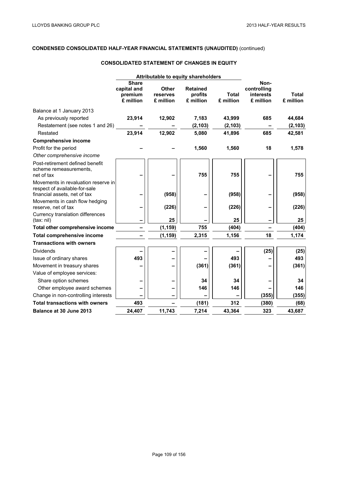# **CONSOLIDATED STATEMENT OF CHANGES IN EQUITY**

|                                                                                                      |                                                     | Attributable to equity shareholders   |                                         |                           |                                               |                           |
|------------------------------------------------------------------------------------------------------|-----------------------------------------------------|---------------------------------------|-----------------------------------------|---------------------------|-----------------------------------------------|---------------------------|
|                                                                                                      | <b>Share</b><br>capital and<br>premium<br>£ million | <b>Other</b><br>reserves<br>£ million | <b>Retained</b><br>profits<br>£ million | <b>Total</b><br>£ million | Non-<br>controlling<br>interests<br>£ million | <b>Total</b><br>£ million |
| Balance at 1 January 2013                                                                            |                                                     |                                       |                                         |                           |                                               |                           |
| As previously reported                                                                               | 23,914                                              | 12,902                                | 7,183                                   | 43,999                    | 685                                           | 44,684                    |
| Restatement (see notes 1 and 26)                                                                     |                                                     |                                       | (2, 103)                                | (2, 103)                  |                                               | (2, 103)                  |
| Restated                                                                                             | 23,914                                              | 12,902                                | 5,080                                   | 41,896                    | 685                                           | 42,581                    |
| <b>Comprehensive income</b>                                                                          |                                                     |                                       |                                         |                           |                                               |                           |
| Profit for the period                                                                                |                                                     |                                       | 1,560                                   | 1,560                     | 18                                            | 1,578                     |
| Other comprehensive income                                                                           |                                                     |                                       |                                         |                           |                                               |                           |
| Post-retirement defined benefit<br>scheme remeasurements,<br>net of tax                              |                                                     |                                       | 755                                     | 755                       |                                               | 755                       |
| Movements in revaluation reserve in<br>respect of available-for-sale<br>financial assets, net of tax |                                                     | (958)                                 |                                         | (958)                     |                                               | (958)                     |
| Movements in cash flow hedging<br>reserve, net of tax                                                |                                                     | (226)                                 |                                         | (226)                     |                                               | (226)                     |
| Currency translation differences<br>(tax: nil)                                                       |                                                     | 25                                    |                                         | 25                        |                                               | 25                        |
| Total other comprehensive income                                                                     |                                                     | (1, 159)                              | 755                                     | (404)                     |                                               | (404)                     |
| <b>Total comprehensive income</b>                                                                    |                                                     | (1, 159)                              | 2,315                                   | 1,156                     | 18                                            | 1,174                     |
| <b>Transactions with owners</b>                                                                      |                                                     |                                       |                                         |                           |                                               |                           |
| <b>Dividends</b>                                                                                     |                                                     |                                       |                                         |                           | (25)                                          | (25)                      |
| Issue of ordinary shares                                                                             | 493                                                 |                                       |                                         | 493                       |                                               | 493                       |
| Movement in treasury shares                                                                          |                                                     |                                       | (361)                                   | (361)                     |                                               | (361)                     |
| Value of employee services:                                                                          |                                                     |                                       |                                         |                           |                                               |                           |
| Share option schemes                                                                                 |                                                     |                                       | 34                                      | 34                        |                                               | 34                        |
| Other employee award schemes                                                                         |                                                     |                                       | 146                                     | 146                       |                                               | 146                       |
| Change in non-controlling interests                                                                  |                                                     |                                       |                                         |                           | (355)                                         | (355)                     |
| <b>Total transactions with owners</b>                                                                | 493                                                 |                                       | (181)                                   | 312                       | (380)                                         | (68)                      |
| Balance at 30 June 2013                                                                              | 24,407                                              | 11,743                                | 7,214                                   | 43,364                    | 323                                           | 43,687                    |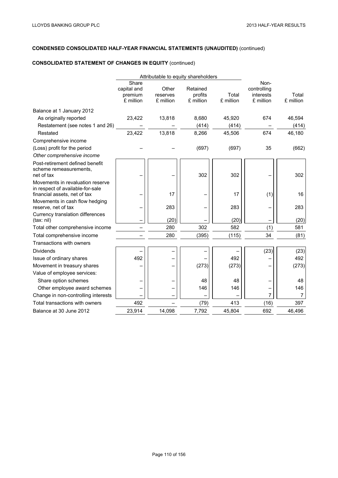# **CONSOLIDATED STATEMENT OF CHANGES IN EQUITY** (continued)

|                                                                                                      |                                              | Attributable to equity shareholders |                                  |                    |                                               |                    |
|------------------------------------------------------------------------------------------------------|----------------------------------------------|-------------------------------------|----------------------------------|--------------------|-----------------------------------------------|--------------------|
|                                                                                                      | Share<br>capital and<br>premium<br>£ million | Other<br>reserves<br>£ million      | Retained<br>profits<br>£ million | Total<br>£ million | Non-<br>controlling<br>interests<br>£ million | Total<br>£ million |
| Balance at 1 January 2012                                                                            |                                              |                                     |                                  |                    |                                               |                    |
| As originally reported                                                                               | 23,422                                       | 13,818                              | 8,680                            | 45,920             | 674                                           | 46,594             |
| Restatement (see notes 1 and 26)                                                                     |                                              |                                     | (414)                            | (414)              |                                               | (414)              |
| Restated                                                                                             | 23,422                                       | 13,818                              | 8,266                            | 45,506             | 674                                           | 46,180             |
| Comprehensive income                                                                                 |                                              |                                     |                                  |                    |                                               |                    |
| (Loss) profit for the period                                                                         |                                              |                                     | (697)                            | (697)              | 35                                            | (662)              |
| Other comprehensive income                                                                           |                                              |                                     |                                  |                    |                                               |                    |
| Post-retirement defined benefit<br>scheme remeasurements,<br>net of tax                              |                                              |                                     | 302                              | 302                |                                               | 302                |
| Movements in revaluation reserve<br>in respect of available-for-sale<br>financial assets, net of tax |                                              | 17                                  |                                  | 17                 | (1)                                           | 16                 |
| Movements in cash flow hedging<br>reserve, net of tax                                                |                                              | 283                                 |                                  | 283                |                                               | 283                |
| Currency translation differences<br>(tax: nil)                                                       |                                              | (20)                                |                                  | (20)               |                                               | (20)               |
| Total other comprehensive income                                                                     |                                              | 280                                 | 302                              | 582                | (1)                                           | 581                |
| Total comprehensive income                                                                           |                                              | 280                                 | (395)                            | (115)              | 34                                            | (81)               |
| Transactions with owners                                                                             |                                              |                                     |                                  |                    |                                               |                    |
| <b>Dividends</b>                                                                                     |                                              |                                     |                                  |                    | (23)                                          | (23)               |
| Issue of ordinary shares                                                                             | 492                                          |                                     |                                  | 492                |                                               | 492                |
| Movement in treasury shares                                                                          |                                              |                                     | (273)                            | (273)              |                                               | (273)              |
| Value of employee services:                                                                          |                                              |                                     |                                  |                    |                                               |                    |
| Share option schemes                                                                                 |                                              |                                     | 48                               | 48                 |                                               | 48                 |
| Other employee award schemes                                                                         |                                              |                                     | 146                              | 146                |                                               | 146                |
| Change in non-controlling interests                                                                  |                                              |                                     |                                  |                    | 7                                             | $\overline{7}$     |
| Total transactions with owners                                                                       | 492                                          |                                     | (79)                             | 413                | (16)                                          | 397                |
| Balance at 30 June 2012                                                                              | 23,914                                       | 14,098                              | 7,792                            | 45,804             | 692                                           | 46,496             |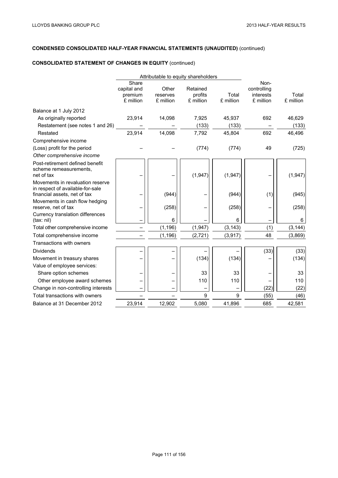# **CONSOLIDATED STATEMENT OF CHANGES IN EQUITY** (continued)

|                                                                                                      |                                              | Attributable to equity shareholders |                                  |                    |                                               |                    |
|------------------------------------------------------------------------------------------------------|----------------------------------------------|-------------------------------------|----------------------------------|--------------------|-----------------------------------------------|--------------------|
|                                                                                                      | Share<br>capital and<br>premium<br>£ million | Other<br>reserves<br>£ million      | Retained<br>profits<br>£ million | Total<br>£ million | Non-<br>controlling<br>interests<br>£ million | Total<br>£ million |
| Balance at 1 July 2012                                                                               |                                              |                                     |                                  |                    |                                               |                    |
| As originally reported                                                                               | 23,914                                       | 14,098                              | 7,925                            | 45,937             | 692                                           | 46,629             |
| Restatement (see notes 1 and 26)                                                                     |                                              |                                     | (133)                            | (133)              |                                               | (133)              |
| Restated                                                                                             | 23,914                                       | 14,098                              | 7,792                            | 45,804             | 692                                           | 46,496             |
| Comprehensive income                                                                                 |                                              |                                     |                                  |                    |                                               |                    |
| (Loss) profit for the period                                                                         |                                              |                                     | (774)                            | (774)              | 49                                            | (725)              |
| Other comprehensive income                                                                           |                                              |                                     |                                  |                    |                                               |                    |
| Post-retirement defined benefit<br>scheme remeasurements,<br>net of tax                              |                                              |                                     | (1,947)                          | (1, 947)           |                                               | (1,947)            |
| Movements in revaluation reserve<br>in respect of available-for-sale<br>financial assets, net of tax |                                              | (944)                               |                                  | (944)              | (1)                                           | (945)              |
| Movements in cash flow hedging<br>reserve, net of tax                                                |                                              | (258)                               |                                  | (258)              |                                               | (258)              |
| Currency translation differences<br>(tax: nil)                                                       |                                              | 6                                   |                                  | 6                  |                                               | 6                  |
| Total other comprehensive income                                                                     |                                              | (1, 196)                            | (1, 947)                         | (3, 143)           | (1)                                           | (3, 144)           |
| Total comprehensive income                                                                           |                                              | (1, 196)                            | (2, 721)                         | (3, 917)           | 48                                            | (3,869)            |
| Transactions with owners                                                                             |                                              |                                     |                                  |                    |                                               |                    |
| <b>Dividends</b>                                                                                     |                                              |                                     |                                  |                    | (33)                                          | (33)               |
| Movement in treasury shares                                                                          |                                              |                                     | (134)                            | (134)              |                                               | (134)              |
| Value of employee services:                                                                          |                                              |                                     |                                  |                    |                                               |                    |
| Share option schemes                                                                                 |                                              |                                     | 33                               | 33                 |                                               | 33                 |
| Other employee award schemes                                                                         |                                              |                                     | 110                              | 110                |                                               | 110                |
| Change in non-controlling interests                                                                  |                                              |                                     |                                  |                    | (22)                                          | (22)               |
| Total transactions with owners                                                                       |                                              |                                     | 9                                | 9                  | (55)                                          | (46)               |
| Balance at 31 December 2012                                                                          | 23,914                                       | 12,902                              | 5,080                            | 41,896             | 685                                           | 42,581             |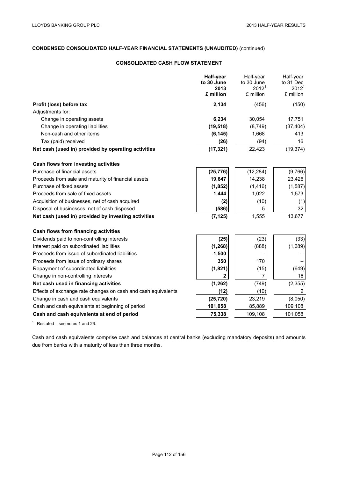## **CONSOLIDATED CASH FLOW STATEMENT**

|                                                               | Half-year<br>to 30 June | Half-year<br>to 30 June | Half-year<br>to 31 Dec |
|---------------------------------------------------------------|-------------------------|-------------------------|------------------------|
|                                                               | 2013                    | 2012 <sup>1</sup>       | 2012 <sup>1</sup>      |
|                                                               | £ million               | £ million               | £ million              |
| Profit (loss) before tax                                      | 2,134                   | (456)                   | (150)                  |
| Adjustments for:                                              |                         |                         |                        |
| Change in operating assets                                    | 6,234                   | 30,054                  | 17,751                 |
| Change in operating liabilities                               | (19, 518)               | (8,749)                 | (37, 404)              |
| Non-cash and other items                                      | (6, 145)                | 1,668                   | 413                    |
| Tax (paid) received                                           | (26)                    | (94)                    | 16                     |
| Net cash (used in) provided by operating activities           | (17, 321)               | 22,423                  | (19, 374)              |
| Cash flows from investing activities                          |                         |                         |                        |
| Purchase of financial assets                                  | (25, 776)               | (12, 284)               | (9,766)                |
| Proceeds from sale and maturity of financial assets           | 19,647                  | 14,238                  | 23,426                 |
| Purchase of fixed assets                                      | (1, 852)                | (1, 416)                | (1, 587)               |
| Proceeds from sale of fixed assets                            | 1,444                   | 1,022                   | 1,573                  |
| Acquisition of businesses, net of cash acquired               | (2)                     | (10)                    | (1)                    |
| Disposal of businesses, net of cash disposed                  | (586)                   | 5                       | 32                     |
| Net cash (used in) provided by investing activities           | (7, 125)                | 1,555                   | 13,677                 |
| Cash flows from financing activities                          |                         |                         |                        |
| Dividends paid to non-controlling interests                   | (25)                    | (23)                    | (33)                   |
| Interest paid on subordinated liabilities                     | (1, 268)                | (888)                   | (1,689)                |
| Proceeds from issue of subordinated liabilities               | 1,500                   |                         |                        |
| Proceeds from issue of ordinary shares                        | 350                     | 170                     |                        |
| Repayment of subordinated liabilities                         | (1,821)                 | (15)                    | (649)                  |
| Change in non-controlling interests                           | $\overline{2}$          | 7                       | 16                     |
| Net cash used in financing activities                         | (1, 262)                | (749)                   | (2, 355)               |
| Effects of exchange rate changes on cash and cash equivalents | (12)                    | (10)                    | $\overline{2}$         |
| Change in cash and cash equivalents                           | (25, 720)               | 23,219                  | (8,050)                |
| Cash and cash equivalents at beginning of period              | 101,058                 | 85,889                  | 109,108                |
| Cash and cash equivalents at end of period                    | 75,338                  | 109,108                 | 101,058                |

 $1$  Restated – see notes 1 and 26.

Cash and cash equivalents comprise cash and balances at central banks (excluding mandatory deposits) and amounts due from banks with a maturity of less than three months.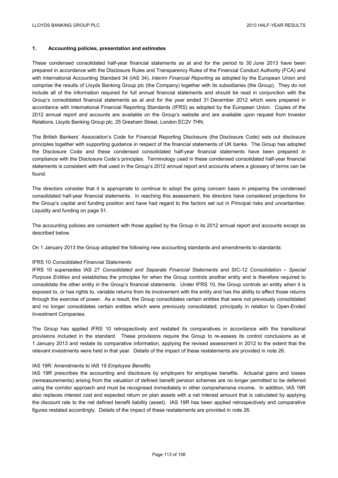## **1. Accounting policies, presentation and estimates**

These condensed consolidated half-year financial statements as at and for the period to 30 June 2013 have been prepared in accordance with the Disclosure Rules and Transparency Rules of the Financial Conduct Authority (FCA) and with International Accounting Standard 34 (IAS 34), *Interim Financial Reporting* as adopted by the European Union and comprise the results of Lloyds Banking Group plc (the Company) together with its subsidiaries (the Group). They do not include all of the information required for full annual financial statements and should be read in conjunction with the Group's consolidated financial statements as at and for the year ended 31 December 2012 which were prepared in accordance with International Financial Reporting Standards (IFRS) as adopted by the European Union. Copies of the 2012 annual report and accounts are available on the Group's website and are available upon request from Investor Relations, Lloyds Banking Group plc, 25 Gresham Street, London EC2V 7HN.

The British Bankers' Association's Code for Financial Reporting Disclosure (the Disclosure Code) sets out disclosure principles together with supporting guidance in respect of the financial statements of UK banks. The Group has adopted the Disclosure Code and these condensed consolidated half-year financial statements have been prepared in compliance with the Disclosure Code's principles. Terminology used in these condensed consolidated half-year financial statements is consistent with that used in the Group's 2012 annual report and accounts where a glossary of terms can be found.

The directors consider that it is appropriate to continue to adopt the going concern basis in preparing the condensed consolidated half-year financial statements. In reaching this assessment, the directors have considered projections for the Group's capital and funding position and have had regard to the factors set out in Principal risks and uncertainties: Liquidity and funding on page 51.

The accounting policies are consistent with those applied by the Group in its 2012 annual report and accounts except as described below.

On 1 January 2013 the Group adopted the following new accounting standards and amendments to standards:

### IFRS 10 *Consolidated Financial Statements*

IFRS 10 supersedes IAS 27 *Consolidated and Separate Financial Statements* and SIC-12 *Consolidation – Special Purpose Entities* and establishes the principles for when the Group controls another entity and is therefore required to consolidate the other entity in the Group's financial statements. Under IFRS 10, the Group controls an entity when it is exposed to, or has rights to, variable returns from its involvement with the entity and has the ability to affect those returns through the exercise of power. As a result, the Group consolidates certain entities that were not previously consolidated and no longer consolidates certain entities which were previously consolidated; principally in relation to Open-Ended Investment Companies.

The Group has applied IFRS 10 retrospectively and restated its comparatives in accordance with the transitional provisions included in the standard. These provisions require the Group to re-assess its control conclusions as at 1 January 2013 and restate its comparative information, applying the revised assessment in 2012 to the extent that the relevant investments were held in that year. Details of the impact of these restatements are provided in note 26.

### IAS 19R: Amendments to IAS 19 *Employee Benefits*

IAS 19R prescribes the accounting and disclosure by employers for employee benefits. Actuarial gains and losses (remeasurements) arising from the valuation of defined benefit pension schemes are no longer permitted to be deferred using the corridor approach and must be recognised immediately in other comprehensive income. In addition, IAS 19R also replaces interest cost and expected return on plan assets with a net interest amount that is calculated by applying the discount rate to the net defined benefit liability (asset). IAS 19R has been applied retrospectively and comparative figures restated accordingly. Details of the impact of these restatements are provided in note 26.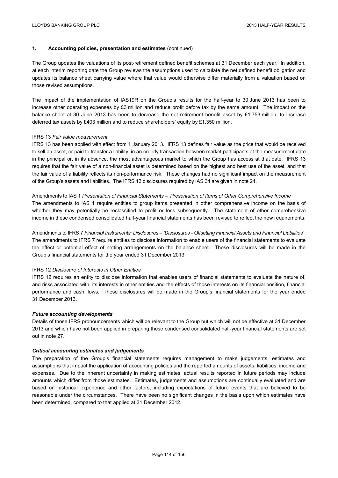## **1. Accounting policies, presentation and estimates** (continued)

The Group updates the valuations of its post-retirement defined benefit schemes at 31 December each year. In addition, at each interim reporting date the Group reviews the assumptions used to calculate the net defined benefit obligation and updates its balance sheet carrying value where that value would otherwise differ materially from a valuation based on those revised assumptions.

The impact of the implementation of IAS19R on the Group's results for the half-year to 30 June 2013 has been to increase other operating expenses by £3 million and reduce profit before tax by the same amount. The impact on the balance sheet at 30 June 2013 has been to decrease the net retirement benefit asset by £1,753 million, to increase deferred tax assets by £403 million and to reduce shareholders' equity by £1,350 million.

### IFRS 13 *Fair value measurement*

IFRS 13 has been applied with effect from 1 January 2013. IFRS 13 defines fair value as the price that would be received to sell an asset, or paid to transfer a liability, in an orderly transaction between market participants at the measurement date in the principal or, in its absence, the most advantageous market to which the Group has access at that date. IFRS 13 requires that the fair value of a non-financial asset is determined based on the highest and best use of the asset, and that the fair value of a liability reflects its non-performance risk. These changes had no significant impact on the measurement of the Group's assets and liabilities. The IFRS 13 disclosures required by IAS 34 are given in note 24.

### Amendments to IAS 1 *Presentation of Financial Statements – 'Presentation of Items of Other Comprehensive Income'*

The amendments to IAS 1 require entities to group items presented in other comprehensive income on the basis of whether they may potentially be reclassified to profit or loss subsequently. The statement of other comprehensive income in these condensed consolidated half-year financial statements has been revised to reflect the new requirements.

Amendments to IFRS 7 *Financial Instruments: Disclosures – 'Disclosures - Offsetting Financial Assets and Financial Liabilities'*  The amendments to IFRS 7 require entities to disclose information to enable users of the financial statements to evaluate the effect or potential effect of netting arrangements on the balance sheet. These disclosures will be made in the Group's financial statements for the year ended 31 December 2013.

### IFRS 12 *Disclosure of Interests in Other Entities*

IFRS 12 requires an entity to disclose information that enables users of financial statements to evaluate the nature of, and risks associated with, its interests in other entities and the effects of those interests on its financial position, financial performance and cash flows. These disclosures will be made in the Group's financial statements for the year ended 31 December 2013.

### *Future accounting developments*

Details of those IFRS pronouncements which will be relevant to the Group but which will not be effective at 31 December 2013 and which have not been applied in preparing these condensed consolidated half-year financial statements are set out in note 27.

### *Critical accounting estimates and judgements*

The preparation of the Group's financial statements requires management to make judgements, estimates and assumptions that impact the application of accounting policies and the reported amounts of assets, liabilities, income and expenses. Due to the inherent uncertainty in making estimates, actual results reported in future periods may include amounts which differ from those estimates. Estimates, judgements and assumptions are continually evaluated and are based on historical experience and other factors, including expectations of future events that are believed to be reasonable under the circumstances. There have been no significant changes in the basis upon which estimates have been determined, compared to that applied at 31 December 2012.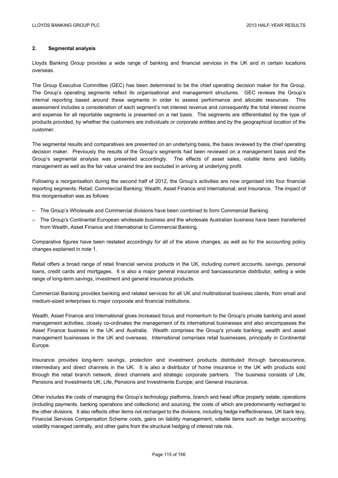## **2. Segmental analysis**

Lloyds Banking Group provides a wide range of banking and financial services in the UK and in certain locations overseas.

The Group Executive Committee (GEC) has been determined to be the chief operating decision maker for the Group. The Group's operating segments reflect its organisational and management structures. GEC reviews the Group's internal reporting based around these segments in order to assess performance and allocate resources. This assessment includes a consideration of each segment's net interest revenue and consequently the total interest income and expense for all reportable segments is presented on a net basis. The segments are differentiated by the type of products provided, by whether the customers are individuals or corporate entities and by the geographical location of the customer.

The segmental results and comparatives are presented on an underlying basis, the basis reviewed by the chief operating decision maker. Previously the results of the Group's segments had been reviewed on a management basis and the Group's segmental analysis was presented accordingly. The effects of asset sales, volatile items and liability management as well as the fair value unwind line are excluded in arriving at underlying profit.

Following a reorganisation during the second half of 2012, the Group's activities are now organised into four financial reporting segments: Retail; Commercial Banking; Wealth, Asset Finance and International; and Insurance. The impact of this reorganisation was as follows:

- The Group's Wholesale and Commercial divisions have been combined to form Commercial Banking.
- The Group's Continental European wholesale business and the wholesale Australian business have been transferred from Wealth, Asset Finance and International to Commercial Banking.

Comparative figures have been restated accordingly for all of the above changes, as well as for the accounting policy changes explained in note 1.

Retail offers a broad range of retail financial service products in the UK, including current accounts, savings, personal loans, credit cards and mortgages. It is also a major general insurance and bancassurance distributor, selling a wide range of long-term savings, investment and general insurance products.

Commercial Banking provides banking and related services for all UK and multinational business clients, from small and medium-sized enterprises to major corporate and financial institutions.

Wealth, Asset Finance and International gives increased focus and momentum to the Group's private banking and asset management activities, closely co-ordinates the management of its international businesses and also encompasses the Asset Finance business in the UK and Australia. Wealth comprises the Group's private banking, wealth and asset management businesses in the UK and overseas. International comprises retail businesses, principally in Continental Europe.

Insurance provides long-term savings, protection and investment products distributed through bancassurance, intermediary and direct channels in the UK. It is also a distributor of home insurance in the UK with products sold through the retail branch network, direct channels and strategic corporate partners. The business consists of Life, Pensions and Investments UK; Life, Pensions and Investments Europe; and General Insurance.

Other includes the costs of managing the Group's technology platforms, branch and head office property estate, operations (including payments, banking operations and collections) and sourcing, the costs of which are predominantly recharged to the other divisions. It also reflects other items not recharged to the divisions, including hedge ineffectiveness, UK bank levy, Financial Services Compensation Scheme costs, gains on liability management, volatile items such as hedge accounting volatility managed centrally, and other gains from the structural hedging of interest rate risk.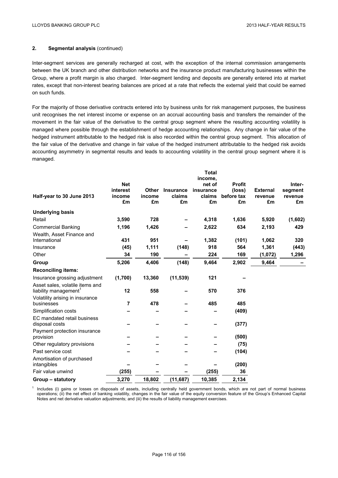Inter-segment services are generally recharged at cost, with the exception of the internal commission arrangements between the UK branch and other distribution networks and the insurance product manufacturing businesses within the Group, where a profit margin is also charged. Inter-segment lending and deposits are generally entered into at market rates, except that non-interest bearing balances are priced at a rate that reflects the external yield that could be earned on such funds.

For the majority of those derivative contracts entered into by business units for risk management purposes, the business unit recognises the net interest income or expense on an accrual accounting basis and transfers the remainder of the movement in the fair value of the derivative to the central group segment where the resulting accounting volatility is managed where possible through the establishment of hedge accounting relationships. Any change in fair value of the hedged instrument attributable to the hedged risk is also recorded within the central group segment. This allocation of the fair value of the derivative and change in fair value of the hedged instrument attributable to the hedged risk avoids accounting asymmetry in segmental results and leads to accounting volatility in the central group segment where it is managed.

|                                   |            |        |                  | <b>Total</b> |               |                 |         |
|-----------------------------------|------------|--------|------------------|--------------|---------------|-----------------|---------|
|                                   |            |        |                  | income,      |               |                 |         |
|                                   | <b>Net</b> |        |                  | net of       | <b>Profit</b> |                 | Inter-  |
|                                   | interest   | Other  | <b>Insurance</b> | insurance    | (loss)        | <b>External</b> | segment |
| Half-year to 30 June 2013         | income     | income | claims           | claims       | before tax    | revenue         | revenue |
|                                   | £m         | £m     | £m               | £m           | £m            | £m              | £m      |
| <b>Underlying basis</b>           |            |        |                  |              |               |                 |         |
| Retail                            | 3,590      | 728    |                  | 4,318        | 1,636         | 5,920           | (1,602) |
| <b>Commercial Banking</b>         | 1,196      | 1,426  |                  | 2,622        | 634           | 2,193           | 429     |
| Wealth, Asset Finance and         |            |        |                  |              |               |                 |         |
| International                     | 431        | 951    |                  | 1,382        | (101)         | 1,062           | 320     |
| Insurance                         | (45)       | 1,111  | (148)            | 918          | 564           | 1,361           | (443)   |
| Other                             | 34         | 190    |                  | 224          | 169           | (1,072)         | 1,296   |
| Group                             | 5,206      | 4,406  | (148)            | 9,464        | 2,902         | 9,464           |         |
| <b>Reconciling items:</b>         |            |        |                  |              |               |                 |         |
| Insurance grossing adjustment     | (1,700)    | 13,360 | (11, 539)        | 121          |               |                 |         |
| Asset sales, volatile items and   |            |        |                  |              |               |                 |         |
| liability management <sup>1</sup> | 12         | 558    |                  | 570          | 376           |                 |         |
| Volatility arising in insurance   |            |        |                  |              |               |                 |         |
| businesses                        | 7          | 478    |                  | 485          | 485           |                 |         |
| Simplification costs              |            |        |                  |              | (409)         |                 |         |
| EC mandated retail business       |            |        |                  |              |               |                 |         |
| disposal costs                    |            |        |                  |              | (377)         |                 |         |
| Payment protection insurance      |            |        |                  |              |               |                 |         |
| provision                         |            |        |                  |              | (500)         |                 |         |
| Other regulatory provisions       |            |        |                  |              | (75)          |                 |         |
| Past service cost                 |            |        |                  |              | (104)         |                 |         |
| Amortisation of purchased         |            |        |                  |              |               |                 |         |
| intangibles                       |            |        |                  |              | (200)         |                 |         |
| Fair value unwind                 | (255)      |        |                  | (255)        | 36            |                 |         |
| Group - statutory                 | 3,270      | 18,802 | (11, 687)        | 10,385       | 2,134         |                 |         |

 $<sup>1</sup>$  Includes (i) gains or losses on disposals of assets, including centrally held government bonds, which are not part of normal business</sup> operations; (ii) the net effect of banking volatility, changes in the fair value of the equity conversion feature of the Group's Enhanced Capital Notes and net derivative valuation adjustments; and (iii) the results of liability management exercises.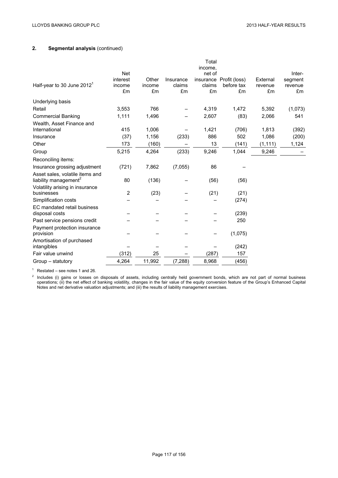|                                                                      |                                        |                       |                           | Total<br>income.       |                                             |                           |                                    |
|----------------------------------------------------------------------|----------------------------------------|-----------------------|---------------------------|------------------------|---------------------------------------------|---------------------------|------------------------------------|
| Half-year to 30 June $20121$                                         | <b>Net</b><br>interest<br>income<br>£m | Other<br>income<br>£m | Insurance<br>claims<br>£m | net of<br>claims<br>£m | insurance Profit (loss)<br>before tax<br>£m | External<br>revenue<br>£m | Inter-<br>segment<br>revenue<br>£m |
| Underlying basis                                                     |                                        |                       |                           |                        |                                             |                           |                                    |
| Retail                                                               | 3,553                                  | 766                   |                           | 4,319                  | 1,472                                       | 5,392                     | (1,073)                            |
| <b>Commercial Banking</b>                                            | 1,111                                  | 1,496                 |                           | 2,607                  | (83)                                        | 2,066                     | 541                                |
| Wealth, Asset Finance and<br>International                           | 415                                    | 1,006                 |                           | 1,421                  | (706)                                       | 1,813                     | (392)                              |
| Insurance                                                            | (37)                                   | 1,156                 | (233)                     | 886                    | 502                                         | 1,086                     | (200)                              |
| Other                                                                | 173                                    | (160)                 |                           | 13                     | (141)                                       | (1, 111)                  | 1,124                              |
| Group                                                                | 5,215                                  | 4,264                 | (233)                     | 9,246                  | 1,044                                       | 9,246                     |                                    |
| Reconciling items:                                                   |                                        |                       |                           |                        |                                             |                           |                                    |
| Insurance grossing adjustment                                        | (721)                                  | 7,862                 | (7,055)                   | 86                     |                                             |                           |                                    |
| Asset sales, volatile items and<br>liability management <sup>2</sup> | 80                                     | (136)                 |                           | (56)                   | (56)                                        |                           |                                    |
| Volatility arising in insurance<br>businesses                        | $\overline{2}$                         | (23)                  |                           | (21)                   | (21)                                        |                           |                                    |
| Simplification costs                                                 |                                        |                       |                           |                        | (274)                                       |                           |                                    |
| EC mandated retail business<br>disposal costs                        |                                        |                       |                           |                        | (239)                                       |                           |                                    |
| Past service pensions credit                                         |                                        |                       |                           |                        | 250                                         |                           |                                    |
| Payment protection insurance<br>provision                            |                                        |                       |                           |                        | (1,075)                                     |                           |                                    |
| Amortisation of purchased<br>intangibles                             |                                        |                       |                           |                        | (242)                                       |                           |                                    |
| Fair value unwind                                                    | (312)                                  | 25                    |                           | (287)                  | 157                                         |                           |                                    |
| Group - statutory                                                    | 4,264                                  | 11,992                | (7, 288)                  | 8,968                  | (456)                                       |                           |                                    |

 $1$  Restated – see notes 1 and 26.

 $2$  Includes (i) gains or losses on disposals of assets, including centrally held government bonds, which are not part of normal business operations; (ii) the net effect of banking volatility, changes in the fair value of the equity conversion feature of the Group's Enhanced Capital Notes and net derivative valuation adjustments; and (iii) the results of liability management exercises.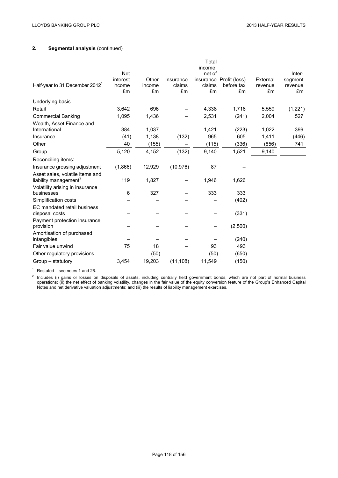| Half-year to 31 December 2012 <sup>1</sup>                           | <b>Net</b><br>interest<br>income | Other<br>income | Insurance<br>claims | Total<br>income,<br>net of<br>claims | insurance Profit (loss)<br>before tax | External<br>revenue | Inter-<br>segment<br>revenue |
|----------------------------------------------------------------------|----------------------------------|-----------------|---------------------|--------------------------------------|---------------------------------------|---------------------|------------------------------|
|                                                                      | £m                               | £m              | £m                  | £m                                   | £m                                    | £m                  | £m                           |
| Underlying basis                                                     |                                  |                 |                     |                                      |                                       |                     |                              |
| Retail                                                               | 3,642                            | 696             |                     | 4,338                                | 1,716                                 | 5,559               | (1,221)                      |
| <b>Commercial Banking</b>                                            | 1,095                            | 1,436           |                     | 2,531                                | (241)                                 | 2,004               | 527                          |
| Wealth, Asset Finance and<br>International                           | 384                              | 1,037           |                     | 1,421                                | (223)                                 | 1,022               | 399                          |
| Insurance                                                            | (41)                             | 1,138           | (132)               | 965                                  | 605                                   | 1,411               | (446)                        |
| Other                                                                | 40                               | (155)           |                     | (115)                                | (336)                                 | (856)               | 741                          |
| Group                                                                | 5,120                            | 4,152           | (132)               | 9,140                                | 1,521                                 | 9,140               |                              |
| Reconciling items:                                                   |                                  |                 |                     |                                      |                                       |                     |                              |
| Insurance grossing adjustment                                        | (1,866)                          | 12,929          | (10, 976)           | 87                                   |                                       |                     |                              |
| Asset sales, volatile items and<br>liability management <sup>2</sup> | 119                              | 1,827           |                     | 1,946                                | 1,626                                 |                     |                              |
| Volatility arising in insurance<br>businesses                        | 6                                | 327             |                     | 333                                  | 333                                   |                     |                              |
| Simplification costs                                                 |                                  |                 |                     |                                      | (402)                                 |                     |                              |
| EC mandated retail business<br>disposal costs                        |                                  |                 |                     |                                      | (331)                                 |                     |                              |
| Payment protection insurance<br>provision                            |                                  |                 |                     |                                      | (2,500)                               |                     |                              |
| Amortisation of purchased<br>intangibles                             |                                  |                 |                     |                                      | (240)                                 |                     |                              |
| Fair value unwind                                                    | 75                               | 18              |                     | 93                                   | 493                                   |                     |                              |
| Other regulatory provisions                                          |                                  | (50)            |                     | (50)                                 | (650)                                 |                     |                              |
| Group - statutory                                                    | 3,454                            | 19,203          | (11, 108)           | 11,549                               | (150)                                 |                     |                              |

 $1$  Restated – see notes 1 and 26.

 $2$  Includes (i) gains or losses on disposals of assets, including centrally held government bonds, which are not part of normal business operations; (ii) the net effect of banking volatility, changes in the fair value of the equity conversion feature of the Group's Enhanced Capital Notes and net derivative valuation adjustments; and (iii) the results of liability management exercises.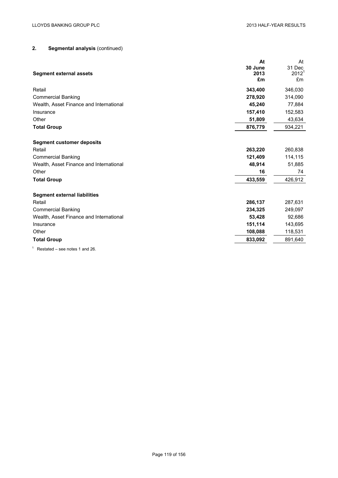|                                         | At                               | At             |
|-----------------------------------------|----------------------------------|----------------|
|                                         | 30 June                          | 31 Dec         |
| <b>Segment external assets</b>          | 2013<br>$\pmb{\pmb{\epsilon}}$ m | $2012^1$<br>£m |
|                                         |                                  |                |
| Retail                                  | 343,400                          | 346,030        |
| <b>Commercial Banking</b>               | 278,920                          | 314,090        |
| Wealth, Asset Finance and International | 45,240                           | 77,884         |
| Insurance                               | 157,410                          | 152,583        |
| Other                                   | 51,809                           | 43,634         |
| <b>Total Group</b>                      | 876,779                          | 934,221        |
|                                         |                                  |                |
| <b>Segment customer deposits</b>        |                                  |                |
| Retail                                  | 263,220                          | 260,838        |
| <b>Commercial Banking</b>               | 121,409                          | 114,115        |
| Wealth, Asset Finance and International | 48,914                           | 51,885         |
| Other                                   | 16                               | 74             |
| <b>Total Group</b>                      | 433,559                          | 426,912        |
| <b>Segment external liabilities</b>     |                                  |                |
| Retail                                  | 286,137                          | 287,631        |
| <b>Commercial Banking</b>               | 234,325                          | 249,097        |
| Wealth, Asset Finance and International | 53,428                           | 92,686         |
| Insurance                               | 151,114                          | 143,695        |
| Other                                   | 108,088                          | 118,531        |
| <b>Total Group</b>                      | 833,092                          | 891,640        |
|                                         |                                  |                |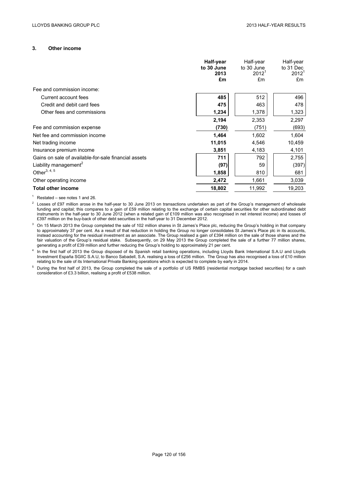### **3. Other income**

|                                                      | Half-year<br>to 30 June<br>2013<br>£m | Half-year<br>to 30 June<br>2012 <sup>1</sup><br>£m | Half-year<br>to 31 Dec<br>2012 <sup>1</sup><br>£m |
|------------------------------------------------------|---------------------------------------|----------------------------------------------------|---------------------------------------------------|
| Fee and commission income:                           |                                       |                                                    |                                                   |
| Current account fees                                 | 485                                   | 512                                                | 496                                               |
| Credit and debit card fees                           | 475                                   | 463                                                | 478                                               |
| Other fees and commissions                           | 1,234                                 | 1,378                                              | 1,323                                             |
|                                                      | 2,194                                 | 2,353                                              | 2,297                                             |
| Fee and commission expense                           | (730)                                 | (751)                                              | (693)                                             |
| Net fee and commission income                        | 1,464                                 | 1,602                                              | 1,604                                             |
| Net trading income                                   | 11,015                                | 4,546                                              | 10,459                                            |
| Insurance premium income                             | 3,851                                 | 4,183                                              | 4,101                                             |
| Gains on sale of available-for-sale financial assets | 711                                   | 792                                                | 2,755                                             |
| Liability management <sup>2</sup>                    | (97)                                  | 59                                                 | (397)                                             |
| Other $^{3, 4, 5}$                                   | 1,858                                 | 810                                                | 681                                               |
| Other operating income                               | 2,472                                 | 1,661                                              | 3,039                                             |
| <b>Total other income</b>                            | 18,802                                | 11,992                                             | 19,203                                            |

 $1$  Restated – see notes 1 and 26.

 $2$  Losses of £97 million arose in the half-year to 30 June 2013 on transactions undertaken as part of the Group's management of wholesale funding and capital; this compares to a gain of £59 million relating to the exchange of certain capital securities for other subordinated debt instruments in the half-year to 30 June 2012 (when a related gain of £109 million was also recognised in net interest income) and losses of £397 million on the buy-back of other debt securities in the half-year to 31 December 2012.

<sup>3</sup> On 15 March 2013 the Group completed the sale of 102 million shares in St James's Place plc, reducing the Group's holding in that company to approximately 37 per cent. As a result of that reduction in holding the Group no longer consolidates St James's Place plc in its accounts, instead accounting for the residual investment as an associate. The Group realised a gain of £394 million on the sale of those shares and the fair valuation of the Group's residual stake. Subsequently, on 29 May 2013 the Group completed the sale of a further 77 million shares, generating a profit of £39 million and further reducing the Group's holding to approximately 21 per cent.

In the first half of 2013 the Group disposed of its Spanish retail banking operations, including Lloyds Bank International S.A.U and Lloyds Investment España SGIIC S.A.U, to Banco Sabadell, S.A. realising a loss of £256 million. The Group has also recognised a loss of £10 million relating to the sale of its International Private Banking operations which is expected to complete by early in 2014.

<sup>5</sup> During the first half of 2013, the Group completed the sale of a portfolio of US RMBS (residential mortgage backed securities) for a cash consideration of £3.3 billion, realising a profit of £538 million.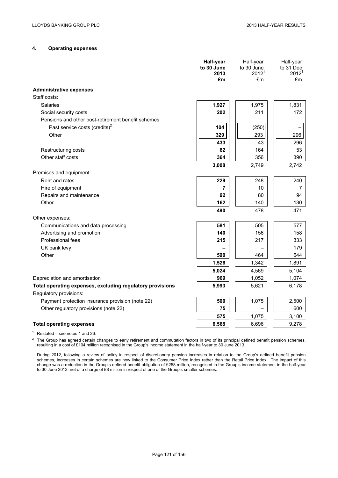# **4. Operating expenses**

|                                                                                     | Half-year<br>to 30 June<br>2013<br>£m | Half-year<br>to 30 June<br>2012 <sup>1</sup><br>£m | Half-year<br>to 31 Dec<br>2012 <sup>1</sup><br>£m |
|-------------------------------------------------------------------------------------|---------------------------------------|----------------------------------------------------|---------------------------------------------------|
| <b>Administrative expenses</b>                                                      |                                       |                                                    |                                                   |
| Staff costs:                                                                        |                                       |                                                    |                                                   |
| Salaries                                                                            | 1,927                                 | 1,975                                              | 1,831                                             |
| Social security costs                                                               | 202                                   | 211                                                | 172                                               |
| Pensions and other post-retirement benefit schemes:                                 |                                       |                                                    |                                                   |
| Past service costs (credits) <sup>2</sup>                                           | 104                                   | (250)                                              |                                                   |
| Other                                                                               | 329                                   | 293                                                | 296                                               |
|                                                                                     | 433                                   | 43                                                 | 296                                               |
| Restructuring costs                                                                 | 82                                    | 164                                                | 53                                                |
| Other staff costs                                                                   | 364                                   | 356                                                | 390                                               |
|                                                                                     | 3,008                                 | 2,749                                              | 2,742                                             |
| Premises and equipment:                                                             |                                       |                                                    |                                                   |
| Rent and rates                                                                      | 229                                   | 248                                                | 240                                               |
| Hire of equipment                                                                   | 7                                     | 10                                                 | $\overline{7}$                                    |
| Repairs and maintenance                                                             | 92                                    | 80                                                 | 94                                                |
| Other                                                                               | 162                                   | 140                                                | 130                                               |
|                                                                                     | 490                                   | 478                                                | 471                                               |
| Other expenses:                                                                     |                                       |                                                    |                                                   |
| Communications and data processing                                                  | 581                                   | 505                                                | 577                                               |
| Advertising and promotion                                                           | 140                                   | 156                                                | 158                                               |
| Professional fees                                                                   | 215                                   | 217                                                | 333                                               |
| UK bank levy                                                                        |                                       |                                                    | 179                                               |
| Other                                                                               | 590                                   | 464                                                | 644                                               |
|                                                                                     | 1,526                                 | 1,342                                              | 1,891                                             |
|                                                                                     | 5,024                                 | 4,569                                              | 5,104                                             |
| Depreciation and amortisation                                                       | 969                                   | 1,052                                              | 1,074                                             |
| Total operating expenses, excluding regulatory provisions<br>Regulatory provisions: | 5,993                                 | 5,621                                              | 6,178                                             |
| Payment protection insurance provision (note 22)                                    | 500                                   | 1,075                                              | 2,500                                             |
| Other regulatory provisions (note 22)                                               | 75                                    |                                                    | 600                                               |
|                                                                                     | 575                                   | 1,075                                              | 3,100                                             |
| <b>Total operating expenses</b>                                                     | 6,568                                 | 6,696                                              | 9,278                                             |
|                                                                                     |                                       |                                                    |                                                   |

 $1$  Restated – see notes 1 and 26.

 $2$  The Group has agreed certain changes to early retirement and commutation factors in two of its principal defined benefit pension schemes, resulting in a cost of £104 million recognised in the Group's income statement in the half-year to 30 June 2013.

During 2012, following a review of policy in respect of discretionary pension increases in relation to the Group's defined benefit pension schemes, increases in certain schemes are now linked to the Consumer Price Index rather than the Retail Price Index. The impact of this change was a reduction in the Group's defined benefit obligation of £258 million, recognised in the Group's income statement in the half-year to 30 June 2012, net of a charge of £8 million in respect of one of the Group's smaller schemes.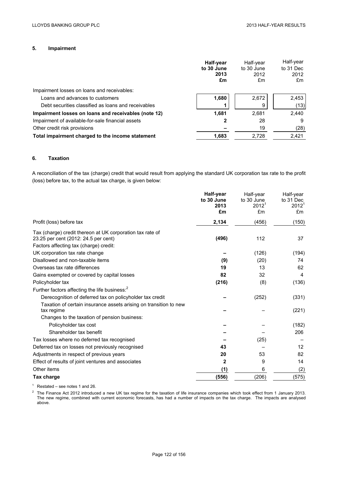## **5. Impairment**

|                                                      | Half-year<br>to 30 June<br>2013<br>£m | Half-year<br>to 30 June<br>2012<br>£m | Half-year<br>to 31 Dec<br>2012<br>£m |
|------------------------------------------------------|---------------------------------------|---------------------------------------|--------------------------------------|
| Impairment losses on loans and receivables:          |                                       |                                       |                                      |
| Loans and advances to customers                      | 1.680                                 | 2.672                                 | 2,453                                |
| Debt securities classified as loans and receivables  |                                       | 9                                     | (13)                                 |
| Impairment losses on loans and receivables (note 12) | 1.681                                 | 2.681                                 | 2,440                                |
| Impairment of available-for-sale financial assets    | 2                                     | 28                                    | 9                                    |
| Other credit risk provisions                         |                                       | 19                                    | (28)                                 |
| Total impairment charged to the income statement     | 1,683                                 | 2,728                                 | 2,421                                |

# **6. Taxation**

A reconciliation of the tax (charge) credit that would result from applying the standard UK corporation tax rate to the profit (loss) before tax, to the actual tax charge, is given below:

|                                                                   | Half-year<br>to 30 June | Half-year<br>to 30 June | Half-year<br>to 31 Dec |
|-------------------------------------------------------------------|-------------------------|-------------------------|------------------------|
|                                                                   | 2013                    | 2012 <sup>1</sup>       | 2012 <sup>1</sup>      |
|                                                                   | £m                      | £m                      | £m                     |
| Profit (loss) before tax                                          | 2,134                   | (456)                   | (150)                  |
| Tax (charge) credit thereon at UK corporation tax rate of         |                         |                         |                        |
| 23.25 per cent (2012: 24.5 per cent)                              | (496)                   | 112                     | 37                     |
| Factors affecting tax (charge) credit:                            |                         |                         |                        |
| UK corporation tax rate change                                    |                         | (126)                   | (194)                  |
| Disallowed and non-taxable items                                  | (9)                     | (20)                    | 74                     |
| Overseas tax rate differences                                     | 19                      | 13                      | 62                     |
| Gains exempted or covered by capital losses                       | 82                      | 32                      | 4                      |
| Policyholder tax                                                  | (216)                   | (8)                     | (136)                  |
| Further factors affecting the life business: <sup>2</sup>         |                         |                         |                        |
| Derecognition of deferred tax on policyholder tax credit          |                         | (252)                   | (331)                  |
| Taxation of certain insurance assets arising on transition to new |                         |                         |                        |
| tax regime                                                        |                         |                         | (221)                  |
| Changes to the taxation of pension business:                      |                         |                         |                        |
| Policyholder tax cost                                             |                         |                         | (182)                  |
| Shareholder tax benefit                                           |                         |                         | 206                    |
| Tax losses where no deferred tax recognised                       |                         | (25)                    |                        |
| Deferred tax on losses not previously recognised                  | 43                      |                         | $12 \overline{ }$      |
| Adjustments in respect of previous years                          | 20                      | 53                      | 82                     |
| Effect of results of joint ventures and associates                | $\mathbf{2}$            | 9                       | 14                     |
| Other items                                                       | (1)                     | 6                       | (2)                    |
| Tax charge                                                        | (556)                   | (206)                   | (575)                  |

 $1$  Restated – see notes 1 and 26.

<sup>2</sup> The Finance Act 2012 introduced a new UK tax regime for the taxation of life insurance companies which took effect from 1 January 2013. The new regime, combined with current economic forecasts, has had a number of impacts on the tax charge. The impacts are analysed above.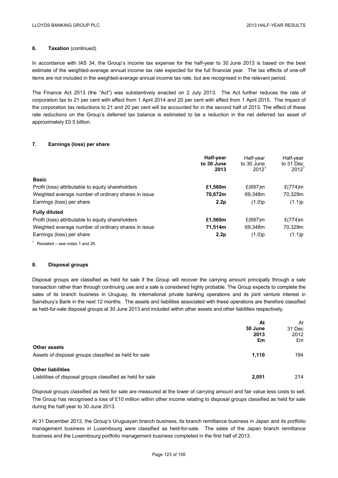# **6.** Taxation (continued)

In accordance with IAS 34, the Group's income tax expense for the half-year to 30 June 2013 is based on the best estimate of the weighted-average annual income tax rate expected for the full financial year. The tax effects of one-off items are not included in the weighted-average annual income tax rate, but are recognised in the relevant period.

The Finance Act 2013 (the "Act") was substantively enacted on 2 July 2013. The Act further reduces the rate of corporation tax to 21 per cent with effect from 1 April 2014 and 20 per cent with effect from 1 April 2015. The impact of the corporation tax reductions to 21 and 20 per cent will be accounted for in the second half of 2013. The effect of these rate reductions on the Group's deferred tax balance is estimated to be a reduction in the net deferred tax asset of approximately £0.5 billion.

## **7. Earnings (loss) per share**

|                                                     | Half-year<br>to 30 June<br>2013 | Half-vear<br>to 30 June<br>$2012^1$ | Half-year<br>to 31 Dec<br>$2012^1$ |
|-----------------------------------------------------|---------------------------------|-------------------------------------|------------------------------------|
| <b>Basic</b>                                        |                                 |                                     |                                    |
| Profit (loss) attributable to equity shareholders   | £1,560m                         | $£(697)$ m                          | $£(774)$ m                         |
| Weighted average number of ordinary shares in issue | 70,672m                         | 69,348m                             | 70,329m                            |
| Earnings (loss) per share                           | 2.2 <sub>p</sub>                | (1.0)p                              | (1.1)p                             |
| <b>Fully diluted</b>                                |                                 |                                     |                                    |
| Profit (loss) attributable to equity shareholders   | £1,560m                         | $£(697)$ m                          | $£(774)$ m                         |
| Weighted average number of ordinary shares in issue | 71,514m                         | 69,348m                             | 70,329m                            |
| Earnings (loss) per share                           | 2.2 <sub>p</sub>                | $(1.0)$ p                           | (1.1)p                             |
|                                                     |                                 |                                     |                                    |

<sup>1</sup> Restated – see notes 1 and 26.

## **8. Disposal groups**

Disposal groups are classified as held for sale if the Group will recover the carrying amount principally through a sale transaction rather than through continuing use and a sale is considered highly probable. The Group expects to complete the sales of its branch business in Uruguay, its international private banking operations and its joint venture interest in Sainsbury's Bank in the next 12 months. The assets and liabilities associated with these operations are therefore classified as held-for-sale disposal groups at 30 June 2013 and included within other assets and other liabilities respectively.

|                                                                                        | At<br>30 June<br>2013 | At<br>31 Dec<br>2012 |
|----------------------------------------------------------------------------------------|-----------------------|----------------------|
| <b>Other assets</b>                                                                    | £m                    | £m                   |
| Assets of disposal groups classified as held for sale                                  | 1.110                 | 194                  |
| <b>Other liabilities</b><br>Liabilities of disposal groups classified as held for sale | 2.051                 | 214                  |

Disposal groups classified as held for sale are measured at the lower of carrying amount and fair value less costs to sell. The Group has recognised a loss of £10 million within other income relating to disposal groups classified as held for sale during the half-year to 30 June 2013.

At 31 December 2012, the Group's Uruguayan branch business, its branch remittance business in Japan and its portfolio management business in Luxembourg were classified as held-for-sale. The sales of the Japan branch remittance business and the Luxembourg portfolio management business completed in the first half of 2013.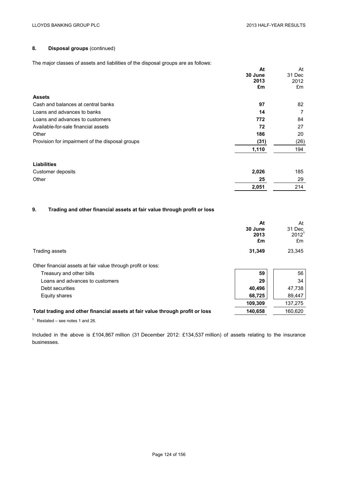# **8. Disposal groups** (continued)

The major classes of assets and liabilities of the disposal groups are as follows:

|                                                 | At      | At     |
|-------------------------------------------------|---------|--------|
|                                                 | 30 June | 31 Dec |
|                                                 | 2013    | 2012   |
|                                                 | £m      | £m     |
| <b>Assets</b>                                   |         |        |
| Cash and balances at central banks              | 97      | 82     |
| Loans and advances to banks                     | 14      | 7      |
| Loans and advances to customers                 | 772     | 84     |
| Available-for-sale financial assets             | 72      | 27     |
| Other                                           | 186     | 20     |
| Provision for impairment of the disposal groups | (31)    | (26)   |
|                                                 | 1,110   | 194    |
|                                                 |         |        |

| Liabilities       |       |     |
|-------------------|-------|-----|
| Customer deposits | 2,026 | 185 |
| Other             | 25    | 29  |
|                   | 2,051 | 214 |

# **9. Trading and other financial assets at fair value through profit or loss**

|                                                                               | At<br>30 June<br>2013<br>£m | At<br>31 Dec<br>2012 <sup>1</sup><br>£m |
|-------------------------------------------------------------------------------|-----------------------------|-----------------------------------------|
| Trading assets                                                                | 31,349                      | 23,345                                  |
| Other financial assets at fair value through profit or loss:                  |                             |                                         |
| Treasury and other bills                                                      | 59                          | 56                                      |
| Loans and advances to customers                                               | 29                          | 34                                      |
| Debt securities                                                               | 40.496                      | 47,738                                  |
| Equity shares                                                                 | 68,725                      | 89,447                                  |
|                                                                               | 109,309                     | 137,275                                 |
| Total trading and other financial assets at fair value through profit or loss | 140,658                     | 160,620                                 |

 $1$  Restated – see notes 1 and 26.

Included in the above is £104,867 million (31 December 2012: £134,537 million) of assets relating to the insurance businesses.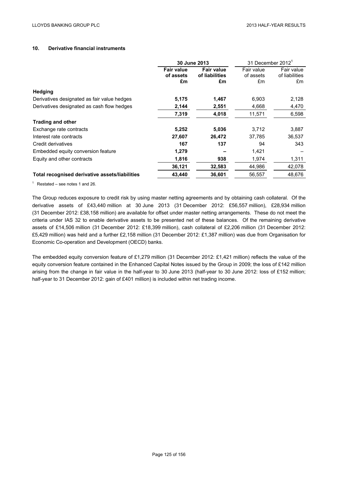# **10. Derivative financial instruments**

|                                                | 30 June 2013                         |                                           | 31 December 2012 <sup>1</sup> |                                    |
|------------------------------------------------|--------------------------------------|-------------------------------------------|-------------------------------|------------------------------------|
|                                                | <b>Fair value</b><br>of assets<br>£m | <b>Fair value</b><br>of liabilities<br>£m | Fair value<br>of assets<br>£m | Fair value<br>of liabilities<br>£m |
| <b>Hedging</b>                                 |                                      |                                           |                               |                                    |
| Derivatives designated as fair value hedges    | 5,175                                | 1,467                                     | 6,903                         | 2,128                              |
| Derivatives designated as cash flow hedges     | 2,144                                | 2,551                                     | 4,668                         | 4,470                              |
|                                                | 7,319                                | 4,018                                     | 11,571                        | 6,598                              |
| <b>Trading and other</b>                       |                                      |                                           |                               |                                    |
| Exchange rate contracts                        | 5,252                                | 5,036                                     | 3,712                         | 3,887                              |
| Interest rate contracts                        | 27,607                               | 26,472                                    | 37,785                        | 36,537                             |
| Credit derivatives                             | 167                                  | 137                                       | 94                            | 343                                |
| Embedded equity conversion feature             | 1,279                                |                                           | 1,421                         |                                    |
| Equity and other contracts                     | 1,816                                | 938                                       | 1,974                         | 1,311                              |
|                                                | 36,121                               | 32,583                                    | 44.986                        | 42,078                             |
| Total recognised derivative assets/liabilities | 43.440                               | 36,601                                    | 56,557                        | 48.676                             |

 $1$  Restated – see notes 1 and 26.

The Group reduces exposure to credit risk by using master netting agreements and by obtaining cash collateral. Of the derivative assets of £43,440 million at 30 June 2013 (31 December 2012: £56,557 million), £28,934 million (31 December 2012: £38,158 million) are available for offset under master netting arrangements. These do not meet the criteria under IAS 32 to enable derivative assets to be presented net of these balances. Of the remaining derivative assets of £14,506 million (31 December 2012: £18,399 million), cash collateral of £2,206 million (31 December 2012: £5,429 million) was held and a further £2,158 million (31 December 2012: £1,387 million) was due from Organisation for Economic Co-operation and Development (OECD) banks.

The embedded equity conversion feature of £1,279 million (31 December 2012: £1,421 million) reflects the value of the equity conversion feature contained in the Enhanced Capital Notes issued by the Group in 2009; the loss of £142 million arising from the change in fair value in the half-year to 30 June 2013 (half-year to 30 June 2012: loss of £152 million; half-year to 31 December 2012: gain of £401 million) is included within net trading income.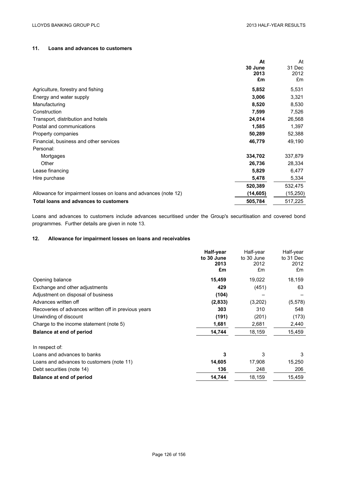## **11. Loans and advances to customers**

|                                                                 | At        | At        |
|-----------------------------------------------------------------|-----------|-----------|
|                                                                 | 30 June   | 31 Dec    |
|                                                                 | 2013      | 2012      |
|                                                                 | £m        | £m        |
| Agriculture, forestry and fishing                               | 5,852     | 5,531     |
| Energy and water supply                                         | 3,006     | 3,321     |
| Manufacturing                                                   | 8,520     | 8,530     |
| Construction                                                    | 7,599     | 7,526     |
| Transport, distribution and hotels                              | 24,014    | 26,568    |
| Postal and communications                                       | 1,585     | 1,397     |
| Property companies                                              | 50,289    | 52,388    |
| Financial, business and other services                          | 46,779    | 49,190    |
| Personal:                                                       |           |           |
| Mortgages                                                       | 334,702   | 337,879   |
| Other                                                           | 26,736    | 28,334    |
| Lease financing                                                 | 5,829     | 6,477     |
| Hire purchase                                                   | 5,478     | 5,334     |
|                                                                 | 520,389   | 532,475   |
| Allowance for impairment losses on loans and advances (note 12) | (14, 605) | (15, 250) |
| Total loans and advances to customers                           | 505,784   | 517,225   |

Loans and advances to customers include advances securitised under the Group's securitisation and covered bond programmes. Further details are given in note 13.

# **12. Allowance for impairment losses on loans and receivables**

| Half-year  | Half-year  | Half-year |
|------------|------------|-----------|
| to 30 June | to 30 June | to 31 Dec |
| 2013       | 2012       | 2012      |
|            |            | £m        |
| 15,459     | 19,022     | 18,159    |
| 429        | (451)      | 63        |
| (104)      |            |           |
| (2,833)    | (3,202)    | (5, 578)  |
| 303        | 310        | 548       |
| (191)      | (201)      | (173)     |
| 1,681      | 2,681      | 2,440     |
| 14,744     | 18,159     | 15,459    |
|            |            |           |
| 3          | 3          | 3         |
| 14,605     | 17,908     | 15,250    |
| 136        | 248        | 206       |
| 14,744     | 18,159     | 15,459    |
|            | £m         | £m        |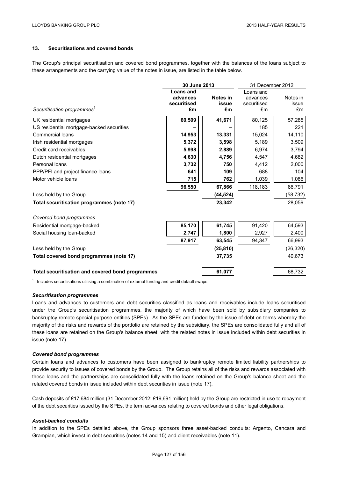## **13. Securitisations and covered bonds**

The Group's principal securitisation and covered bond programmes, together with the balances of the loans subject to these arrangements and the carrying value of the notes in issue, are listed in the table below.

|                                                  | 30 June 2013     |              | 31 December 2012 |           |
|--------------------------------------------------|------------------|--------------|------------------|-----------|
|                                                  | <b>Loans and</b> |              | Loans and        |           |
|                                                  | advances         | Notes in     | advances         | Notes in  |
|                                                  | securitised      | <b>issue</b> | securitised      | issue     |
| Securitisation programmes <sup>1</sup>           | £m               | £m           | £m               | £m        |
| UK residential mortgages                         | 60,509           | 41,671       | 80,125           | 57,285    |
| US residential mortgage-backed securities        |                  |              | 185              | 221       |
| <b>Commercial loans</b>                          | 14,953           | 13,331       | 15,024           | 14,110    |
| Irish residential mortgages                      | 5,372            | 3,598        | 5,189            | 3,509     |
| Credit card receivables                          | 5,998            | 2,889        | 6,974            | 3,794     |
| Dutch residential mortgages                      | 4,630            | 4,756        | 4,547            | 4,682     |
| Personal loans                                   | 3,732            | 750          | 4,412            | 2,000     |
| PPP/PFI and project finance loans                | 641              | 109          | 688              | 104       |
| Motor vehicle loans                              | 715              | 762          | 1,039            | 1,086     |
|                                                  | 96,550           | 67,866       | 118,183          | 86,791    |
| Less held by the Group                           |                  | (44, 524)    |                  | (58, 732) |
| Total securitisation programmes (note 17)        |                  | 23,342       |                  | 28,059    |
| Covered bond programmes                          |                  |              |                  |           |
| Residential mortgage-backed                      | 85,170           | 61,745       | 91,420           | 64,593    |
| Social housing loan-backed                       | 2,747            | 1,800        | 2,927            | 2,400     |
|                                                  | 87,917           | 63,545       | 94.347           | 66,993    |
| Less held by the Group                           |                  | (25, 810)    |                  | (26, 320) |
| Total covered bond programmes (note 17)          |                  | 37,735       |                  | 40,673    |
| Total securitisation and covered bond programmes |                  | 61,077       |                  | 68,732    |

 $1$  Includes securitisations utilising a combination of external funding and credit default swaps.

#### *Securitisation programmes*

Loans and advances to customers and debt securities classified as loans and receivables include loans securitised under the Group's securitisation programmes, the majority of which have been sold by subsidiary companies to bankruptcy remote special purpose entities (SPEs). As the SPEs are funded by the issue of debt on terms whereby the majority of the risks and rewards of the portfolio are retained by the subsidiary, the SPEs are consolidated fully and all of these loans are retained on the Group's balance sheet, with the related notes in issue included within debt securities in issue (note 17).

### *Covered bond programmes*

Certain loans and advances to customers have been assigned to bankruptcy remote limited liability partnerships to provide security to issues of covered bonds by the Group. The Group retains all of the risks and rewards associated with these loans and the partnerships are consolidated fully with the loans retained on the Group's balance sheet and the related covered bonds in issue included within debt securities in issue (note 17).

Cash deposits of £17,684 million (31 December 2012: £19,691 million) held by the Group are restricted in use to repayment of the debt securities issued by the SPEs, the term advances relating to covered bonds and other legal obligations.

### *Asset-backed conduits*

In addition to the SPEs detailed above, the Group sponsors three asset-backed conduits: Argento, Cancara and Grampian, which invest in debt securities (notes 14 and 15) and client receivables (note 11).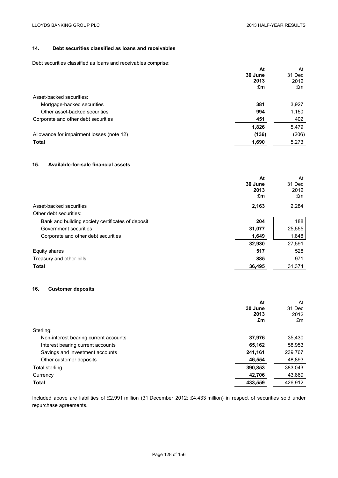# **14. Debt securities classified as loans and receivables**

Debt securities classified as loans and receivables comprise:

| At<br>30 June<br>2013<br>£m | At<br>31 Dec<br>2012<br>£m |
|-----------------------------|----------------------------|
|                             |                            |
| 381                         | 3,927                      |
| 994                         | 1,150                      |
| 451                         | 402                        |
| 1,826                       | 5,479                      |
| (136)                       | (206)                      |
| 1,690                       | 5,273                      |
|                             |                            |

## **15. Available-for-sale financial assets**

|                                                   | At<br>30 June<br>2013<br>£m | At<br>31 Dec<br>2012<br>£m |
|---------------------------------------------------|-----------------------------|----------------------------|
| Asset-backed securities                           | 2,163                       | 2,284                      |
| Other debt securities:                            |                             |                            |
| Bank and building society certificates of deposit | 204                         | 188                        |
| Government securities                             | 31,077                      | 25,555                     |
| Corporate and other debt securities               | 1,649                       | 1,848                      |
|                                                   | 32,930                      | 27,591                     |
| Equity shares                                     | 517                         | 528                        |
| Treasury and other bills                          | 885                         | 971                        |
| <b>Total</b>                                      | 36.495                      | 31.374                     |

# **16. Customer deposits**

|                                       | At      | At      |
|---------------------------------------|---------|---------|
|                                       | 30 June | 31 Dec  |
|                                       | 2013    | 2012    |
|                                       | £m      | £m      |
| Sterling:                             |         |         |
| Non-interest bearing current accounts | 37,976  | 35,430  |
| Interest bearing current accounts     | 65,162  | 58,953  |
| Savings and investment accounts       | 241,161 | 239,767 |
| Other customer deposits               | 46,554  | 48,893  |
| Total sterling                        | 390,853 | 383,043 |
| Currency                              | 42,706  | 43,869  |
| <b>Total</b>                          | 433,559 | 426,912 |

Included above are liabilities of £2,991 million (31 December 2012: £4,433 million) in respect of securities sold under repurchase agreements.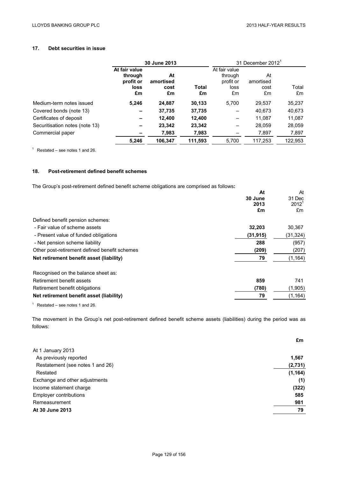## **17. Debt securities in issue**

|                                | 30 June 2013                                        |                               |             |                                                     | 31 December 2012 <sup>1</sup> |             |
|--------------------------------|-----------------------------------------------------|-------------------------------|-------------|-----------------------------------------------------|-------------------------------|-------------|
|                                | At fair value<br>through<br>profit or<br>loss<br>£m | At<br>amortised<br>cost<br>£m | Total<br>£m | At fair value<br>through<br>profit or<br>loss<br>£m | At<br>amortised<br>cost<br>£m | Total<br>£m |
| Medium-term notes issued       | 5,246                                               | 24,887                        | 30,133      | 5,700                                               | 29,537                        | 35,237      |
| Covered bonds (note 13)        |                                                     | 37,735                        | 37,735      |                                                     | 40,673                        | 40,673      |
| Certificates of deposit        |                                                     | 12,400                        | 12,400      |                                                     | 11,087                        | 11,087      |
| Securitisation notes (note 13) |                                                     | 23,342                        | 23,342      |                                                     | 28,059                        | 28,059      |
| Commercial paper               |                                                     | 7,983                         | 7,983       |                                                     | 7,897                         | 7,897       |
|                                | 5,246                                               | 106,347                       | 111,593     | 5,700                                               | 117.253                       | 122,953     |

 $1$  Restated – see notes 1 and 26.

# **18. Post-retirement defined benefit schemes**

The Group's post-retirement defined benefit scheme obligations are comprised as follows**:** 

| The Group's position chiefli achieve benefit scribile obligations are comprised as follows. |           |           |
|---------------------------------------------------------------------------------------------|-----------|-----------|
|                                                                                             | At        | At        |
|                                                                                             | 30 June   | 31 Dec    |
|                                                                                             | 2013      | $2012^1$  |
|                                                                                             | £m        | £m        |
| Defined benefit pension schemes:                                                            |           |           |
| - Fair value of scheme assets                                                               | 32,203    | 30,367    |
| - Present value of funded obligations                                                       | (31, 915) | (31, 324) |
| - Net pension scheme liability                                                              | 288       | (957)     |
| Other post-retirement defined benefit schemes                                               | (209)     | (207)     |
| Net retirement benefit asset (liability)                                                    | 79        | (1, 164)  |
| Recognised on the balance sheet as:                                                         |           |           |
| Retirement benefit assets                                                                   | 859       | 741       |
| Retirement benefit obligations                                                              | (780)     | (1,905)   |
| Net retirement benefit asset (liability)                                                    | 79        | (1, 164)  |
|                                                                                             |           |           |

 $1$  Restated – see notes 1 and 26.

The movement in the Group's net post-retirement defined benefit scheme assets (liabilities) during the period was as follows:

|                                  | £m       |
|----------------------------------|----------|
| At 1 January 2013                |          |
| As previously reported           | 1,567    |
| Restatement (see notes 1 and 26) | (2,731)  |
| Restated                         | (1, 164) |
| Exchange and other adjustments   | (1)      |
| Income statement charge          | (322)    |
| <b>Employer contributions</b>    | 585      |
| Remeasurement                    | 981      |
| At 30 June 2013                  | 79       |
|                                  |          |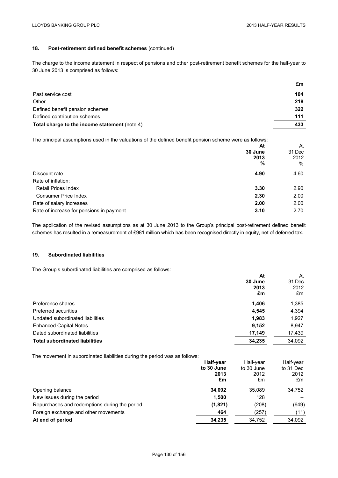# **18. Post-retirement defined benefit schemes** (continued)

The charge to the income statement in respect of pensions and other post-retirement benefit schemes for the half-year to 30 June 2013 is comprised as follows:

|                                               | £m  |
|-----------------------------------------------|-----|
| Past service cost                             | 104 |
| Other                                         | 218 |
| Defined benefit pension schemes               | 322 |
| Defined contribution schemes                  | 111 |
| Total charge to the income statement (note 4) | 433 |

The principal assumptions used in the valuations of the defined benefit pension scheme were as follows:

|                                          | At      | At     |
|------------------------------------------|---------|--------|
|                                          | 30 June | 31 Dec |
|                                          | 2013    | 2012   |
|                                          | %       | %      |
| Discount rate                            | 4.90    | 4.60   |
| Rate of inflation:                       |         |        |
| <b>Retail Prices Index</b>               | 3.30    | 2.90   |
| <b>Consumer Price Index</b>              | 2.30    | 2.00   |
| Rate of salary increases                 | 2.00    | 2.00   |
| Rate of increase for pensions in payment | 3.10    | 2.70   |

The application of the revised assumptions as at 30 June 2013 to the Group's principal post-retirement defined benefit schemes has resulted in a remeasurement of £981 million which has been recognised directly in equity, net of deferred tax.

### **19. Subordinated liabilities**

The Group's subordinated liabilities are comprised as follows:

|                                       | At<br>30 June<br>2013<br>£m | At<br>31 Dec<br>2012<br>£m |
|---------------------------------------|-----------------------------|----------------------------|
| Preference shares                     | 1,406                       | 1,385                      |
| Preferred securities                  | 4,545                       | 4,394                      |
| Undated subordinated liabilities      | 1,983                       | 1,927                      |
| <b>Enhanced Capital Notes</b>         | 9,152                       | 8,947                      |
| Dated subordinated liabilities        | 17,149                      | 17,439                     |
| <b>Total subordinated liabilities</b> | 34,235                      | 34,092                     |

The movement in subordinated liabilities during the period was as follows:

|                                               | Half-year  | Half-vear  | Half-year |
|-----------------------------------------------|------------|------------|-----------|
|                                               | to 30 June | to 30 June | to 31 Dec |
|                                               | 2013       | 2012       | 2012      |
|                                               | £m         | £m         | £m        |
| Opening balance                               | 34.092     | 35.089     | 34,752    |
| New issues during the period                  | 1.500      | 128        |           |
| Repurchases and redemptions during the period | (1,821)    | (208)      | (649)     |
| Foreign exchange and other movements          | 464        | (257)      | (11)      |
| At end of period                              | 34,235     | 34,752     | 34,092    |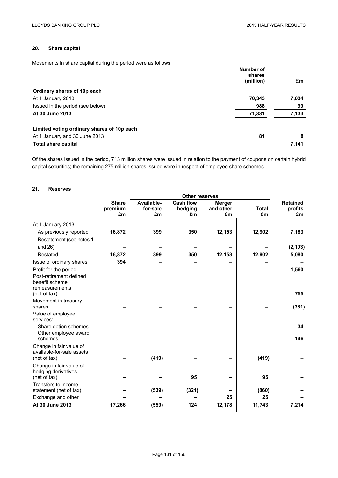# **20. Share capital**

Movements in share capital during the period were as follows:

|                                            | Number of<br>shares |       |
|--------------------------------------------|---------------------|-------|
|                                            | (million)           | £m    |
| Ordinary shares of 10p each                |                     |       |
| At 1 January 2013                          | 70,343              | 7,034 |
| Issued in the period (see below)           | 988                 | 99    |
| At 30 June 2013                            | 71,331              | 7,133 |
| Limited voting ordinary shares of 10p each |                     |       |
| At 1 January and 30 June 2013              | 81                  | 8     |
| Total share capital                        |                     | 7,141 |

Of the shares issued in the period, 713 million shares were issued in relation to the payment of coupons on certain hybrid capital securities; the remaining 275 million shares issued were in respect of employee share schemes.

## **21. Reserves**

|                                                                      |                               |                              | <b>Other reserves</b>      |                                  |                    |                                  |
|----------------------------------------------------------------------|-------------------------------|------------------------------|----------------------------|----------------------------------|--------------------|----------------------------------|
|                                                                      | <b>Share</b><br>premium<br>£m | Available-<br>for-sale<br>£m | Cash flow<br>hedging<br>£m | <b>Merger</b><br>and other<br>£m | <b>Total</b><br>£m | <b>Retained</b><br>profits<br>£m |
| At 1 January 2013                                                    |                               |                              |                            |                                  |                    |                                  |
| As previously reported<br>Restatement (see notes 1                   | 16,872                        | 399                          | 350                        | 12,153                           | 12,902             | 7,183                            |
| and $26$ )                                                           |                               |                              |                            |                                  |                    | (2, 103)                         |
| Restated                                                             | 16,872                        | 399                          | 350                        | 12,153                           | 12,902             | 5,080                            |
| Issue of ordinary shares                                             | 394                           |                              |                            |                                  |                    |                                  |
| Profit for the period                                                |                               |                              |                            |                                  |                    | 1,560                            |
| Post-retirement defined<br>benefit scheme<br>remeasurements          |                               |                              |                            |                                  |                    |                                  |
| (net of tax)                                                         |                               |                              |                            |                                  |                    | 755                              |
| Movement in treasury<br>shares                                       |                               |                              |                            |                                  |                    | (361)                            |
| Value of employee<br>services:                                       |                               |                              |                            |                                  |                    |                                  |
| Share option schemes<br>Other employee award                         |                               |                              |                            |                                  |                    | 34                               |
| schemes                                                              |                               |                              |                            |                                  |                    | 146                              |
| Change in fair value of<br>available-for-sale assets<br>(net of tax) |                               | (419)                        |                            |                                  | (419)              |                                  |
| Change in fair value of<br>hedging derivatives<br>(net of tax)       |                               |                              | 95                         |                                  | 95                 |                                  |
| Transfers to income                                                  |                               |                              |                            |                                  |                    |                                  |
| statement (net of tax)                                               |                               | (539)                        | (321)                      |                                  | (860)              |                                  |
| Exchange and other                                                   |                               |                              |                            | 25                               | 25                 |                                  |
| At 30 June 2013                                                      | 17,266                        | (559)                        | 124                        | 12,178                           | 11,743             | 7,214                            |
|                                                                      |                               |                              |                            |                                  |                    |                                  |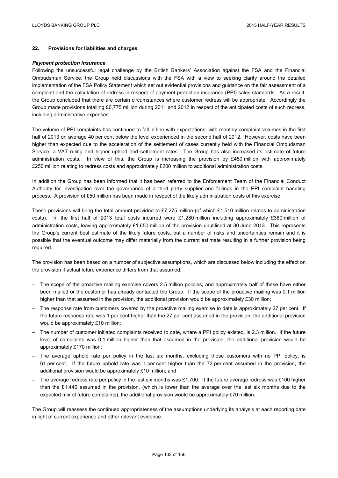## **22. Provisions for liabilities and charges**

#### *Payment protection insurance*

Following the unsuccessful legal challenge by the British Bankers' Association against the FSA and the Financial Ombudsman Service, the Group held discussions with the FSA with a view to seeking clarity around the detailed implementation of the FSA Policy Statement which set out evidential provisions and guidance on the fair assessment of a complaint and the calculation of redress in respect of payment protection insurance (PPI) sales standards. As a result, the Group concluded that there are certain circumstances where customer redress will be appropriate. Accordingly the Group made provisions totalling £6,775 million during 2011 and 2012 in respect of the anticipated costs of such redress, including administrative expenses.

The volume of PPI complaints has continued to fall in line with expectations, with monthly complaint volumes in the first half of 2013 on average 40 per cent below the level experienced in the second half of 2012. However, costs have been higher than expected due to the acceleration of the settlement of cases currently held with the Financial Ombudsman Service, a VAT ruling and higher uphold and settlement rates. The Group has also increased its estimate of future administration costs. In view of this, the Group is increasing the provision by £450 million with approximately £250 million relating to redress costs and approximately £200 million to additional administration costs.

In addition the Group has been informed that it has been referred to the Enforcement Team of the Financial Conduct Authority for investigation over the governance of a third party supplier and failings in the PPI complaint handling process. A provision of £50 million has been made in respect of the likely administration costs of this exercise.

These provisions will bring the total amount provided to £7,275 million (of which £1,510 million relates to administration costs). In the first half of 2013 total costs incurred were £1,280 million including approximately £380 million of administration costs, leaving approximately £1,650 million of the provision unutilised at 30 June 2013. This represents the Group's current best estimate of the likely future costs, but a number of risks and uncertainties remain and it is possible that the eventual outcome may differ materially from the current estimate resulting in a further provision being required.

The provision has been based on a number of subjective assumptions, which are discussed below including the effect on the provision if actual future experience differs from that assumed:

- The scope of the proactive mailing exercise covers 2.5 million policies, and approximately half of these have either been mailed or the customer has already contacted the Group. If the scope of the proactive mailing was 0.1 million higher than that assumed in the provision, the additional provision would be approximately £30 million;
- The response rate from customers covered by the proactive mailing exercise to date is approximately 27 per cent. If the future response rate was 1 per cent higher than the 27 per cent assumed in the provision, the additional provision would be approximately £10 million;
- The number of customer initiated complaints received to date, where a PPI policy existed, is 2.3 million. If the future level of complaints was 0.1 million higher than that assumed in the provision, the additional provision would be approximately £170 million;
- The average uphold rate per policy in the last six months, excluding those customers with no PPI policy, is 61 per cent. If the future uphold rate was 1 per cent higher than the 73 per cent assumed in the provision, the additional provision would be approximately £10 million; and
- The average redress rate per policy in the last six months was £1,700. If the future average redress was £100 higher than the £1,440 assumed in the provision, (which is lower than the average over the last six months due to the expected mix of future complaints), the additional provision would be approximately £70 million.

The Group will reassess the continued appropriateness of the assumptions underlying its analysis at each reporting date in light of current experience and other relevant evidence.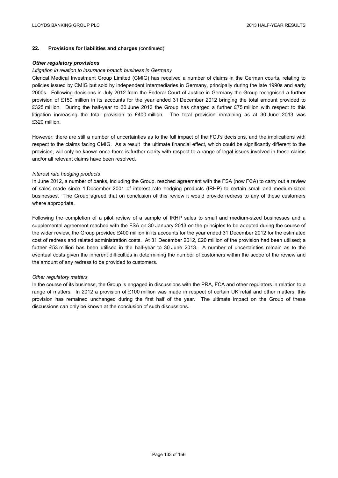### **22. Provisions for liabilities and charges** (continued)

### *Other regulatory provisions*

### *Litigation in relation to insurance branch business in Germany*

Clerical Medical Investment Group Limited (CMIG) has received a number of claims in the German courts, relating to policies issued by CMIG but sold by independent intermediaries in Germany, principally during the late 1990s and early 2000s. Following decisions in July 2012 from the Federal Court of Justice in Germany the Group recognised a further provision of £150 million in its accounts for the year ended 31 December 2012 bringing the total amount provided to £325 million. During the half-year to 30 June 2013 the Group has charged a further £75 million with respect to this litigation increasing the total provision to £400 million. The total provision remaining as at 30 June 2013 was £320 million.

However, there are still a number of uncertainties as to the full impact of the FCJ's decisions, and the implications with respect to the claims facing CMIG. As a result the ultimate financial effect, which could be significantly different to the provision, will only be known once there is further clarity with respect to a range of legal issues involved in these claims and/or all relevant claims have been resolved.

#### *Interest rate hedging products*

In June 2012, a number of banks, including the Group, reached agreement with the FSA (now FCA) to carry out a review of sales made since 1 December 2001 of interest rate hedging products (IRHP) to certain small and medium-sized businesses. The Group agreed that on conclusion of this review it would provide redress to any of these customers where appropriate.

Following the completion of a pilot review of a sample of IRHP sales to small and medium-sized businesses and a supplemental agreement reached with the FSA on 30 January 2013 on the principles to be adopted during the course of the wider review, the Group provided £400 million in its accounts for the year ended 31 December 2012 for the estimated cost of redress and related administration costs. At 31 December 2012, £20 million of the provision had been utilised; a further £53 million has been utilised in the half-year to 30 June 2013. A number of uncertainties remain as to the eventual costs given the inherent difficulties in determining the number of customers within the scope of the review and the amount of any redress to be provided to customers.

### *Other regulatory matters*

In the course of its business, the Group is engaged in discussions with the PRA, FCA and other regulators in relation to a range of matters. In 2012 a provision of £100 million was made in respect of certain UK retail and other matters; this provision has remained unchanged during the first half of the year. The ultimate impact on the Group of these discussions can only be known at the conclusion of such discussions.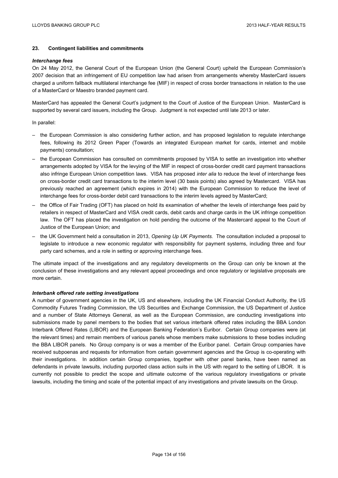## **23. Contingent liabilities and commitments**

### *Interchange fees*

On 24 May 2012, the General Court of the European Union (the General Court) upheld the European Commission's 2007 decision that an infringement of EU competition law had arisen from arrangements whereby MasterCard issuers charged a uniform fallback multilateral interchange fee (MIF) in respect of cross border transactions in relation to the use of a MasterCard or Maestro branded payment card.

MasterCard has appealed the General Court's judgment to the Court of Justice of the European Union. MasterCard is supported by several card issuers, including the Group. Judgment is not expected until late 2013 or later.

#### In parallel:

- the European Commission is also considering further action, and has proposed legislation to regulate interchange fees, following its 2012 Green Paper (Towards an integrated European market for cards, internet and mobile payments) consultation;
- the European Commission has consulted on commitments proposed by VISA to settle an investigation into whether arrangements adopted by VISA for the levying of the MIF in respect of cross-border credit card payment transactions also infringe European Union competition laws. VISA has proposed *inter alia* to reduce the level of interchange fees on cross-border credit card transactions to the interim level (30 basis points) also agreed by Mastercard. VISA has previously reached an agreement (which expires in 2014) with the European Commission to reduce the level of interchange fees for cross-border debit card transactions to the interim levels agreed by MasterCard;
- the Office of Fair Trading (OFT) has placed on hold its examination of whether the levels of interchange fees paid by retailers in respect of MasterCard and VISA credit cards, debit cards and charge cards in the UK infringe competition law. The OFT has placed the investigation on hold pending the outcome of the Mastercard appeal to the Court of Justice of the European Union; and
- the UK Government held a consultation in 2013, *Opening Up UK Payments.* The consultation included a proposal to legislate to introduce a new economic regulator with responsibility for payment systems, including three and four party card schemes, and a role in setting or approving interchange fees.

The ultimate impact of the investigations and any regulatory developments on the Group can only be known at the conclusion of these investigations and any relevant appeal proceedings and once regulatory or legislative proposals are more certain.

### *Interbank offered rate setting investigations*

A number of government agencies in the UK, US and elsewhere, including the UK Financial Conduct Authority, the US Commodity Futures Trading Commission, the US Securities and Exchange Commission, the US Department of Justice and a number of State Attorneys General, as well as the European Commission, are conducting investigations into submissions made by panel members to the bodies that set various interbank offered rates including the BBA London Interbank Offered Rates (LIBOR) and the European Banking Federation's Euribor. Certain Group companies were (at the relevant times) and remain members of various panels whose members make submissions to these bodies including the BBA LIBOR panels. No Group company is or was a member of the Euribor panel. Certain Group companies have received subpoenas and requests for information from certain government agencies and the Group is co-operating with their investigations. In addition certain Group companies, together with other panel banks, have been named as defendants in private lawsuits, including purported class action suits in the US with regard to the setting of LIBOR. It is currently not possible to predict the scope and ultimate outcome of the various regulatory investigations or private lawsuits, including the timing and scale of the potential impact of any investigations and private lawsuits on the Group.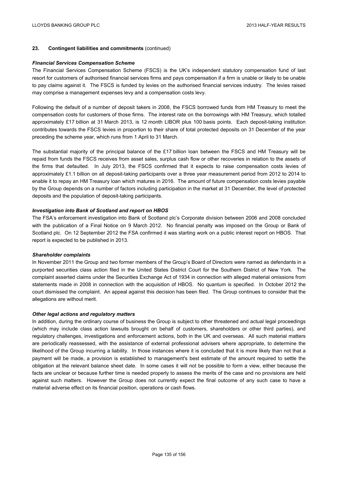### **23. Contingent liabilities and commitments** (continued)

#### *Financial Services Compensation Scheme*

The Financial Services Compensation Scheme (FSCS) is the UK's independent statutory compensation fund of last resort for customers of authorised financial services firms and pays compensation if a firm is unable or likely to be unable to pay claims against it. The FSCS is funded by levies on the authorised financial services industry. The levies raised may comprise a management expenses levy and a compensation costs levy.

Following the default of a number of deposit takers in 2008, the FSCS borrowed funds from HM Treasury to meet the compensation costs for customers of those firms. The interest rate on the borrowings with HM Treasury, which totalled approximately £17 billion at 31 March 2013, is 12 month LIBOR plus 100 basis points. Each deposit-taking institution contributes towards the FSCS levies in proportion to their share of total protected deposits on 31 December of the year preceding the scheme year, which runs from 1 April to 31 March.

The substantial majority of the principal balance of the £17 billion loan between the FSCS and HM Treasury will be repaid from funds the FSCS receives from asset sales, surplus cash flow or other recoveries in relation to the assets of the firms that defaulted. In July 2013, the FSCS confirmed that it expects to raise compensation costs levies of approximately £1.1 billion on all deposit-taking participants over a three year measurement period from 2012 to 2014 to enable it to repay an HM Treasury loan which matures in 2016. The amount of future compensation costs levies payable by the Group depends on a number of factors including participation in the market at 31 December, the level of protected deposits and the population of deposit-taking participants.

### *Investigation into Bank of Scotland and report on HBOS*

The FSA's enforcement investigation into Bank of Scotland plc's Corporate division between 2006 and 2008 concluded with the publication of a Final Notice on 9 March 2012. No financial penalty was imposed on the Group or Bank of Scotland plc. On 12 September 2012 the FSA confirmed it was starting work on a public interest report on HBOS. That report is expected to be published in 2013.

### *Shareholder complaints*

In November 2011 the Group and two former members of the Group's Board of Directors were named as defendants in a purported securities class action filed in the United States District Court for the Southern District of New York. The complaint asserted claims under the Securities Exchange Act of 1934 in connection with alleged material omissions from statements made in 2008 in connection with the acquisition of HBOS. No quantum is specified. In October 2012 the court dismissed the complaint. An appeal against this decision has been filed. The Group continues to consider that the allegations are without merit.

### *Other legal actions and regulatory matters*

In addition, during the ordinary course of business the Group is subject to other threatened and actual legal proceedings (which may include class action lawsuits brought on behalf of customers, shareholders or other third parties), and regulatory challenges, investigations and enforcement actions, both in the UK and overseas. All such material matters are periodically reassessed, with the assistance of external professional advisers where appropriate, to determine the likelihood of the Group incurring a liability. In those instances where it is concluded that it is more likely than not that a payment will be made, a provision is established to management's best estimate of the amount required to settle the obligation at the relevant balance sheet date. In some cases it will not be possible to form a view, either because the facts are unclear or because further time is needed properly to assess the merits of the case and no provisions are held against such matters. However the Group does not currently expect the final outcome of any such case to have a material adverse effect on its financial position, operations or cash flows.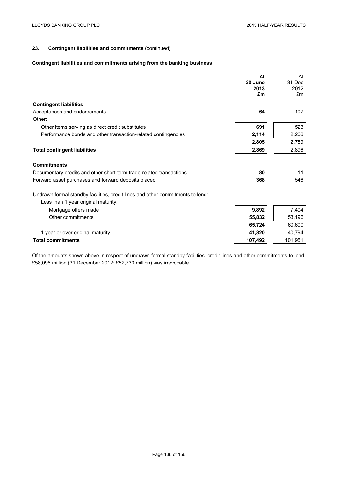# **23. Contingent liabilities and commitments** (continued)

# **Contingent liabilities and commitments arising from the banking business**

|                                                                                                                       | At      | At      |
|-----------------------------------------------------------------------------------------------------------------------|---------|---------|
|                                                                                                                       | 30 June | 31 Dec  |
|                                                                                                                       | 2013    | 2012    |
|                                                                                                                       | £m      | £m      |
| <b>Contingent liabilities</b>                                                                                         |         |         |
| Acceptances and endorsements                                                                                          | 64      | 107     |
| Other:                                                                                                                |         |         |
| Other items serving as direct credit substitutes                                                                      | 691     | 523     |
| Performance bonds and other transaction-related contingencies                                                         | 2,114   | 2,266   |
|                                                                                                                       | 2,805   | 2,789   |
| <b>Total contingent liabilities</b>                                                                                   | 2,869   | 2,896   |
| <b>Commitments</b>                                                                                                    |         |         |
| Documentary credits and other short-term trade-related transactions                                                   | 80      | 11      |
| Forward asset purchases and forward deposits placed                                                                   | 368     | 546     |
| Undrawn formal standby facilities, credit lines and other commitments to lend:<br>Less than 1 year original maturity: |         |         |
| Mortgage offers made                                                                                                  | 9,892   | 7,404   |
| Other commitments                                                                                                     | 55,832  | 53,196  |
|                                                                                                                       | 65,724  | 60,600  |
| 1 year or over original maturity                                                                                      | 41,320  | 40,794  |
| <b>Total commitments</b>                                                                                              | 107,492 | 101,951 |

Of the amounts shown above in respect of undrawn formal standby facilities, credit lines and other commitments to lend, £58,096 million (31 December 2012: £52,733 million) was irrevocable.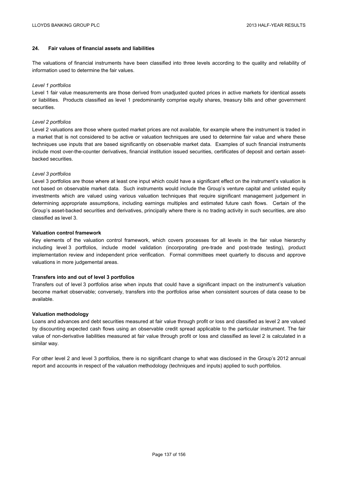## **24. Fair values of financial assets and liabilities**

The valuations of financial instruments have been classified into three levels according to the quality and reliability of information used to determine the fair values.

### *Level 1 portfolios*

Level 1 fair value measurements are those derived from unadjusted quoted prices in active markets for identical assets or liabilities. Products classified as level 1 predominantly comprise equity shares, treasury bills and other government securities.

### *Level 2 portfolios*

Level 2 valuations are those where quoted market prices are not available, for example where the instrument is traded in a market that is not considered to be active or valuation techniques are used to determine fair value and where these techniques use inputs that are based significantly on observable market data. Examples of such financial instruments include most over-the-counter derivatives, financial institution issued securities, certificates of deposit and certain assetbacked securities.

### *Level 3 portfolios*

Level 3 portfolios are those where at least one input which could have a significant effect on the instrument's valuation is not based on observable market data. Such instruments would include the Group's venture capital and unlisted equity investments which are valued using various valuation techniques that require significant management judgement in determining appropriate assumptions, including earnings multiples and estimated future cash flows. Certain of the Group's asset-backed securities and derivatives, principally where there is no trading activity in such securities, are also classified as level 3.

### **Valuation control framework**

Key elements of the valuation control framework, which covers processes for all levels in the fair value hierarchy including level 3 portfolios, include model validation (incorporating pre-trade and post-trade testing), product implementation review and independent price verification. Formal committees meet quarterly to discuss and approve valuations in more judgemental areas.

## **Transfers into and out of level 3 portfolios**

Transfers out of level 3 portfolios arise when inputs that could have a significant impact on the instrument's valuation become market observable; conversely, transfers into the portfolios arise when consistent sources of data cease to be available.

### **Valuation methodology**

Loans and advances and debt securities measured at fair value through profit or loss and classified as level 2 are valued by discounting expected cash flows using an observable credit spread applicable to the particular instrument. The fair value of non-derivative liabilities measured at fair value through profit or loss and classified as level 2 is calculated in a similar way.

For other level 2 and level 3 portfolios, there is no significant change to what was disclosed in the Group's 2012 annual report and accounts in respect of the valuation methodology (techniques and inputs) applied to such portfolios.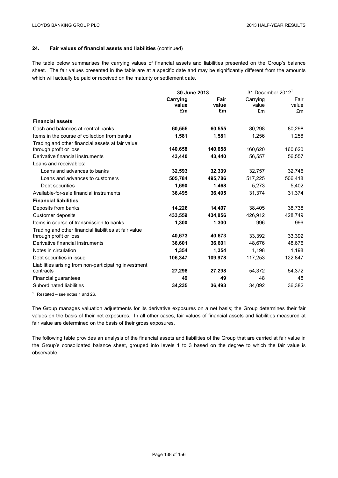The table below summarises the carrying values of financial assets and liabilities presented on the Group's balance sheet. The fair values presented in the table are at a specific date and may be significantly different from the amounts which will actually be paid or received on the maturity or settlement date.

|                                                       | 30 June 2013            |                     | 31 December 2012 $1$    |                     |
|-------------------------------------------------------|-------------------------|---------------------|-------------------------|---------------------|
|                                                       | Carrying<br>value<br>£m | Fair<br>value<br>£m | Carrying<br>value<br>£m | Fair<br>value<br>£m |
| <b>Financial assets</b>                               |                         |                     |                         |                     |
| Cash and balances at central banks                    | 60,555                  | 60,555              | 80,298                  | 80,298              |
| Items in the course of collection from banks          | 1,581                   | 1,581               | 1,256                   | 1,256               |
| Trading and other financial assets at fair value      |                         |                     |                         |                     |
| through profit or loss                                | 140,658                 | 140,658             | 160,620                 | 160,620             |
| Derivative financial instruments                      | 43,440                  | 43,440              | 56,557                  | 56,557              |
| Loans and receivables:                                |                         |                     |                         |                     |
| Loans and advances to banks                           | 32,593                  | 32,339              | 32,757                  | 32,746              |
| Loans and advances to customers                       | 505,784                 | 495,786             | 517,225                 | 506,418             |
| Debt securities                                       | 1,690                   | 1,468               | 5,273                   | 5,402               |
| Available-for-sale financial instruments              | 36,495                  | 36,495              | 31,374                  | 31,374              |
| <b>Financial liabilities</b>                          |                         |                     |                         |                     |
| Deposits from banks                                   | 14,226                  | 14,407              | 38,405                  | 38,738              |
| <b>Customer deposits</b>                              | 433.559                 | 434.856             | 426.912                 | 428,749             |
| Items in course of transmission to banks              | 1,300                   | 1,300               | 996                     | 996                 |
| Trading and other financial liabilities at fair value |                         |                     |                         |                     |
| through profit or loss                                | 40,673                  | 40,673              | 33,392                  | 33,392              |
| Derivative financial instruments                      | 36,601                  | 36,601              | 48,676                  | 48,676              |
| Notes in circulation                                  | 1,354                   | 1,354               | 1,198                   | 1,198               |
| Debt securities in issue                              | 106,347                 | 109,978             | 117,253                 | 122,847             |
| Liabilities arising from non-participating investment |                         |                     |                         |                     |
| contracts                                             | 27,298                  | 27,298              | 54,372                  | 54,372              |
| Financial guarantees                                  | 49                      | 49                  | 48                      | 48                  |
| Subordinated liabilities                              | 34,235                  | 36,493              | 34,092                  | 36,382              |

 $1$  Restated – see notes 1 and 26.

The Group manages valuation adjustments for its derivative exposures on a net basis; the Group determines their fair values on the basis of their net exposures. In all other cases, fair values of financial assets and liabilities measured at fair value are determined on the basis of their gross exposures.

The following table provides an analysis of the financial assets and liabilities of the Group that are carried at fair value in the Group's consolidated balance sheet, grouped into levels 1 to 3 based on the degree to which the fair value is observable.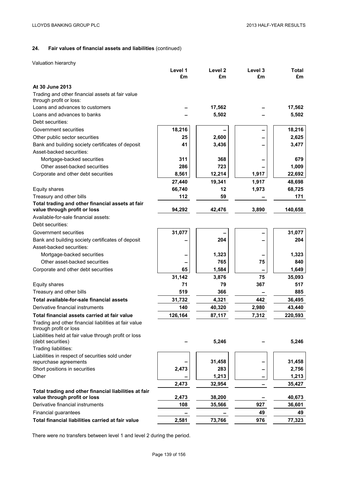Valuation hierarchy

|                                                                                 | Level 1 | Level <sub>2</sub> | Level 3 | <b>Total</b> |
|---------------------------------------------------------------------------------|---------|--------------------|---------|--------------|
|                                                                                 | £m      | £m                 | £m      | £m           |
| At 30 June 2013                                                                 |         |                    |         |              |
| Trading and other financial assets at fair value<br>through profit or loss:     |         |                    |         |              |
| Loans and advances to customers                                                 |         | 17,562             |         | 17,562       |
| Loans and advances to banks                                                     |         | 5,502              |         | 5,502        |
| Debt securities:                                                                |         |                    |         |              |
| Government securities                                                           | 18,216  |                    |         | 18,216       |
| Other public sector securities                                                  | 25      | 2,600              |         | 2,625        |
| Bank and building society certificates of deposit                               | 41      | 3,436              |         | 3,477        |
| Asset-backed securities:                                                        |         |                    |         |              |
| Mortgage-backed securities                                                      | 311     | 368                |         | 679          |
| Other asset-backed securities                                                   | 286     | 723                |         | 1,009        |
| Corporate and other debt securities                                             | 8,561   | 12,214             | 1,917   | 22,692       |
|                                                                                 | 27,440  | 19,341             | 1,917   | 48,698       |
| Equity shares                                                                   | 66,740  | 12                 | 1,973   | 68,725       |
| Treasury and other bills                                                        | 112     | 59                 |         | 171          |
| Total trading and other financial assets at fair                                |         |                    |         |              |
| value through profit or loss                                                    | 94,292  | 42,476             | 3,890   | 140,658      |
| Available-for-sale financial assets:                                            |         |                    |         |              |
| Debt securities:                                                                |         |                    |         |              |
| Government securities                                                           | 31,077  |                    |         | 31,077       |
| Bank and building society certificates of deposit                               |         | 204                |         | 204          |
| Asset-backed securities:                                                        |         |                    |         |              |
| Mortgage-backed securities                                                      |         | 1,323              |         | 1,323        |
| Other asset-backed securities                                                   |         | 765                | 75      | 840          |
| Corporate and other debt securities                                             | 65      | 1,584              |         | 1,649        |
|                                                                                 | 31,142  | 3,876              | 75      | 35,093       |
| Equity shares                                                                   | 71      | 79                 | 367     | 517          |
| Treasury and other bills                                                        | 519     | 366                |         | 885          |
| Total available-for-sale financial assets                                       | 31,732  | 4,321              | 442     | 36,495       |
| Derivative financial instruments                                                | 140     | 40,320             | 2,980   | 43,440       |
| Total financial assets carried at fair value                                    | 126,164 | 87,117             | 7,312   | 220,593      |
| Trading and other financial liabilities at fair value<br>through profit or loss |         |                    |         |              |
| Liabilities held at fair value through profit or loss<br>(debt securities)      |         | 5,246              |         | 5,246        |
| Trading liabilities:                                                            |         |                    |         |              |
| Liabilities in respect of securities sold under<br>repurchase agreements        |         | 31,458             |         | 31,458       |
| Short positions in securities                                                   | 2,473   | 283                |         | 2,756        |
| Other                                                                           |         | 1,213              |         | 1,213        |
|                                                                                 | 2,473   | 32,954             |         | 35,427       |
| Total trading and other financial liabilities at fair                           |         |                    |         |              |
| value through profit or loss                                                    | 2,473   | 38,200             |         | 40,673       |
| Derivative financial instruments                                                | 108     | 35,566             | 927     | 36,601       |
| Financial guarantees                                                            |         |                    | 49      | 49           |
| Total financial liabilities carried at fair value                               | 2,581   | 73,766             | 976     | 77,323       |

There were no transfers between level 1 and level 2 during the period.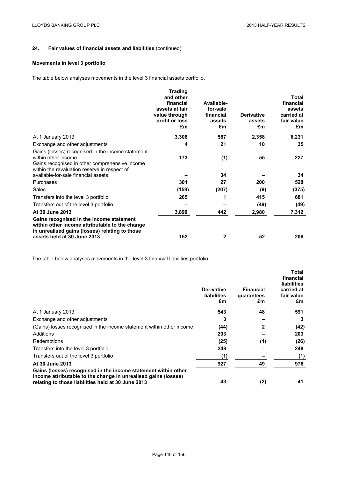# **Movements in level 3 portfolio**

The table below analyses movements in the level 3 financial assets portfolio.

|                                                                                                                                                                             | <b>Trading</b><br>and other<br>financial<br>assets at fair<br>value through<br>profit or loss<br>£m | Available-<br>for-sale<br>financial<br>assets<br>£m | <b>Derivative</b><br>assets<br>£m | <b>Total</b><br>financial<br>assets<br>carried at<br>fair value<br>£m |
|-----------------------------------------------------------------------------------------------------------------------------------------------------------------------------|-----------------------------------------------------------------------------------------------------|-----------------------------------------------------|-----------------------------------|-----------------------------------------------------------------------|
| At 1 January 2013                                                                                                                                                           | 3,306                                                                                               | 567                                                 | 2,358                             | 6,231                                                                 |
| Exchange and other adjustments                                                                                                                                              | 4                                                                                                   | 21                                                  | 10                                | 35                                                                    |
| Gains (losses) recognised in the income statement<br>within other income<br>Gains recognised in other comprehensive income<br>within the revaluation reserve in respect of  | 173                                                                                                 | (1)                                                 | 55                                | 227                                                                   |
| available-for-sale financial assets                                                                                                                                         |                                                                                                     | 34                                                  |                                   | 34                                                                    |
| Purchases                                                                                                                                                                   | 301                                                                                                 | 27                                                  | 200                               | 528                                                                   |
| Sales                                                                                                                                                                       | (159)                                                                                               | (207)                                               | (9)                               | (375)                                                                 |
| Transfers into the level 3 portfolio                                                                                                                                        | 265                                                                                                 | 1                                                   | 415                               | 681                                                                   |
| Transfers out of the level 3 portfolio                                                                                                                                      |                                                                                                     |                                                     | (49)                              | (49)                                                                  |
| At 30 June 2013                                                                                                                                                             | 3,890                                                                                               | 442                                                 | 2,980                             | 7,312                                                                 |
| Gains recognised in the income statement<br>within other income attributable to the change<br>in unrealised gains (losses) relating to those<br>assets held at 30 June 2013 | 152                                                                                                 | 2                                                   | 52                                | 206                                                                   |

The table below analyses movements in the level 3 financial liabilities portfolio.

|                                                                                                                                                                                        | <b>Derivative</b><br><b>liabilities</b><br>£m | <b>Financial</b><br>quarantees<br>£m | <b>Total</b><br>financial<br><b>liabilities</b><br>carried at<br>fair value<br>£m |
|----------------------------------------------------------------------------------------------------------------------------------------------------------------------------------------|-----------------------------------------------|--------------------------------------|-----------------------------------------------------------------------------------|
| At 1 January 2013                                                                                                                                                                      | 543                                           | 48                                   | 591                                                                               |
| Exchange and other adjustments                                                                                                                                                         | 3                                             |                                      | 3                                                                                 |
| (Gains) losses recognised in the income statement within other income                                                                                                                  | (44)                                          | 2                                    | (42)                                                                              |
| Additions                                                                                                                                                                              | 203                                           |                                      | 203                                                                               |
| Redemptions                                                                                                                                                                            | (25)                                          | (1)                                  | (26)                                                                              |
| Transfers into the level 3 portfolio                                                                                                                                                   | 248                                           |                                      | 248                                                                               |
| Transfers out of the level 3 portfolio                                                                                                                                                 | (1)                                           |                                      | (1)                                                                               |
| At 30 June 2013                                                                                                                                                                        | 927                                           | 49                                   | 976                                                                               |
| Gains (losses) recognised in the income statement within other<br>income attributable to the change in unrealised gains (losses)<br>relating to those liabilities held at 30 June 2013 | 43                                            | (2)                                  | 41                                                                                |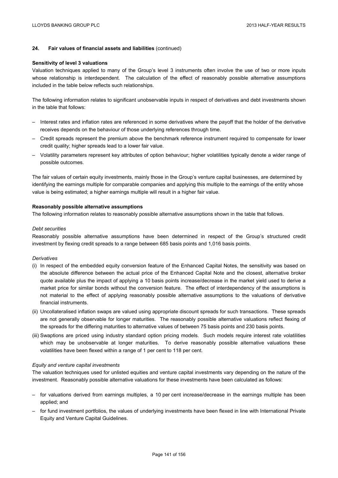#### **Sensitivity of level 3 valuations**

Valuation techniques applied to many of the Group's level 3 instruments often involve the use of two or more inputs whose relationship is interdependent. The calculation of the effect of reasonably possible alternative assumptions included in the table below reflects such relationships.

The following information relates to significant unobservable inputs in respect of derivatives and debt investments shown in the table that follows:

- Interest rates and inflation rates are referenced in some derivatives where the payoff that the holder of the derivative receives depends on the behaviour of those underlying references through time.
- Credit spreads represent the premium above the benchmark reference instrument required to compensate for lower credit quality; higher spreads lead to a lower fair value.
- Volatility parameters represent key attributes of option behaviour; higher volatilities typically denote a wider range of possible outcomes.

The fair values of certain equity investments, mainly those in the Group's venture capital businesses, are determined by identifying the earnings multiple for comparable companies and applying this multiple to the earnings of the entity whose value is being estimated; a higher earnings multiple will result in a higher fair value.

### **Reasonably possible alternative assumptions**

The following information relates to reasonably possible alternative assumptions shown in the table that follows.

#### *Debt securities*

Reasonably possible alternative assumptions have been determined in respect of the Group's structured credit investment by flexing credit spreads to a range between 685 basis points and 1,016 basis points.

### *Derivatives*

- (i) In respect of the embedded equity conversion feature of the Enhanced Capital Notes, the sensitivity was based on the absolute difference between the actual price of the Enhanced Capital Note and the closest, alternative broker quote available plus the impact of applying a 10 basis points increase/decrease in the market yield used to derive a market price for similar bonds without the conversion feature. The effect of interdependency of the assumptions is not material to the effect of applying reasonably possible alternative assumptions to the valuations of derivative financial instruments.
- (ii) Uncollateralised inflation swaps are valued using appropriate discount spreads for such transactions. These spreads are not generally observable for longer maturities. The reasonably possible alternative valuations reflect flexing of the spreads for the differing maturities to alternative values of between 75 basis points and 230 basis points.
- (iii) Swaptions are priced using industry standard option pricing models. Such models require interest rate volatilities which may be unobservable at longer maturities. To derive reasonably possible alternative valuations these volatilities have been flexed within a range of 1 per cent to 118 per cent.

#### *Equity and venture capital investments*

The valuation techniques used for unlisted equities and venture capital investments vary depending on the nature of the investment. Reasonably possible alternative valuations for these investments have been calculated as follows:

- for valuations derived from earnings multiples, a 10 per cent increase/decrease in the earnings multiple has been applied; and
- for fund investment portfolios, the values of underlying investments have been flexed in line with International Private Equity and Venture Capital Guidelines.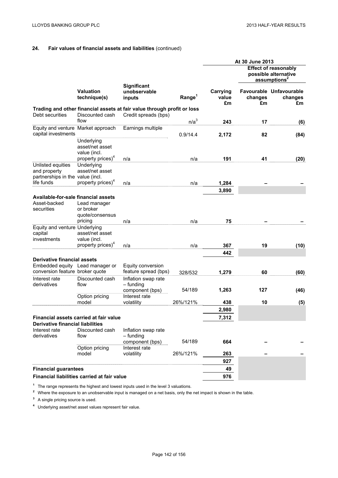# **24. Fair values of financial assets and liabilities** (continued)

|                                                                       |                                                                                |                                                                                                 |                    | At 30 June 2013         |               |                                                                                 |
|-----------------------------------------------------------------------|--------------------------------------------------------------------------------|-------------------------------------------------------------------------------------------------|--------------------|-------------------------|---------------|---------------------------------------------------------------------------------|
|                                                                       |                                                                                |                                                                                                 |                    |                         |               | <b>Effect of reasonably</b><br>possible alternative<br>assumptions <sup>2</sup> |
|                                                                       | <b>Valuation</b><br>technique(s)                                               | <b>Significant</b><br>unobservable<br>inputs                                                    | Range <sup>1</sup> | Carrying<br>value<br>£m | changes<br>£m | Favourable Unfavourable<br>changes<br>£m                                        |
| Debt securities                                                       | Discounted cash<br>flow                                                        | Trading and other financial assets at fair value through profit or loss<br>Credit spreads (bps) |                    |                         |               |                                                                                 |
| Equity and venture Market approach                                    |                                                                                | Earnings multiple                                                                               | n/a <sup>3</sup>   | 243                     | 17            | (6)                                                                             |
| capital investments                                                   |                                                                                |                                                                                                 | 0.9/14.4           | 2,172                   | 82            | (84)                                                                            |
|                                                                       | Underlying<br>asset/net asset<br>value (incl.<br>property prices) <sup>4</sup> | n/a                                                                                             | n/a                | 191                     | 41            | (20)                                                                            |
| Unlisted equities<br>and property<br>partnerships in the value (incl. | Underlying<br>asset/net asset                                                  |                                                                                                 |                    |                         |               |                                                                                 |
| life funds                                                            | property prices) <sup>4</sup>                                                  | n/a                                                                                             | n/a                | 1,284                   |               |                                                                                 |
|                                                                       |                                                                                |                                                                                                 |                    | 3,890                   |               |                                                                                 |
| Available-for-sale financial assets<br>Asset-backed<br>securities     | Lead manager<br>or broker<br>quote/consensus<br>pricing                        | n/a                                                                                             | n/a                | 75                      |               |                                                                                 |
| Equity and venture Underlying<br>capital<br>investments               | asset/net asset<br>value (incl.                                                |                                                                                                 |                    |                         |               |                                                                                 |
|                                                                       | property prices) <sup>*</sup>                                                  | n/a                                                                                             | n/a                | 367                     | 19            | (10)                                                                            |
| <b>Derivative financial assets</b>                                    |                                                                                |                                                                                                 |                    | 442                     |               |                                                                                 |
| Embedded equity Lead manager or<br>conversion feature broker quote    |                                                                                | Equity conversion<br>feature spread (bps)                                                       | 328/532            | 1,279                   | 60            | (60)                                                                            |
| Interest rate<br>derivatives                                          | Discounted cash<br>flow                                                        | Inflation swap rate<br>- funding<br>component (bps)                                             | 54/189             | 1,263                   | 127           | (46)                                                                            |
|                                                                       | Option pricing                                                                 | Interest rate                                                                                   |                    |                         |               |                                                                                 |
|                                                                       | model                                                                          | volatility                                                                                      | 26%/121%           | 438<br>2,980            | 10            | (5)                                                                             |
|                                                                       | Financial assets carried at fair value                                         |                                                                                                 |                    | 7,312                   |               |                                                                                 |
| <b>Derivative financial liabilities</b>                               |                                                                                |                                                                                                 |                    |                         |               |                                                                                 |
| Interest rate<br>derivatives                                          | Discounted cash<br>flow                                                        | Inflation swap rate<br>- funding                                                                | 54/189             | 664                     |               |                                                                                 |
|                                                                       | Option pricing                                                                 | component (bps)<br>Interest rate                                                                |                    |                         |               |                                                                                 |
|                                                                       | model                                                                          | volatility                                                                                      | 26%/121%           | 263                     |               |                                                                                 |
|                                                                       |                                                                                |                                                                                                 |                    | 927                     |               |                                                                                 |
| <b>Financial guarantees</b>                                           |                                                                                |                                                                                                 |                    | 49                      |               |                                                                                 |
|                                                                       | Financial liabilities carried at fair value                                    |                                                                                                 |                    | 976                     |               |                                                                                 |

**<sup>1</sup>** The range represents the highest and lowest inputs used in the level 3 valuations.

<sup>2</sup> Where the exposure to an unobservable input is managed on a net basis, only the net impact is shown in the table.

**<sup>3</sup>** A single pricing source is used.

**<sup>4</sup>** Underlying asset/net asset values represent fair value.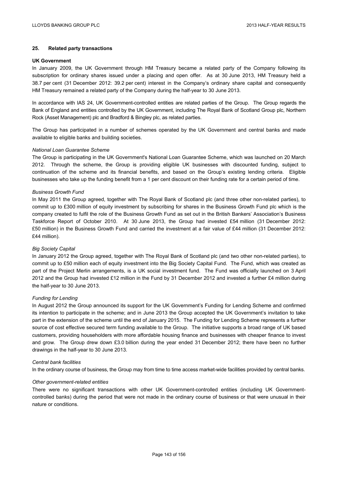## **25. Related party transactions**

### **UK Government**

In January 2009, the UK Government through HM Treasury became a related party of the Company following its subscription for ordinary shares issued under a placing and open offer. As at 30 June 2013, HM Treasury held a 38.7 per cent (31 December 2012: 39.2 per cent) interest in the Company's ordinary share capital and consequently HM Treasury remained a related party of the Company during the half-year to 30 June 2013.

In accordance with IAS 24, UK Government-controlled entities are related parties of the Group. The Group regards the Bank of England and entities controlled by the UK Government, including The Royal Bank of Scotland Group plc, Northern Rock (Asset Management) plc and Bradford & Bingley plc, as related parties.

The Group has participated in a number of schemes operated by the UK Government and central banks and made available to eligible banks and building societies.

### *National Loan Guarantee Scheme*

The Group is participating in the UK Government's National Loan Guarantee Scheme, which was launched on 20 March 2012. Through the scheme, the Group is providing eligible UK businesses with discounted funding, subject to continuation of the scheme and its financial benefits, and based on the Group's existing lending criteria. Eligible businesses who take up the funding benefit from a 1 per cent discount on their funding rate for a certain period of time.

### *Business Growth Fund*

In May 2011 the Group agreed, together with The Royal Bank of Scotland plc (and three other non-related parties), to commit up to £300 million of equity investment by subscribing for shares in the Business Growth Fund plc which is the company created to fulfil the role of the Business Growth Fund as set out in the British Bankers' Association's Business Taskforce Report of October 2010. At 30 June 2013, the Group had invested £54 million (31 December 2012: £50 million) in the Business Growth Fund and carried the investment at a fair value of £44 million (31 December 2012: £44 million).

### *Big Society Capital*

In January 2012 the Group agreed, together with The Royal Bank of Scotland plc (and two other non-related parties), to commit up to £50 million each of equity investment into the Big Society Capital Fund. The Fund, which was created as part of the Project Merlin arrangements, is a UK social investment fund. The Fund was officially launched on 3 April 2012 and the Group had invested £12 million in the Fund by 31 December 2012 and invested a further £4 million during the half-year to 30 June 2013.

#### *Funding for Lending*

In August 2012 the Group announced its support for the UK Government's Funding for Lending Scheme and confirmed its intention to participate in the scheme; and in June 2013 the Group accepted the UK Government's invitation to take part in the extension of the scheme until the end of January 2015. The Funding for Lending Scheme represents a further source of cost effective secured term funding available to the Group. The initiative supports a broad range of UK based customers, providing householders with more affordable housing finance and businesses with cheaper finance to invest and grow. The Group drew down £3.0 billion during the year ended 31 December 2012; there have been no further drawings in the half-year to 30 June 2013.

### *Central bank facilities*

In the ordinary course of business, the Group may from time to time access market-wide facilities provided by central banks.

### *Other government-related entities*

There were no significant transactions with other UK Government-controlled entities (including UK Governmentcontrolled banks) during the period that were not made in the ordinary course of business or that were unusual in their nature or conditions.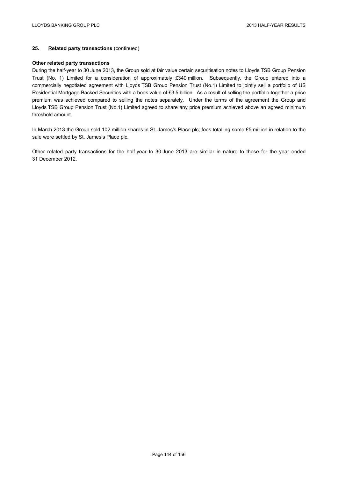# **25. Related party transactions** (continued)

### **Other related party transactions**

During the half-year to 30 June 2013, the Group sold at fair value certain securitisation notes to Lloyds TSB Group Pension Trust (No. 1) Limited for a consideration of approximately £340 million. Subsequently, the Group entered into a commercially negotiated agreement with Lloyds TSB Group Pension Trust (No.1) Limited to jointly sell a portfolio of US Residential Mortgage-Backed Securities with a book value of £3.5 billion. As a result of selling the portfolio together a price premium was achieved compared to selling the notes separately. Under the terms of the agreement the Group and Lloyds TSB Group Pension Trust (No.1) Limited agreed to share any price premium achieved above an agreed minimum threshold amount.

In March 2013 the Group sold 102 million shares in St. James's Place plc; fees totalling some £5 million in relation to the sale were settled by St. James's Place plc.

Other related party transactions for the half-year to 30 June 2013 are similar in nature to those for the year ended 31 December 2012.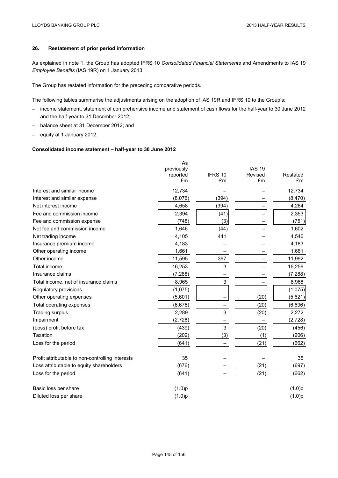# **26. Restatement of prior period information**

As explained in note 1, the Group has adopted IFRS 10 *Consolidated Financial Statements* and Amendments to IAS 19 *Employee Benefits* (IAS 19R) on 1 January 2013.

The Group has restated information for the preceding comparative periods.

The following tables summarise the adjustments arising on the adoption of IAS 19R and IFRS 10 to the Group's:

- income statement, statement of comprehensive income and statement of cash flows for the half-year to 30 June 2012 and the half-year to 31 December 2012;
- balance sheet at 31 December 2012; and
- equity at 1 January 2012.

## **Consolidated income statement – half-year to 30 June 2012**

|                                                  | As<br>previously<br>reported<br>£m | IFRS 10<br>£m | <b>IAS 19</b><br>Revised<br>£m | Restated<br>£m |
|--------------------------------------------------|------------------------------------|---------------|--------------------------------|----------------|
| Interest and similar income                      | 12,734                             |               |                                | 12,734         |
| Interest and similar expense                     | (8,076)                            | (394)         |                                | (8,470)        |
| Net interest income                              | 4,658                              | (394)         |                                | 4,264          |
| Fee and commission income                        | 2,394                              | (41)          |                                | 2,353          |
| Fee and commission expense                       | (748)                              | (3)           |                                | (751)          |
| Net fee and commission income                    | 1,646                              | (44)          |                                | 1,602          |
| Net trading income                               | 4,105                              | 441           |                                | 4,546          |
| Insurance premium income                         | 4,183                              |               |                                | 4,183          |
| Other operating income                           | 1,661                              |               |                                | 1,661          |
| Other income                                     | 11,595                             | 397           |                                | 11,992         |
| Total income                                     | 16,253                             | 3             |                                | 16,256         |
| Insurance claims                                 | (7, 288)                           |               |                                | (7, 288)       |
| Total income, net of insurance claims            | 8,965                              | 3             |                                | 8,968          |
| Regulatory provisions                            | (1,075)                            |               |                                | (1,075)        |
| Other operating expenses                         | (5,601)                            |               | (20)                           | (5,621)        |
| Total operating expenses                         | (6,676)                            |               | (20)                           | (6,696)        |
| <b>Trading surplus</b>                           | 2,289                              | 3             | (20)                           | 2,272          |
| Impairment                                       | (2,728)                            |               |                                | (2,728)        |
| (Loss) profit before tax                         | (439)                              | 3             | (20)                           | (456)          |
| Taxation                                         | (202)                              | (3)           | (1)                            | (206)          |
| Loss for the period                              | (641)                              |               | (21)                           | (662)          |
| Profit attributable to non-controlling interests | 35                                 |               |                                | 35             |
| Loss attributable to equity shareholders         | (676)                              |               | (21)                           | (697)          |
| Loss for the period                              | (641)                              |               | (21)                           | (662)          |
| Basic loss per share                             | (1.0)p                             |               |                                | (1.0)p         |
| Diluted loss per share                           | (1.0)p                             |               |                                | (1.0)p         |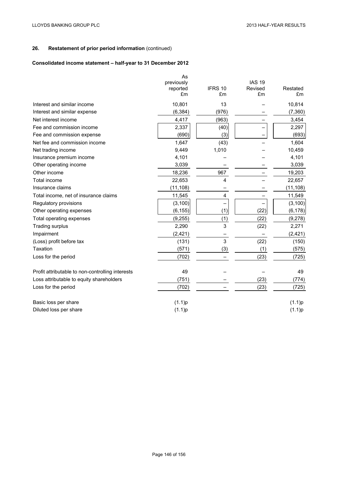# **Consolidated income statement – half-year to 31 December 2012**

|                                                  | As<br>previously<br>reported<br>£m | IFRS 10<br>£m | <b>IAS 19</b><br>Revised<br>£m | Restated<br>£m |
|--------------------------------------------------|------------------------------------|---------------|--------------------------------|----------------|
| Interest and similar income                      | 10,801                             | 13            |                                | 10,814         |
| Interest and similar expense                     | (6, 384)                           | (976)         |                                | (7, 360)       |
| Net interest income                              | 4,417                              | (963)         |                                | 3,454          |
| Fee and commission income                        | 2,337                              | (40)          |                                | 2,297          |
| Fee and commission expense                       | (690)                              | (3)           |                                | (693)          |
| Net fee and commission income                    | 1.647                              | (43)          |                                | 1,604          |
| Net trading income                               | 9,449                              | 1,010         |                                | 10,459         |
| Insurance premium income                         | 4,101                              |               |                                | 4,101          |
| Other operating income                           | 3,039                              |               |                                | 3,039          |
| Other income                                     | 18,236                             | 967           |                                | 19,203         |
| Total income                                     | 22,653                             | 4             |                                | 22,657         |
| Insurance claims                                 | (11, 108)                          |               |                                | (11, 108)      |
| Total income, net of insurance claims            | 11,545                             | 4             |                                | 11,549         |
| Regulatory provisions                            | (3, 100)                           |               |                                | (3, 100)       |
| Other operating expenses                         | (6, 155)                           | (1)           | (22)                           | (6, 178)       |
| Total operating expenses                         | (9, 255)                           | (1)           | (22)                           | (9,278)        |
| <b>Trading surplus</b>                           | 2,290                              | 3             | (22)                           | 2,271          |
| Impairment                                       | (2, 421)                           |               |                                | (2, 421)       |
| (Loss) profit before tax                         | (131)                              | $\mathbf{3}$  | (22)                           | (150)          |
| Taxation                                         | (571)                              | (3)           | (1)                            | (575)          |
| Loss for the period                              | (702)                              |               | (23)                           | (725)          |
| Profit attributable to non-controlling interests | 49                                 |               |                                | 49             |
| Loss attributable to equity shareholders         | (751)                              |               | (23)                           | (774)          |
| Loss for the period                              | (702)                              |               | (23)                           | (725)          |
| Basic loss per share                             | (1.1)p                             |               |                                | (1.1)p         |
| Diluted loss per share                           | (1.1)p                             |               |                                | (1.1)p         |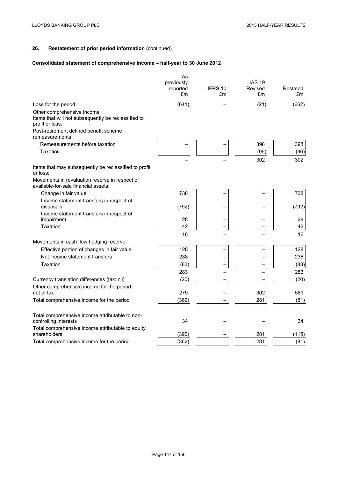# **Consolidated statement of comprehensive income – half-year to 30 June 2012**

|                                                                                                      | As<br>previously<br>reported<br>£m | IFRS 10<br>£m | <b>IAS 19</b><br>Revised<br>£m | Restated<br>£m |
|------------------------------------------------------------------------------------------------------|------------------------------------|---------------|--------------------------------|----------------|
| Loss for the period                                                                                  | (641)                              |               | (21)                           | (662)          |
| Other comprehensive income<br>Items that will not subsequently be reclassified to<br>profit or loss: |                                    |               |                                |                |
| Post-retirement defined benefit scheme<br>remeasurements:                                            |                                    |               |                                |                |
| Remeasurements before taxation                                                                       |                                    |               | 398                            | 398            |
| Taxation                                                                                             |                                    |               | (96)                           | (96)           |
|                                                                                                      |                                    |               | 302                            | 302            |
| Items that may subsequently be reclassified to profit<br>or loss:                                    |                                    |               |                                |                |
| Movements in revaluation reserve in respect of<br>available-for-sale financial assets:               |                                    |               |                                |                |
| Change in fair value                                                                                 | 738                                |               |                                | 738            |
| Income statement transfers in respect of<br>disposals                                                | (792)                              |               |                                | (792)          |
| Income statement transfers in respect of<br>impairment                                               | 28                                 |               |                                | 28             |
| Taxation                                                                                             | 42                                 |               |                                | 42             |
|                                                                                                      | 16                                 |               |                                | 16             |
| Movements in cash flow hedging reserve:                                                              |                                    |               |                                |                |
| Effective portion of changes in fair value                                                           | 128                                |               |                                | 128            |
| Net income statement transfers                                                                       | 238                                |               |                                | 238            |
| Taxation                                                                                             | (83)                               |               |                                | (83)           |
|                                                                                                      | 283                                |               |                                | 283            |
| Currency translation differences (tax: nil)                                                          | (20)                               |               |                                | (20)           |
| Other comprehensive income for the period,                                                           |                                    |               |                                |                |
| net of tax                                                                                           | 279                                |               | 302                            | 581            |
| Total comprehensive income for the period                                                            | (362)                              |               | 281                            | (81)           |
| Total comprehensive income attributable to non-<br>controlling interests                             | 34                                 |               |                                | 34             |
| Total comprehensive income attributable to equity<br>shareholders                                    | (396)                              |               | 281                            | (115)          |
| Total comprehensive income for the period                                                            | (362)                              |               | 281                            | (81)           |
|                                                                                                      |                                    |               |                                |                |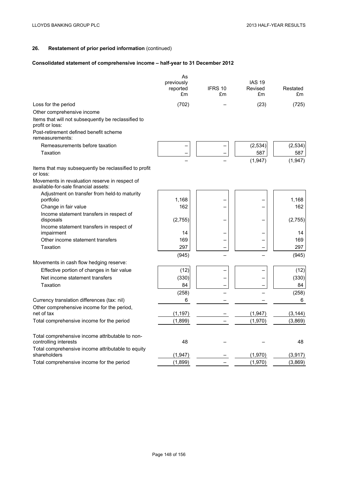# **Consolidated statement of comprehensive income – half-year to 31 December 2012**

|                                                                                        | As<br>previously<br>reported<br>£m | IFRS 10<br>£m | <b>IAS 19</b><br>Revised<br>£m | Restated<br>£m |
|----------------------------------------------------------------------------------------|------------------------------------|---------------|--------------------------------|----------------|
| Loss for the period                                                                    | (702)                              |               | (23)                           | (725)          |
| Other comprehensive income                                                             |                                    |               |                                |                |
| Items that will not subsequently be reclassified to<br>profit or loss:                 |                                    |               |                                |                |
| Post-retirement defined benefit scheme<br>remeasurements:                              |                                    |               |                                |                |
| Remeasurements before taxation                                                         |                                    |               | (2, 534)                       | (2,534)        |
| Taxation                                                                               |                                    |               | 587                            | 587            |
|                                                                                        |                                    |               | (1, 947)                       | (1,947)        |
| Items that may subsequently be reclassified to profit<br>or loss:                      |                                    |               |                                |                |
| Movements in revaluation reserve in respect of<br>available-for-sale financial assets: |                                    |               |                                |                |
| Adjustment on transfer from held-to maturity<br>portfolio                              | 1,168                              |               |                                | 1,168          |
| Change in fair value                                                                   | 162                                |               |                                | 162            |
| Income statement transfers in respect of<br>disposals                                  | (2,755)                            |               |                                | (2,755)        |
| Income statement transfers in respect of                                               |                                    |               |                                |                |
| impairment                                                                             | 14                                 |               |                                | 14             |
| Other income statement transfers                                                       | 169                                |               |                                | 169            |
| Taxation                                                                               | 297                                |               |                                | 297            |
|                                                                                        | (945)                              |               |                                | (945)          |
| Movements in cash flow hedging reserve:                                                |                                    |               |                                |                |
| Effective portion of changes in fair value                                             | (12)                               |               |                                | (12)           |
| Net income statement transfers                                                         | (330)                              |               |                                | (330)          |
| Taxation                                                                               | 84                                 |               |                                | 84             |
|                                                                                        | (258)                              |               |                                | (258)          |
| Currency translation differences (tax: nil)                                            | 6                                  |               |                                | 6              |
| Other comprehensive income for the period,<br>net of tax                               | (1, 197)                           |               | (1, 947)                       | (3, 144)       |
| Total comprehensive income for the period                                              | (1,899)                            |               | (1,970)                        | (3,869)        |
| Total comprehensive income attributable to non-<br>controlling interests               | 48                                 |               |                                | 48             |
| Total comprehensive income attributable to equity<br>shareholders                      | (1, 947)                           |               | (1,970)                        | (3, 917)       |
| Total comprehensive income for the period                                              | (1,899)                            |               | (1,970)                        | (3,869)        |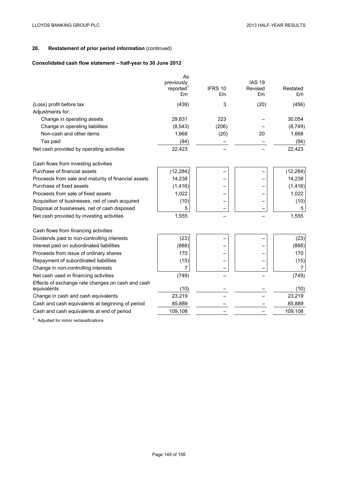# **Consolidated cash flow statement – half-year to 30 June 2012**

|                                                                  | As<br>previously<br>reported <sup>1</sup><br>£m | IFRS 10<br>£m | <b>IAS 19</b><br>Revised<br>£m | Restated<br>£m |
|------------------------------------------------------------------|-------------------------------------------------|---------------|--------------------------------|----------------|
| (Loss) profit before tax                                         | (439)                                           | 3             | (20)                           | (456)          |
| Adjustments for:                                                 |                                                 |               |                                |                |
| Change in operating assets                                       | 29,831                                          | 223           |                                | 30,054         |
| Change in operating liabilities                                  | (8, 543)                                        | (206)         |                                | (8,749)        |
| Non-cash and other items                                         | 1,668                                           | (20)          | 20                             | 1,668          |
| Tax paid                                                         | (94)                                            |               |                                | (94)           |
| Net cash provided by operating activities                        | 22,423                                          |               |                                | 22,423         |
| Cash flows from investing activities                             |                                                 |               |                                |                |
| Purchase of financial assets                                     | (12, 284)                                       |               |                                | (12, 284)      |
| Proceeds from sale and maturity of financial assets              | 14,238                                          |               |                                | 14,238         |
| Purchase of fixed assets                                         | (1, 416)                                        |               |                                | (1, 416)       |
| Proceeds from sale of fixed assets                               | 1,022                                           |               |                                | 1,022          |
| Acquisition of businesses, net of cash acquired                  | (10)                                            |               |                                | (10)           |
| Disposal of businesses, net of cash disposed                     | 5                                               |               |                                | 5              |
| Net cash provided by investing activities                        | 1,555                                           |               |                                | 1,555          |
| Cash flows from financing activities                             |                                                 |               |                                |                |
| Dividends paid to non-controlling interests                      | (23)                                            |               |                                | (23)           |
| Interest paid on subordinated liabilities                        | (888)                                           |               |                                | (888)          |
| Proceeds from issue of ordinary shares                           | 170                                             |               |                                | 170            |
| Repayment of subordinated liabilities                            | (15)                                            |               |                                | (15)           |
| Change in non-controlling interests                              | 7                                               |               |                                | $\overline{7}$ |
| Net cash used in financing activities                            | (749)                                           |               |                                | (749)          |
| Effects of exchange rate changes on cash and cash<br>equivalents | (10)                                            |               |                                | (10)           |
| Change in cash and cash equivalents                              | 23,219                                          |               |                                | 23,219         |
| Cash and cash equivalents at beginning of period                 | 85,889                                          |               |                                | 85,889         |
| Cash and cash equivalents at end of period                       | 109,108                                         |               |                                | 109,108        |
|                                                                  |                                                 |               |                                |                |

**<sup>1</sup>** Adjusted for minor reclassifications.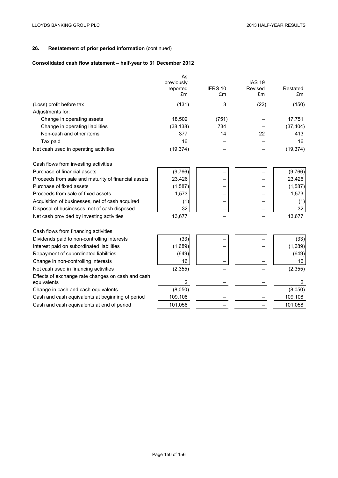# **Consolidated cash flow statement – half-year to 31 December 2012**

|                                                                  | As<br>previously<br>reported<br>£m | IFRS 10<br>£m | <b>IAS 19</b><br>Revised<br>£m | Restated<br>£m |
|------------------------------------------------------------------|------------------------------------|---------------|--------------------------------|----------------|
| (Loss) profit before tax                                         | (131)                              | 3             | (22)                           | (150)          |
| Adjustments for:                                                 |                                    |               |                                |                |
| Change in operating assets                                       | 18,502                             | (751)         |                                | 17,751         |
| Change in operating liabilities                                  | (38, 138)                          | 734           |                                | (37, 404)      |
| Non-cash and other items                                         | 377                                | 14            | 22                             | 413            |
| Tax paid                                                         | 16                                 |               |                                | 16             |
| Net cash used in operating activities                            | (19, 374)                          |               |                                | (19, 374)      |
| Cash flows from investing activities                             |                                    |               |                                |                |
| Purchase of financial assets                                     | (9,766)                            |               |                                | (9,766)        |
| Proceeds from sale and maturity of financial assets              | 23,426                             |               |                                | 23,426         |
| Purchase of fixed assets                                         | (1, 587)                           |               |                                | (1, 587)       |
| Proceeds from sale of fixed assets                               | 1,573                              |               |                                | 1,573          |
| Acquisition of businesses, net of cash acquired                  | (1)                                |               |                                | (1)            |
| Disposal of businesses, net of cash disposed                     | 32                                 |               |                                | 32             |
| Net cash provided by investing activities                        | 13,677                             |               |                                | 13,677         |
| Cash flows from financing activities                             |                                    |               |                                |                |
| Dividends paid to non-controlling interests                      | (33)                               |               |                                | (33)           |
| Interest paid on subordinated liabilities                        | (1,689)                            |               |                                | (1,689)        |
| Repayment of subordinated liabilities                            | (649)                              |               |                                | (649)          |
| Change in non-controlling interests                              | 16                                 |               |                                | 16             |
| Net cash used in financing activities                            | (2, 355)                           |               |                                | (2, 355)       |
| Effects of exchange rate changes on cash and cash<br>equivalents | 2                                  |               |                                | 2              |
| Change in cash and cash equivalents                              | (8,050)                            |               |                                | (8,050)        |
| Cash and cash equivalents at beginning of period                 | 109,108                            |               |                                | 109,108        |
| Cash and cash equivalents at end of period                       | 101,058                            |               |                                | 101,058        |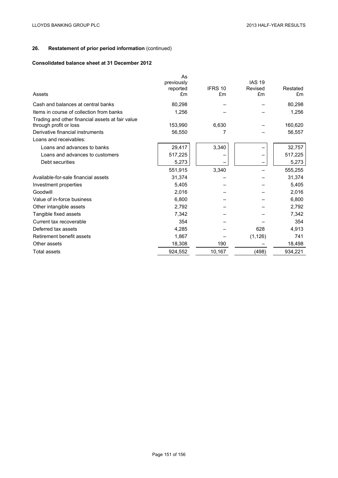# **Consolidated balance sheet at 31 December 2012**

| Assets                                                                     | As<br>previously<br>reported<br>£m | IFRS 10<br>£m | <b>IAS 19</b><br>Revised<br>£m | Restated<br>£m |
|----------------------------------------------------------------------------|------------------------------------|---------------|--------------------------------|----------------|
| Cash and balances at central banks                                         | 80,298                             |               |                                | 80,298         |
| Items in course of collection from banks                                   | 1,256                              |               |                                | 1,256          |
| Trading and other financial assets at fair value<br>through profit or loss | 153,990                            | 6,630         |                                | 160,620        |
| Derivative financial instruments                                           | 56,550                             | 7             |                                | 56,557         |
| Loans and receivables:                                                     |                                    |               |                                |                |
| Loans and advances to banks                                                | 29,417                             | 3,340         |                                | 32,757         |
| Loans and advances to customers                                            | 517,225                            |               |                                | 517,225        |
| Debt securities                                                            | 5,273                              |               |                                | 5,273          |
|                                                                            | 551,915                            | 3,340         |                                | 555,255        |
| Available-for-sale financial assets                                        | 31,374                             |               |                                | 31,374         |
| Investment properties                                                      | 5,405                              |               |                                | 5,405          |
| Goodwill                                                                   | 2,016                              |               |                                | 2,016          |
| Value of in-force business                                                 | 6,800                              |               |                                | 6,800          |
| Other intangible assets                                                    | 2,792                              |               |                                | 2,792          |
| Tangible fixed assets                                                      | 7,342                              |               |                                | 7,342          |
| Current tax recoverable                                                    | 354                                |               |                                | 354            |
| Deferred tax assets                                                        | 4,285                              |               | 628                            | 4,913          |
| Retirement benefit assets                                                  | 1,867                              |               | (1, 126)                       | 741            |
| Other assets                                                               | 18,308                             | 190           |                                | 18,498         |
| <b>Total assets</b>                                                        | 924,552                            | 10,167        | (498)                          | 934,221        |
|                                                                            |                                    |               |                                |                |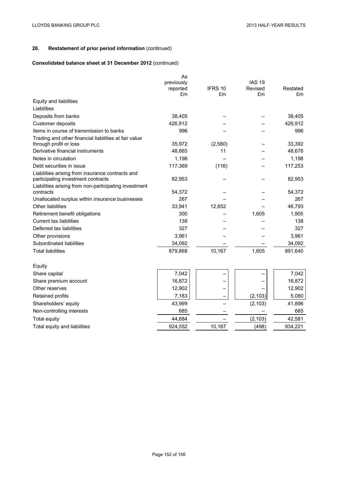# **Consolidated balance sheet at 31 December 2012** (continued)

|                                                                                 | As<br>previously<br>reported | IFRS 10 | <b>IAS 19</b><br>Revised | Restated |
|---------------------------------------------------------------------------------|------------------------------|---------|--------------------------|----------|
|                                                                                 | £m                           | £m      | £m                       | £m       |
| Equity and liabilities                                                          |                              |         |                          |          |
| Liabilities                                                                     |                              |         |                          |          |
| Deposits from banks                                                             | 38,405                       |         |                          | 38,405   |
| Customer deposits                                                               | 426,912                      |         |                          | 426,912  |
| Items in course of transmission to banks                                        | 996                          |         |                          | 996      |
| Trading and other financial liabilities at fair value<br>through profit or loss | 35,972                       | (2,580) |                          | 33,392   |
| Derivative financial instruments                                                | 48,665                       | 11      |                          | 48,676   |
| Notes in circulation                                                            | 1,198                        |         |                          | 1,198    |
| Debt securities in issue                                                        | 117,369                      | (116)   |                          | 117,253  |
| Liabilities arising from insurance contracts and                                |                              |         |                          |          |
| participating investment contracts                                              | 82,953                       |         |                          | 82,953   |
| Liabilities arising from non-participating investment                           |                              |         |                          |          |
| contracts                                                                       | 54,372                       |         |                          | 54,372   |
| Unallocated surplus within insurance businesses                                 | 267                          |         |                          | 267      |
| Other liabilities                                                               | 33,941                       | 12,852  |                          | 46,793   |
| Retirement benefit obligations                                                  | 300                          |         | 1,605                    | 1,905    |
| <b>Current tax liabilities</b>                                                  | 138                          |         |                          | 138      |
| Deferred tax liabilities                                                        | 327                          |         |                          | 327      |
| Other provisions                                                                | 3,961                        |         |                          | 3,961    |
| Subordinated liabilities                                                        | 34,092                       |         |                          | 34,092   |
| <b>Total liabilities</b>                                                        | 879,868                      | 10,167  | 1,605                    | 891,640  |
| Equity                                                                          |                              |         |                          |          |
| Share capital                                                                   | 7,042                        |         |                          | 7,042    |
| Share premium account                                                           | 16,872                       |         |                          | 16,872   |
| Other reserves                                                                  | 12,902                       |         |                          | 12,902   |
| Retained profits                                                                | 7,183                        |         | (2, 103)                 | 5,080    |
| Shareholders' equity                                                            | 43,999                       |         | (2, 103)                 | 41,896   |
| Non-controlling interests                                                       | 685                          |         |                          | 685      |
| <b>Total equity</b>                                                             | 44,684                       |         | (2, 103)                 | 42,581   |
| Total equity and liabilities                                                    | 924,552                      | 10,167  | (498)                    | 934,221  |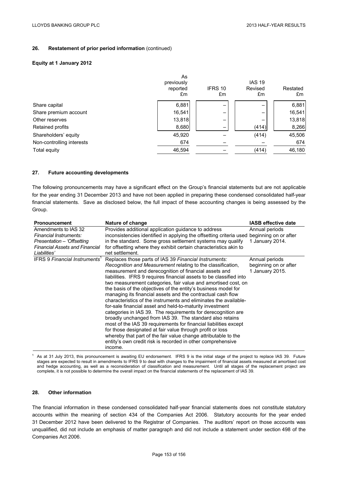### **Equity at 1 January 2012**

|                           | As<br>previously |               | <b>IAS 19</b> |                |
|---------------------------|------------------|---------------|---------------|----------------|
|                           | reported<br>£m   | IFRS 10<br>£m | Revised<br>£m | Restated<br>£m |
|                           |                  |               |               |                |
| Share capital             | 6,881            |               |               | 6,881          |
| Share premium account     | 16,541           | -             |               | 16,541         |
| Other reserves            | 13,818           | -             |               | 13,818         |
| Retained profits          | 8,680            |               | (414)         | 8,266          |
| Shareholders' equity      | 45,920           |               | (414)         | 45,506         |
| Non-controlling interests | 674              |               |               | 674            |
| Total equity              | 46,594           |               | (414)         | 46,180         |

## **27. Future accounting developments**

The following pronouncements may have a significant effect on the Group's financial statements but are not applicable for the year ending 31 December 2013 and have not been applied in preparing these condensed consolidated half-year financial statements. Save as disclosed below, the full impact of these accounting changes is being assessed by the Group.

| <b>Pronouncement</b>                                                                                                                  | Nature of change                                                                                                                                                                                                                                                                                                                                                                                                                                                                                                                                                                                                                                                                                                                                                                                                                                                                                                                                                                                 | <b>IASB effective date</b>                                 |
|---------------------------------------------------------------------------------------------------------------------------------------|--------------------------------------------------------------------------------------------------------------------------------------------------------------------------------------------------------------------------------------------------------------------------------------------------------------------------------------------------------------------------------------------------------------------------------------------------------------------------------------------------------------------------------------------------------------------------------------------------------------------------------------------------------------------------------------------------------------------------------------------------------------------------------------------------------------------------------------------------------------------------------------------------------------------------------------------------------------------------------------------------|------------------------------------------------------------|
| Amendments to IAS 32<br>Financial Instruments:<br>Presentation – 'Offsetting<br><b>Financial Assets and Financial</b><br>Liabilities' | Provides additional application guidance to address<br>inconsistencies identified in applying the offsetting criteria used beginning on or after<br>in the standard. Some gross settlement systems may qualify<br>for offsetting where they exhibit certain characteristics akin to<br>net settlement.                                                                                                                                                                                                                                                                                                                                                                                                                                                                                                                                                                                                                                                                                           | Annual periods<br>1 January 2014.                          |
| <b>IFRS 9 Financial Instruments'</b>                                                                                                  | Replaces those parts of IAS 39 Financial Instruments:<br>Recognition and Measurement relating to the classification,<br>measurement and derecognition of financial assets and<br>liabilities. IFRS 9 requires financial assets to be classified into<br>two measurement categories, fair value and amortised cost, on<br>the basis of the objectives of the entity's business model for<br>managing its financial assets and the contractual cash flow<br>characteristics of the instruments and eliminates the available-<br>for-sale financial asset and held-to-maturity investment<br>categories in IAS 39. The requirements for derecognition are.<br>broadly unchanged from IAS 39. The standard also retains<br>most of the IAS 39 requirements for financial liabilities except<br>for those designated at fair value through profit or loss<br>whereby that part of the fair value change attributable to the<br>entity's own credit risk is recorded in other comprehensive<br>income. | Annual periods<br>beginning on or after<br>1 January 2015. |

As at 31 July 2013, this pronouncement is awaiting EU endorsement. IFRS 9 is the initial stage of the project to replace IAS 39. Future stages are expected to result in amendments to IFRS 9 to deal with changes to the impairment of financial assets measured at amortised cost and hedge accounting, as well as a reconsideration of classification and measurement. Until all stages of the replacement project are complete, it is not possible to determine the overall impact on the financial statements of the replacement of IAS 39.

## **28. Other information**

The financial information in these condensed consolidated half-year financial statements does not constitute statutory accounts within the meaning of section 434 of the Companies Act 2006. Statutory accounts for the year ended 31 December 2012 have been delivered to the Registrar of Companies. The auditors' report on those accounts was unqualified, did not include an emphasis of matter paragraph and did not include a statement under section 498 of the Companies Act 2006.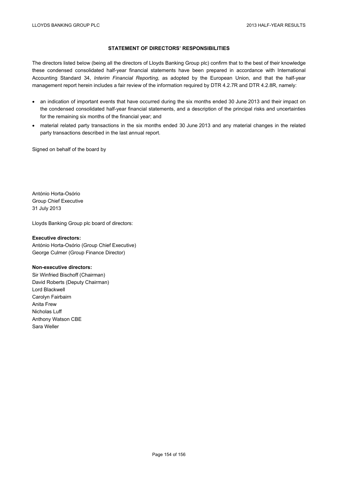# **STATEMENT OF DIRECTORS' RESPONSIBILITIES**

The directors listed below (being all the directors of Lloyds Banking Group plc) confirm that to the best of their knowledge these condensed consolidated half-year financial statements have been prepared in accordance with International Accounting Standard 34, *Interim Financial Reporting*, as adopted by the European Union, and that the half-year management report herein includes a fair review of the information required by DTR 4.2.7R and DTR 4.2.8R, namely:

- an indication of important events that have occurred during the six months ended 30 June 2013 and their impact on the condensed consolidated half-year financial statements, and a description of the principal risks and uncertainties for the remaining six months of the financial year; and
- material related party transactions in the six months ended 30 June 2013 and any material changes in the related party transactions described in the last annual report.

Signed on behalf of the board by

António Horta-Osório Group Chief Executive 31 July 2013

Lloyds Banking Group plc board of directors:

### **Executive directors:**

António Horta-Osório (Group Chief Executive) George Culmer (Group Finance Director)

#### **Non-executive directors:**

Sir Winfried Bischoff (Chairman) David Roberts (Deputy Chairman) Lord Blackwell Carolyn Fairbairn Anita Frew Nicholas Luff Anthony Watson CBE Sara Weller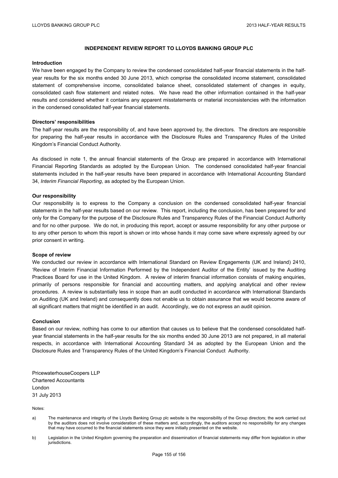## **INDEPENDENT REVIEW REPORT TO LLOYDS BANKING GROUP PLC**

### **Introduction**

We have been engaged by the Company to review the condensed consolidated half-year financial statements in the halfyear results for the six months ended 30 June 2013, which comprise the consolidated income statement, consolidated statement of comprehensive income, consolidated balance sheet, consolidated statement of changes in equity, consolidated cash flow statement and related notes. We have read the other information contained in the half-year results and considered whether it contains any apparent misstatements or material inconsistencies with the information in the condensed consolidated half-year financial statements.

### **Directors' responsibilities**

The half-year results are the responsibility of, and have been approved by, the directors. The directors are responsible for preparing the half-year results in accordance with the Disclosure Rules and Transparency Rules of the United Kingdom's Financial Conduct Authority.

As disclosed in note 1, the annual financial statements of the Group are prepared in accordance with International Financial Reporting Standards as adopted by the European Union. The condensed consolidated half-year financial statements included in the half-year results have been prepared in accordance with International Accounting Standard 34, *Interim Financial Reporting*, as adopted by the European Union.

## **Our responsibility**

Our responsibility is to express to the Company a conclusion on the condensed consolidated half-year financial statements in the half-year results based on our review. This report, including the conclusion, has been prepared for and only for the Company for the purpose of the Disclosure Rules and Transparency Rules of the Financial Conduct Authority and for no other purpose. We do not, in producing this report, accept or assume responsibility for any other purpose or to any other person to whom this report is shown or into whose hands it may come save where expressly agreed by our prior consent in writing.

### **Scope of review**

We conducted our review in accordance with International Standard on Review Engagements (UK and Ireland) 2410, 'Review of Interim Financial Information Performed by the Independent Auditor of the Entity' issued by the Auditing Practices Board for use in the United Kingdom. A review of interim financial information consists of making enquiries, primarily of persons responsible for financial and accounting matters, and applying analytical and other review procedures. A review is substantially less in scope than an audit conducted in accordance with International Standards on Auditing (UK and Ireland) and consequently does not enable us to obtain assurance that we would become aware of all significant matters that might be identified in an audit. Accordingly, we do not express an audit opinion.

## **Conclusion**

Based on our review, nothing has come to our attention that causes us to believe that the condensed consolidated halfyear financial statements in the half-year results for the six months ended 30 June 2013 are not prepared, in all material respects, in accordance with International Accounting Standard 34 as adopted by the European Union and the Disclosure Rules and Transparency Rules of the United Kingdom's Financial Conduct Authority.

PricewaterhouseCoopers LLP Chartered Accountants London 31 July 2013

Notes:

- a) The maintenance and integrity of the Lloyds Banking Group plc website is the responsibility of the Group directors; the work carried out by the auditors does not involve consideration of these matters and, accordingly, the auditors accept no responsibility for any changes that may have occurred to the financial statements since they were initially presented on the website.
- b) Legislation in the United Kingdom governing the preparation and dissemination of financial statements may differ from legislation in other jurisdictions.